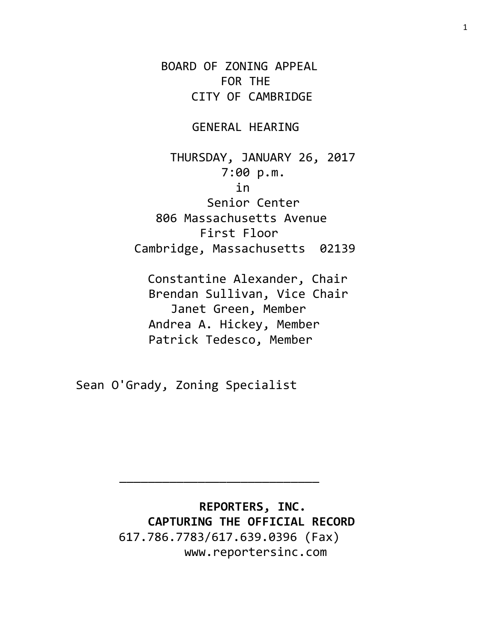BOARD OF ZONING APPEAL FOR THE CITY OF CAMBRIDGE

GENERAL HEARING

 THURSDAY, JANUARY 26, 2017 7:00 p.m. in Senior Center 806 Massachusetts Avenue First Floor Cambridge, Massachusetts 02139

 Constantine Alexander, Chair Brendan Sullivan, Vice Chair Janet Green, Member Andrea A. Hickey, Member Patrick Tedesco, Member

Sean O'Grady, Zoning Specialist

 **REPORTERS, INC. CAPTURING THE OFFICIAL RECORD** 617.786.7783/617.639.0396 (Fax) www.reportersinc.com

\_\_\_\_\_\_\_\_\_\_\_\_\_\_\_\_\_\_\_\_\_\_\_\_\_\_\_\_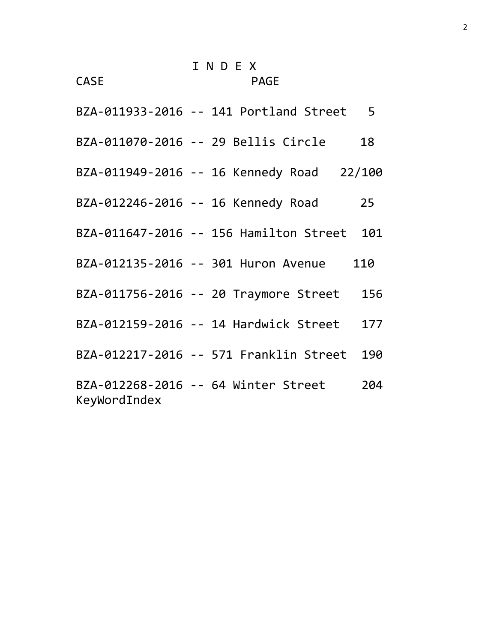CASE PAGE

| BZA-011933-2016 -- 141 Portland Street 5            |     |
|-----------------------------------------------------|-----|
| BZA-011070-2016 -- 29 Bellis Circle                 | 18  |
| BZA-011949-2016 -- 16 Kennedy Road 22/100           |     |
| BZA-012246-2016 -- 16 Kennedy Road                  | 25  |
| BZA-011647-2016 -- 156 Hamilton Street 101          |     |
| BZA-012135-2016 -- 301 Huron Avenue 110             |     |
| BZA-011756-2016 -- 20 Traymore Street 156           |     |
| BZA-012159-2016 -- 14 Hardwick Street 177           |     |
| BZA-012217-2016 -- 571 Franklin Street 190          |     |
| BZA-012268-2016 -- 64 Winter Street<br>KeyWordIndex | 204 |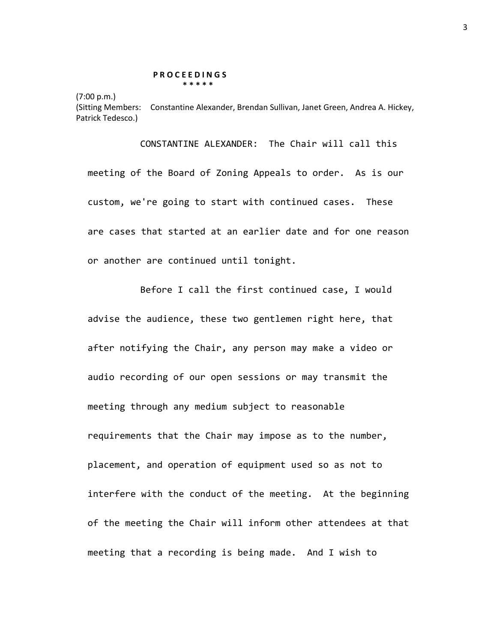## **P R O C E E D I N G S \* \* \* \* \***

(7:00 p.m.)

(Sitting Members: Constantine Alexander, Brendan Sullivan, Janet Green, Andrea A. Hickey, Patrick Tedesco.)

CONSTANTINE ALEXANDER: The Chair will call this meeting of the Board of Zoning Appeals to order. As is our custom, we're going to start with continued cases. These are cases that started at an earlier date and for one reason or another are continued until tonight.

Before I call the first continued case, I would advise the audience, these two gentlemen right here, that after notifying the Chair, any person may make a video or audio recording of our open sessions or may transmit the meeting through any medium subject to reasonable requirements that the Chair may impose as to the number, placement, and operation of equipment used so as not to interfere with the conduct of the meeting. At the beginning of the meeting the Chair will inform other attendees at that meeting that a recording is being made. And I wish to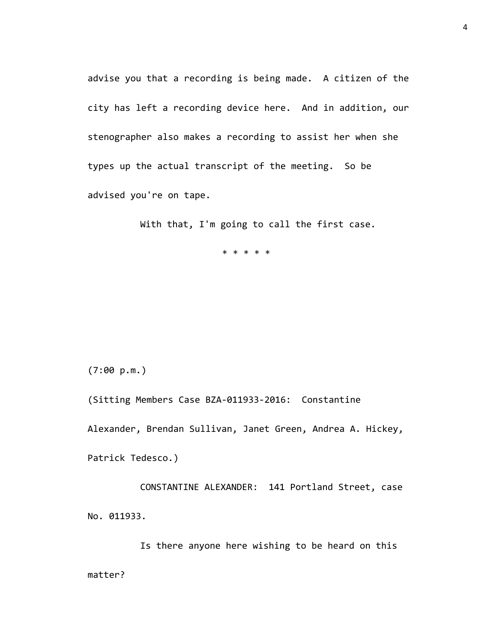advise you that a recording is being made. A citizen of the city has left a recording device here. And in addition, our stenographer also makes a recording to assist her when she types up the actual transcript of the meeting. So be advised you're on tape.

With that, I'm going to call the first case.

\* \* \* \* \*

(7:00 p.m.)

(Sitting Members Case BZA-011933-2016: Constantine

Alexander, Brendan Sullivan, Janet Green, Andrea A. Hickey,

Patrick Tedesco.)

CONSTANTINE ALEXANDER: 141 Portland Street, case No. 011933.

Is there anyone here wishing to be heard on this matter?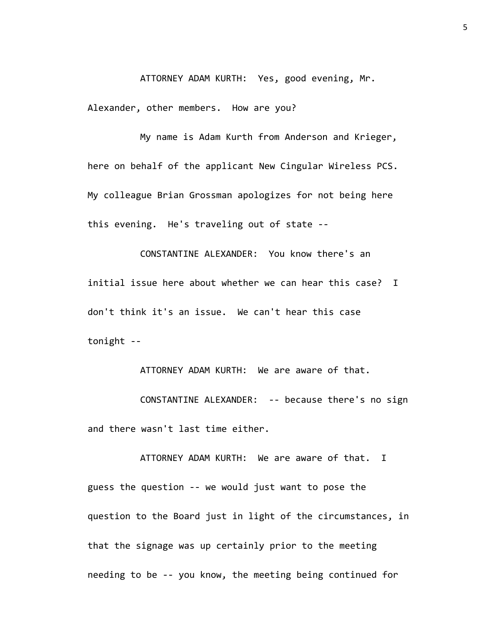ATTORNEY ADAM KURTH: Yes, good evening, Mr.

Alexander, other members. How are you?

My name is Adam Kurth from Anderson and Krieger, here on behalf of the applicant New Cingular Wireless PCS. My colleague Brian Grossman apologizes for not being here this evening. He's traveling out of state --

CONSTANTINE ALEXANDER: You know there's an initial issue here about whether we can hear this case? I don't think it's an issue. We can't hear this case tonight --

ATTORNEY ADAM KURTH: We are aware of that. CONSTANTINE ALEXANDER: -- because there's no sign and there wasn't last time either.

ATTORNEY ADAM KURTH: We are aware of that. I guess the question -- we would just want to pose the question to the Board just in light of the circumstances, in that the signage was up certainly prior to the meeting needing to be -- you know, the meeting being continued for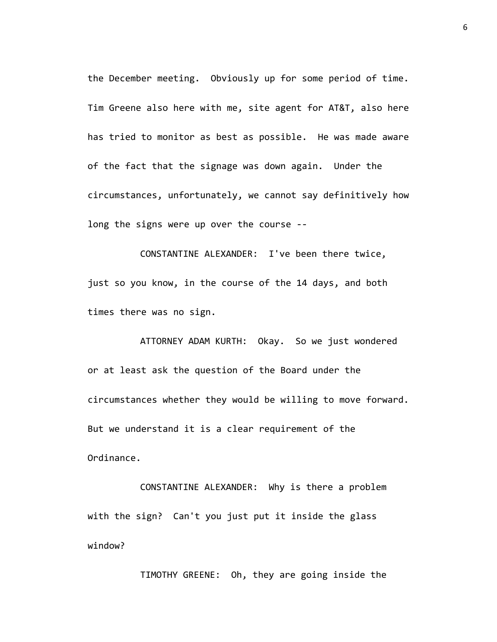the December meeting. Obviously up for some period of time. Tim Greene also here with me, site agent for AT&T, also here has tried to monitor as best as possible. He was made aware of the fact that the signage was down again. Under the circumstances, unfortunately, we cannot say definitively how long the signs were up over the course --

CONSTANTINE ALEXANDER: I've been there twice, just so you know, in the course of the 14 days, and both times there was no sign.

ATTORNEY ADAM KURTH: Okay. So we just wondered or at least ask the question of the Board under the circumstances whether they would be willing to move forward. But we understand it is a clear requirement of the Ordinance.

CONSTANTINE ALEXANDER: Why is there a problem with the sign? Can't you just put it inside the glass window?

TIMOTHY GREENE: Oh, they are going inside the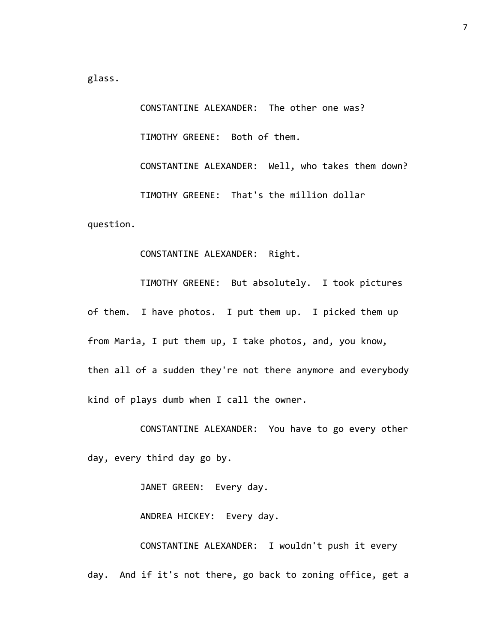glass.

CONSTANTINE ALEXANDER: The other one was? TIMOTHY GREENE: Both of them. CONSTANTINE ALEXANDER: Well, who takes them down? TIMOTHY GREENE: That's the million dollar question.

## CONSTANTINE ALEXANDER: Right.

TIMOTHY GREENE: But absolutely. I took pictures of them. I have photos. I put them up. I picked them up from Maria, I put them up, I take photos, and, you know, then all of a sudden they're not there anymore and everybody kind of plays dumb when I call the owner.

CONSTANTINE ALEXANDER: You have to go every other day, every third day go by.

JANET GREEN: Every day.

ANDREA HICKEY: Every day.

CONSTANTINE ALEXANDER: I wouldn't push it every day. And if it's not there, go back to zoning office, get a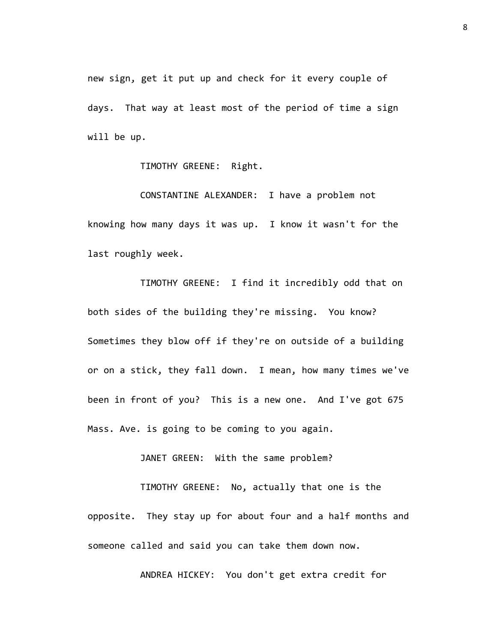new sign, get it put up and check for it every couple of days. That way at least most of the period of time a sign will be up.

TIMOTHY GREENE: Right.

CONSTANTINE ALEXANDER: I have a problem not knowing how many days it was up. I know it wasn't for the last roughly week.

TIMOTHY GREENE: I find it incredibly odd that on both sides of the building they're missing. You know? Sometimes they blow off if they're on outside of a building or on a stick, they fall down. I mean, how many times we've been in front of you? This is a new one. And I've got 675 Mass. Ave. is going to be coming to you again.

JANET GREEN: With the same problem?

TIMOTHY GREENE: No, actually that one is the opposite. They stay up for about four and a half months and someone called and said you can take them down now.

ANDREA HICKEY: You don't get extra credit for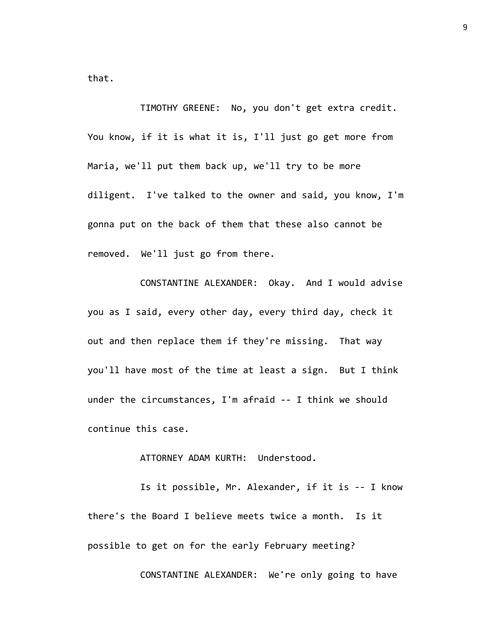that.

TIMOTHY GREENE: No, you don't get extra credit. You know, if it is what it is, I'll just go get more from Maria, we'll put them back up, we'll try to be more diligent. I've talked to the owner and said, you know, I'm gonna put on the back of them that these also cannot be removed. We'll just go from there.

CONSTANTINE ALEXANDER: Okay. And I would advise you as I said, every other day, every third day, check it out and then replace them if they're missing. That way you'll have most of the time at least a sign. But I think under the circumstances, I'm afraid -- I think we should continue this case.

## ATTORNEY ADAM KURTH: Understood.

Is it possible, Mr. Alexander, if it is -- I know there's the Board I believe meets twice a month. Is it possible to get on for the early February meeting?

CONSTANTINE ALEXANDER: We're only going to have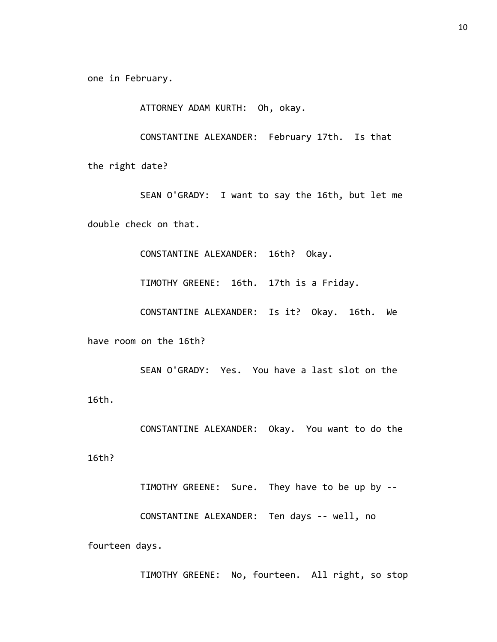one in February.

ATTORNEY ADAM KURTH: Oh, okay.

CONSTANTINE ALEXANDER: February 17th. Is that

the right date?

SEAN O'GRADY: I want to say the 16th, but let me double check on that.

CONSTANTINE ALEXANDER: 16th? Okay.

TIMOTHY GREENE: 16th. 17th is a Friday.

CONSTANTINE ALEXANDER: Is it? Okay. 16th. We

have room on the 16th?

SEAN O'GRADY: Yes. You have a last slot on the 16th.

CONSTANTINE ALEXANDER: Okay. You want to do the

16th?

TIMOTHY GREENE: Sure. They have to be up by --

CONSTANTINE ALEXANDER: Ten days -- well, no

fourteen days.

TIMOTHY GREENE: No, fourteen. All right, so stop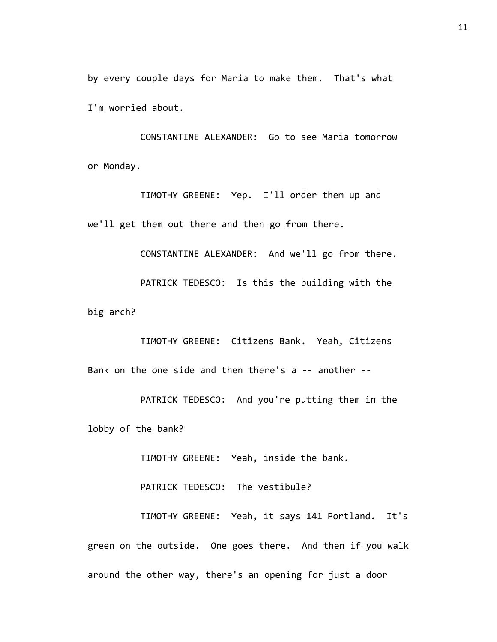by every couple days for Maria to make them. That's what I'm worried about.

CONSTANTINE ALEXANDER: Go to see Maria tomorrow or Monday.

TIMOTHY GREENE: Yep. I'll order them up and we'll get them out there and then go from there.

CONSTANTINE ALEXANDER: And we'll go from there. PATRICK TEDESCO: Is this the building with the big arch?

TIMOTHY GREENE: Citizens Bank. Yeah, Citizens Bank on the one side and then there's a -- another --

PATRICK TEDESCO: And you're putting them in the lobby of the bank?

TIMOTHY GREENE: Yeah, inside the bank.

PATRICK TEDESCO: The vestibule?

TIMOTHY GREENE: Yeah, it says 141 Portland. It's green on the outside. One goes there. And then if you walk around the other way, there's an opening for just a door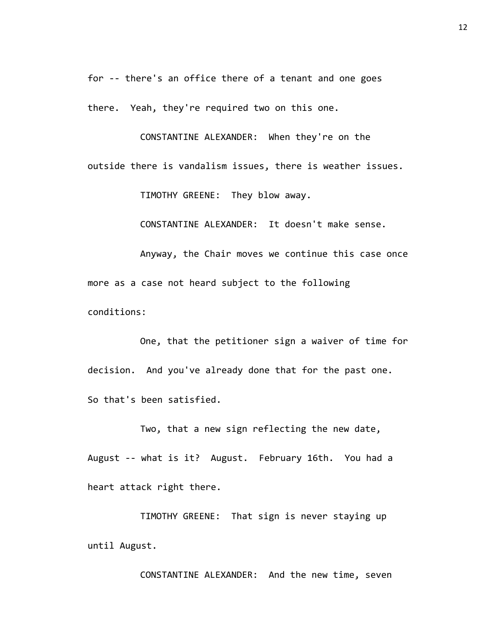for -- there's an office there of a tenant and one goes

there. Yeah, they're required two on this one.

CONSTANTINE ALEXANDER: When they're on the outside there is vandalism issues, there is weather issues.

TIMOTHY GREENE: They blow away.

CONSTANTINE ALEXANDER: It doesn't make sense.

Anyway, the Chair moves we continue this case once more as a case not heard subject to the following conditions:

One, that the petitioner sign a waiver of time for decision. And you've already done that for the past one. So that's been satisfied.

Two, that a new sign reflecting the new date, August -- what is it? August. February 16th. You had a heart attack right there.

TIMOTHY GREENE: That sign is never staying up until August.

CONSTANTINE ALEXANDER: And the new time, seven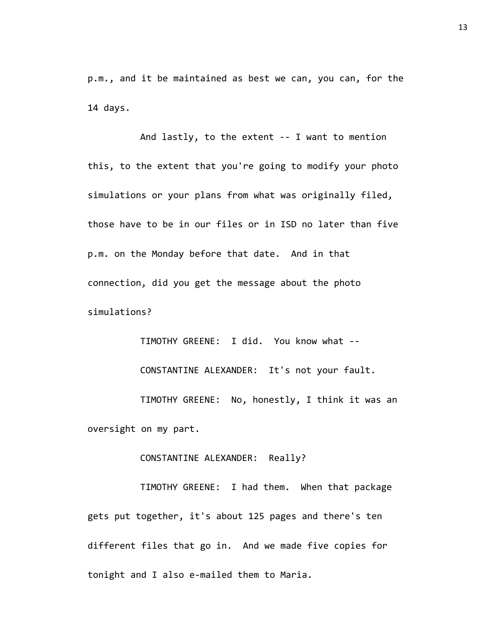p.m., and it be maintained as best we can, you can, for the 14 days.

And lastly, to the extent -- I want to mention this, to the extent that you're going to modify your photo simulations or your plans from what was originally filed, those have to be in our files or in ISD no later than five p.m. on the Monday before that date. And in that connection, did you get the message about the photo simulations?

TIMOTHY GREENE: I did. You know what -- CONSTANTINE ALEXANDER: It's not your fault. TIMOTHY GREENE: No, honestly, I think it was an oversight on my part.

CONSTANTINE ALEXANDER: Really?

TIMOTHY GREENE: I had them. When that package gets put together, it's about 125 pages and there's ten different files that go in. And we made five copies for tonight and I also e-mailed them to Maria.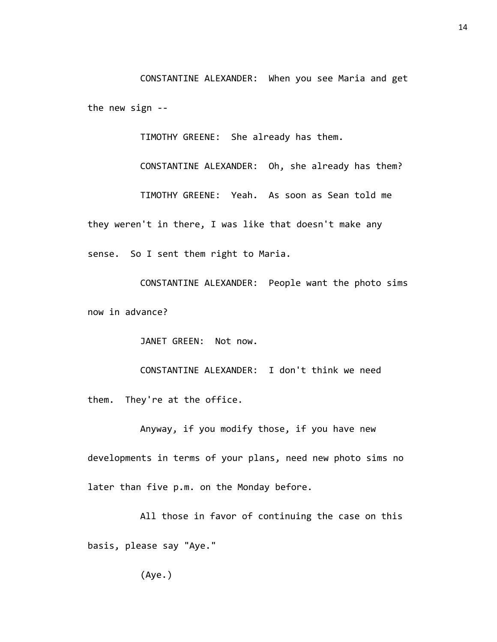CONSTANTINE ALEXANDER: When you see Maria and get the new sign --

TIMOTHY GREENE: She already has them.

CONSTANTINE ALEXANDER: Oh, she already has them? TIMOTHY GREENE: Yeah. As soon as Sean told me they weren't in there, I was like that doesn't make any sense. So I sent them right to Maria.

CONSTANTINE ALEXANDER: People want the photo sims now in advance?

JANET GREEN: Not now.

CONSTANTINE ALEXANDER: I don't think we need them. They're at the office.

Anyway, if you modify those, if you have new developments in terms of your plans, need new photo sims no later than five p.m. on the Monday before.

All those in favor of continuing the case on this basis, please say "Aye."

(Aye.)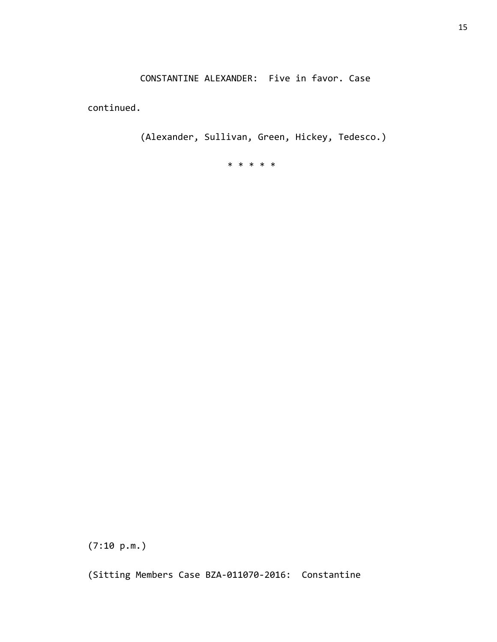CONSTANTINE ALEXANDER: Five in favor. Case

continued.

(Alexander, Sullivan, Green, Hickey, Tedesco.)

\* \* \* \* \*

(7:10 p.m.)

(Sitting Members Case BZA-011070-2016: Constantine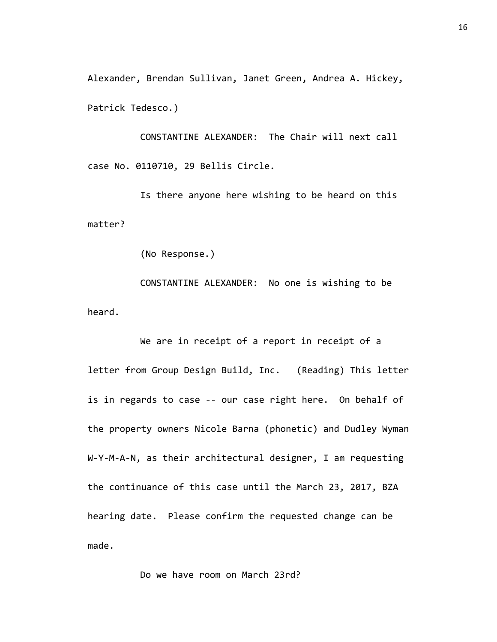Alexander, Brendan Sullivan, Janet Green, Andrea A. Hickey, Patrick Tedesco.)

CONSTANTINE ALEXANDER: The Chair will next call case No. 0110710, 29 Bellis Circle.

Is there anyone here wishing to be heard on this matter?

(No Response.)

CONSTANTINE ALEXANDER: No one is wishing to be heard.

We are in receipt of a report in receipt of a letter from Group Design Build, Inc. (Reading) This letter is in regards to case -- our case right here. On behalf of the property owners Nicole Barna (phonetic) and Dudley Wyman W-Y-M-A-N, as their architectural designer, I am requesting the continuance of this case until the March 23, 2017, BZA hearing date. Please confirm the requested change can be made.

Do we have room on March 23rd?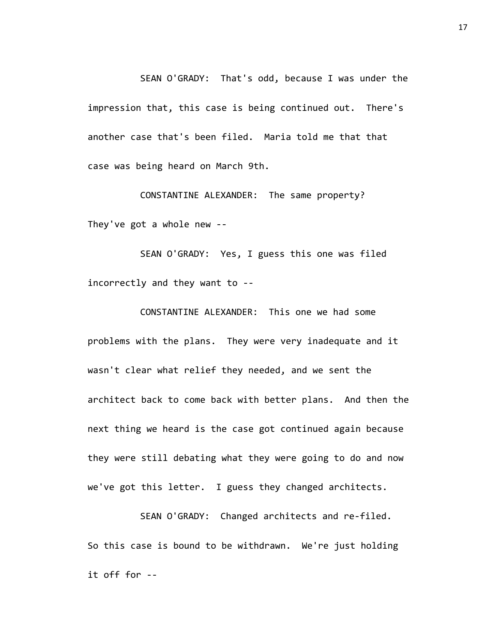SEAN O'GRADY: That's odd, because I was under the impression that, this case is being continued out. There's another case that's been filed. Maria told me that that case was being heard on March 9th.

CONSTANTINE ALEXANDER: The same property? They've got a whole new --

SEAN O'GRADY: Yes, I guess this one was filed incorrectly and they want to --

CONSTANTINE ALEXANDER: This one we had some problems with the plans. They were very inadequate and it wasn't clear what relief they needed, and we sent the architect back to come back with better plans. And then the next thing we heard is the case got continued again because they were still debating what they were going to do and now we've got this letter. I guess they changed architects.

SEAN O'GRADY: Changed architects and re-filed. So this case is bound to be withdrawn. We're just holding it off for --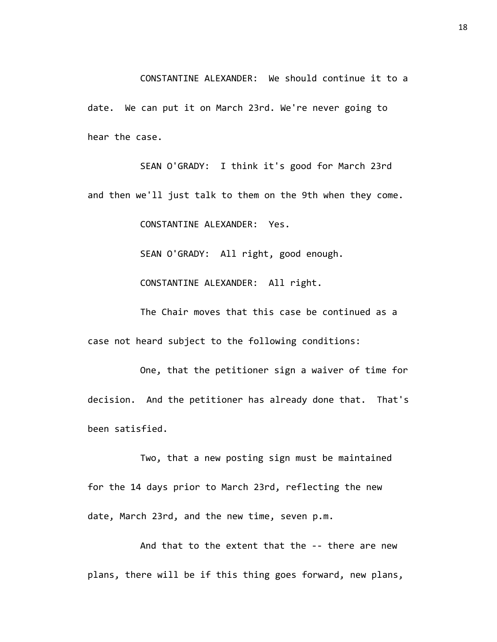CONSTANTINE ALEXANDER: We should continue it to a date. We can put it on March 23rd. We're never going to hear the case.

SEAN O'GRADY: I think it's good for March 23rd and then we'll just talk to them on the 9th when they come.

CONSTANTINE ALEXANDER: Yes.

SEAN O'GRADY: All right, good enough.

CONSTANTINE ALEXANDER: All right.

The Chair moves that this case be continued as a case not heard subject to the following conditions:

One, that the petitioner sign a waiver of time for decision. And the petitioner has already done that. That's been satisfied.

Two, that a new posting sign must be maintained for the 14 days prior to March 23rd, reflecting the new date, March 23rd, and the new time, seven p.m.

And that to the extent that the -- there are new plans, there will be if this thing goes forward, new plans,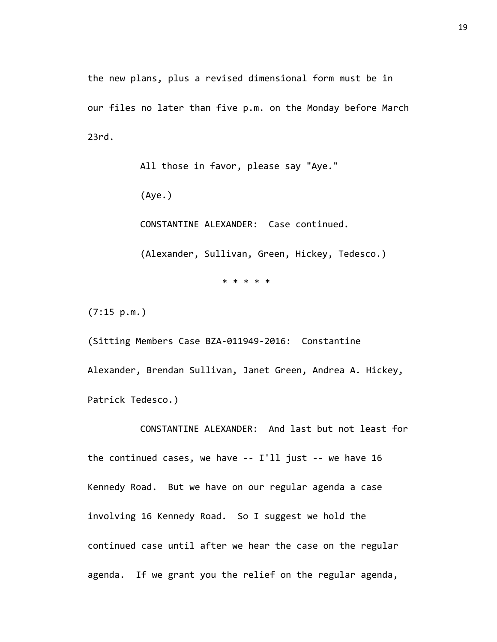the new plans, plus a revised dimensional form must be in our files no later than five p.m. on the Monday before March 23rd.

> All those in favor, please say "Aye." (Aye.) CONSTANTINE ALEXANDER: Case continued. (Alexander, Sullivan, Green, Hickey, Tedesco.) \* \* \* \* \*

(7:15 p.m.)

(Sitting Members Case BZA-011949-2016: Constantine Alexander, Brendan Sullivan, Janet Green, Andrea A. Hickey, Patrick Tedesco.)

CONSTANTINE ALEXANDER: And last but not least for the continued cases, we have -- I'll just -- we have 16 Kennedy Road. But we have on our regular agenda a case involving 16 Kennedy Road. So I suggest we hold the continued case until after we hear the case on the regular agenda. If we grant you the relief on the regular agenda,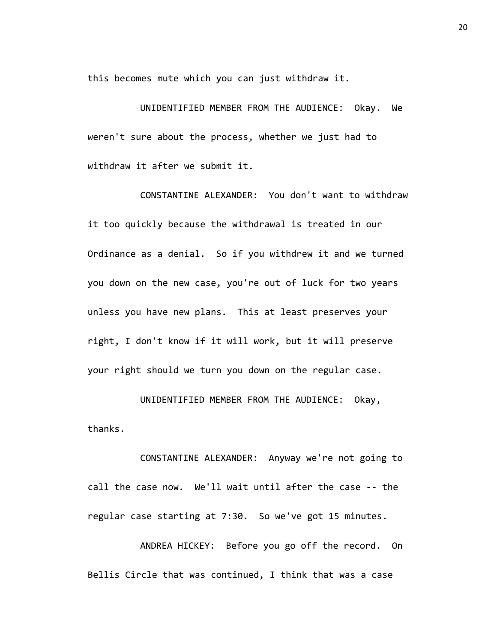this becomes mute which you can just withdraw it.

UNIDENTIFIED MEMBER FROM THE AUDIENCE: Okay. We weren't sure about the process, whether we just had to withdraw it after we submit it.

CONSTANTINE ALEXANDER: You don't want to withdraw it too quickly because the withdrawal is treated in our Ordinance as a denial. So if you withdrew it and we turned you down on the new case, you're out of luck for two years unless you have new plans. This at least preserves your right, I don't know if it will work, but it will preserve your right should we turn you down on the regular case.

UNIDENTIFIED MEMBER FROM THE AUDIENCE: Okay, thanks.

CONSTANTINE ALEXANDER: Anyway we're not going to call the case now. We'll wait until after the case -- the regular case starting at 7:30. So we've got 15 minutes.

ANDREA HICKEY: Before you go off the record. On Bellis Circle that was continued, I think that was a case

20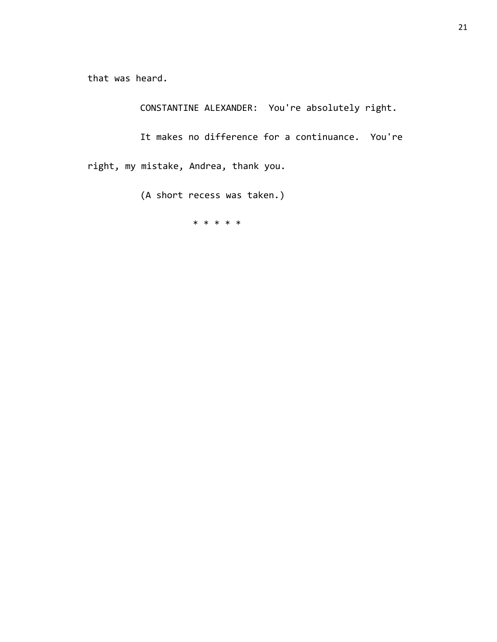that was heard.

CONSTANTINE ALEXANDER: You're absolutely right.

It makes no difference for a continuance. You're right, my mistake, Andrea, thank you.

(A short recess was taken.)

\* \* \* \* \*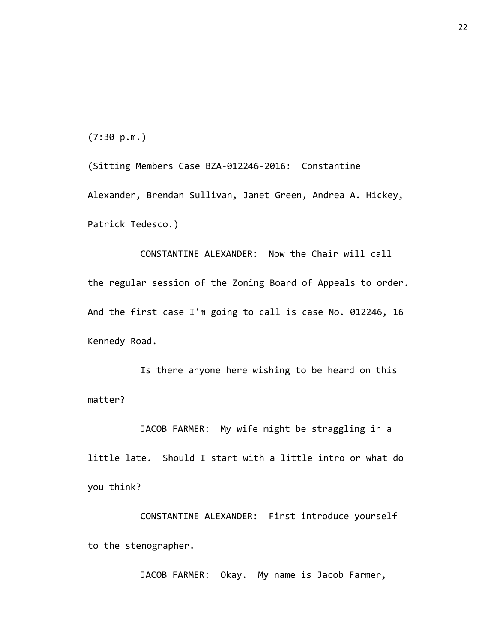(7:30 p.m.)

(Sitting Members Case BZA-012246-2016: Constantine Alexander, Brendan Sullivan, Janet Green, Andrea A. Hickey, Patrick Tedesco.)

CONSTANTINE ALEXANDER: Now the Chair will call the regular session of the Zoning Board of Appeals to order. And the first case I'm going to call is case No. 012246, 16 Kennedy Road.

Is there anyone here wishing to be heard on this matter?

JACOB FARMER: My wife might be straggling in a little late. Should I start with a little intro or what do you think?

CONSTANTINE ALEXANDER: First introduce yourself to the stenographer.

JACOB FARMER: Okay. My name is Jacob Farmer,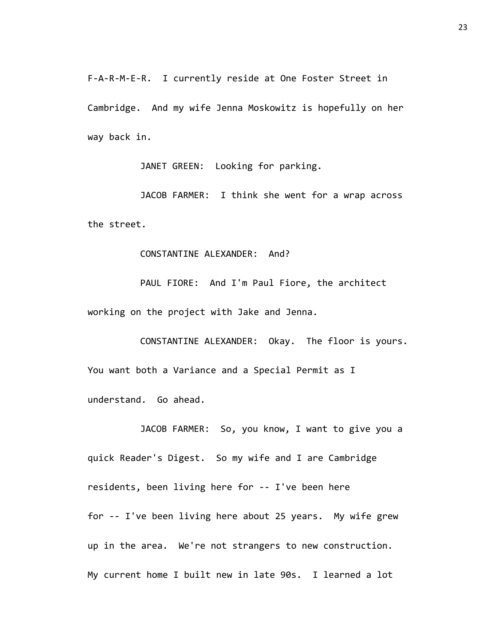F-A-R-M-E-R. I currently reside at One Foster Street in Cambridge. And my wife Jenna Moskowitz is hopefully on her way back in.

JANET GREEN: Looking for parking.

JACOB FARMER: I think she went for a wrap across the street.

CONSTANTINE ALEXANDER: And?

PAUL FIORE: And I'm Paul Fiore, the architect working on the project with Jake and Jenna.

CONSTANTINE ALEXANDER: Okay. The floor is yours. You want both a Variance and a Special Permit as I understand. Go ahead.

JACOB FARMER: So, you know, I want to give you a quick Reader's Digest. So my wife and I are Cambridge residents, been living here for -- I've been here for -- I've been living here about 25 years. My wife grew up in the area. We're not strangers to new construction. My current home I built new in late 90s. I learned a lot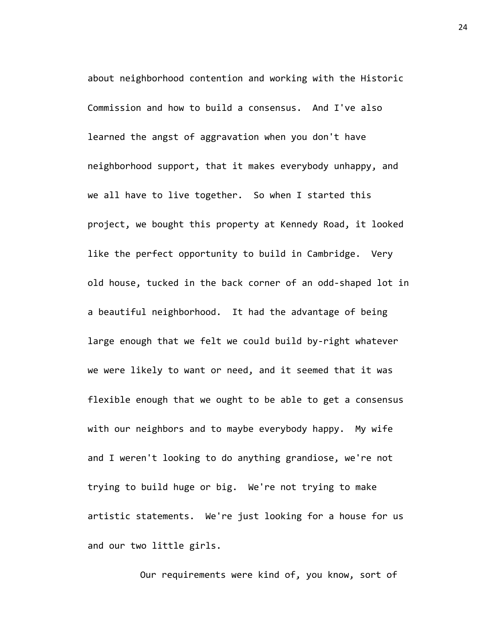about neighborhood contention and working with the Historic Commission and how to build a consensus. And I've also learned the angst of aggravation when you don't have neighborhood support, that it makes everybody unhappy, and we all have to live together. So when I started this project, we bought this property at Kennedy Road, it looked like the perfect opportunity to build in Cambridge. Very old house, tucked in the back corner of an odd-shaped lot in a beautiful neighborhood. It had the advantage of being large enough that we felt we could build by-right whatever we were likely to want or need, and it seemed that it was flexible enough that we ought to be able to get a consensus with our neighbors and to maybe everybody happy. My wife and I weren't looking to do anything grandiose, we're not trying to build huge or big. We're not trying to make artistic statements. We're just looking for a house for us and our two little girls.

Our requirements were kind of, you know, sort of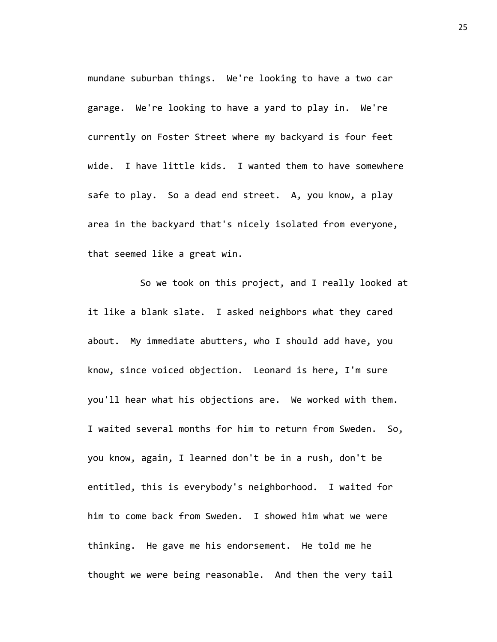mundane suburban things. We're looking to have a two car garage. We're looking to have a yard to play in. We're currently on Foster Street where my backyard is four feet wide. I have little kids. I wanted them to have somewhere safe to play. So a dead end street. A, you know, a play area in the backyard that's nicely isolated from everyone, that seemed like a great win.

So we took on this project, and I really looked at it like a blank slate. I asked neighbors what they cared about. My immediate abutters, who I should add have, you know, since voiced objection. Leonard is here, I'm sure you'll hear what his objections are. We worked with them. I waited several months for him to return from Sweden. So, you know, again, I learned don't be in a rush, don't be entitled, this is everybody's neighborhood. I waited for him to come back from Sweden. I showed him what we were thinking. He gave me his endorsement. He told me he thought we were being reasonable. And then the very tail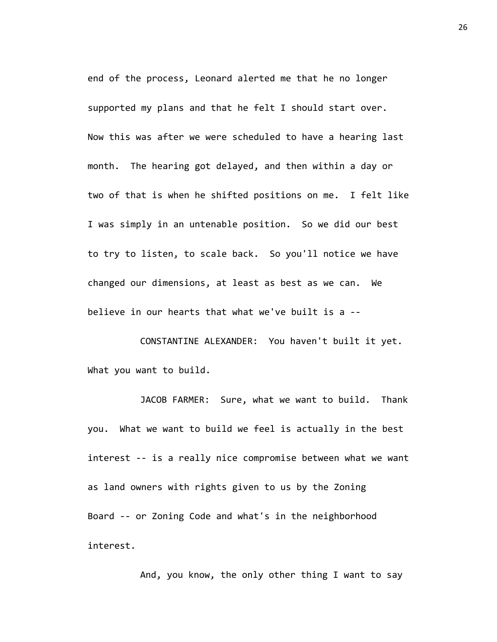end of the process, Leonard alerted me that he no longer supported my plans and that he felt I should start over. Now this was after we were scheduled to have a hearing last month. The hearing got delayed, and then within a day or two of that is when he shifted positions on me. I felt like I was simply in an untenable position. So we did our best to try to listen, to scale back. So you'll notice we have changed our dimensions, at least as best as we can. We believe in our hearts that what we've built is a --

CONSTANTINE ALEXANDER: You haven't built it yet. What you want to build.

JACOB FARMER: Sure, what we want to build. Thank you. What we want to build we feel is actually in the best interest -- is a really nice compromise between what we want as land owners with rights given to us by the Zoning Board -- or Zoning Code and what's in the neighborhood interest.

And, you know, the only other thing I want to say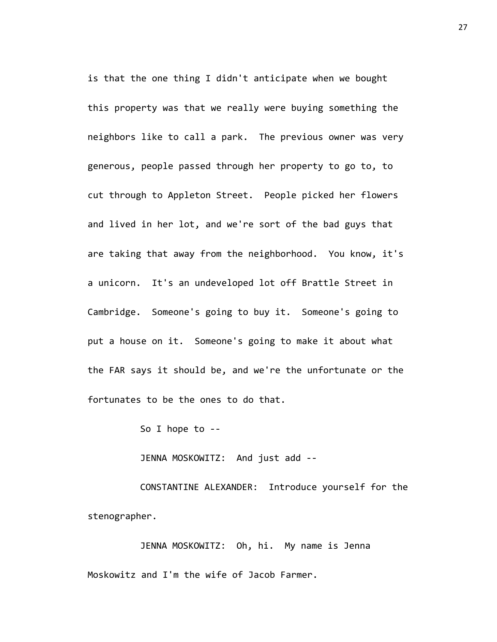is that the one thing I didn't anticipate when we bought this property was that we really were buying something the neighbors like to call a park. The previous owner was very generous, people passed through her property to go to, to cut through to Appleton Street. People picked her flowers and lived in her lot, and we're sort of the bad guys that are taking that away from the neighborhood. You know, it's a unicorn. It's an undeveloped lot off Brattle Street in Cambridge. Someone's going to buy it. Someone's going to put a house on it. Someone's going to make it about what the FAR says it should be, and we're the unfortunate or the fortunates to be the ones to do that.

So I hope to --

JENNA MOSKOWITZ: And just add --

CONSTANTINE ALEXANDER: Introduce yourself for the stenographer.

JENNA MOSKOWITZ: Oh, hi. My name is Jenna Moskowitz and I'm the wife of Jacob Farmer.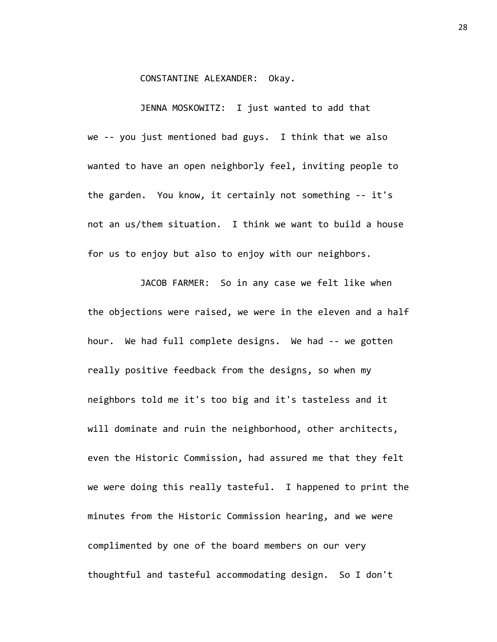## CONSTANTINE ALEXANDER: Okay.

JENNA MOSKOWITZ: I just wanted to add that we -- you just mentioned bad guys. I think that we also wanted to have an open neighborly feel, inviting people to the garden. You know, it certainly not something -- it's not an us/them situation. I think we want to build a house for us to enjoy but also to enjoy with our neighbors.

JACOB FARMER: So in any case we felt like when the objections were raised, we were in the eleven and a half hour. We had full complete designs. We had -- we gotten really positive feedback from the designs, so when my neighbors told me it's too big and it's tasteless and it will dominate and ruin the neighborhood, other architects, even the Historic Commission, had assured me that they felt we were doing this really tasteful. I happened to print the minutes from the Historic Commission hearing, and we were complimented by one of the board members on our very thoughtful and tasteful accommodating design. So I don't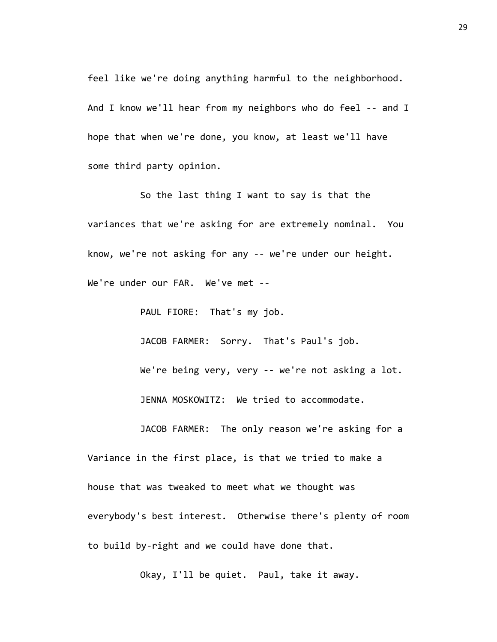feel like we're doing anything harmful to the neighborhood. And I know we'll hear from my neighbors who do feel -- and I hope that when we're done, you know, at least we'll have some third party opinion.

So the last thing I want to say is that the variances that we're asking for are extremely nominal. You know, we're not asking for any -- we're under our height. We're under our FAR. We've met --

PAUL FIORE: That's my job.

JACOB FARMER: Sorry. That's Paul's job.

We're being very, very -- we're not asking a lot. JENNA MOSKOWITZ: We tried to accommodate.

JACOB FARMER: The only reason we're asking for a Variance in the first place, is that we tried to make a house that was tweaked to meet what we thought was everybody's best interest. Otherwise there's plenty of room to build by-right and we could have done that.

Okay, I'll be quiet. Paul, take it away.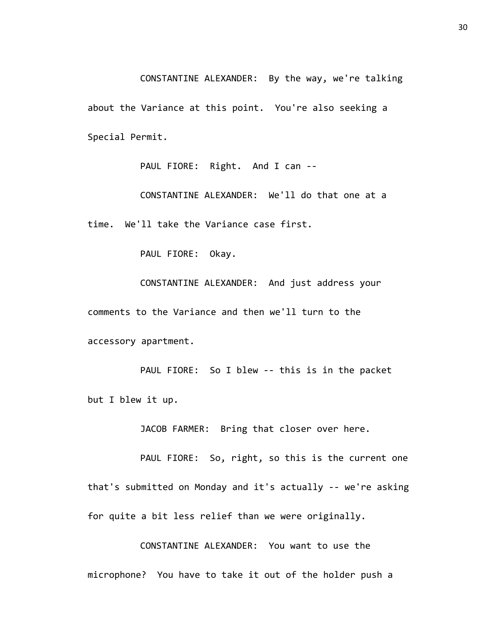CONSTANTINE ALEXANDER: By the way, we're talking about the Variance at this point. You're also seeking a Special Permit.

PAUL FIORE: Right. And I can --

CONSTANTINE ALEXANDER: We'll do that one at a time. We'll take the Variance case first.

PAUL FIORE: Okay.

CONSTANTINE ALEXANDER: And just address your comments to the Variance and then we'll turn to the accessory apartment.

PAUL FIORE: So I blew -- this is in the packet but I blew it up.

JACOB FARMER: Bring that closer over here.

PAUL FIORE: So, right, so this is the current one that's submitted on Monday and it's actually -- we're asking for quite a bit less relief than we were originally.

CONSTANTINE ALEXANDER: You want to use the microphone? You have to take it out of the holder push a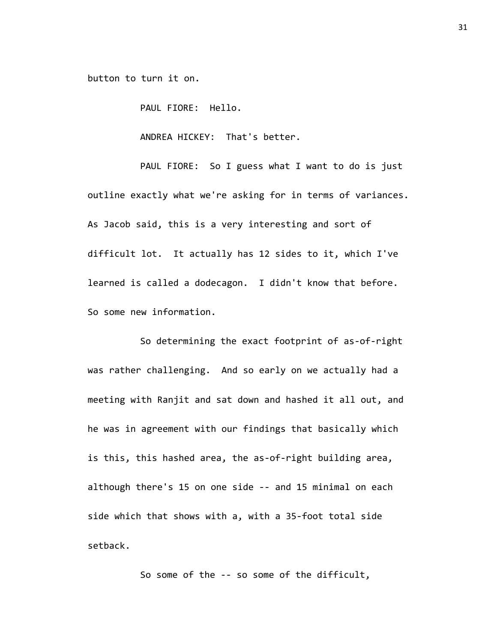button to turn it on.

PAUL FIORE: Hello.

ANDREA HICKEY: That's better.

PAUL FIORE: So I guess what I want to do is just outline exactly what we're asking for in terms of variances. As Jacob said, this is a very interesting and sort of difficult lot. It actually has 12 sides to it, which I've learned is called a dodecagon. I didn't know that before. So some new information.

So determining the exact footprint of as-of-right was rather challenging. And so early on we actually had a meeting with Ranjit and sat down and hashed it all out, and he was in agreement with our findings that basically which is this, this hashed area, the as-of-right building area, although there's 15 on one side -- and 15 minimal on each side which that shows with a, with a 35-foot total side setback.

So some of the -- so some of the difficult,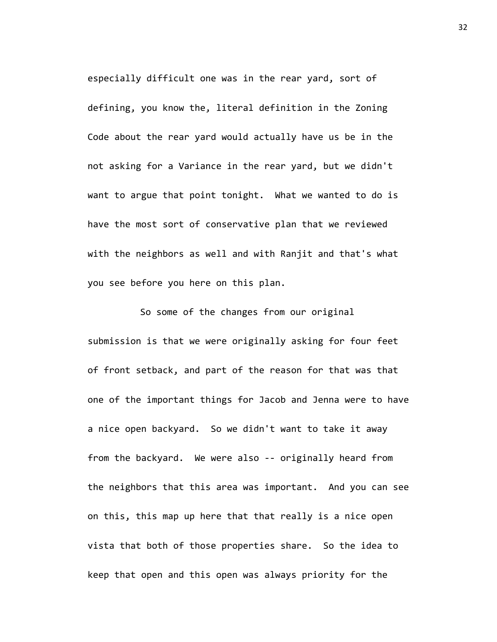especially difficult one was in the rear yard, sort of defining, you know the, literal definition in the Zoning Code about the rear yard would actually have us be in the not asking for a Variance in the rear yard, but we didn't want to argue that point tonight. What we wanted to do is have the most sort of conservative plan that we reviewed with the neighbors as well and with Ranjit and that's what you see before you here on this plan.

So some of the changes from our original submission is that we were originally asking for four feet of front setback, and part of the reason for that was that one of the important things for Jacob and Jenna were to have a nice open backyard. So we didn't want to take it away from the backyard. We were also -- originally heard from the neighbors that this area was important. And you can see on this, this map up here that that really is a nice open vista that both of those properties share. So the idea to keep that open and this open was always priority for the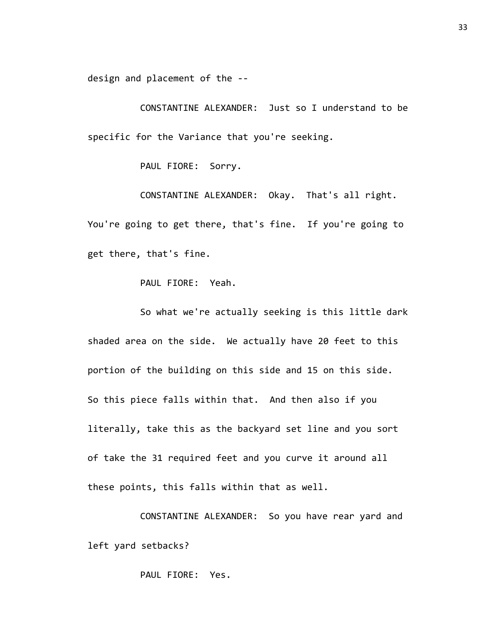design and placement of the --

CONSTANTINE ALEXANDER: Just so I understand to be specific for the Variance that you're seeking.

PAUL FIORE: Sorry.

CONSTANTINE ALEXANDER: Okay. That's all right. You're going to get there, that's fine. If you're going to get there, that's fine.

PAUL FIORE: Yeah.

So what we're actually seeking is this little dark shaded area on the side. We actually have 20 feet to this portion of the building on this side and 15 on this side. So this piece falls within that. And then also if you literally, take this as the backyard set line and you sort of take the 31 required feet and you curve it around all these points, this falls within that as well.

CONSTANTINE ALEXANDER: So you have rear yard and left yard setbacks?

PAUL FIORE: Yes.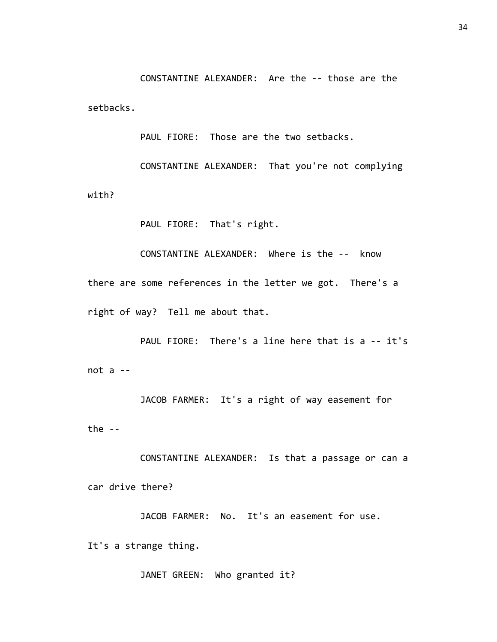CONSTANTINE ALEXANDER: Are the -- those are the setbacks.

PAUL FIORE: Those are the two setbacks.

CONSTANTINE ALEXANDER: That you're not complying with?

PAUL FIORE: That's right.

CONSTANTINE ALEXANDER: Where is the -- know there are some references in the letter we got. There's a right of way? Tell me about that.

PAUL FIORE: There's a line here that is a -- it's not a --

JACOB FARMER: It's a right of way easement for the  $-$ 

CONSTANTINE ALEXANDER: Is that a passage or can a car drive there?

JACOB FARMER: No. It's an easement for use. It's a strange thing.

JANET GREEN: Who granted it?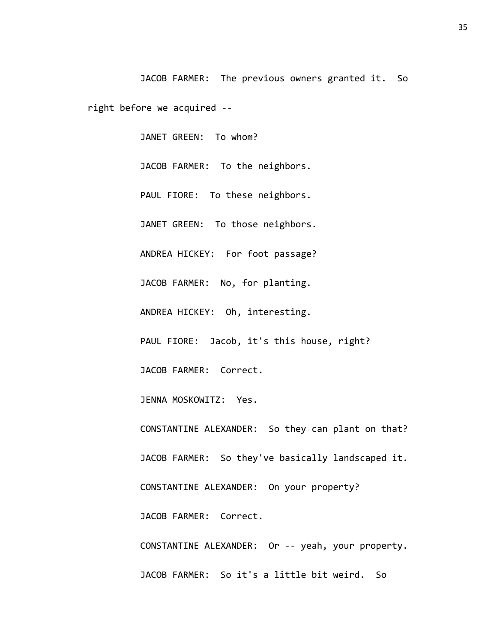JACOB FARMER: The previous owners granted it. So right before we acquired --

> JANET GREEN: To whom? JACOB FARMER: To the neighbors. PAUL FIORE: To these neighbors. JANET GREEN: To those neighbors. ANDREA HICKEY: For foot passage? JACOB FARMER: No, for planting. ANDREA HICKEY: Oh, interesting. PAUL FIORE: Jacob, it's this house, right? JACOB FARMER: Correct. JENNA MOSKOWITZ: Yes. CONSTANTINE ALEXANDER: So they can plant on that? JACOB FARMER: So they've basically landscaped it. CONSTANTINE ALEXANDER: On your property? JACOB FARMER: Correct. CONSTANTINE ALEXANDER: Or -- yeah, your property. JACOB FARMER: So it's a little bit weird. So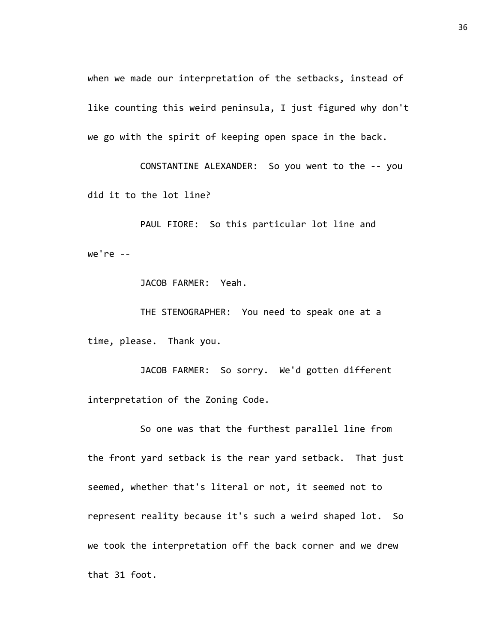when we made our interpretation of the setbacks, instead of like counting this weird peninsula, I just figured why don't we go with the spirit of keeping open space in the back.

CONSTANTINE ALEXANDER: So you went to the -- you did it to the lot line?

PAUL FIORE: So this particular lot line and we're --

JACOB FARMER: Yeah.

THE STENOGRAPHER: You need to speak one at a time, please. Thank you.

JACOB FARMER: So sorry. We'd gotten different interpretation of the Zoning Code.

So one was that the furthest parallel line from the front yard setback is the rear yard setback. That just seemed, whether that's literal or not, it seemed not to represent reality because it's such a weird shaped lot. So we took the interpretation off the back corner and we drew that 31 foot.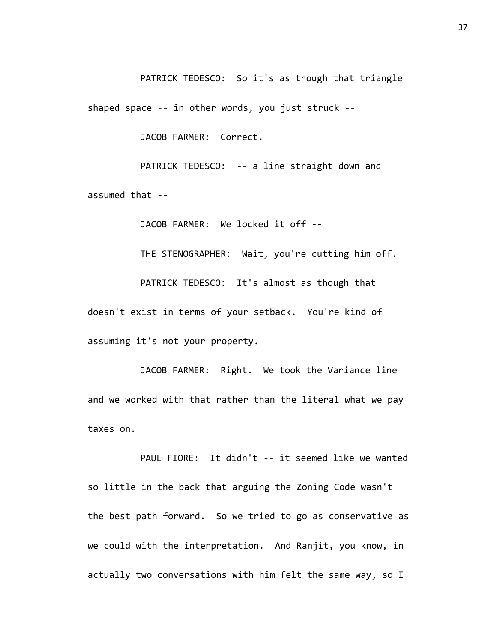PATRICK TEDESCO: So it's as though that triangle

shaped space -- in other words, you just struck --

JACOB FARMER: Correct.

PATRICK TEDESCO: -- a line straight down and assumed that --

JACOB FARMER: We locked it off --

THE STENOGRAPHER: Wait, you're cutting him off.

PATRICK TEDESCO: It's almost as though that doesn't exist in terms of your setback. You're kind of assuming it's not your property.

JACOB FARMER: Right. We took the Variance line and we worked with that rather than the literal what we pay taxes on.

PAUL FIORE: It didn't -- it seemed like we wanted so little in the back that arguing the Zoning Code wasn't the best path forward. So we tried to go as conservative as we could with the interpretation. And Ranjit, you know, in actually two conversations with him felt the same way, so I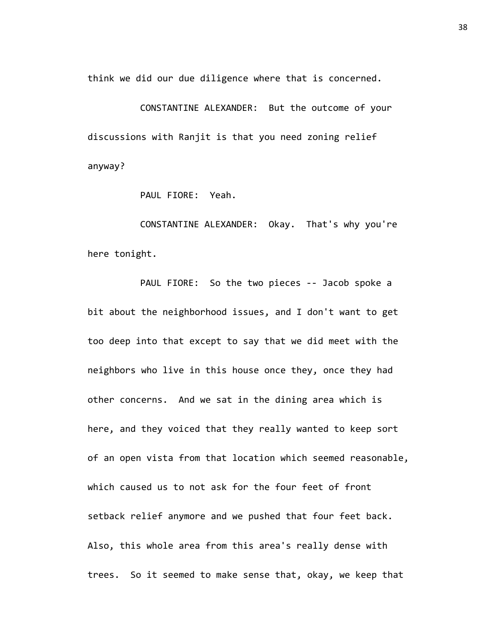think we did our due diligence where that is concerned.

CONSTANTINE ALEXANDER: But the outcome of your discussions with Ranjit is that you need zoning relief anyway?

PAUL FIORE: Yeah.

CONSTANTINE ALEXANDER: Okay. That's why you're here tonight.

PAUL FIORE: So the two pieces -- Jacob spoke a bit about the neighborhood issues, and I don't want to get too deep into that except to say that we did meet with the neighbors who live in this house once they, once they had other concerns. And we sat in the dining area which is here, and they voiced that they really wanted to keep sort of an open vista from that location which seemed reasonable, which caused us to not ask for the four feet of front setback relief anymore and we pushed that four feet back. Also, this whole area from this area's really dense with trees. So it seemed to make sense that, okay, we keep that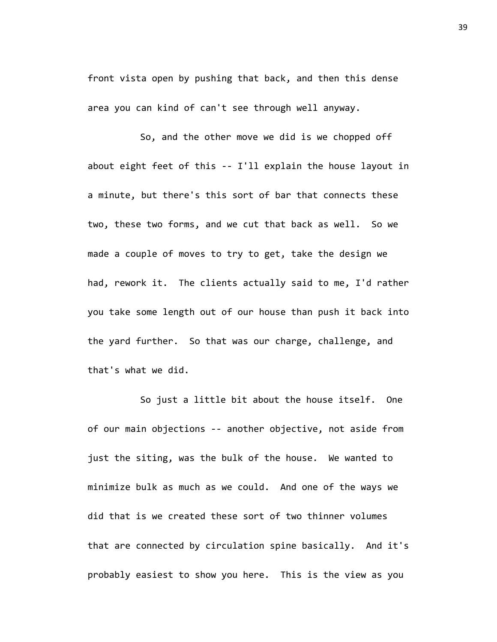front vista open by pushing that back, and then this dense area you can kind of can't see through well anyway.

So, and the other move we did is we chopped off about eight feet of this -- I'll explain the house layout in a minute, but there's this sort of bar that connects these two, these two forms, and we cut that back as well. So we made a couple of moves to try to get, take the design we had, rework it. The clients actually said to me, I'd rather you take some length out of our house than push it back into the yard further. So that was our charge, challenge, and that's what we did.

So just a little bit about the house itself. One of our main objections -- another objective, not aside from just the siting, was the bulk of the house. We wanted to minimize bulk as much as we could. And one of the ways we did that is we created these sort of two thinner volumes that are connected by circulation spine basically. And it's probably easiest to show you here. This is the view as you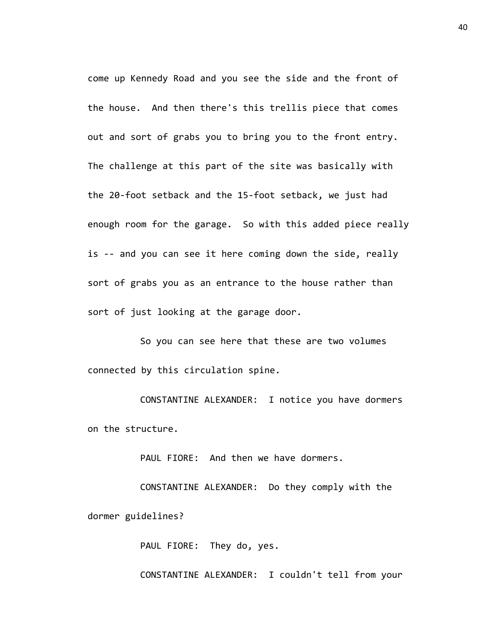come up Kennedy Road and you see the side and the front of the house. And then there's this trellis piece that comes out and sort of grabs you to bring you to the front entry. The challenge at this part of the site was basically with the 20-foot setback and the 15-foot setback, we just had enough room for the garage. So with this added piece really is -- and you can see it here coming down the side, really sort of grabs you as an entrance to the house rather than sort of just looking at the garage door.

So you can see here that these are two volumes connected by this circulation spine.

CONSTANTINE ALEXANDER: I notice you have dormers on the structure.

PAUL FIORE: And then we have dormers.

CONSTANTINE ALEXANDER: Do they comply with the dormer guidelines?

PAUL FIORE: They do, yes.

CONSTANTINE ALEXANDER: I couldn't tell from your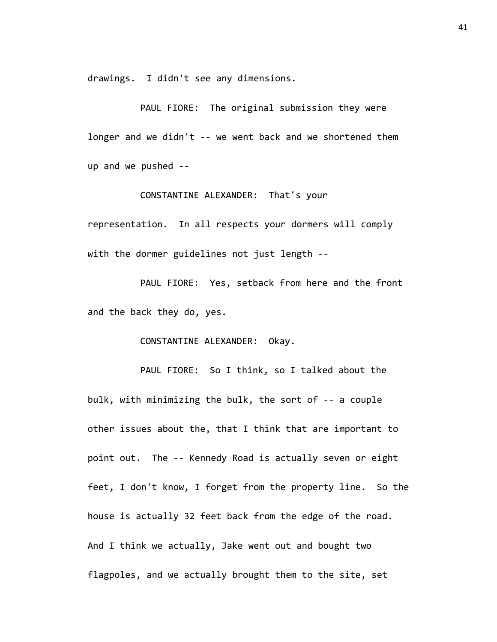drawings. I didn't see any dimensions.

PAUL FIORE: The original submission they were longer and we didn't -- we went back and we shortened them up and we pushed --

CONSTANTINE ALEXANDER: That's your

representation. In all respects your dormers will comply with the dormer guidelines not just length --

PAUL FIORE: Yes, setback from here and the front and the back they do, yes.

CONSTANTINE ALEXANDER: Okay.

PAUL FIORE: So I think, so I talked about the bulk, with minimizing the bulk, the sort of -- a couple other issues about the, that I think that are important to point out. The -- Kennedy Road is actually seven or eight feet, I don't know, I forget from the property line. So the house is actually 32 feet back from the edge of the road. And I think we actually, Jake went out and bought two flagpoles, and we actually brought them to the site, set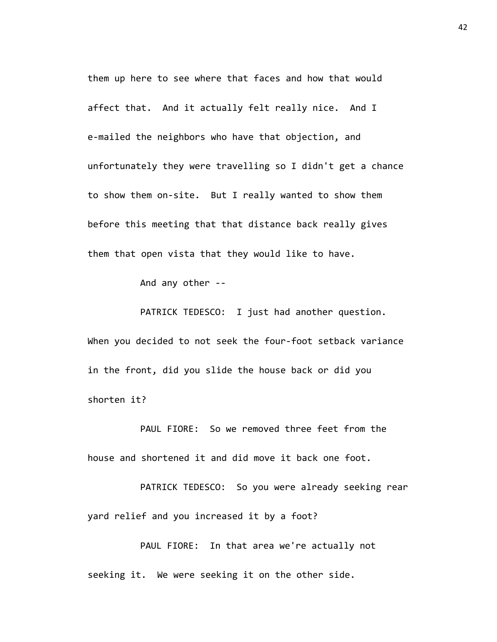them up here to see where that faces and how that would affect that. And it actually felt really nice. And I e-mailed the neighbors who have that objection, and unfortunately they were travelling so I didn't get a chance to show them on-site. But I really wanted to show them before this meeting that that distance back really gives them that open vista that they would like to have.

And any other --

PATRICK TEDESCO: I just had another question. When you decided to not seek the four-foot setback variance in the front, did you slide the house back or did you shorten it?

PAUL FIORE: So we removed three feet from the house and shortened it and did move it back one foot.

PATRICK TEDESCO: So you were already seeking rear yard relief and you increased it by a foot?

PAUL FIORE: In that area we're actually not seeking it. We were seeking it on the other side.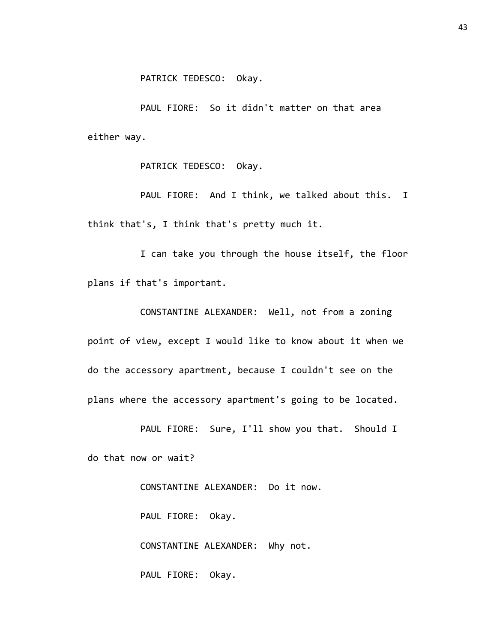PAUL FIORE: So it didn't matter on that area either way.

PATRICK TEDESCO: Okay.

PAUL FIORE: And I think, we talked about this. I think that's, I think that's pretty much it.

I can take you through the house itself, the floor plans if that's important.

CONSTANTINE ALEXANDER: Well, not from a zoning point of view, except I would like to know about it when we do the accessory apartment, because I couldn't see on the plans where the accessory apartment's going to be located.

PAUL FIORE: Sure, I'll show you that. Should I do that now or wait?

> CONSTANTINE ALEXANDER: Do it now. PAUL FIORE: Okay. CONSTANTINE ALEXANDER: Why not.

PAUL FIORE: Okay.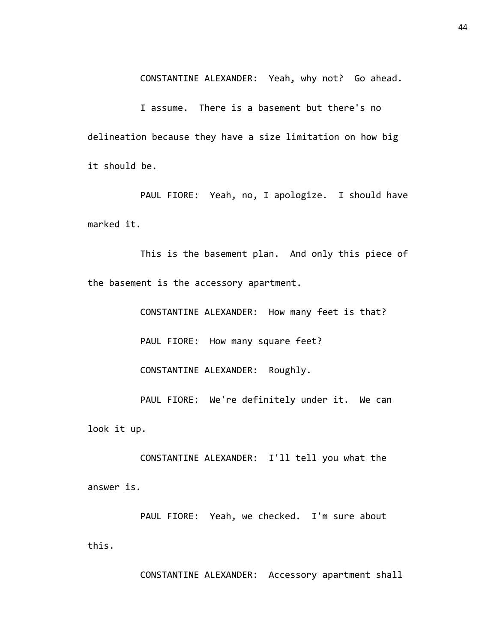CONSTANTINE ALEXANDER: Yeah, why not? Go ahead.

I assume. There is a basement but there's no delineation because they have a size limitation on how big it should be.

PAUL FIORE: Yeah, no, I apologize. I should have marked it.

This is the basement plan. And only this piece of the basement is the accessory apartment.

> CONSTANTINE ALEXANDER: How many feet is that? PAUL FIORE: How many square feet? CONSTANTINE ALEXANDER: Roughly. PAUL FIORE: We're definitely under it. We can

look it up.

CONSTANTINE ALEXANDER: I'll tell you what the answer is.

PAUL FIORE: Yeah, we checked. I'm sure about this.

CONSTANTINE ALEXANDER: Accessory apartment shall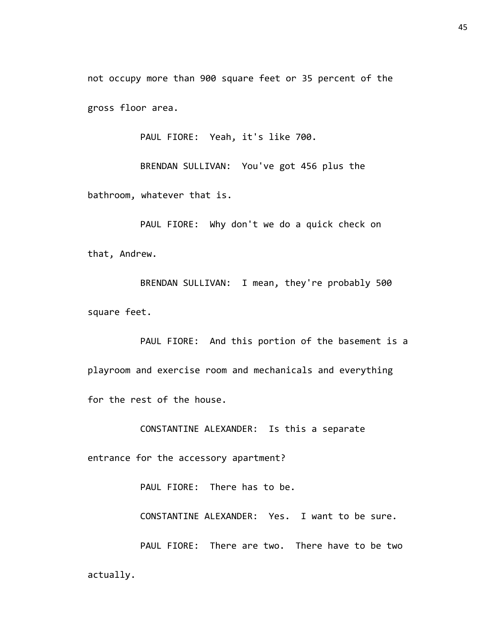not occupy more than 900 square feet or 35 percent of the gross floor area.

PAUL FIORE: Yeah, it's like 700.

BRENDAN SULLIVAN: You've got 456 plus the bathroom, whatever that is.

PAUL FIORE: Why don't we do a quick check on that, Andrew.

BRENDAN SULLIVAN: I mean, they're probably 500 square feet.

PAUL FIORE: And this portion of the basement is a playroom and exercise room and mechanicals and everything for the rest of the house.

CONSTANTINE ALEXANDER: Is this a separate

entrance for the accessory apartment?

PAUL FIORE: There has to be.

CONSTANTINE ALEXANDER: Yes. I want to be sure.

PAUL FIORE: There are two. There have to be two actually.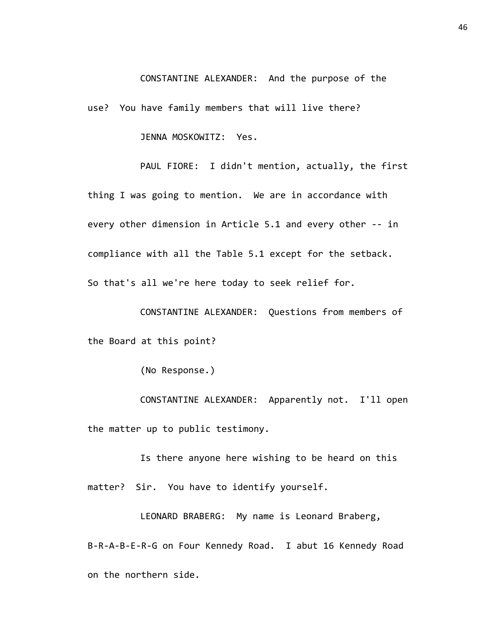## CONSTANTINE ALEXANDER: And the purpose of the

use? You have family members that will live there?

JENNA MOSKOWITZ: Yes.

PAUL FIORE: I didn't mention, actually, the first thing I was going to mention. We are in accordance with every other dimension in Article 5.1 and every other -- in compliance with all the Table 5.1 except for the setback. So that's all we're here today to seek relief for.

CONSTANTINE ALEXANDER: Questions from members of the Board at this point?

(No Response.)

CONSTANTINE ALEXANDER: Apparently not. I'll open the matter up to public testimony.

Is there anyone here wishing to be heard on this matter? Sir. You have to identify yourself.

LEONARD BRABERG: My name is Leonard Braberg, B-R-A-B-E-R-G on Four Kennedy Road. I abut 16 Kennedy Road on the northern side.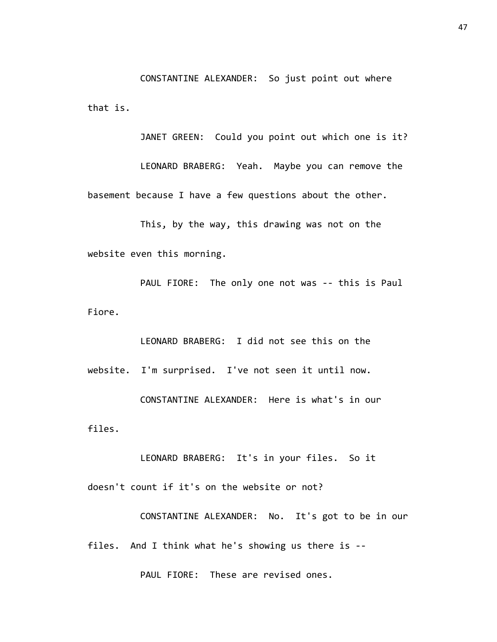CONSTANTINE ALEXANDER: So just point out where that is.

JANET GREEN: Could you point out which one is it? LEONARD BRABERG: Yeah. Maybe you can remove the basement because I have a few questions about the other.

This, by the way, this drawing was not on the website even this morning.

PAUL FIORE: The only one not was -- this is Paul Fiore.

LEONARD BRABERG: I did not see this on the website. I'm surprised. I've not seen it until now. CONSTANTINE ALEXANDER: Here is what's in our files.

LEONARD BRABERG: It's in your files. So it doesn't count if it's on the website or not?

CONSTANTINE ALEXANDER: No. It's got to be in our files. And I think what he's showing us there is --

PAUL FIORE: These are revised ones.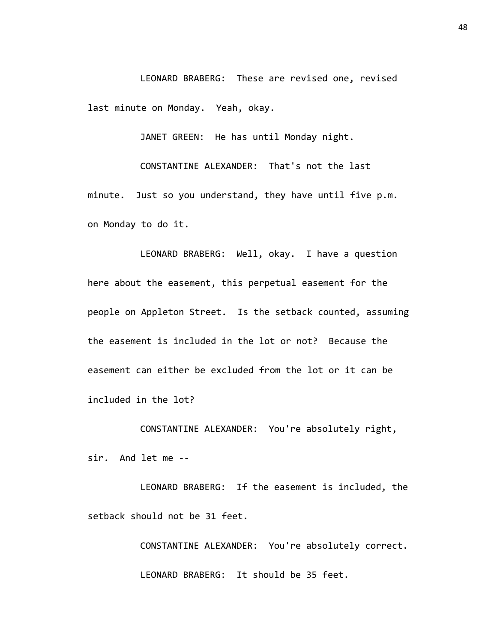LEONARD BRABERG: These are revised one, revised last minute on Monday. Yeah, okay.

JANET GREEN: He has until Monday night.

CONSTANTINE ALEXANDER: That's not the last minute. Just so you understand, they have until five p.m. on Monday to do it.

LEONARD BRABERG: Well, okay. I have a question here about the easement, this perpetual easement for the people on Appleton Street. Is the setback counted, assuming the easement is included in the lot or not? Because the easement can either be excluded from the lot or it can be included in the lot?

CONSTANTINE ALEXANDER: You're absolutely right, sir. And let me --

LEONARD BRABERG: If the easement is included, the setback should not be 31 feet.

> CONSTANTINE ALEXANDER: You're absolutely correct. LEONARD BRABERG: It should be 35 feet.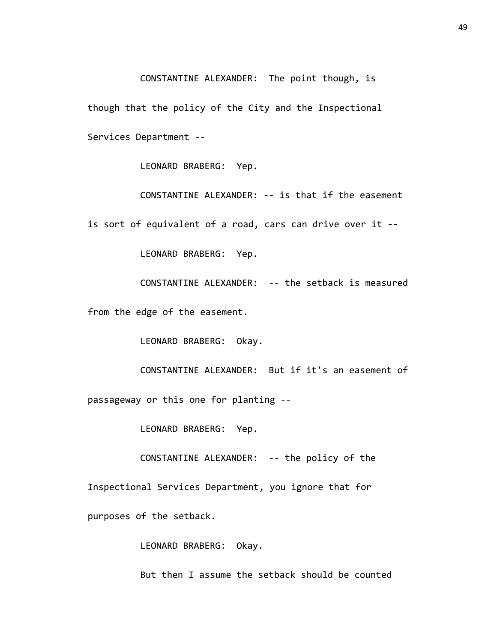CONSTANTINE ALEXANDER: The point though, is

though that the policy of the City and the Inspectional Services Department --

LEONARD BRABERG: Yep.

CONSTANTINE ALEXANDER: -- is that if the easement is sort of equivalent of a road, cars can drive over it --

LEONARD BRABERG: Yep.

CONSTANTINE ALEXANDER: -- the setback is measured

from the edge of the easement.

LEONARD BRABERG: Okay.

CONSTANTINE ALEXANDER: But if it's an easement of passageway or this one for planting --

LEONARD BRABERG: Yep.

CONSTANTINE ALEXANDER: -- the policy of the

Inspectional Services Department, you ignore that for

purposes of the setback.

LEONARD BRABERG: Okay.

But then I assume the setback should be counted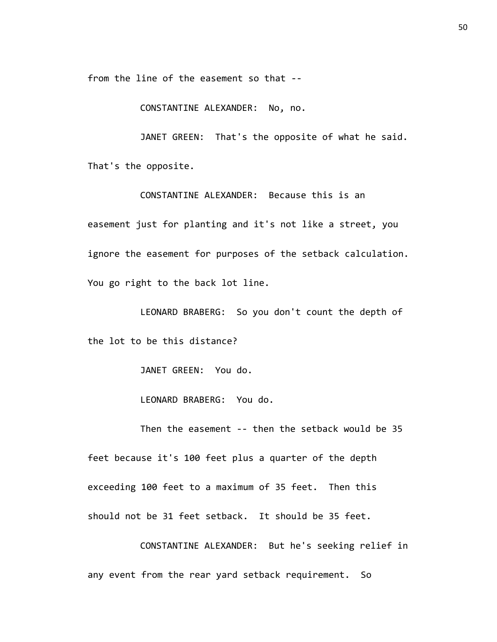from the line of the easement so that --

CONSTANTINE ALEXANDER: No, no.

JANET GREEN: That's the opposite of what he said. That's the opposite.

CONSTANTINE ALEXANDER: Because this is an easement just for planting and it's not like a street, you ignore the easement for purposes of the setback calculation. You go right to the back lot line.

LEONARD BRABERG: So you don't count the depth of the lot to be this distance?

JANET GREEN: You do.

LEONARD BRABERG: You do.

Then the easement -- then the setback would be 35 feet because it's 100 feet plus a quarter of the depth exceeding 100 feet to a maximum of 35 feet. Then this should not be 31 feet setback. It should be 35 feet.

CONSTANTINE ALEXANDER: But he's seeking relief in any event from the rear yard setback requirement. So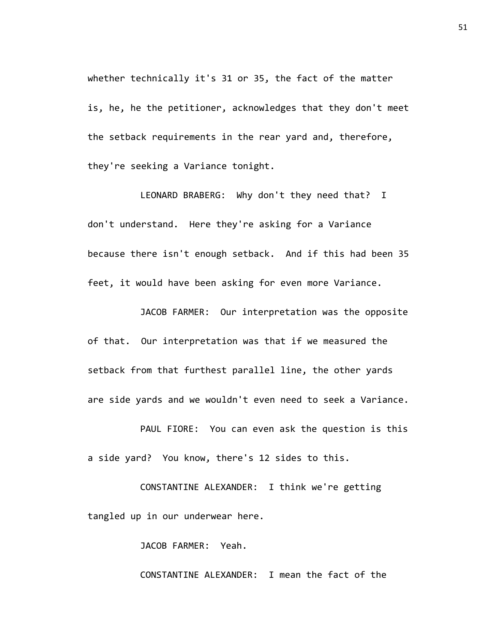whether technically it's 31 or 35, the fact of the matter is, he, he the petitioner, acknowledges that they don't meet the setback requirements in the rear yard and, therefore, they're seeking a Variance tonight.

LEONARD BRABERG: Why don't they need that? I don't understand. Here they're asking for a Variance because there isn't enough setback. And if this had been 35 feet, it would have been asking for even more Variance.

JACOB FARMER: Our interpretation was the opposite of that. Our interpretation was that if we measured the setback from that furthest parallel line, the other yards are side yards and we wouldn't even need to seek a Variance.

PAUL FIORE: You can even ask the question is this a side yard? You know, there's 12 sides to this.

CONSTANTINE ALEXANDER: I think we're getting tangled up in our underwear here.

JACOB FARMER: Yeah.

CONSTANTINE ALEXANDER: I mean the fact of the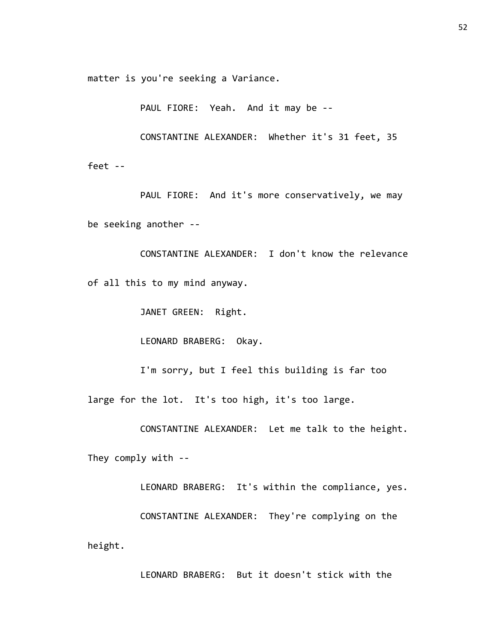matter is you're seeking a Variance.

PAUL FIORE: Yeah. And it may be --

CONSTANTINE ALEXANDER: Whether it's 31 feet, 35

feet --

PAUL FIORE: And it's more conservatively, we may be seeking another --

CONSTANTINE ALEXANDER: I don't know the relevance of all this to my mind anyway.

JANET GREEN: Right.

LEONARD BRABERG: Okay.

I'm sorry, but I feel this building is far too large for the lot. It's too high, it's too large.

CONSTANTINE ALEXANDER: Let me talk to the height.

They comply with --

LEONARD BRABERG: It's within the compliance, yes.

CONSTANTINE ALEXANDER: They're complying on the height.

LEONARD BRABERG: But it doesn't stick with the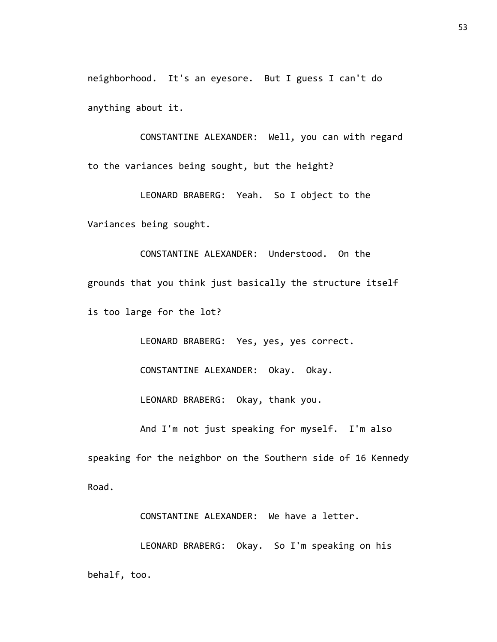neighborhood. It's an eyesore. But I guess I can't do anything about it.

CONSTANTINE ALEXANDER: Well, you can with regard to the variances being sought, but the height?

LEONARD BRABERG: Yeah. So I object to the Variances being sought.

CONSTANTINE ALEXANDER: Understood. On the grounds that you think just basically the structure itself is too large for the lot?

LEONARD BRABERG: Yes, yes, yes correct.

CONSTANTINE ALEXANDER: Okay. Okay.

LEONARD BRABERG: Okay, thank you.

And I'm not just speaking for myself. I'm also

speaking for the neighbor on the Southern side of 16 Kennedy Road.

CONSTANTINE ALEXANDER: We have a letter.

LEONARD BRABERG: Okay. So I'm speaking on his behalf, too.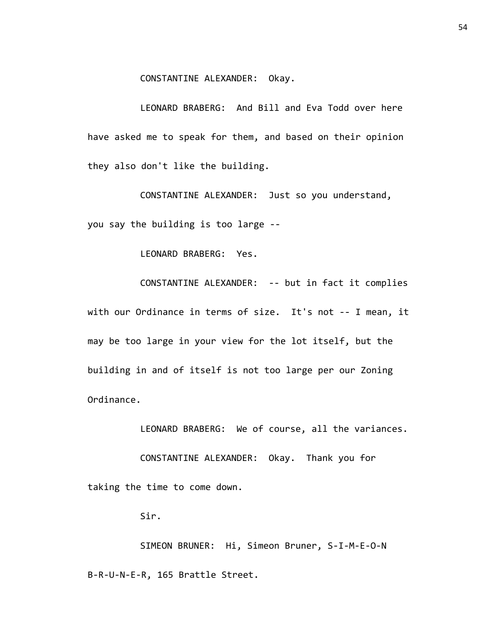CONSTANTINE ALEXANDER: Okay.

LEONARD BRABERG: And Bill and Eva Todd over here have asked me to speak for them, and based on their opinion they also don't like the building.

CONSTANTINE ALEXANDER: Just so you understand, you say the building is too large --

LEONARD BRABERG: Yes.

CONSTANTINE ALEXANDER: -- but in fact it complies with our Ordinance in terms of size. It's not -- I mean, it may be too large in your view for the lot itself, but the building in and of itself is not too large per our Zoning Ordinance.

LEONARD BRABERG: We of course, all the variances.

CONSTANTINE ALEXANDER: Okay. Thank you for

taking the time to come down.

Sir.

SIMEON BRUNER: Hi, Simeon Bruner, S-I-M-E-O-N B-R-U-N-E-R, 165 Brattle Street.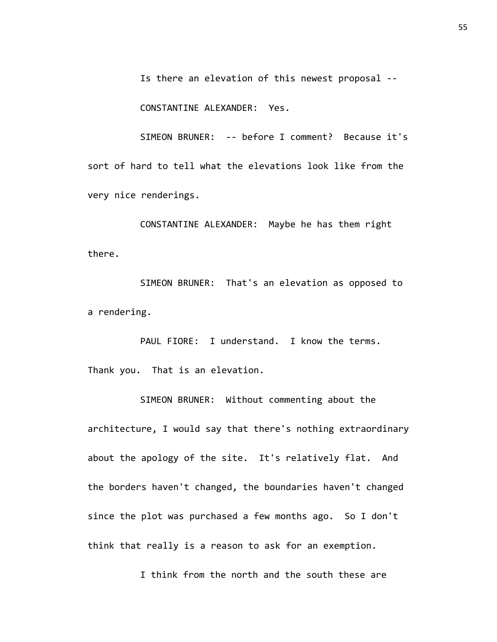Is there an elevation of this newest proposal --

CONSTANTINE ALEXANDER: Yes.

SIMEON BRUNER: -- before I comment? Because it's sort of hard to tell what the elevations look like from the very nice renderings.

CONSTANTINE ALEXANDER: Maybe he has them right there.

SIMEON BRUNER: That's an elevation as opposed to a rendering.

PAUL FIORE: I understand. I know the terms. Thank you. That is an elevation.

SIMEON BRUNER: Without commenting about the architecture, I would say that there's nothing extraordinary about the apology of the site. It's relatively flat. And the borders haven't changed, the boundaries haven't changed since the plot was purchased a few months ago. So I don't think that really is a reason to ask for an exemption.

I think from the north and the south these are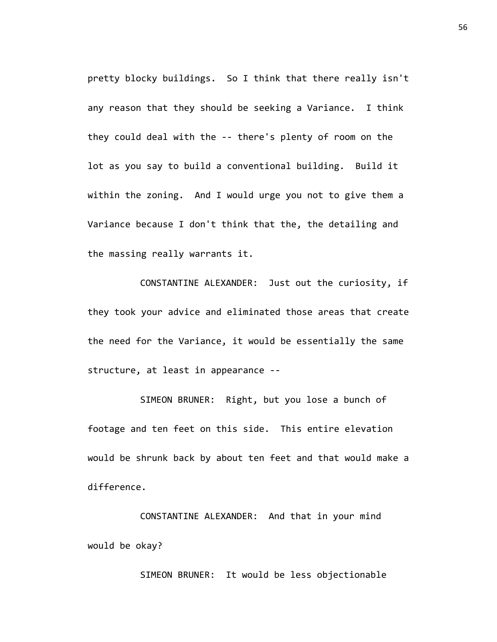pretty blocky buildings. So I think that there really isn't any reason that they should be seeking a Variance. I think they could deal with the -- there's plenty of room on the lot as you say to build a conventional building. Build it within the zoning. And I would urge you not to give them a Variance because I don't think that the, the detailing and the massing really warrants it.

CONSTANTINE ALEXANDER: Just out the curiosity, if they took your advice and eliminated those areas that create the need for the Variance, it would be essentially the same structure, at least in appearance --

SIMEON BRUNER: Right, but you lose a bunch of footage and ten feet on this side. This entire elevation would be shrunk back by about ten feet and that would make a difference.

CONSTANTINE ALEXANDER: And that in your mind would be okay?

SIMEON BRUNER: It would be less objectionable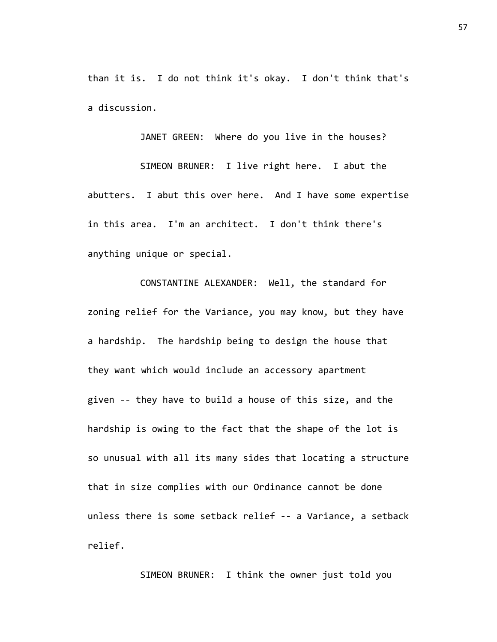than it is. I do not think it's okay. I don't think that's a discussion.

JANET GREEN: Where do you live in the houses?

SIMEON BRUNER: I live right here. I abut the abutters. I abut this over here. And I have some expertise in this area. I'm an architect. I don't think there's anything unique or special.

CONSTANTINE ALEXANDER: Well, the standard for zoning relief for the Variance, you may know, but they have a hardship. The hardship being to design the house that they want which would include an accessory apartment given -- they have to build a house of this size, and the hardship is owing to the fact that the shape of the lot is so unusual with all its many sides that locating a structure that in size complies with our Ordinance cannot be done unless there is some setback relief -- a Variance, a setback relief.

SIMEON BRUNER: I think the owner just told you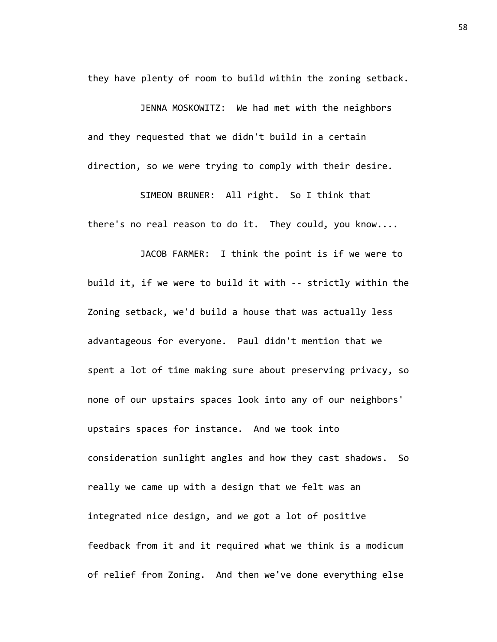they have plenty of room to build within the zoning setback.

JENNA MOSKOWITZ: We had met with the neighbors and they requested that we didn't build in a certain direction, so we were trying to comply with their desire.

SIMEON BRUNER: All right. So I think that there's no real reason to do it. They could, you know....

JACOB FARMER: I think the point is if we were to build it, if we were to build it with -- strictly within the Zoning setback, we'd build a house that was actually less advantageous for everyone. Paul didn't mention that we spent a lot of time making sure about preserving privacy, so none of our upstairs spaces look into any of our neighbors' upstairs spaces for instance. And we took into consideration sunlight angles and how they cast shadows. So really we came up with a design that we felt was an integrated nice design, and we got a lot of positive feedback from it and it required what we think is a modicum of relief from Zoning. And then we've done everything else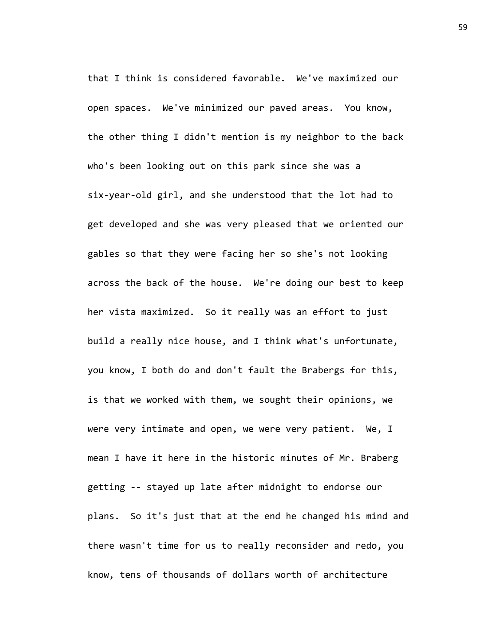that I think is considered favorable. We've maximized our open spaces. We've minimized our paved areas. You know, the other thing I didn't mention is my neighbor to the back who's been looking out on this park since she was a six-year-old girl, and she understood that the lot had to get developed and she was very pleased that we oriented our gables so that they were facing her so she's not looking across the back of the house. We're doing our best to keep her vista maximized. So it really was an effort to just build a really nice house, and I think what's unfortunate, you know, I both do and don't fault the Brabergs for this, is that we worked with them, we sought their opinions, we were very intimate and open, we were very patient. We, I mean I have it here in the historic minutes of Mr. Braberg getting -- stayed up late after midnight to endorse our plans. So it's just that at the end he changed his mind and there wasn't time for us to really reconsider and redo, you know, tens of thousands of dollars worth of architecture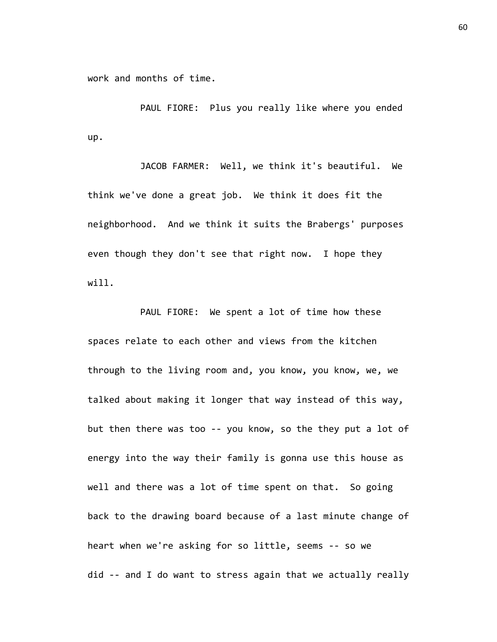work and months of time.

PAUL FIORE: Plus you really like where you ended up.

JACOB FARMER: Well, we think it's beautiful. We think we've done a great job. We think it does fit the neighborhood. And we think it suits the Brabergs' purposes even though they don't see that right now. I hope they will.

PAUL FIORE: We spent a lot of time how these spaces relate to each other and views from the kitchen through to the living room and, you know, you know, we, we talked about making it longer that way instead of this way, but then there was too -- you know, so the they put a lot of energy into the way their family is gonna use this house as well and there was a lot of time spent on that. So going back to the drawing board because of a last minute change of heart when we're asking for so little, seems -- so we did -- and I do want to stress again that we actually really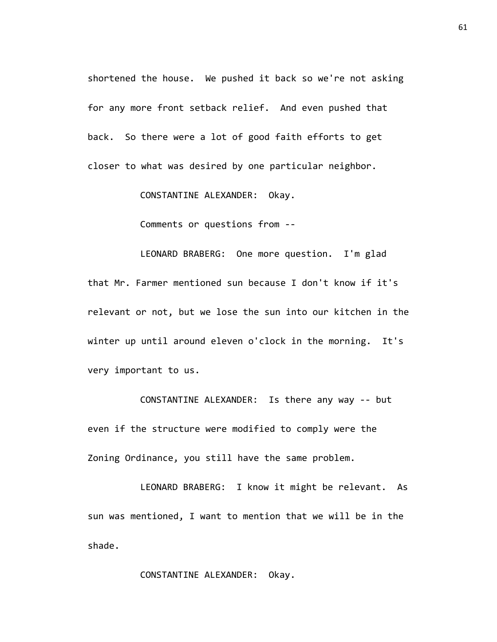shortened the house. We pushed it back so we're not asking for any more front setback relief. And even pushed that back. So there were a lot of good faith efforts to get closer to what was desired by one particular neighbor.

CONSTANTINE ALEXANDER: Okay.

Comments or questions from --

LEONARD BRABERG: One more question. I'm glad that Mr. Farmer mentioned sun because I don't know if it's relevant or not, but we lose the sun into our kitchen in the winter up until around eleven o'clock in the morning. It's very important to us.

CONSTANTINE ALEXANDER: Is there any way -- but even if the structure were modified to comply were the Zoning Ordinance, you still have the same problem.

LEONARD BRABERG: I know it might be relevant. As sun was mentioned, I want to mention that we will be in the shade.

CONSTANTINE ALEXANDER: Okay.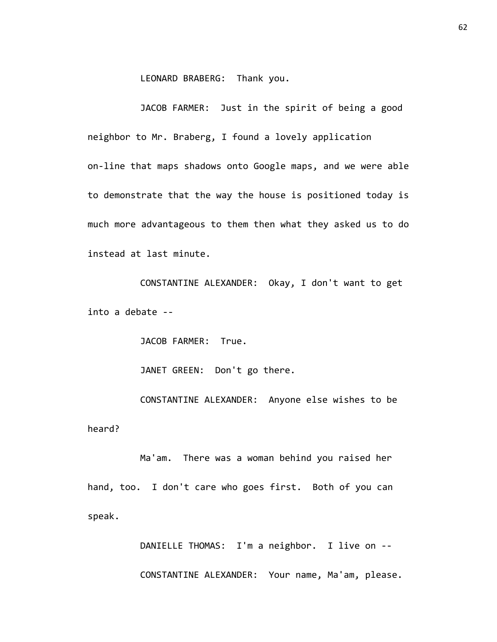LEONARD BRABERG: Thank you.

JACOB FARMER: Just in the spirit of being a good neighbor to Mr. Braberg, I found a lovely application on-line that maps shadows onto Google maps, and we were able to demonstrate that the way the house is positioned today is much more advantageous to them then what they asked us to do instead at last minute.

CONSTANTINE ALEXANDER: Okay, I don't want to get into a debate --

JACOB FARMER: True.

JANET GREEN: Don't go there.

CONSTANTINE ALEXANDER: Anyone else wishes to be heard?

Ma'am. There was a woman behind you raised her hand, too. I don't care who goes first. Both of you can speak.

> DANIELLE THOMAS: I'm a neighbor. I live on -- CONSTANTINE ALEXANDER: Your name, Ma'am, please.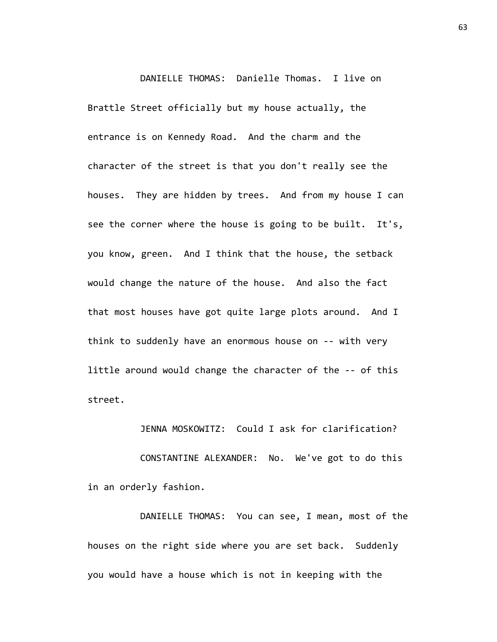DANIELLE THOMAS: Danielle Thomas. I live on Brattle Street officially but my house actually, the entrance is on Kennedy Road. And the charm and the character of the street is that you don't really see the houses. They are hidden by trees. And from my house I can see the corner where the house is going to be built. It's, you know, green. And I think that the house, the setback would change the nature of the house. And also the fact that most houses have got quite large plots around. And I think to suddenly have an enormous house on -- with very little around would change the character of the -- of this street.

JENNA MOSKOWITZ: Could I ask for clarification?

CONSTANTINE ALEXANDER: No. We've got to do this in an orderly fashion.

DANIELLE THOMAS: You can see, I mean, most of the houses on the right side where you are set back. Suddenly you would have a house which is not in keeping with the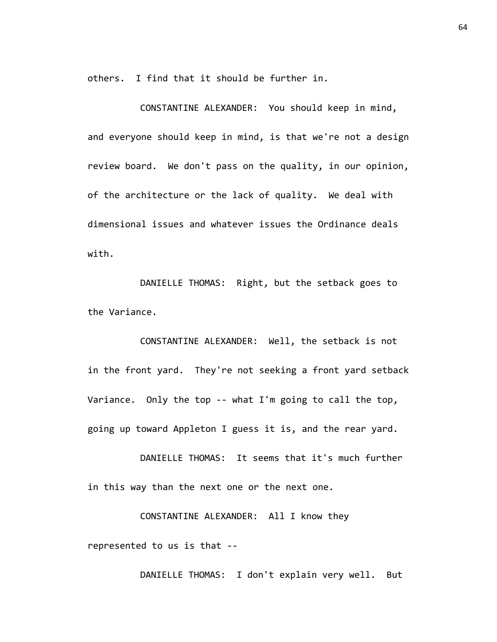others. I find that it should be further in.

CONSTANTINE ALEXANDER: You should keep in mind, and everyone should keep in mind, is that we're not a design review board. We don't pass on the quality, in our opinion, of the architecture or the lack of quality. We deal with dimensional issues and whatever issues the Ordinance deals with.

DANIELLE THOMAS: Right, but the setback goes to the Variance.

CONSTANTINE ALEXANDER: Well, the setback is not in the front yard. They're not seeking a front yard setback Variance. Only the top -- what I'm going to call the top, going up toward Appleton I guess it is, and the rear yard.

DANIELLE THOMAS: It seems that it's much further in this way than the next one or the next one.

CONSTANTINE ALEXANDER: All I know they represented to us is that --

DANIELLE THOMAS: I don't explain very well. But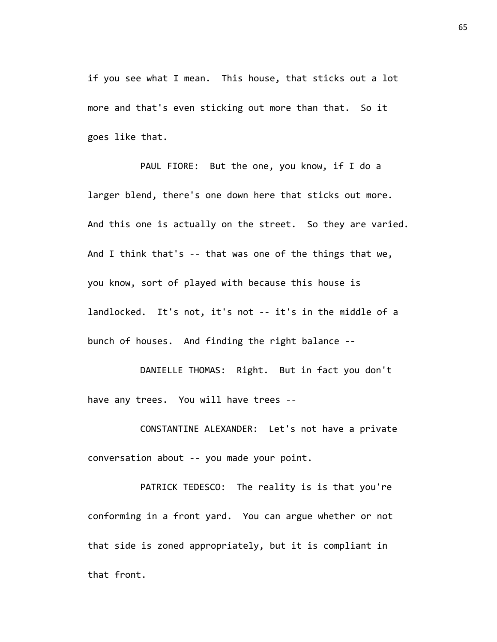if you see what I mean. This house, that sticks out a lot more and that's even sticking out more than that. So it goes like that.

PAUL FIORE: But the one, you know, if I do a larger blend, there's one down here that sticks out more. And this one is actually on the street. So they are varied. And I think that's -- that was one of the things that we, you know, sort of played with because this house is landlocked. It's not, it's not -- it's in the middle of a bunch of houses. And finding the right balance --

DANIELLE THOMAS: Right. But in fact you don't have any trees. You will have trees --

CONSTANTINE ALEXANDER: Let's not have a private conversation about -- you made your point.

PATRICK TEDESCO: The reality is is that you're conforming in a front yard. You can argue whether or not that side is zoned appropriately, but it is compliant in that front.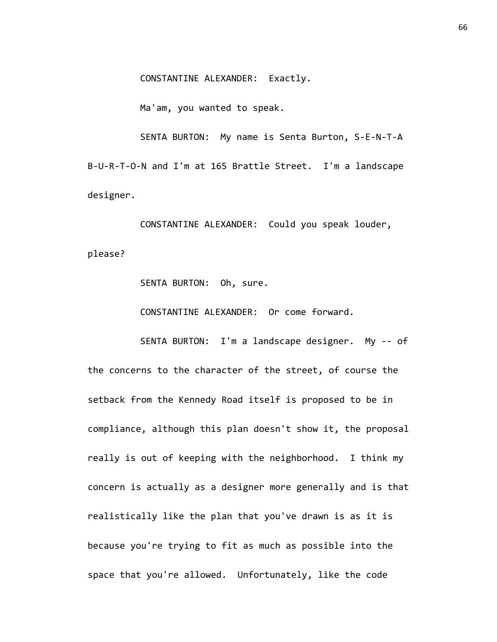CONSTANTINE ALEXANDER: Exactly.

Ma'am, you wanted to speak.

SENTA BURTON: My name is Senta Burton, S-E-N-T-A B-U-R-T-O-N and I'm at 165 Brattle Street. I'm a landscape designer.

CONSTANTINE ALEXANDER: Could you speak louder, please?

SENTA BURTON: Oh, sure.

CONSTANTINE ALEXANDER: Or come forward.

SENTA BURTON: I'm a landscape designer. My -- of

the concerns to the character of the street, of course the setback from the Kennedy Road itself is proposed to be in compliance, although this plan doesn't show it, the proposal really is out of keeping with the neighborhood. I think my concern is actually as a designer more generally and is that realistically like the plan that you've drawn is as it is because you're trying to fit as much as possible into the space that you're allowed. Unfortunately, like the code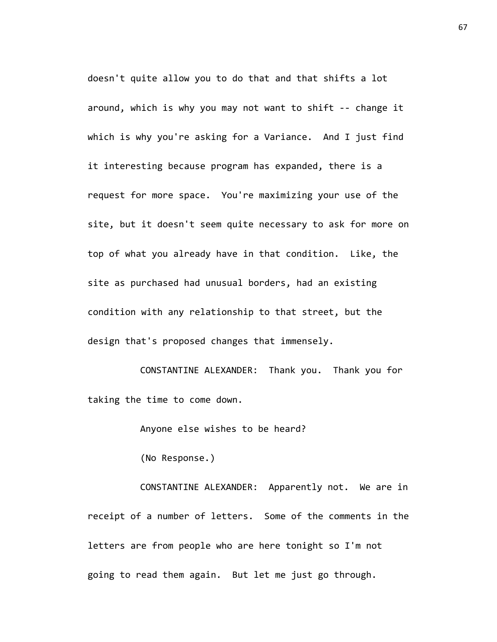doesn't quite allow you to do that and that shifts a lot around, which is why you may not want to shift -- change it which is why you're asking for a Variance. And I just find it interesting because program has expanded, there is a request for more space. You're maximizing your use of the site, but it doesn't seem quite necessary to ask for more on top of what you already have in that condition. Like, the site as purchased had unusual borders, had an existing condition with any relationship to that street, but the design that's proposed changes that immensely.

CONSTANTINE ALEXANDER: Thank you. Thank you for taking the time to come down.

Anyone else wishes to be heard?

(No Response.)

CONSTANTINE ALEXANDER: Apparently not. We are in receipt of a number of letters. Some of the comments in the letters are from people who are here tonight so I'm not going to read them again. But let me just go through.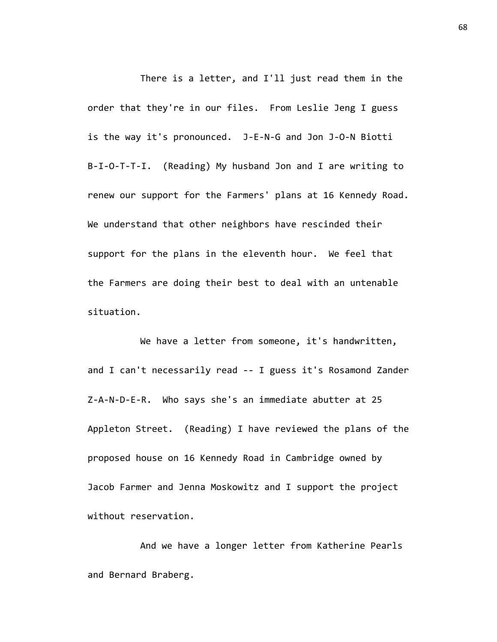There is a letter, and I'll just read them in the order that they're in our files. From Leslie Jeng I guess is the way it's pronounced. J-E-N-G and Jon J-O-N Biotti B-I-O-T-T-I. (Reading) My husband Jon and I are writing to renew our support for the Farmers' plans at 16 Kennedy Road. We understand that other neighbors have rescinded their support for the plans in the eleventh hour. We feel that the Farmers are doing their best to deal with an untenable situation.

We have a letter from someone, it's handwritten, and I can't necessarily read -- I guess it's Rosamond Zander Z-A-N-D-E-R. Who says she's an immediate abutter at 25 Appleton Street. (Reading) I have reviewed the plans of the proposed house on 16 Kennedy Road in Cambridge owned by Jacob Farmer and Jenna Moskowitz and I support the project without reservation.

And we have a longer letter from Katherine Pearls and Bernard Braberg.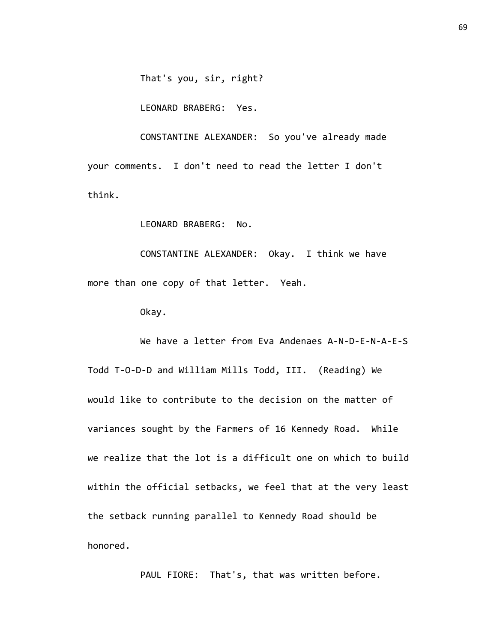That's you, sir, right?

LEONARD BRABERG: Yes.

CONSTANTINE ALEXANDER: So you've already made your comments. I don't need to read the letter I don't think.

LEONARD BRABERG: No.

CONSTANTINE ALEXANDER: Okay. I think we have more than one copy of that letter. Yeah.

Okay.

We have a letter from Eva Andenaes A-N-D-E-N-A-E-S Todd T-O-D-D and William Mills Todd, III. (Reading) We would like to contribute to the decision on the matter of variances sought by the Farmers of 16 Kennedy Road. While we realize that the lot is a difficult one on which to build within the official setbacks, we feel that at the very least the setback running parallel to Kennedy Road should be honored.

PAUL FIORE: That's, that was written before.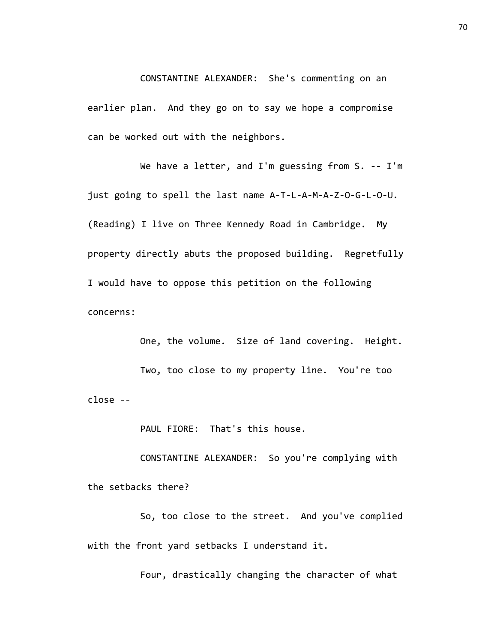CONSTANTINE ALEXANDER: She's commenting on an earlier plan. And they go on to say we hope a compromise can be worked out with the neighbors.

We have a letter, and I'm guessing from S. -- I'm just going to spell the last name A-T-L-A-M-A-Z-O-G-L-O-U. (Reading) I live on Three Kennedy Road in Cambridge. My property directly abuts the proposed building. Regretfully I would have to oppose this petition on the following concerns:

One, the volume. Size of land covering. Height. Two, too close to my property line. You're too close --

PAUL FIORE: That's this house.

CONSTANTINE ALEXANDER: So you're complying with the setbacks there?

So, too close to the street. And you've complied with the front yard setbacks I understand it.

Four, drastically changing the character of what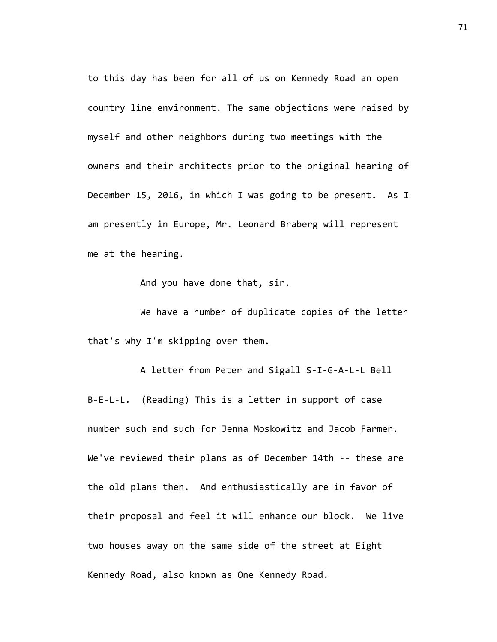to this day has been for all of us on Kennedy Road an open country line environment. The same objections were raised by myself and other neighbors during two meetings with the owners and their architects prior to the original hearing of December 15, 2016, in which I was going to be present. As I am presently in Europe, Mr. Leonard Braberg will represent me at the hearing.

And you have done that, sir.

We have a number of duplicate copies of the letter that's why I'm skipping over them.

A letter from Peter and Sigall S-I-G-A-L-L Bell B-E-L-L. (Reading) This is a letter in support of case number such and such for Jenna Moskowitz and Jacob Farmer. We've reviewed their plans as of December 14th -- these are the old plans then. And enthusiastically are in favor of their proposal and feel it will enhance our block. We live two houses away on the same side of the street at Eight Kennedy Road, also known as One Kennedy Road.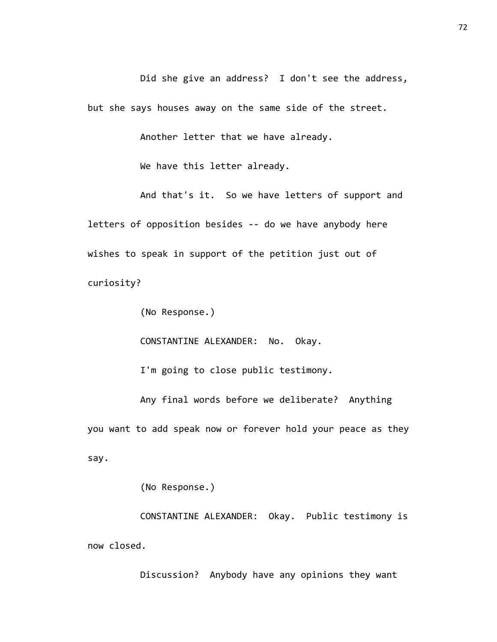Did she give an address? I don't see the address, but she says houses away on the same side of the street.

Another letter that we have already.

We have this letter already.

And that's it. So we have letters of support and letters of opposition besides -- do we have anybody here wishes to speak in support of the petition just out of curiosity?

(No Response.)

CONSTANTINE ALEXANDER: No. Okay.

I'm going to close public testimony.

Any final words before we deliberate? Anything you want to add speak now or forever hold your peace as they say.

(No Response.)

CONSTANTINE ALEXANDER: Okay. Public testimony is now closed.

Discussion? Anybody have any opinions they want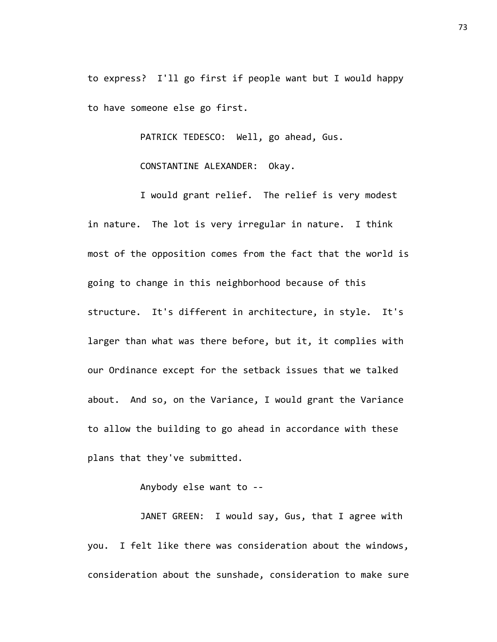to express? I'll go first if people want but I would happy to have someone else go first.

PATRICK TEDESCO: Well, go ahead, Gus.

CONSTANTINE ALEXANDER: Okay.

I would grant relief. The relief is very modest in nature. The lot is very irregular in nature. I think most of the opposition comes from the fact that the world is going to change in this neighborhood because of this structure. It's different in architecture, in style. It's larger than what was there before, but it, it complies with our Ordinance except for the setback issues that we talked about. And so, on the Variance, I would grant the Variance to allow the building to go ahead in accordance with these plans that they've submitted.

Anybody else want to --

JANET GREEN: I would say, Gus, that I agree with you. I felt like there was consideration about the windows, consideration about the sunshade, consideration to make sure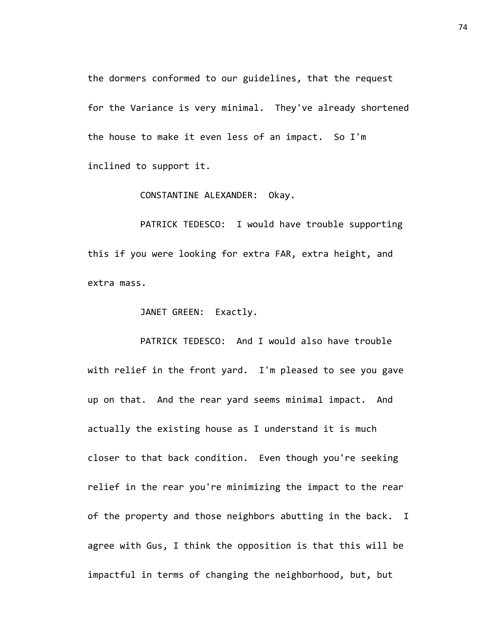the dormers conformed to our guidelines, that the request for the Variance is very minimal. They've already shortened the house to make it even less of an impact. So I'm inclined to support it.

CONSTANTINE ALEXANDER: Okay.

PATRICK TEDESCO: I would have trouble supporting this if you were looking for extra FAR, extra height, and extra mass.

JANET GREEN: Exactly.

PATRICK TEDESCO: And I would also have trouble with relief in the front yard. I'm pleased to see you gave up on that. And the rear yard seems minimal impact. And actually the existing house as I understand it is much closer to that back condition. Even though you're seeking relief in the rear you're minimizing the impact to the rear of the property and those neighbors abutting in the back. I agree with Gus, I think the opposition is that this will be impactful in terms of changing the neighborhood, but, but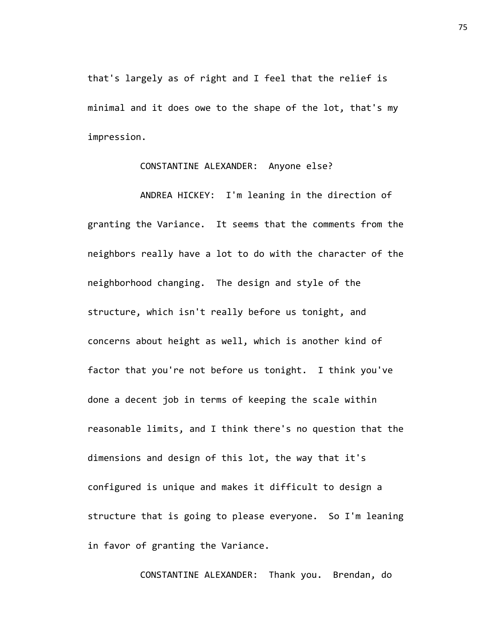that's largely as of right and I feel that the relief is minimal and it does owe to the shape of the lot, that's my impression.

## CONSTANTINE ALEXANDER: Anyone else?

ANDREA HICKEY: I'm leaning in the direction of granting the Variance. It seems that the comments from the neighbors really have a lot to do with the character of the neighborhood changing. The design and style of the structure, which isn't really before us tonight, and concerns about height as well, which is another kind of factor that you're not before us tonight. I think you've done a decent job in terms of keeping the scale within reasonable limits, and I think there's no question that the dimensions and design of this lot, the way that it's configured is unique and makes it difficult to design a structure that is going to please everyone. So I'm leaning in favor of granting the Variance.

CONSTANTINE ALEXANDER: Thank you. Brendan, do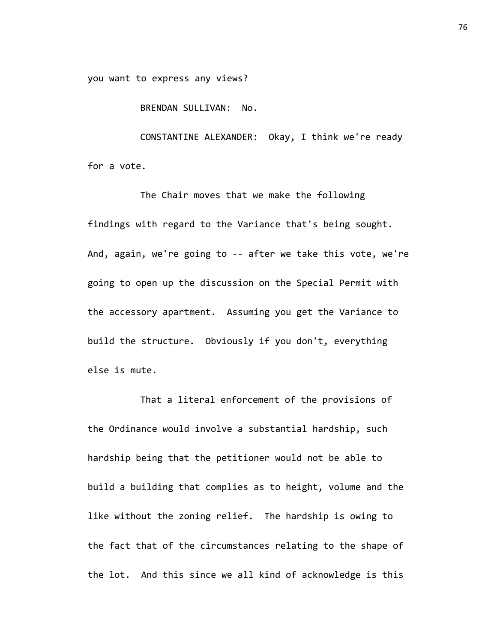you want to express any views?

BRENDAN SULLIVAN: No.

CONSTANTINE ALEXANDER: Okay, I think we're ready for a vote.

The Chair moves that we make the following findings with regard to the Variance that's being sought. And, again, we're going to -- after we take this vote, we're going to open up the discussion on the Special Permit with the accessory apartment. Assuming you get the Variance to build the structure. Obviously if you don't, everything else is mute.

That a literal enforcement of the provisions of the Ordinance would involve a substantial hardship, such hardship being that the petitioner would not be able to build a building that complies as to height, volume and the like without the zoning relief. The hardship is owing to the fact that of the circumstances relating to the shape of the lot. And this since we all kind of acknowledge is this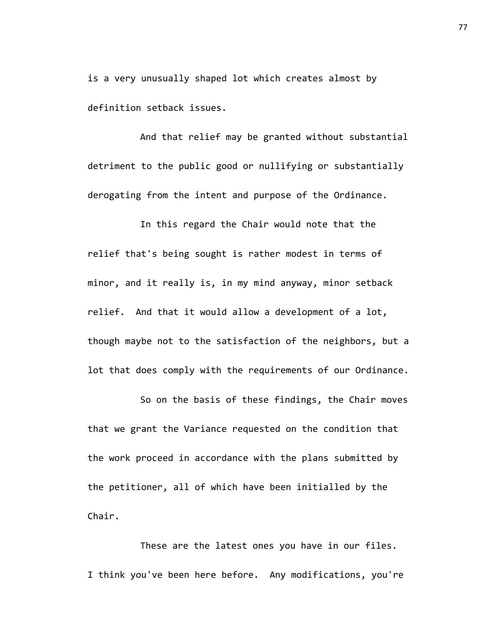is a very unusually shaped lot which creates almost by definition setback issues.

And that relief may be granted without substantial detriment to the public good or nullifying or substantially derogating from the intent and purpose of the Ordinance.

In this regard the Chair would note that the relief that's being sought is rather modest in terms of minor, and it really is, in my mind anyway, minor setback relief. And that it would allow a development of a lot, though maybe not to the satisfaction of the neighbors, but a lot that does comply with the requirements of our Ordinance.

So on the basis of these findings, the Chair moves that we grant the Variance requested on the condition that the work proceed in accordance with the plans submitted by the petitioner, all of which have been initialled by the Chair.

These are the latest ones you have in our files. I think you've been here before. Any modifications, you're 77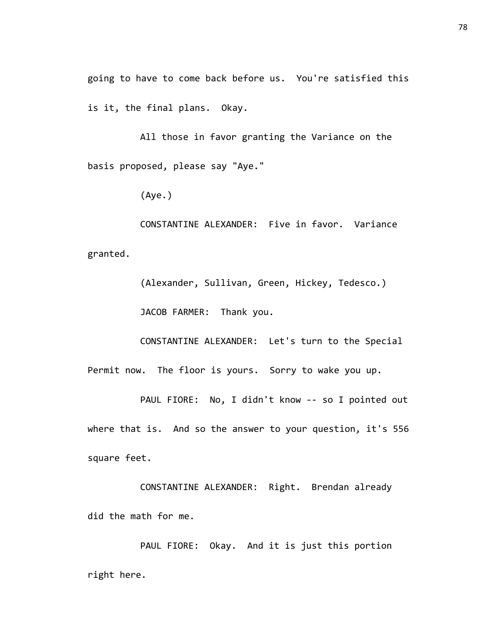going to have to come back before us. You're satisfied this is it, the final plans. Okay.

All those in favor granting the Variance on the basis proposed, please say "Aye."

(Aye.)

CONSTANTINE ALEXANDER: Five in favor. Variance granted.

> (Alexander, Sullivan, Green, Hickey, Tedesco.) JACOB FARMER: Thank you.

CONSTANTINE ALEXANDER: Let's turn to the Special

Permit now. The floor is yours. Sorry to wake you up.

PAUL FIORE: No, I didn't know -- so I pointed out where that is. And so the answer to your question, it's 556 square feet.

CONSTANTINE ALEXANDER: Right. Brendan already did the math for me.

PAUL FIORE: Okay. And it is just this portion right here.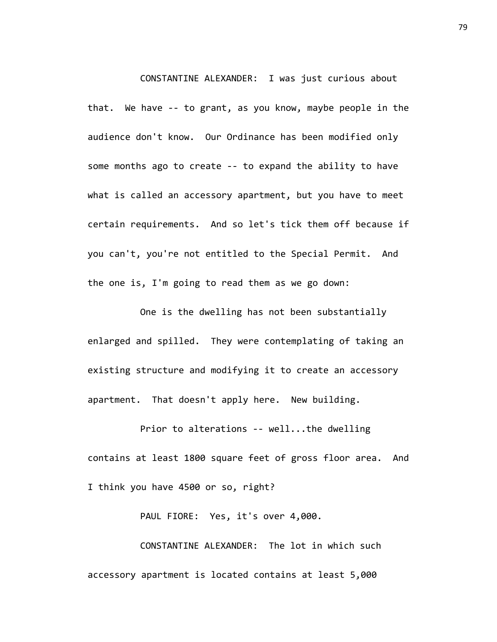CONSTANTINE ALEXANDER: I was just curious about that. We have -- to grant, as you know, maybe people in the audience don't know. Our Ordinance has been modified only some months ago to create -- to expand the ability to have what is called an accessory apartment, but you have to meet certain requirements. And so let's tick them off because if you can't, you're not entitled to the Special Permit. And the one is, I'm going to read them as we go down:

One is the dwelling has not been substantially enlarged and spilled. They were contemplating of taking an existing structure and modifying it to create an accessory apartment. That doesn't apply here. New building.

Prior to alterations -- well...the dwelling contains at least 1800 square feet of gross floor area. And I think you have 4500 or so, right?

PAUL FIORE: Yes, it's over 4,000.

CONSTANTINE ALEXANDER: The lot in which such accessory apartment is located contains at least 5,000

79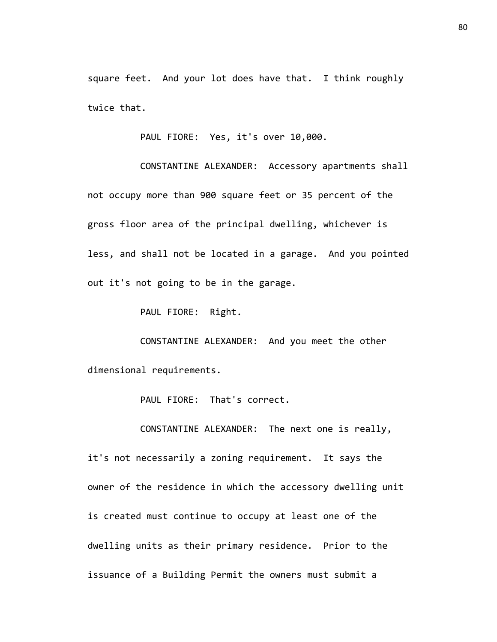square feet. And your lot does have that. I think roughly twice that.

PAUL FIORE: Yes, it's over 10,000.

CONSTANTINE ALEXANDER: Accessory apartments shall not occupy more than 900 square feet or 35 percent of the gross floor area of the principal dwelling, whichever is less, and shall not be located in a garage. And you pointed out it's not going to be in the garage.

PAUL FIORE: Right.

CONSTANTINE ALEXANDER: And you meet the other dimensional requirements.

PAUL FIORE: That's correct.

CONSTANTINE ALEXANDER: The next one is really,

it's not necessarily a zoning requirement. It says the owner of the residence in which the accessory dwelling unit is created must continue to occupy at least one of the dwelling units as their primary residence. Prior to the issuance of a Building Permit the owners must submit a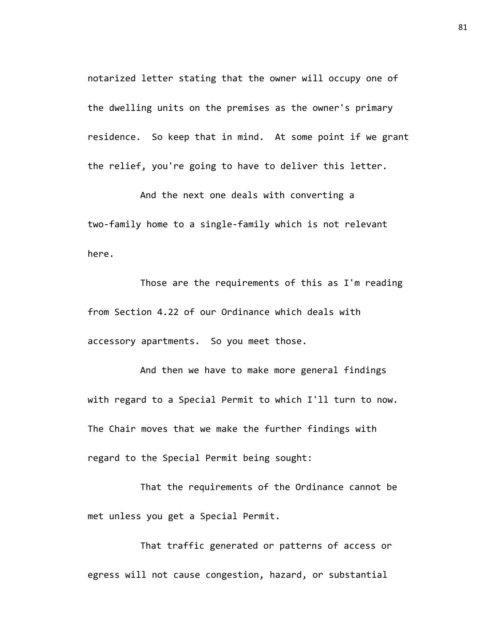notarized letter stating that the owner will occupy one of the dwelling units on the premises as the owner's primary residence. So keep that in mind. At some point if we grant the relief, you're going to have to deliver this letter.

And the next one deals with converting a two-family home to a single-family which is not relevant here.

Those are the requirements of this as I'm reading from Section 4.22 of our Ordinance which deals with accessory apartments. So you meet those.

And then we have to make more general findings with regard to a Special Permit to which I'll turn to now. The Chair moves that we make the further findings with regard to the Special Permit being sought:

That the requirements of the Ordinance cannot be met unless you get a Special Permit.

That traffic generated or patterns of access or egress will not cause congestion, hazard, or substantial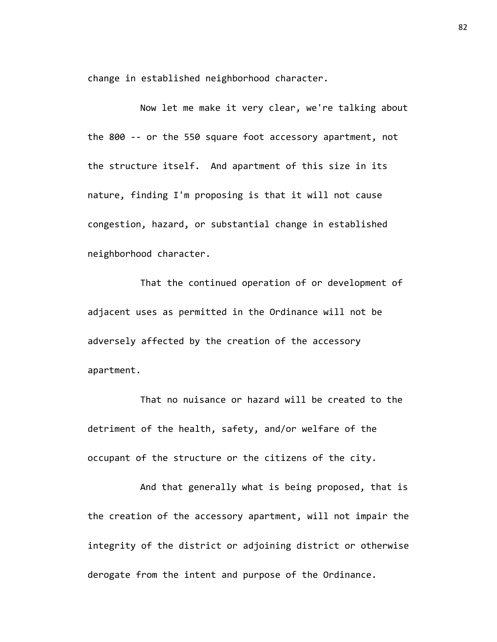change in established neighborhood character.

Now let me make it very clear, we're talking about the 800 -- or the 550 square foot accessory apartment, not the structure itself. And apartment of this size in its nature, finding I'm proposing is that it will not cause congestion, hazard, or substantial change in established neighborhood character.

That the continued operation of or development of adjacent uses as permitted in the Ordinance will not be adversely affected by the creation of the accessory apartment.

That no nuisance or hazard will be created to the detriment of the health, safety, and/or welfare of the occupant of the structure or the citizens of the city.

And that generally what is being proposed, that is the creation of the accessory apartment, will not impair the integrity of the district or adjoining district or otherwise derogate from the intent and purpose of the Ordinance.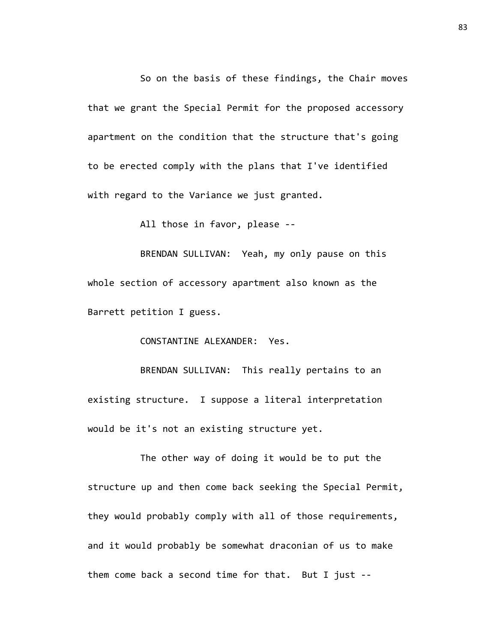So on the basis of these findings, the Chair moves that we grant the Special Permit for the proposed accessory apartment on the condition that the structure that's going to be erected comply with the plans that I've identified with regard to the Variance we just granted.

All those in favor, please --

BRENDAN SULLIVAN: Yeah, my only pause on this whole section of accessory apartment also known as the Barrett petition I guess.

CONSTANTINE ALEXANDER: Yes.

BRENDAN SULLIVAN: This really pertains to an existing structure. I suppose a literal interpretation would be it's not an existing structure yet.

The other way of doing it would be to put the structure up and then come back seeking the Special Permit, they would probably comply with all of those requirements, and it would probably be somewhat draconian of us to make them come back a second time for that. But I just --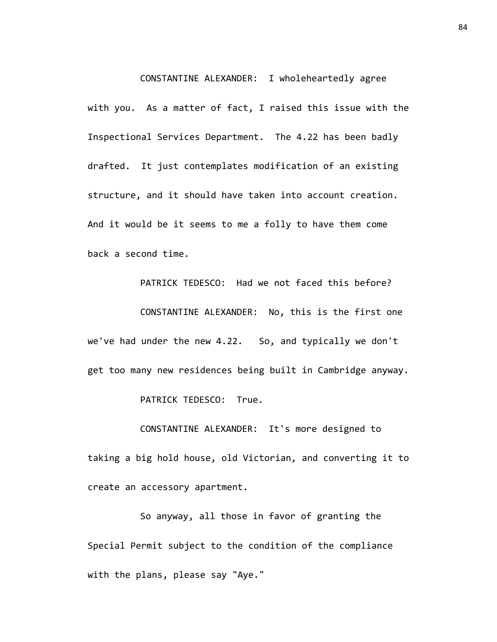CONSTANTINE ALEXANDER: I wholeheartedly agree

with you. As a matter of fact, I raised this issue with the Inspectional Services Department. The 4.22 has been badly drafted. It just contemplates modification of an existing structure, and it should have taken into account creation. And it would be it seems to me a folly to have them come back a second time.

PATRICK TEDESCO: Had we not faced this before? CONSTANTINE ALEXANDER: No, this is the first one we've had under the new 4.22. So, and typically we don't get too many new residences being built in Cambridge anyway.

PATRICK TEDESCO: True.

CONSTANTINE ALEXANDER: It's more designed to taking a big hold house, old Victorian, and converting it to create an accessory apartment.

So anyway, all those in favor of granting the Special Permit subject to the condition of the compliance with the plans, please say "Aye."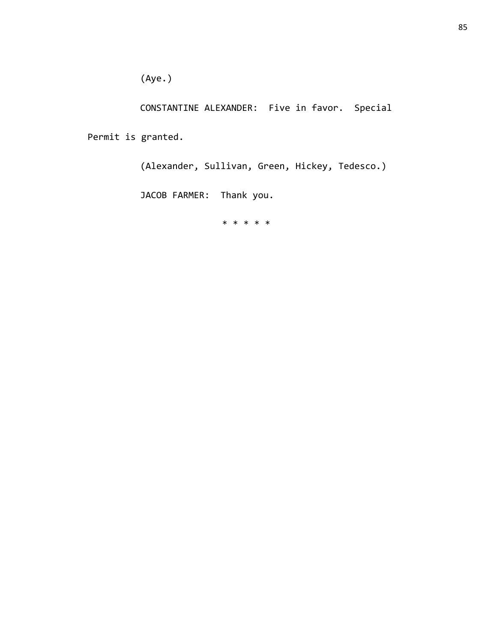(Aye.)

CONSTANTINE ALEXANDER: Five in favor. Special

Permit is granted.

(Alexander, Sullivan, Green, Hickey, Tedesco.)

JACOB FARMER: Thank you.

\* \* \* \* \*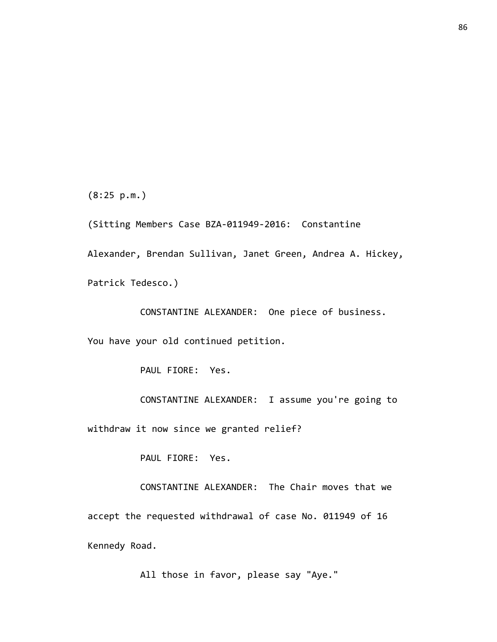(8:25 p.m.)

(Sitting Members Case BZA-011949-2016: Constantine Alexander, Brendan Sullivan, Janet Green, Andrea A. Hickey, Patrick Tedesco.)

CONSTANTINE ALEXANDER: One piece of business.

You have your old continued petition.

PAUL FIORE: Yes.

CONSTANTINE ALEXANDER: I assume you're going to

withdraw it now since we granted relief?

PAUL FIORE: Yes.

CONSTANTINE ALEXANDER: The Chair moves that we accept the requested withdrawal of case No. 011949 of 16 Kennedy Road.

All those in favor, please say "Aye."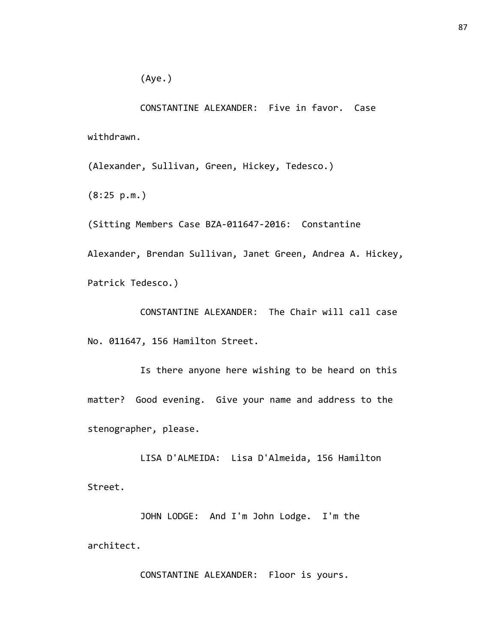CONSTANTINE ALEXANDER: Five in favor. Case withdrawn.

(Alexander, Sullivan, Green, Hickey, Tedesco.)

(8:25 p.m.)

(Sitting Members Case BZA-011647-2016: Constantine Alexander, Brendan Sullivan, Janet Green, Andrea A. Hickey, Patrick Tedesco.)

CONSTANTINE ALEXANDER: The Chair will call case No. 011647, 156 Hamilton Street.

Is there anyone here wishing to be heard on this matter? Good evening. Give your name and address to the stenographer, please.

LISA D'ALMEIDA: Lisa D'Almeida, 156 Hamilton Street.

JOHN LODGE: And I'm John Lodge. I'm the architect.

CONSTANTINE ALEXANDER: Floor is yours.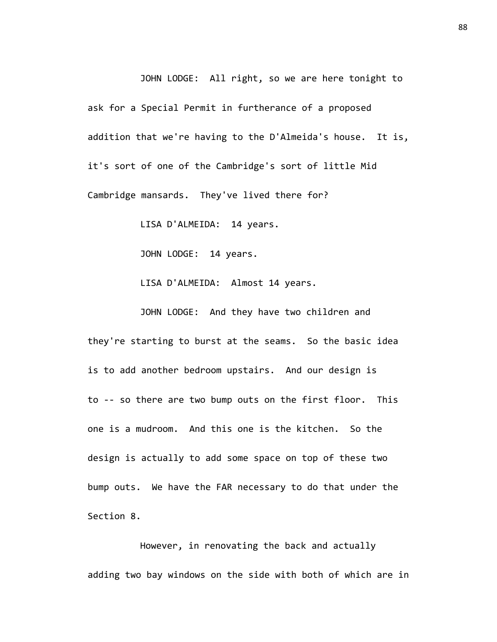JOHN LODGE: All right, so we are here tonight to ask for a Special Permit in furtherance of a proposed addition that we're having to the D'Almeida's house. It is, it's sort of one of the Cambridge's sort of little Mid Cambridge mansards. They've lived there for?

LISA D'ALMEIDA: 14 years.

JOHN LODGE: 14 years.

LISA D'ALMEIDA: Almost 14 years.

JOHN LODGE: And they have two children and they're starting to burst at the seams. So the basic idea is to add another bedroom upstairs. And our design is to -- so there are two bump outs on the first floor. This one is a mudroom. And this one is the kitchen. So the design is actually to add some space on top of these two bump outs. We have the FAR necessary to do that under the Section 8.

However, in renovating the back and actually adding two bay windows on the side with both of which are in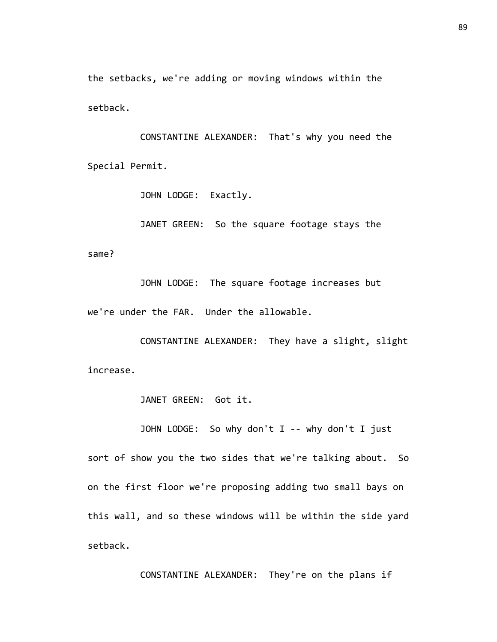the setbacks, we're adding or moving windows within the setback.

CONSTANTINE ALEXANDER: That's why you need the Special Permit.

JOHN LODGE: Exactly.

JANET GREEN: So the square footage stays the same?

JOHN LODGE: The square footage increases but we're under the FAR. Under the allowable.

CONSTANTINE ALEXANDER: They have a slight, slight increase.

JANET GREEN: Got it.

JOHN LODGE: So why don't I -- why don't I just

sort of show you the two sides that we're talking about. So on the first floor we're proposing adding two small bays on this wall, and so these windows will be within the side yard setback.

CONSTANTINE ALEXANDER: They're on the plans if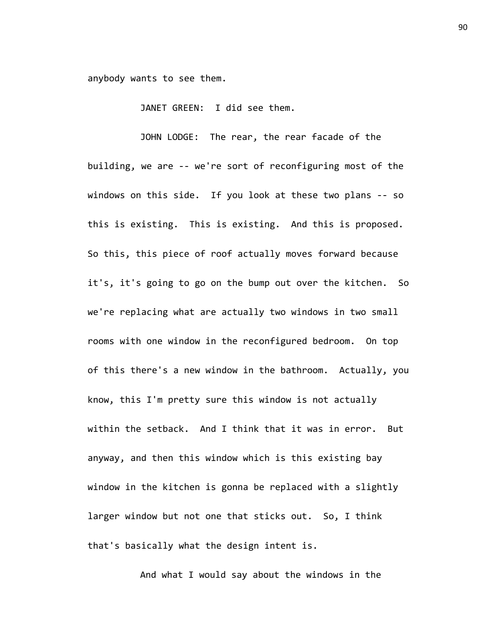anybody wants to see them.

JANET GREEN: I did see them.

JOHN LODGE: The rear, the rear facade of the building, we are -- we're sort of reconfiguring most of the windows on this side. If you look at these two plans -- so this is existing. This is existing. And this is proposed. So this, this piece of roof actually moves forward because it's, it's going to go on the bump out over the kitchen. So we're replacing what are actually two windows in two small rooms with one window in the reconfigured bedroom. On top of this there's a new window in the bathroom. Actually, you know, this I'm pretty sure this window is not actually within the setback. And I think that it was in error. But anyway, and then this window which is this existing bay window in the kitchen is gonna be replaced with a slightly larger window but not one that sticks out. So, I think that's basically what the design intent is.

And what I would say about the windows in the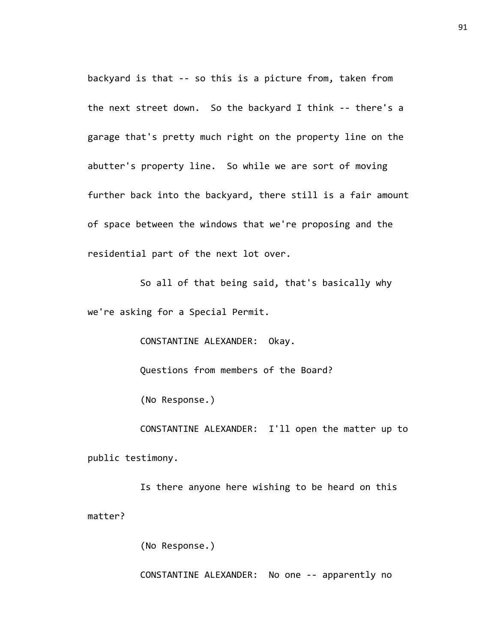backyard is that -- so this is a picture from, taken from the next street down. So the backyard I think -- there's a garage that's pretty much right on the property line on the abutter's property line. So while we are sort of moving further back into the backyard, there still is a fair amount of space between the windows that we're proposing and the residential part of the next lot over.

So all of that being said, that's basically why we're asking for a Special Permit.

CONSTANTINE ALEXANDER: Okay.

Questions from members of the Board?

(No Response.)

CONSTANTINE ALEXANDER: I'll open the matter up to public testimony.

Is there anyone here wishing to be heard on this matter?

(No Response.)

CONSTANTINE ALEXANDER: No one -- apparently no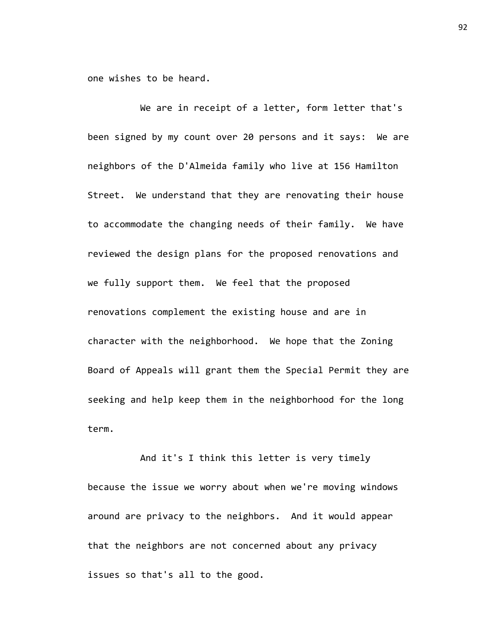one wishes to be heard.

We are in receipt of a letter, form letter that's been signed by my count over 20 persons and it says: We are neighbors of the D'Almeida family who live at 156 Hamilton Street. We understand that they are renovating their house to accommodate the changing needs of their family. We have reviewed the design plans for the proposed renovations and we fully support them. We feel that the proposed renovations complement the existing house and are in character with the neighborhood. We hope that the Zoning Board of Appeals will grant them the Special Permit they are seeking and help keep them in the neighborhood for the long term.

And it's I think this letter is very timely because the issue we worry about when we're moving windows around are privacy to the neighbors. And it would appear that the neighbors are not concerned about any privacy issues so that's all to the good.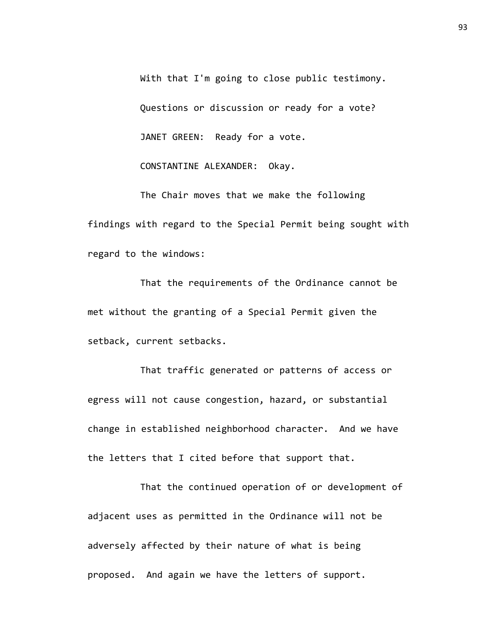With that I'm going to close public testimony. Questions or discussion or ready for a vote? JANET GREEN: Ready for a vote. CONSTANTINE ALEXANDER: Okay.

The Chair moves that we make the following findings with regard to the Special Permit being sought with regard to the windows:

That the requirements of the Ordinance cannot be met without the granting of a Special Permit given the setback, current setbacks.

That traffic generated or patterns of access or egress will not cause congestion, hazard, or substantial change in established neighborhood character. And we have the letters that I cited before that support that.

That the continued operation of or development of adjacent uses as permitted in the Ordinance will not be adversely affected by their nature of what is being proposed. And again we have the letters of support.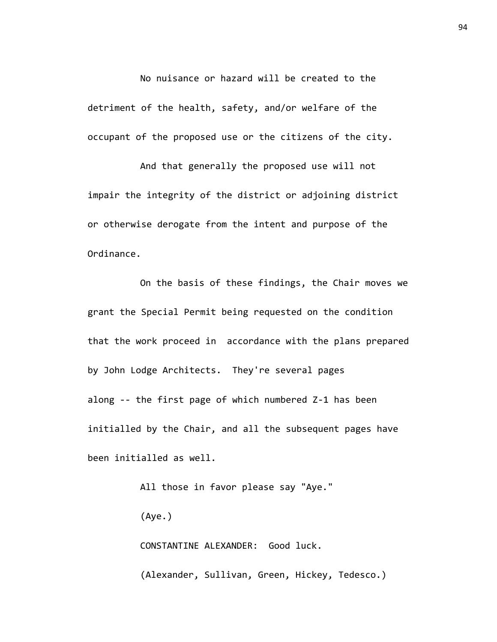No nuisance or hazard will be created to the detriment of the health, safety, and/or welfare of the occupant of the proposed use or the citizens of the city.

And that generally the proposed use will not impair the integrity of the district or adjoining district or otherwise derogate from the intent and purpose of the Ordinance.

On the basis of these findings, the Chair moves we grant the Special Permit being requested on the condition that the work proceed in accordance with the plans prepared by John Lodge Architects. They're several pages along -- the first page of which numbered Z-1 has been initialled by the Chair, and all the subsequent pages have been initialled as well.

> All those in favor please say "Aye." (Aye.)

CONSTANTINE ALEXANDER: Good luck. (Alexander, Sullivan, Green, Hickey, Tedesco.)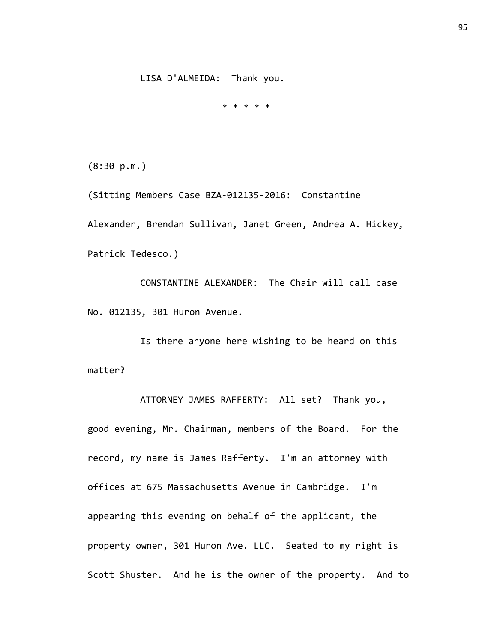\* \* \* \* \*

(8:30 p.m.)

(Sitting Members Case BZA-012135-2016: Constantine Alexander, Brendan Sullivan, Janet Green, Andrea A. Hickey, Patrick Tedesco.)

CONSTANTINE ALEXANDER: The Chair will call case No. 012135, 301 Huron Avenue.

Is there anyone here wishing to be heard on this matter?

ATTORNEY JAMES RAFFERTY: All set? Thank you, good evening, Mr. Chairman, members of the Board. For the record, my name is James Rafferty. I'm an attorney with offices at 675 Massachusetts Avenue in Cambridge. I'm appearing this evening on behalf of the applicant, the property owner, 301 Huron Ave. LLC. Seated to my right is Scott Shuster. And he is the owner of the property. And to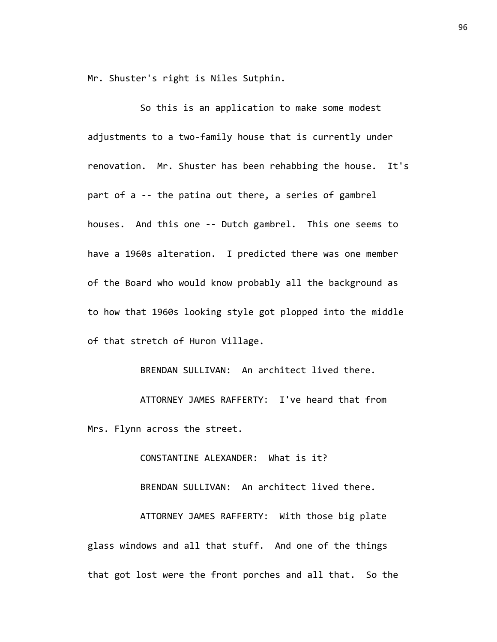Mr. Shuster's right is Niles Sutphin.

So this is an application to make some modest adjustments to a two-family house that is currently under renovation. Mr. Shuster has been rehabbing the house. It's part of a -- the patina out there, a series of gambrel houses. And this one -- Dutch gambrel. This one seems to have a 1960s alteration. I predicted there was one member of the Board who would know probably all the background as to how that 1960s looking style got plopped into the middle of that stretch of Huron Village.

BRENDAN SULLIVAN: An architect lived there. ATTORNEY JAMES RAFFERTY: I've heard that from Mrs. Flynn across the street.

CONSTANTINE ALEXANDER: What is it?

BRENDAN SULLIVAN: An architect lived there.

ATTORNEY JAMES RAFFERTY: With those big plate glass windows and all that stuff. And one of the things that got lost were the front porches and all that. So the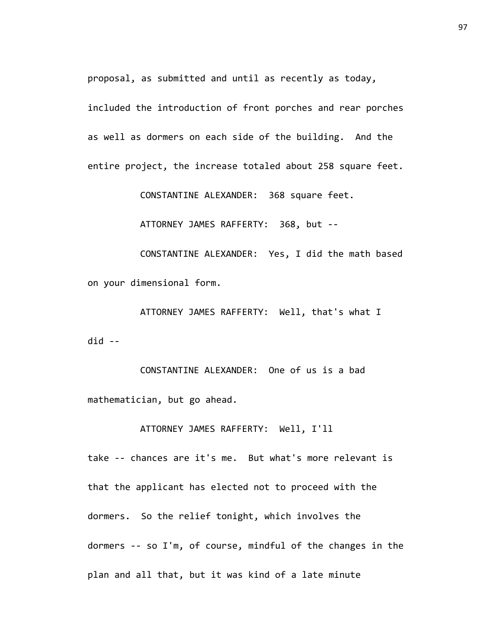proposal, as submitted and until as recently as today,

included the introduction of front porches and rear porches as well as dormers on each side of the building. And the entire project, the increase totaled about 258 square feet.

CONSTANTINE ALEXANDER: 368 square feet.

ATTORNEY JAMES RAFFERTY: 368, but --

CONSTANTINE ALEXANDER: Yes, I did the math based on your dimensional form.

ATTORNEY JAMES RAFFERTY: Well, that's what I did --

CONSTANTINE ALEXANDER: One of us is a bad mathematician, but go ahead.

ATTORNEY JAMES RAFFERTY: Well, I'll

take -- chances are it's me. But what's more relevant is that the applicant has elected not to proceed with the dormers. So the relief tonight, which involves the dormers -- so I'm, of course, mindful of the changes in the plan and all that, but it was kind of a late minute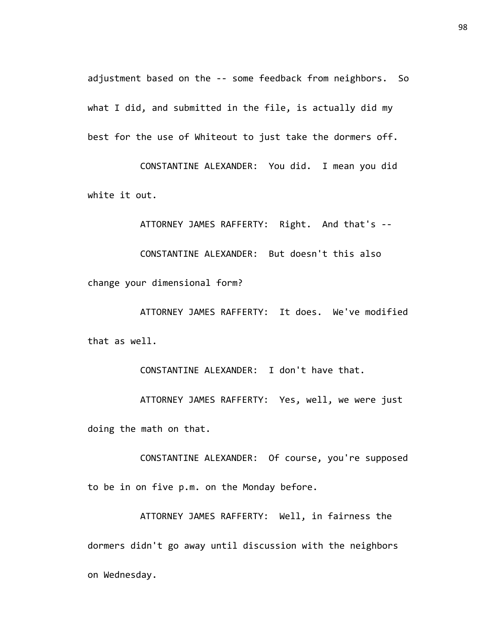adjustment based on the -- some feedback from neighbors. So what I did, and submitted in the file, is actually did my best for the use of Whiteout to just take the dormers off.

CONSTANTINE ALEXANDER: You did. I mean you did white it out.

ATTORNEY JAMES RAFFERTY: Right. And that's --

CONSTANTINE ALEXANDER: But doesn't this also

change your dimensional form?

ATTORNEY JAMES RAFFERTY: It does. We've modified that as well.

CONSTANTINE ALEXANDER: I don't have that.

ATTORNEY JAMES RAFFERTY: Yes, well, we were just doing the math on that.

CONSTANTINE ALEXANDER: Of course, you're supposed to be in on five p.m. on the Monday before.

ATTORNEY JAMES RAFFERTY: Well, in fairness the dormers didn't go away until discussion with the neighbors on Wednesday.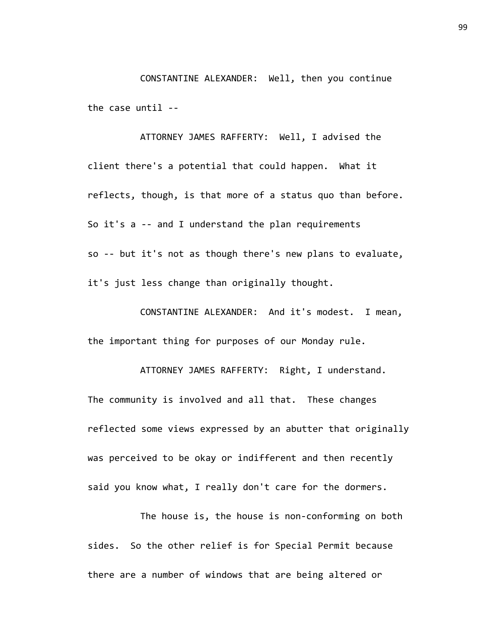CONSTANTINE ALEXANDER: Well, then you continue the case until --

ATTORNEY JAMES RAFFERTY: Well, I advised the client there's a potential that could happen. What it reflects, though, is that more of a status quo than before. So it's a -- and I understand the plan requirements so -- but it's not as though there's new plans to evaluate, it's just less change than originally thought.

CONSTANTINE ALEXANDER: And it's modest. I mean, the important thing for purposes of our Monday rule.

ATTORNEY JAMES RAFFERTY: Right, I understand. The community is involved and all that. These changes reflected some views expressed by an abutter that originally was perceived to be okay or indifferent and then recently said you know what, I really don't care for the dormers.

The house is, the house is non-conforming on both sides. So the other relief is for Special Permit because there are a number of windows that are being altered or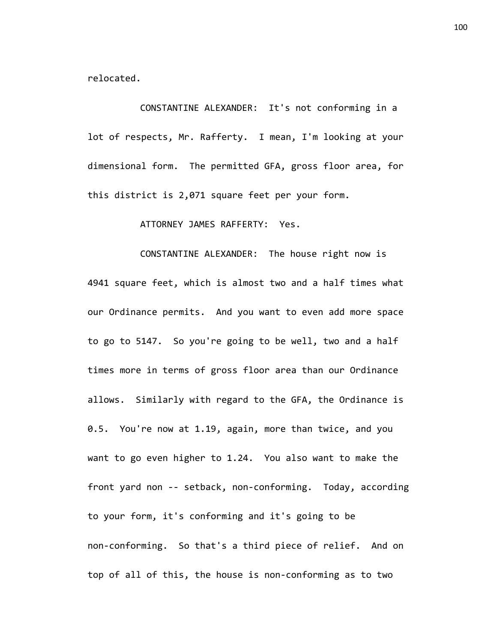relocated.

CONSTANTINE ALEXANDER: It's not conforming in a lot of respects, Mr. Rafferty. I mean, I'm looking at your dimensional form. The permitted GFA, gross floor area, for this district is 2,071 square feet per your form.

ATTORNEY JAMES RAFFERTY: Yes.

CONSTANTINE ALEXANDER: The house right now is 4941 square feet, which is almost two and a half times what our Ordinance permits. And you want to even add more space to go to 5147. So you're going to be well, two and a half times more in terms of gross floor area than our Ordinance allows. Similarly with regard to the GFA, the Ordinance is 0.5. You're now at 1.19, again, more than twice, and you want to go even higher to 1.24. You also want to make the front yard non -- setback, non-conforming. Today, according to your form, it's conforming and it's going to be non-conforming. So that's a third piece of relief. And on top of all of this, the house is non-conforming as to two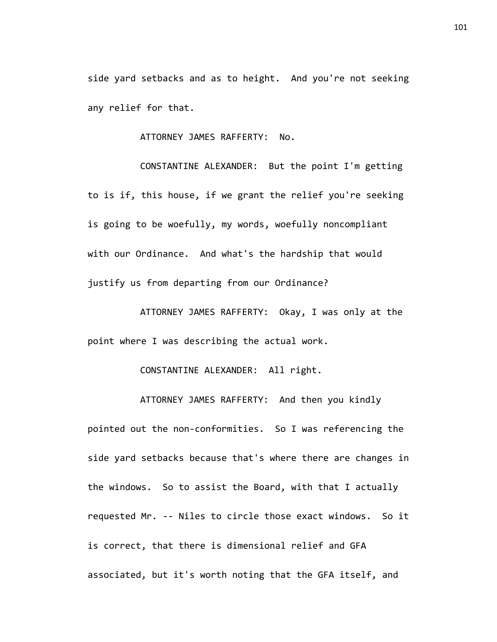side yard setbacks and as to height. And you're not seeking any relief for that.

ATTORNEY JAMES RAFFERTY: No.

CONSTANTINE ALEXANDER: But the point I'm getting to is if, this house, if we grant the relief you're seeking is going to be woefully, my words, woefully noncompliant with our Ordinance. And what's the hardship that would justify us from departing from our Ordinance?

ATTORNEY JAMES RAFFERTY: Okay, I was only at the point where I was describing the actual work.

CONSTANTINE ALEXANDER: All right.

ATTORNEY JAMES RAFFERTY: And then you kindly pointed out the non-conformities. So I was referencing the side yard setbacks because that's where there are changes in the windows. So to assist the Board, with that I actually requested Mr. -- Niles to circle those exact windows. So it is correct, that there is dimensional relief and GFA associated, but it's worth noting that the GFA itself, and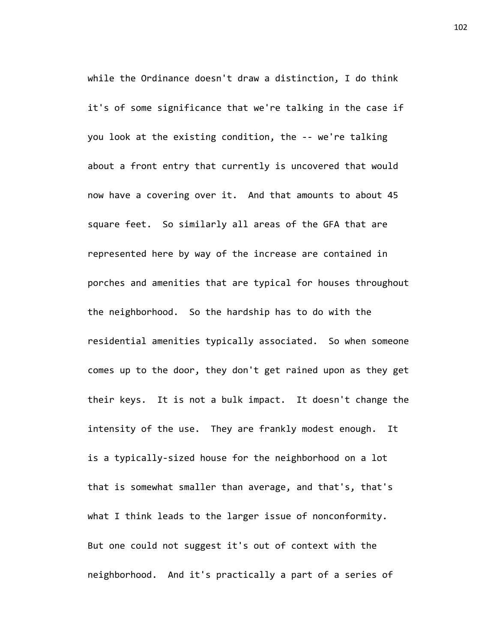while the Ordinance doesn't draw a distinction, I do think it's of some significance that we're talking in the case if you look at the existing condition, the -- we're talking about a front entry that currently is uncovered that would now have a covering over it. And that amounts to about 45 square feet. So similarly all areas of the GFA that are represented here by way of the increase are contained in porches and amenities that are typical for houses throughout the neighborhood. So the hardship has to do with the residential amenities typically associated. So when someone comes up to the door, they don't get rained upon as they get their keys. It is not a bulk impact. It doesn't change the intensity of the use. They are frankly modest enough. It is a typically-sized house for the neighborhood on a lot that is somewhat smaller than average, and that's, that's what I think leads to the larger issue of nonconformity. But one could not suggest it's out of context with the neighborhood. And it's practically a part of a series of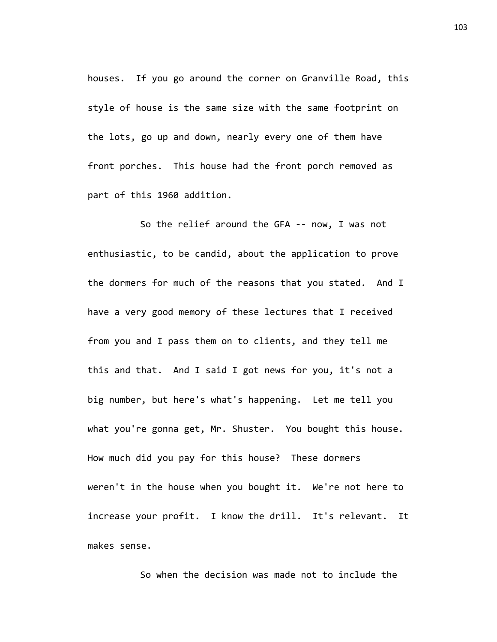houses. If you go around the corner on Granville Road, this style of house is the same size with the same footprint on the lots, go up and down, nearly every one of them have front porches. This house had the front porch removed as part of this 1960 addition.

So the relief around the GFA -- now, I was not enthusiastic, to be candid, about the application to prove the dormers for much of the reasons that you stated. And I have a very good memory of these lectures that I received from you and I pass them on to clients, and they tell me this and that. And I said I got news for you, it's not a big number, but here's what's happening. Let me tell you what you're gonna get, Mr. Shuster. You bought this house. How much did you pay for this house? These dormers weren't in the house when you bought it. We're not here to increase your profit. I know the drill. It's relevant. It makes sense.

So when the decision was made not to include the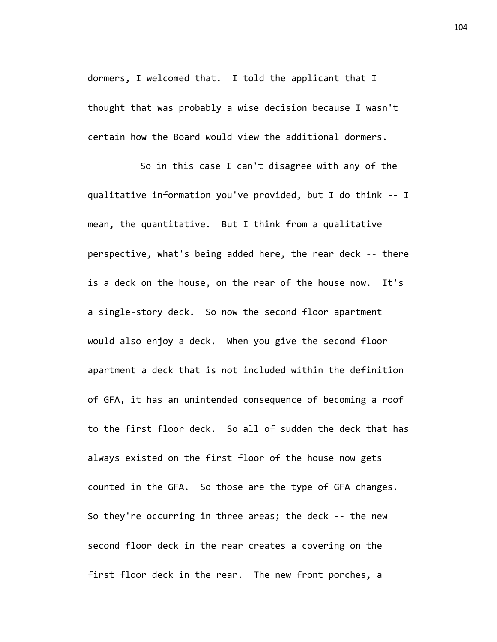dormers, I welcomed that. I told the applicant that I thought that was probably a wise decision because I wasn't certain how the Board would view the additional dormers.

So in this case I can't disagree with any of the qualitative information you've provided, but I do think -- I mean, the quantitative. But I think from a qualitative perspective, what's being added here, the rear deck -- there is a deck on the house, on the rear of the house now. It's a single-story deck. So now the second floor apartment would also enjoy a deck. When you give the second floor apartment a deck that is not included within the definition of GFA, it has an unintended consequence of becoming a roof to the first floor deck. So all of sudden the deck that has always existed on the first floor of the house now gets counted in the GFA. So those are the type of GFA changes. So they're occurring in three areas; the deck -- the new second floor deck in the rear creates a covering on the first floor deck in the rear. The new front porches, a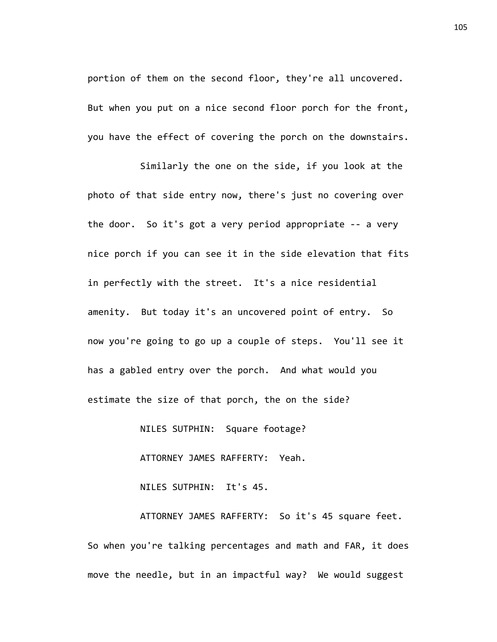portion of them on the second floor, they're all uncovered. But when you put on a nice second floor porch for the front, you have the effect of covering the porch on the downstairs.

Similarly the one on the side, if you look at the photo of that side entry now, there's just no covering over the door. So it's got a very period appropriate -- a very nice porch if you can see it in the side elevation that fits in perfectly with the street. It's a nice residential amenity. But today it's an uncovered point of entry. So now you're going to go up a couple of steps. You'll see it has a gabled entry over the porch. And what would you estimate the size of that porch, the on the side?

NILES SUTPHIN: Square footage?

ATTORNEY JAMES RAFFERTY: Yeah.

NILES SUTPHIN: It's 45.

ATTORNEY JAMES RAFFERTY: So it's 45 square feet. So when you're talking percentages and math and FAR, it does move the needle, but in an impactful way? We would suggest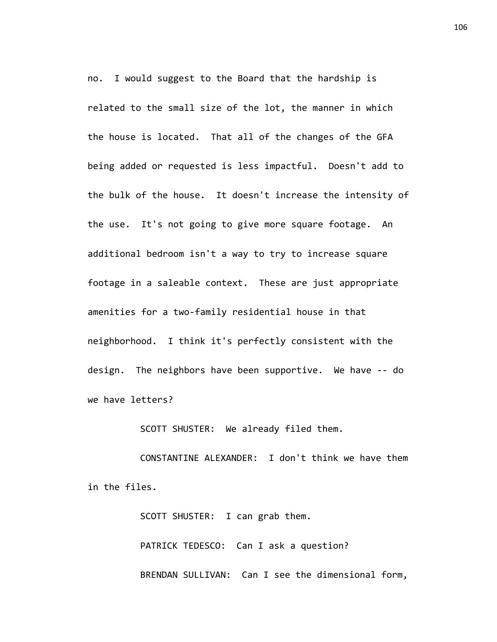no. I would suggest to the Board that the hardship is related to the small size of the lot, the manner in which the house is located. That all of the changes of the GFA being added or requested is less impactful. Doesn't add to the bulk of the house. It doesn't increase the intensity of the use. It's not going to give more square footage. An additional bedroom isn't a way to try to increase square footage in a saleable context. These are just appropriate amenities for a two-family residential house in that neighborhood. I think it's perfectly consistent with the design. The neighbors have been supportive. We have -- do we have letters?

SCOTT SHUSTER: We already filed them.

CONSTANTINE ALEXANDER: I don't think we have them in the files.

> SCOTT SHUSTER: I can grab them. PATRICK TEDESCO: Can I ask a question? BRENDAN SULLIVAN: Can I see the dimensional form,

106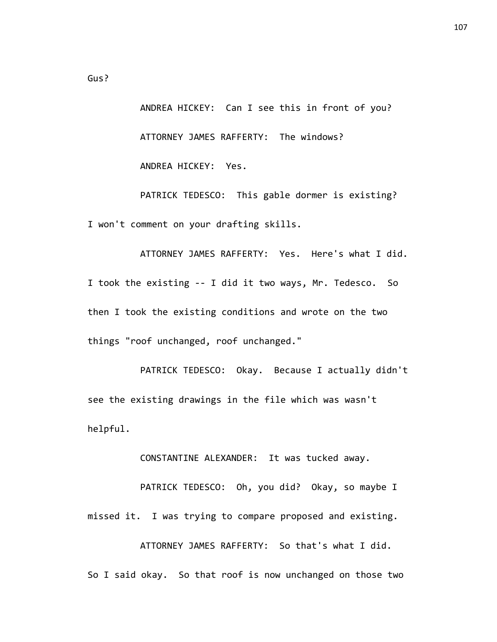ANDREA HICKEY: Can I see this in front of you? ATTORNEY JAMES RAFFERTY: The windows? ANDREA HICKEY: Yes.

PATRICK TEDESCO: This gable dormer is existing? I won't comment on your drafting skills.

ATTORNEY JAMES RAFFERTY: Yes. Here's what I did. I took the existing -- I did it two ways, Mr. Tedesco. So then I took the existing conditions and wrote on the two things "roof unchanged, roof unchanged."

PATRICK TEDESCO: Okay. Because I actually didn't see the existing drawings in the file which was wasn't helpful.

CONSTANTINE ALEXANDER: It was tucked away.

PATRICK TEDESCO: Oh, you did? Okay, so maybe I missed it. I was trying to compare proposed and existing.

ATTORNEY JAMES RAFFERTY: So that's what I did. So I said okay. So that roof is now unchanged on those two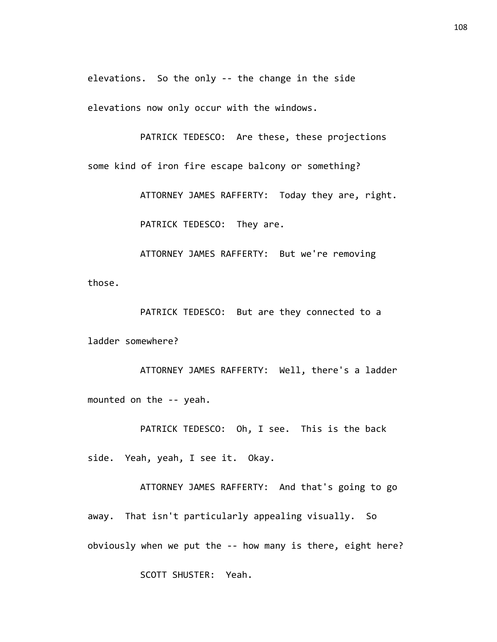elevations. So the only -- the change in the side

elevations now only occur with the windows.

PATRICK TEDESCO: Are these, these projections some kind of iron fire escape balcony or something?

> ATTORNEY JAMES RAFFERTY: Today they are, right. PATRICK TEDESCO: They are.

ATTORNEY JAMES RAFFERTY: But we're removing those.

PATRICK TEDESCO: But are they connected to a ladder somewhere?

ATTORNEY JAMES RAFFERTY: Well, there's a ladder mounted on the -- yeah.

PATRICK TEDESCO: Oh, I see. This is the back side. Yeah, yeah, I see it. Okay.

ATTORNEY JAMES RAFFERTY: And that's going to go away. That isn't particularly appealing visually. So obviously when we put the -- how many is there, eight here?

SCOTT SHUSTER: Yeah.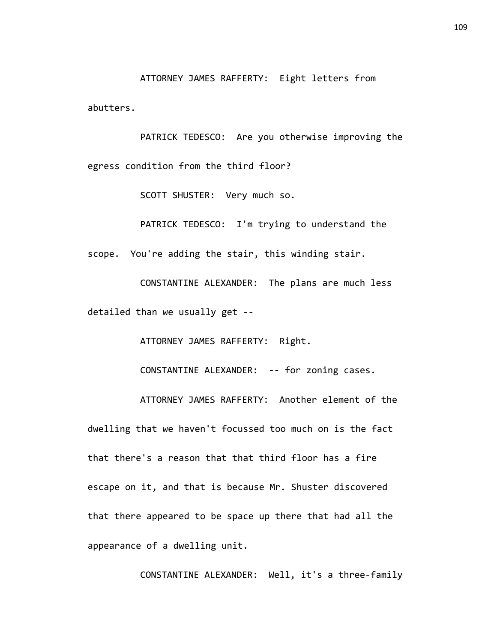ATTORNEY JAMES RAFFERTY: Eight letters from abutters.

PATRICK TEDESCO: Are you otherwise improving the egress condition from the third floor?

SCOTT SHUSTER: Very much so.

PATRICK TEDESCO: I'm trying to understand the scope. You're adding the stair, this winding stair.

CONSTANTINE ALEXANDER: The plans are much less detailed than we usually get --

ATTORNEY JAMES RAFFERTY: Right.

CONSTANTINE ALEXANDER: -- for zoning cases.

ATTORNEY JAMES RAFFERTY: Another element of the dwelling that we haven't focussed too much on is the fact that there's a reason that that third floor has a fire escape on it, and that is because Mr. Shuster discovered that there appeared to be space up there that had all the appearance of a dwelling unit.

CONSTANTINE ALEXANDER: Well, it's a three-family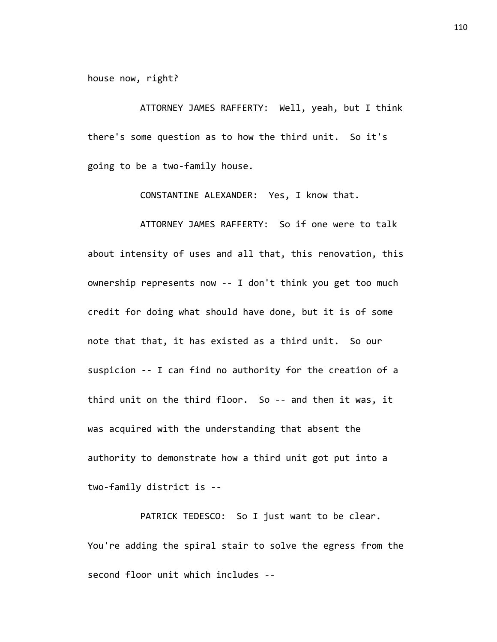house now, right?

ATTORNEY JAMES RAFFERTY: Well, yeah, but I think there's some question as to how the third unit. So it's going to be a two-family house.

CONSTANTINE ALEXANDER: Yes, I know that.

ATTORNEY JAMES RAFFERTY: So if one were to talk about intensity of uses and all that, this renovation, this ownership represents now -- I don't think you get too much credit for doing what should have done, but it is of some note that that, it has existed as a third unit. So our suspicion -- I can find no authority for the creation of a third unit on the third floor. So -- and then it was, it was acquired with the understanding that absent the authority to demonstrate how a third unit got put into a two-family district is --

PATRICK TEDESCO: So I just want to be clear. You're adding the spiral stair to solve the egress from the second floor unit which includes --

110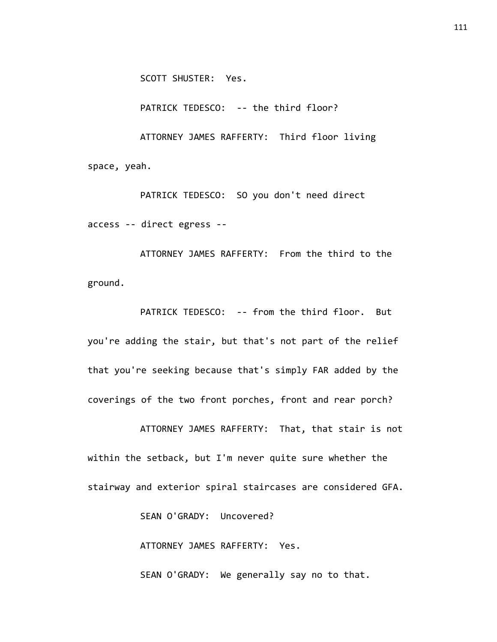SCOTT SHUSTER: Yes.

PATRICK TEDESCO: -- the third floor?

ATTORNEY JAMES RAFFERTY: Third floor living space, yeah.

PATRICK TEDESCO: SO you don't need direct access -- direct egress --

ATTORNEY JAMES RAFFERTY: From the third to the ground.

PATRICK TEDESCO: -- from the third floor. But you're adding the stair, but that's not part of the relief that you're seeking because that's simply FAR added by the coverings of the two front porches, front and rear porch?

ATTORNEY JAMES RAFFERTY: That, that stair is not within the setback, but I'm never quite sure whether the stairway and exterior spiral staircases are considered GFA.

SEAN O'GRADY: Uncovered?

ATTORNEY JAMES RAFFERTY: Yes.

SEAN O'GRADY: We generally say no to that.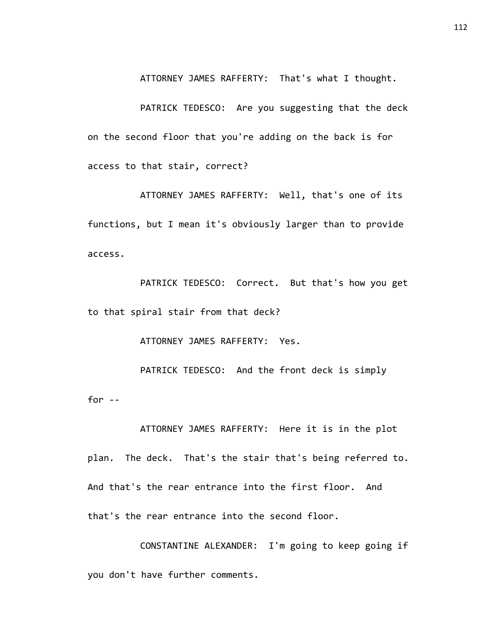ATTORNEY JAMES RAFFERTY: That's what I thought.

PATRICK TEDESCO: Are you suggesting that the deck on the second floor that you're adding on the back is for access to that stair, correct?

ATTORNEY JAMES RAFFERTY: Well, that's one of its functions, but I mean it's obviously larger than to provide access.

PATRICK TEDESCO: Correct. But that's how you get to that spiral stair from that deck?

ATTORNEY JAMES RAFFERTY: Yes.

PATRICK TEDESCO: And the front deck is simply for  $-$ 

ATTORNEY JAMES RAFFERTY: Here it is in the plot plan. The deck. That's the stair that's being referred to. And that's the rear entrance into the first floor. And that's the rear entrance into the second floor.

CONSTANTINE ALEXANDER: I'm going to keep going if you don't have further comments.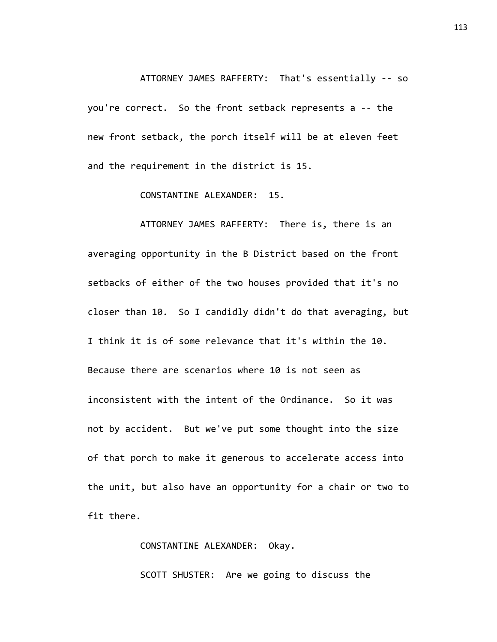## ATTORNEY JAMES RAFFERTY: That's essentially -- so you're correct. So the front setback represents a -- the new front setback, the porch itself will be at eleven feet and the requirement in the district is 15.

CONSTANTINE ALEXANDER: 15.

ATTORNEY JAMES RAFFERTY: There is, there is an averaging opportunity in the B District based on the front setbacks of either of the two houses provided that it's no closer than 10. So I candidly didn't do that averaging, but I think it is of some relevance that it's within the 10. Because there are scenarios where 10 is not seen as inconsistent with the intent of the Ordinance. So it was not by accident. But we've put some thought into the size of that porch to make it generous to accelerate access into the unit, but also have an opportunity for a chair or two to fit there.

CONSTANTINE ALEXANDER: Okay.

SCOTT SHUSTER: Are we going to discuss the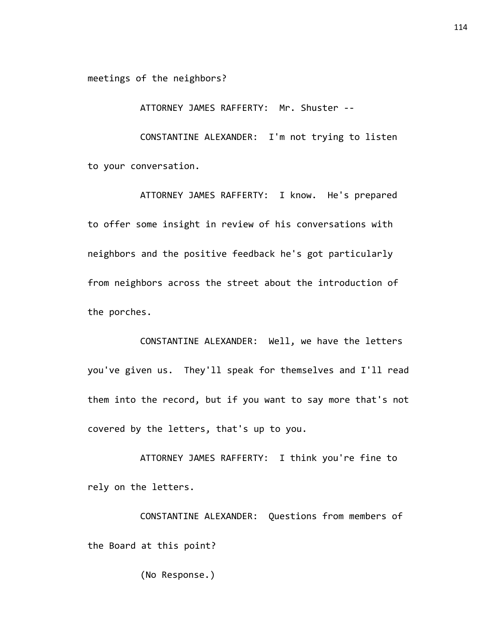meetings of the neighbors?

ATTORNEY JAMES RAFFERTY: Mr. Shuster --

CONSTANTINE ALEXANDER: I'm not trying to listen to your conversation.

ATTORNEY JAMES RAFFERTY: I know. He's prepared to offer some insight in review of his conversations with neighbors and the positive feedback he's got particularly from neighbors across the street about the introduction of the porches.

CONSTANTINE ALEXANDER: Well, we have the letters you've given us. They'll speak for themselves and I'll read them into the record, but if you want to say more that's not covered by the letters, that's up to you.

ATTORNEY JAMES RAFFERTY: I think you're fine to rely on the letters.

CONSTANTINE ALEXANDER: Questions from members of the Board at this point?

(No Response.)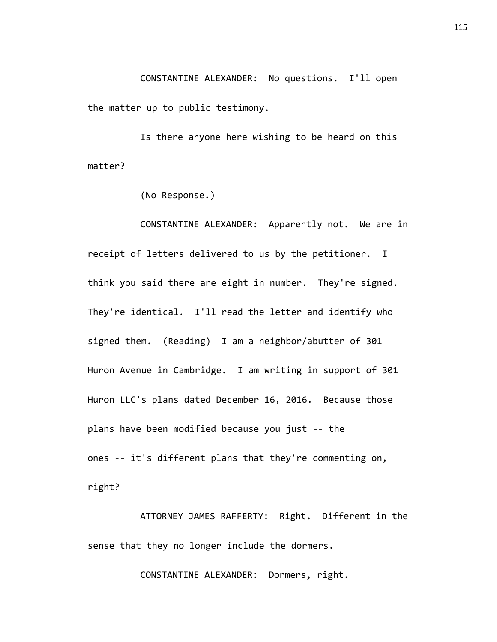CONSTANTINE ALEXANDER: No questions. I'll open the matter up to public testimony.

Is there anyone here wishing to be heard on this matter?

(No Response.)

CONSTANTINE ALEXANDER: Apparently not. We are in receipt of letters delivered to us by the petitioner. I think you said there are eight in number. They're signed. They're identical. I'll read the letter and identify who signed them. (Reading) I am a neighbor/abutter of 301 Huron Avenue in Cambridge. I am writing in support of 301 Huron LLC's plans dated December 16, 2016. Because those plans have been modified because you just -- the ones -- it's different plans that they're commenting on, right?

ATTORNEY JAMES RAFFERTY: Right. Different in the sense that they no longer include the dormers.

CONSTANTINE ALEXANDER: Dormers, right.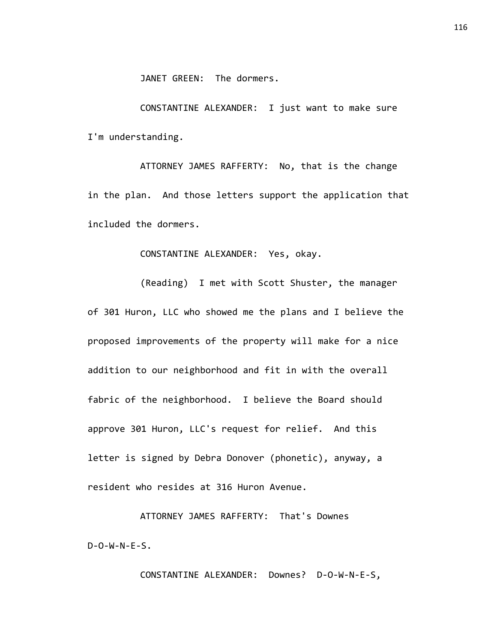JANET GREEN: The dormers.

CONSTANTINE ALEXANDER: I just want to make sure I'm understanding.

ATTORNEY JAMES RAFFERTY: No, that is the change in the plan. And those letters support the application that included the dormers.

CONSTANTINE ALEXANDER: Yes, okay.

(Reading) I met with Scott Shuster, the manager of 301 Huron, LLC who showed me the plans and I believe the proposed improvements of the property will make for a nice addition to our neighborhood and fit in with the overall fabric of the neighborhood. I believe the Board should approve 301 Huron, LLC's request for relief. And this letter is signed by Debra Donover (phonetic), anyway, a resident who resides at 316 Huron Avenue.

ATTORNEY JAMES RAFFERTY: That's Downes  $D - O - W - N - E - S$ .

CONSTANTINE ALEXANDER: Downes? D-O-W-N-E-S,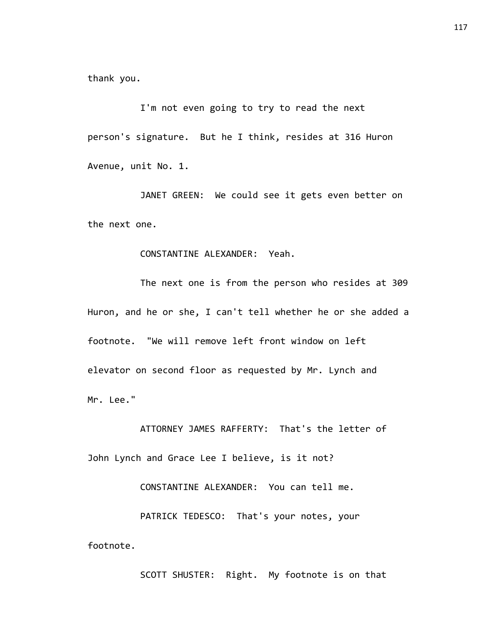thank you.

I'm not even going to try to read the next person's signature. But he I think, resides at 316 Huron Avenue, unit No. 1.

JANET GREEN: We could see it gets even better on the next one.

## CONSTANTINE ALEXANDER: Yeah.

The next one is from the person who resides at 309 Huron, and he or she, I can't tell whether he or she added a footnote. "We will remove left front window on left elevator on second floor as requested by Mr. Lynch and Mr. Lee."

ATTORNEY JAMES RAFFERTY: That's the letter of John Lynch and Grace Lee I believe, is it not?

CONSTANTINE ALEXANDER: You can tell me.

PATRICK TEDESCO: That's your notes, your footnote.

SCOTT SHUSTER: Right. My footnote is on that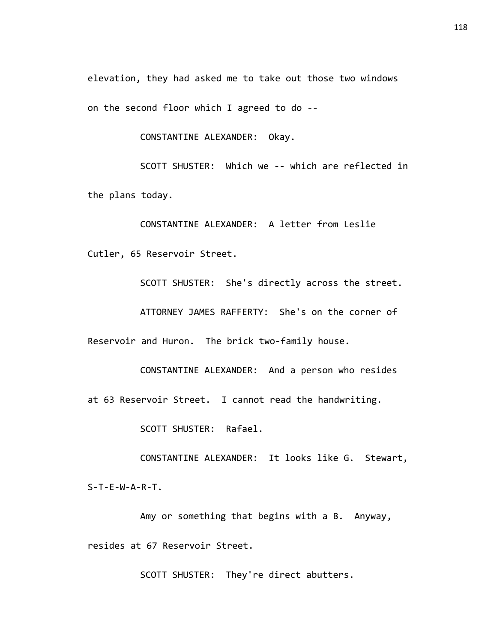elevation, they had asked me to take out those two windows on the second floor which I agreed to do --

CONSTANTINE ALEXANDER: Okay.

SCOTT SHUSTER: Which we -- which are reflected in the plans today.

CONSTANTINE ALEXANDER: A letter from Leslie Cutler, 65 Reservoir Street.

SCOTT SHUSTER: She's directly across the street. ATTORNEY JAMES RAFFERTY: She's on the corner of Reservoir and Huron. The brick two-family house.

CONSTANTINE ALEXANDER: And a person who resides at 63 Reservoir Street. I cannot read the handwriting.

SCOTT SHUSTER: Rafael.

CONSTANTINE ALEXANDER: It looks like G. Stewart, S-T-E-W-A-R-T.

Amy or something that begins with a B. Anyway, resides at 67 Reservoir Street.

SCOTT SHUSTER: They're direct abutters.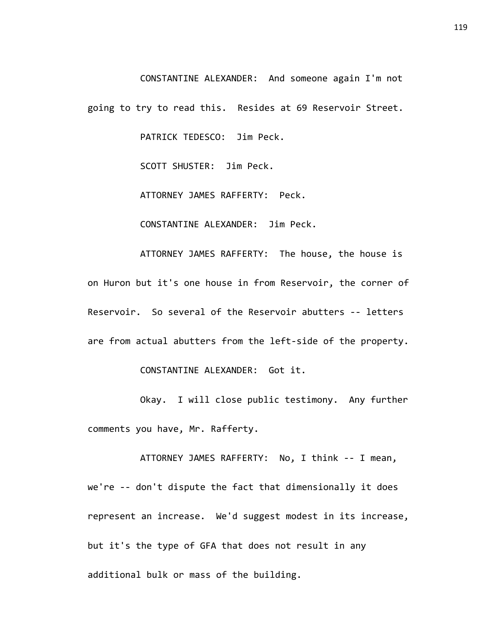CONSTANTINE ALEXANDER: And someone again I'm not

going to try to read this. Resides at 69 Reservoir Street.

PATRICK TEDESCO: Jim Peck.

SCOTT SHUSTER: Jim Peck.

ATTORNEY JAMES RAFFERTY: Peck.

CONSTANTINE ALEXANDER: Jim Peck.

ATTORNEY JAMES RAFFERTY: The house, the house is on Huron but it's one house in from Reservoir, the corner of Reservoir. So several of the Reservoir abutters -- letters are from actual abutters from the left-side of the property.

CONSTANTINE ALEXANDER: Got it.

Okay. I will close public testimony. Any further comments you have, Mr. Rafferty.

ATTORNEY JAMES RAFFERTY: No, I think -- I mean, we're -- don't dispute the fact that dimensionally it does represent an increase. We'd suggest modest in its increase, but it's the type of GFA that does not result in any additional bulk or mass of the building.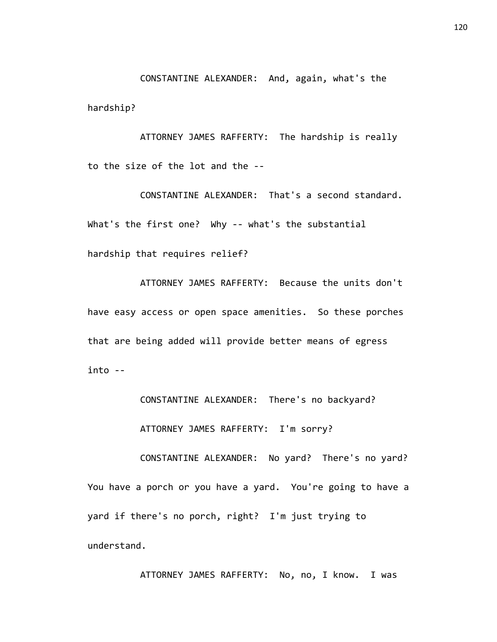CONSTANTINE ALEXANDER: And, again, what's the hardship?

ATTORNEY JAMES RAFFERTY: The hardship is really to the size of the lot and the --

CONSTANTINE ALEXANDER: That's a second standard. What's the first one? Why -- what's the substantial hardship that requires relief?

ATTORNEY JAMES RAFFERTY: Because the units don't have easy access or open space amenities. So these porches that are being added will provide better means of egress into --

CONSTANTINE ALEXANDER: There's no backyard?

ATTORNEY JAMES RAFFERTY: I'm sorry?

CONSTANTINE ALEXANDER: No yard? There's no yard? You have a porch or you have a yard. You're going to have a yard if there's no porch, right? I'm just trying to understand.

ATTORNEY JAMES RAFFERTY: No, no, I know. I was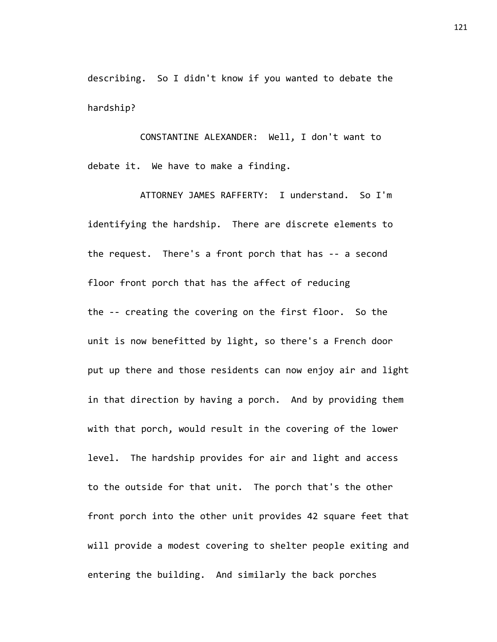describing. So I didn't know if you wanted to debate the hardship?

CONSTANTINE ALEXANDER: Well, I don't want to debate it. We have to make a finding.

ATTORNEY JAMES RAFFERTY: I understand. So I'm identifying the hardship. There are discrete elements to the request. There's a front porch that has -- a second floor front porch that has the affect of reducing the -- creating the covering on the first floor. So the unit is now benefitted by light, so there's a French door put up there and those residents can now enjoy air and light in that direction by having a porch. And by providing them with that porch, would result in the covering of the lower level. The hardship provides for air and light and access to the outside for that unit. The porch that's the other front porch into the other unit provides 42 square feet that will provide a modest covering to shelter people exiting and entering the building. And similarly the back porches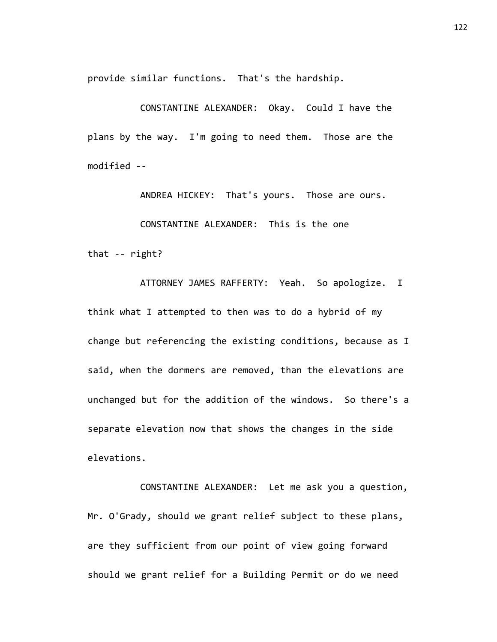provide similar functions. That's the hardship.

CONSTANTINE ALEXANDER: Okay. Could I have the plans by the way. I'm going to need them. Those are the modified --

ANDREA HICKEY: That's yours. Those are ours.

CONSTANTINE ALEXANDER: This is the one

that -- right?

ATTORNEY JAMES RAFFERTY: Yeah. So apologize. I think what I attempted to then was to do a hybrid of my change but referencing the existing conditions, because as I said, when the dormers are removed, than the elevations are unchanged but for the addition of the windows. So there's a separate elevation now that shows the changes in the side elevations.

CONSTANTINE ALEXANDER: Let me ask you a question, Mr. O'Grady, should we grant relief subject to these plans, are they sufficient from our point of view going forward should we grant relief for a Building Permit or do we need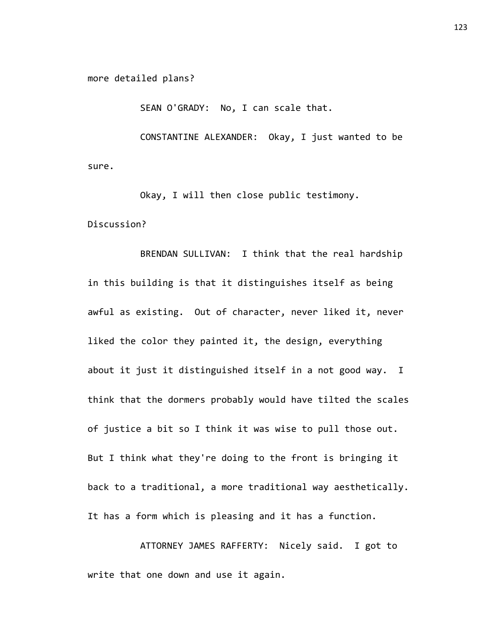more detailed plans?

SEAN O'GRADY: No, I can scale that.

CONSTANTINE ALEXANDER: Okay, I just wanted to be sure.

Okay, I will then close public testimony. Discussion?

BRENDAN SULLIVAN: I think that the real hardship in this building is that it distinguishes itself as being awful as existing. Out of character, never liked it, never liked the color they painted it, the design, everything about it just it distinguished itself in a not good way. I think that the dormers probably would have tilted the scales of justice a bit so I think it was wise to pull those out. But I think what they're doing to the front is bringing it back to a traditional, a more traditional way aesthetically. It has a form which is pleasing and it has a function.

ATTORNEY JAMES RAFFERTY: Nicely said. I got to write that one down and use it again.

123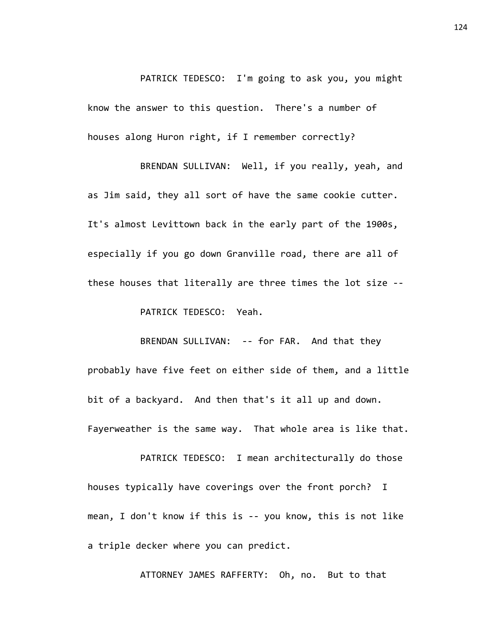PATRICK TEDESCO: I'm going to ask you, you might know the answer to this question. There's a number of houses along Huron right, if I remember correctly?

BRENDAN SULLIVAN: Well, if you really, yeah, and as Jim said, they all sort of have the same cookie cutter. It's almost Levittown back in the early part of the 1900s, especially if you go down Granville road, there are all of these houses that literally are three times the lot size --

PATRICK TEDESCO: Yeah.

BRENDAN SULLIVAN: -- for FAR. And that they probably have five feet on either side of them, and a little bit of a backyard. And then that's it all up and down. Fayerweather is the same way. That whole area is like that.

PATRICK TEDESCO: I mean architecturally do those houses typically have coverings over the front porch? I mean, I don't know if this is -- you know, this is not like a triple decker where you can predict.

ATTORNEY JAMES RAFFERTY: Oh, no. But to that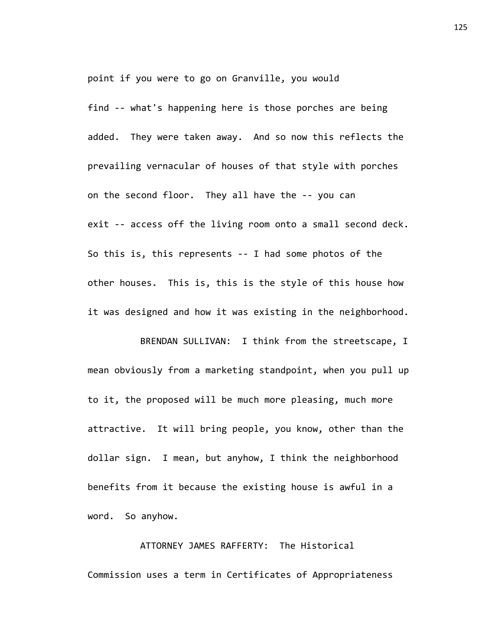point if you were to go on Granville, you would

find -- what's happening here is those porches are being added. They were taken away. And so now this reflects the prevailing vernacular of houses of that style with porches on the second floor. They all have the -- you can exit -- access off the living room onto a small second deck. So this is, this represents -- I had some photos of the other houses. This is, this is the style of this house how it was designed and how it was existing in the neighborhood.

BRENDAN SULLIVAN: I think from the streetscape, I mean obviously from a marketing standpoint, when you pull up to it, the proposed will be much more pleasing, much more attractive. It will bring people, you know, other than the dollar sign. I mean, but anyhow, I think the neighborhood benefits from it because the existing house is awful in a word. So anyhow.

ATTORNEY JAMES RAFFERTY: The Historical Commission uses a term in Certificates of Appropriateness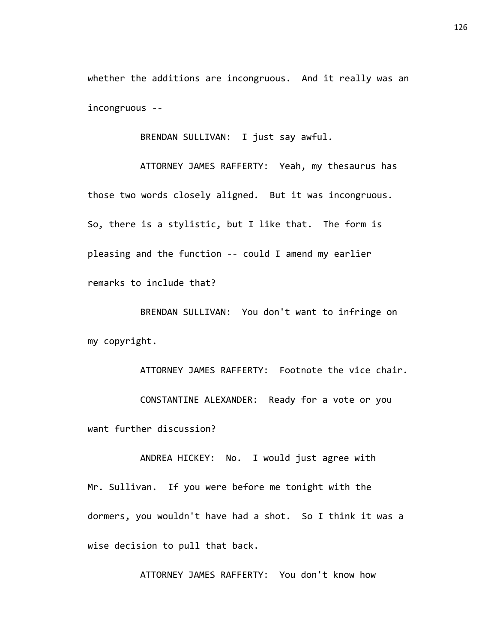whether the additions are incongruous. And it really was an incongruous --

BRENDAN SULLIVAN: I just say awful.

ATTORNEY JAMES RAFFERTY: Yeah, my thesaurus has those two words closely aligned. But it was incongruous. So, there is a stylistic, but I like that. The form is pleasing and the function -- could I amend my earlier remarks to include that?

BRENDAN SULLIVAN: You don't want to infringe on my copyright.

ATTORNEY JAMES RAFFERTY: Footnote the vice chair. CONSTANTINE ALEXANDER: Ready for a vote or you want further discussion?

ANDREA HICKEY: No. I would just agree with Mr. Sullivan. If you were before me tonight with the dormers, you wouldn't have had a shot. So I think it was a wise decision to pull that back.

ATTORNEY JAMES RAFFERTY: You don't know how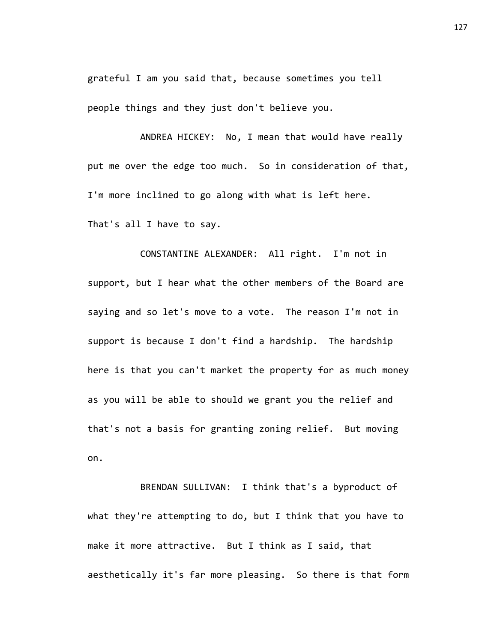grateful I am you said that, because sometimes you tell people things and they just don't believe you.

ANDREA HICKEY: No, I mean that would have really put me over the edge too much. So in consideration of that, I'm more inclined to go along with what is left here. That's all I have to say.

CONSTANTINE ALEXANDER: All right. I'm not in support, but I hear what the other members of the Board are saying and so let's move to a vote. The reason I'm not in support is because I don't find a hardship. The hardship here is that you can't market the property for as much money as you will be able to should we grant you the relief and that's not a basis for granting zoning relief. But moving on.

BRENDAN SULLIVAN: I think that's a byproduct of what they're attempting to do, but I think that you have to make it more attractive. But I think as I said, that aesthetically it's far more pleasing. So there is that form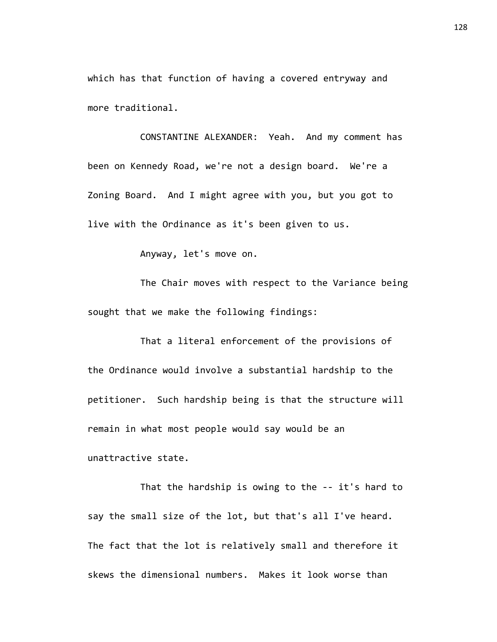which has that function of having a covered entryway and more traditional.

CONSTANTINE ALEXANDER: Yeah. And my comment has been on Kennedy Road, we're not a design board. We're a Zoning Board. And I might agree with you, but you got to live with the Ordinance as it's been given to us.

Anyway, let's move on.

The Chair moves with respect to the Variance being sought that we make the following findings:

That a literal enforcement of the provisions of the Ordinance would involve a substantial hardship to the petitioner. Such hardship being is that the structure will remain in what most people would say would be an unattractive state.

That the hardship is owing to the -- it's hard to say the small size of the lot, but that's all I've heard. The fact that the lot is relatively small and therefore it skews the dimensional numbers. Makes it look worse than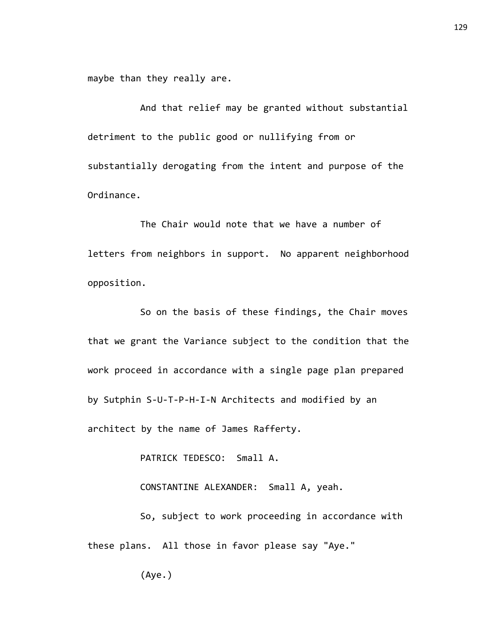maybe than they really are.

And that relief may be granted without substantial detriment to the public good or nullifying from or substantially derogating from the intent and purpose of the Ordinance.

The Chair would note that we have a number of letters from neighbors in support. No apparent neighborhood opposition.

So on the basis of these findings, the Chair moves that we grant the Variance subject to the condition that the work proceed in accordance with a single page plan prepared by Sutphin S-U-T-P-H-I-N Architects and modified by an architect by the name of James Rafferty.

PATRICK TEDESCO: Small A.

CONSTANTINE ALEXANDER: Small A, yeah.

So, subject to work proceeding in accordance with these plans. All those in favor please say "Aye."

129

(Aye.)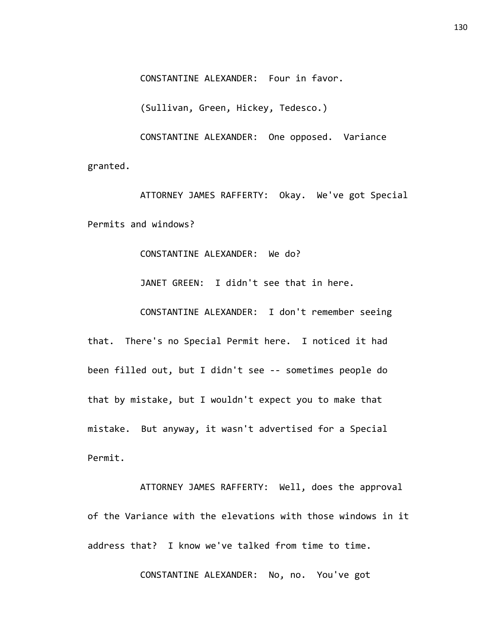CONSTANTINE ALEXANDER: Four in favor.

(Sullivan, Green, Hickey, Tedesco.)

CONSTANTINE ALEXANDER: One opposed. Variance granted.

ATTORNEY JAMES RAFFERTY: Okay. We've got Special Permits and windows?

CONSTANTINE ALEXANDER: We do?

JANET GREEN: I didn't see that in here.

CONSTANTINE ALEXANDER: I don't remember seeing

that. There's no Special Permit here. I noticed it had been filled out, but I didn't see -- sometimes people do that by mistake, but I wouldn't expect you to make that mistake. But anyway, it wasn't advertised for a Special Permit.

ATTORNEY JAMES RAFFERTY: Well, does the approval of the Variance with the elevations with those windows in it address that? I know we've talked from time to time.

CONSTANTINE ALEXANDER: No, no. You've got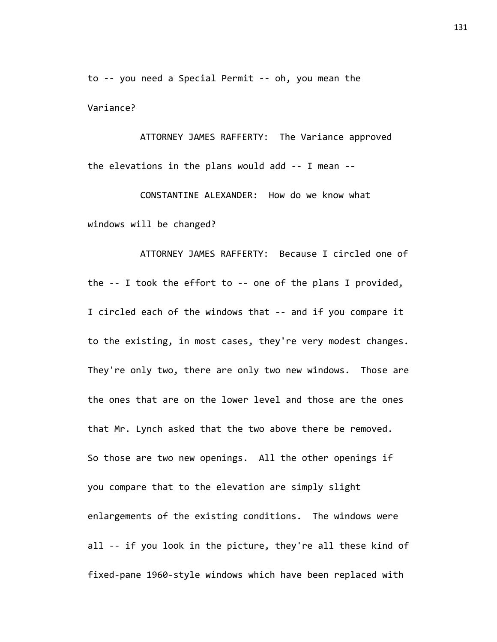to -- you need a Special Permit -- oh, you mean the Variance?

ATTORNEY JAMES RAFFERTY: The Variance approved the elevations in the plans would add -- I mean --

CONSTANTINE ALEXANDER: How do we know what windows will be changed?

ATTORNEY JAMES RAFFERTY: Because I circled one of the -- I took the effort to -- one of the plans I provided, I circled each of the windows that -- and if you compare it to the existing, in most cases, they're very modest changes. They're only two, there are only two new windows. Those are the ones that are on the lower level and those are the ones that Mr. Lynch asked that the two above there be removed. So those are two new openings. All the other openings if you compare that to the elevation are simply slight enlargements of the existing conditions. The windows were all -- if you look in the picture, they're all these kind of fixed-pane 1960-style windows which have been replaced with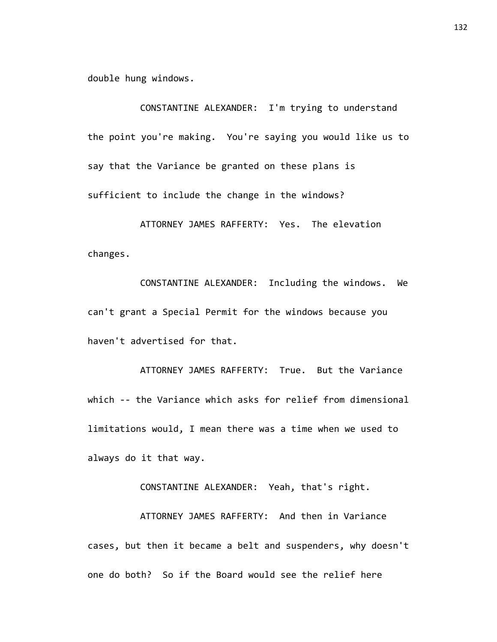double hung windows.

CONSTANTINE ALEXANDER: I'm trying to understand the point you're making. You're saying you would like us to say that the Variance be granted on these plans is sufficient to include the change in the windows?

ATTORNEY JAMES RAFFERTY: Yes. The elevation changes.

CONSTANTINE ALEXANDER: Including the windows. We can't grant a Special Permit for the windows because you haven't advertised for that.

ATTORNEY JAMES RAFFERTY: True. But the Variance which -- the Variance which asks for relief from dimensional limitations would, I mean there was a time when we used to always do it that way.

CONSTANTINE ALEXANDER: Yeah, that's right.

ATTORNEY JAMES RAFFERTY: And then in Variance cases, but then it became a belt and suspenders, why doesn't one do both? So if the Board would see the relief here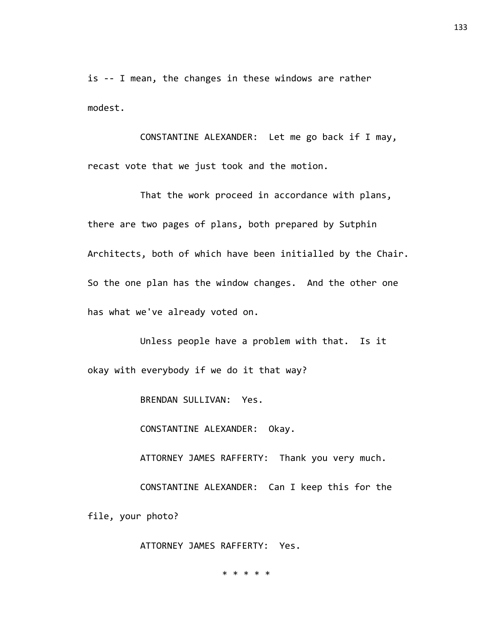is -- I mean, the changes in these windows are rather modest.

CONSTANTINE ALEXANDER: Let me go back if I may, recast vote that we just took and the motion.

That the work proceed in accordance with plans, there are two pages of plans, both prepared by Sutphin Architects, both of which have been initialled by the Chair. So the one plan has the window changes. And the other one has what we've already voted on.

Unless people have a problem with that. Is it okay with everybody if we do it that way?

BRENDAN SULLIVAN: Yes.

CONSTANTINE ALEXANDER: Okay.

ATTORNEY JAMES RAFFERTY: Thank you very much.

CONSTANTINE ALEXANDER: Can I keep this for the

file, your photo?

ATTORNEY JAMES RAFFERTY: Yes.

\* \* \* \* \*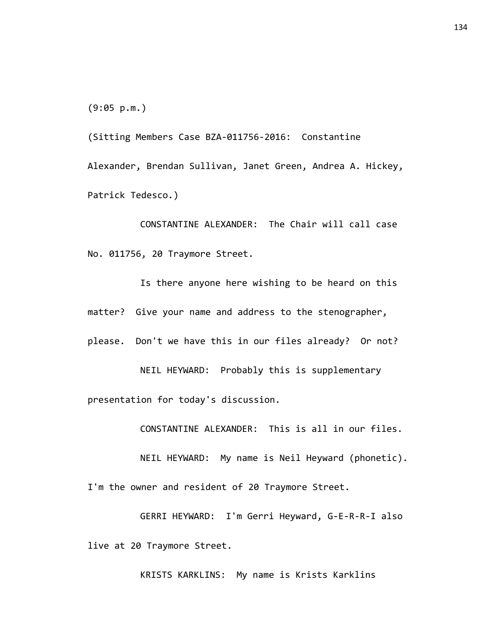(9:05 p.m.)

(Sitting Members Case BZA-011756-2016: Constantine Alexander, Brendan Sullivan, Janet Green, Andrea A. Hickey, Patrick Tedesco.)

CONSTANTINE ALEXANDER: The Chair will call case No. 011756, 20 Traymore Street.

Is there anyone here wishing to be heard on this matter? Give your name and address to the stenographer, please. Don't we have this in our files already? Or not?

NEIL HEYWARD: Probably this is supplementary presentation for today's discussion.

CONSTANTINE ALEXANDER: This is all in our files.

NEIL HEYWARD: My name is Neil Heyward (phonetic).

I'm the owner and resident of 20 Traymore Street.

GERRI HEYWARD: I'm Gerri Heyward, G-E-R-R-I also live at 20 Traymore Street.

KRISTS KARKLINS: My name is Krists Karklins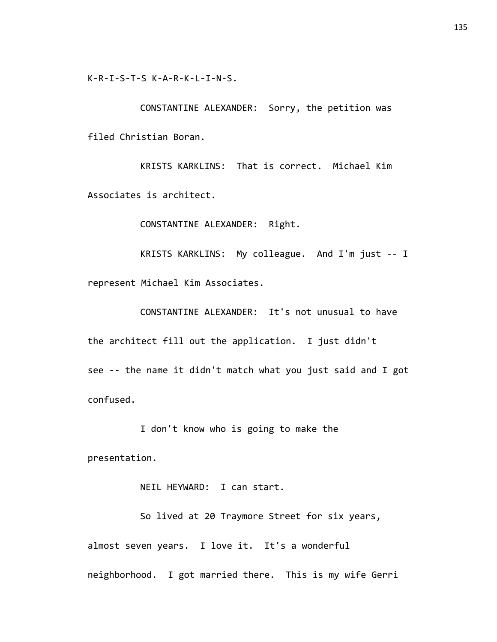K-R-I-S-T-S K-A-R-K-L-I-N-S.

CONSTANTINE ALEXANDER: Sorry, the petition was filed Christian Boran.

KRISTS KARKLINS: That is correct. Michael Kim Associates is architect.

CONSTANTINE ALEXANDER: Right.

KRISTS KARKLINS: My colleague. And I'm just -- I represent Michael Kim Associates.

CONSTANTINE ALEXANDER: It's not unusual to have the architect fill out the application. I just didn't see -- the name it didn't match what you just said and I got confused.

I don't know who is going to make the presentation.

NEIL HEYWARD: I can start.

So lived at 20 Traymore Street for six years, almost seven years. I love it. It's a wonderful neighborhood. I got married there. This is my wife Gerri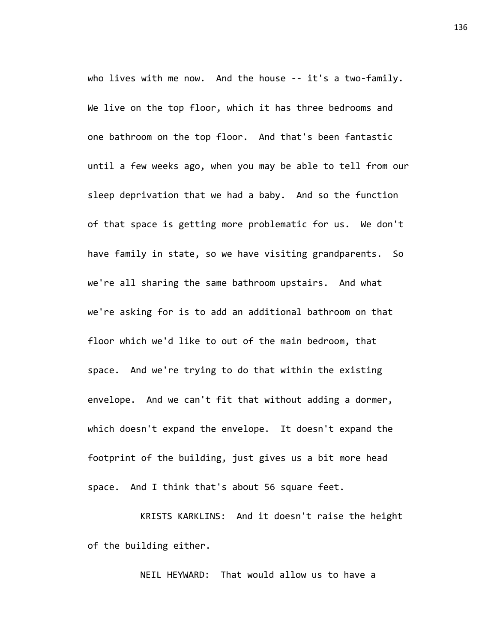who lives with me now. And the house -- it's a two-family. We live on the top floor, which it has three bedrooms and one bathroom on the top floor. And that's been fantastic until a few weeks ago, when you may be able to tell from our sleep deprivation that we had a baby. And so the function of that space is getting more problematic for us. We don't have family in state, so we have visiting grandparents. So we're all sharing the same bathroom upstairs. And what we're asking for is to add an additional bathroom on that floor which we'd like to out of the main bedroom, that space. And we're trying to do that within the existing envelope. And we can't fit that without adding a dormer, which doesn't expand the envelope. It doesn't expand the footprint of the building, just gives us a bit more head space. And I think that's about 56 square feet.

KRISTS KARKLINS: And it doesn't raise the height of the building either.

NEIL HEYWARD: That would allow us to have a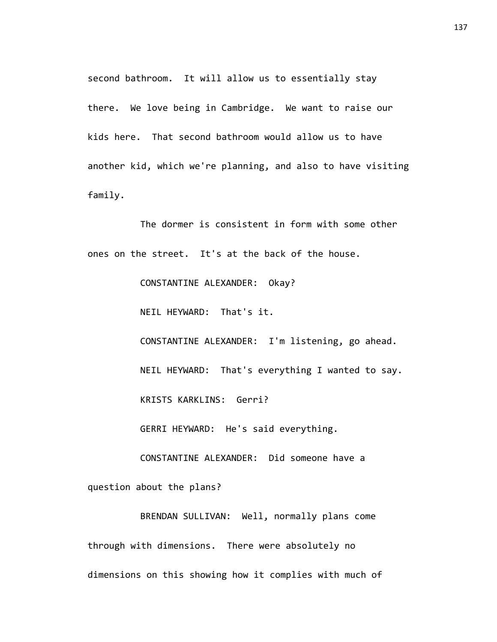second bathroom. It will allow us to essentially stay there. We love being in Cambridge. We want to raise our kids here. That second bathroom would allow us to have another kid, which we're planning, and also to have visiting family.

The dormer is consistent in form with some other ones on the street. It's at the back of the house.

CONSTANTINE ALEXANDER: Okay?

NEIL HEYWARD: That's it.

CONSTANTINE ALEXANDER: I'm listening, go ahead. NEIL HEYWARD: That's everything I wanted to say.

KRISTS KARKLINS: Gerri?

GERRI HEYWARD: He's said everything.

CONSTANTINE ALEXANDER: Did someone have a

question about the plans?

BRENDAN SULLIVAN: Well, normally plans come through with dimensions. There were absolutely no dimensions on this showing how it complies with much of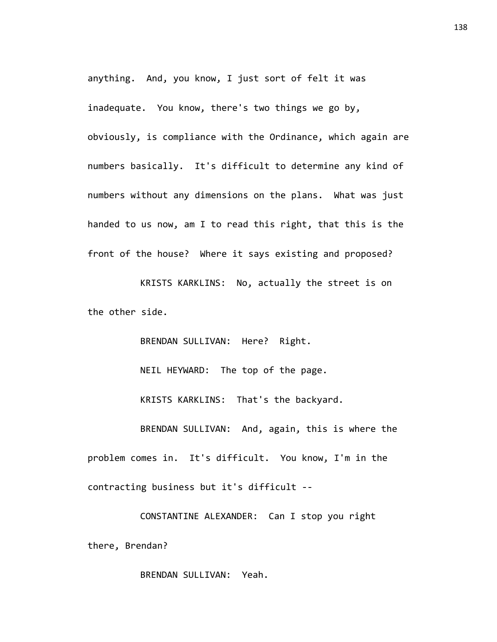anything. And, you know, I just sort of felt it was inadequate. You know, there's two things we go by, obviously, is compliance with the Ordinance, which again are numbers basically. It's difficult to determine any kind of numbers without any dimensions on the plans. What was just handed to us now, am I to read this right, that this is the front of the house? Where it says existing and proposed?

KRISTS KARKLINS: No, actually the street is on the other side.

BRENDAN SULLIVAN: Here? Right. NEIL HEYWARD: The top of the page. KRISTS KARKLINS: That's the backyard. BRENDAN SULLIVAN: And, again, this is where the problem comes in. It's difficult. You know, I'm in the contracting business but it's difficult --

CONSTANTINE ALEXANDER: Can I stop you right there, Brendan?

BRENDAN SULLIVAN: Yeah.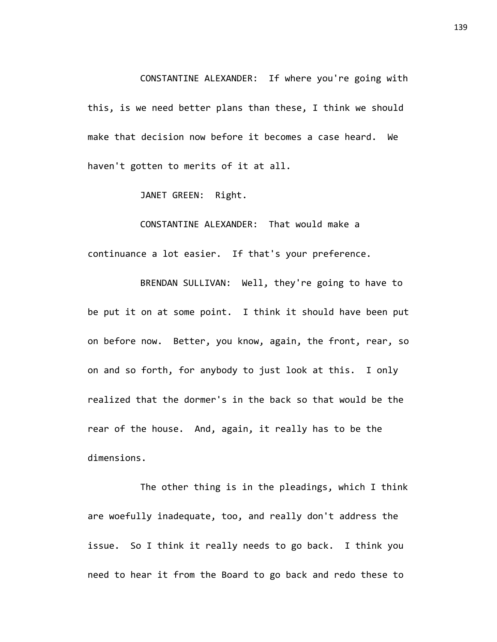CONSTANTINE ALEXANDER: If where you're going with this, is we need better plans than these, I think we should make that decision now before it becomes a case heard. We haven't gotten to merits of it at all.

JANET GREEN: Right.

CONSTANTINE ALEXANDER: That would make a continuance a lot easier. If that's your preference.

BRENDAN SULLIVAN: Well, they're going to have to be put it on at some point. I think it should have been put on before now. Better, you know, again, the front, rear, so on and so forth, for anybody to just look at this. I only realized that the dormer's in the back so that would be the rear of the house. And, again, it really has to be the dimensions.

The other thing is in the pleadings, which I think are woefully inadequate, too, and really don't address the issue. So I think it really needs to go back. I think you need to hear it from the Board to go back and redo these to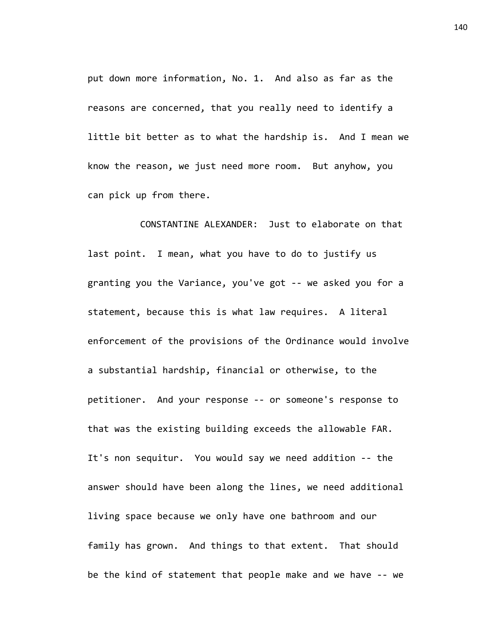put down more information, No. 1. And also as far as the reasons are concerned, that you really need to identify a little bit better as to what the hardship is. And I mean we know the reason, we just need more room. But anyhow, you can pick up from there.

CONSTANTINE ALEXANDER: Just to elaborate on that last point. I mean, what you have to do to justify us granting you the Variance, you've got -- we asked you for a statement, because this is what law requires. A literal enforcement of the provisions of the Ordinance would involve a substantial hardship, financial or otherwise, to the petitioner. And your response -- or someone's response to that was the existing building exceeds the allowable FAR. It's non sequitur. You would say we need addition -- the answer should have been along the lines, we need additional living space because we only have one bathroom and our family has grown. And things to that extent. That should be the kind of statement that people make and we have -- we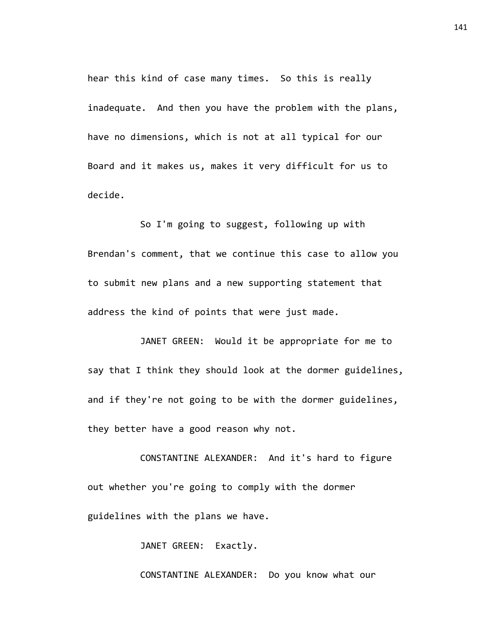hear this kind of case many times. So this is really inadequate. And then you have the problem with the plans, have no dimensions, which is not at all typical for our Board and it makes us, makes it very difficult for us to decide.

So I'm going to suggest, following up with Brendan's comment, that we continue this case to allow you to submit new plans and a new supporting statement that address the kind of points that were just made.

JANET GREEN: Would it be appropriate for me to say that I think they should look at the dormer guidelines, and if they're not going to be with the dormer guidelines, they better have a good reason why not.

CONSTANTINE ALEXANDER: And it's hard to figure out whether you're going to comply with the dormer guidelines with the plans we have.

JANET GREEN: Exactly.

CONSTANTINE ALEXANDER: Do you know what our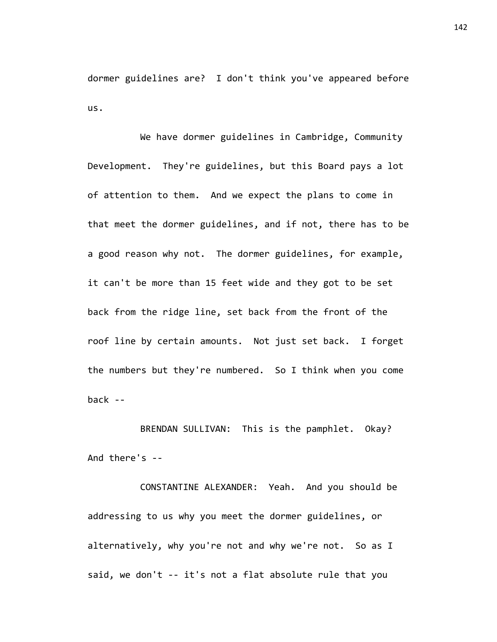dormer guidelines are? I don't think you've appeared before us.

We have dormer guidelines in Cambridge, Community Development. They're guidelines, but this Board pays a lot of attention to them. And we expect the plans to come in that meet the dormer guidelines, and if not, there has to be a good reason why not. The dormer guidelines, for example, it can't be more than 15 feet wide and they got to be set back from the ridge line, set back from the front of the roof line by certain amounts. Not just set back. I forget the numbers but they're numbered. So I think when you come back --

BRENDAN SULLIVAN: This is the pamphlet. Okay? And there's --

CONSTANTINE ALEXANDER: Yeah. And you should be addressing to us why you meet the dormer guidelines, or alternatively, why you're not and why we're not. So as I said, we don't -- it's not a flat absolute rule that you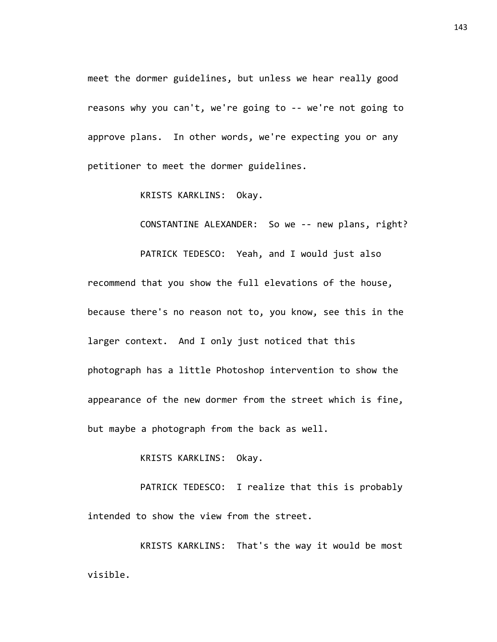meet the dormer guidelines, but unless we hear really good reasons why you can't, we're going to -- we're not going to approve plans. In other words, we're expecting you or any petitioner to meet the dormer guidelines.

KRISTS KARKLINS: Okay.

CONSTANTINE ALEXANDER: So we -- new plans, right?

PATRICK TEDESCO: Yeah, and I would just also

recommend that you show the full elevations of the house, because there's no reason not to, you know, see this in the larger context. And I only just noticed that this photograph has a little Photoshop intervention to show the appearance of the new dormer from the street which is fine, but maybe a photograph from the back as well.

KRISTS KARKLINS: Okay.

PATRICK TEDESCO: I realize that this is probably intended to show the view from the street.

KRISTS KARKLINS: That's the way it would be most visible.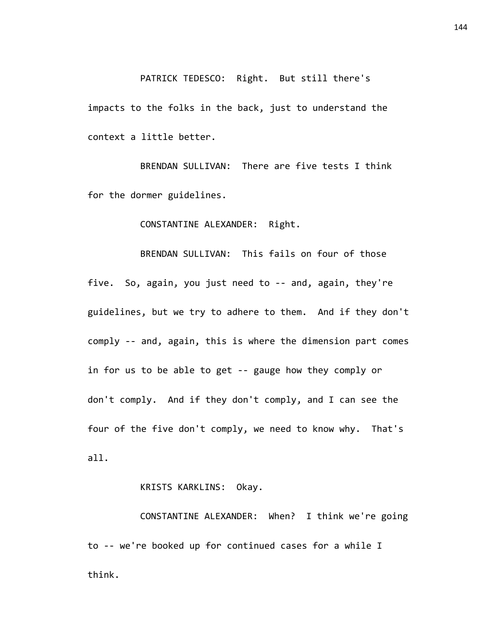## PATRICK TEDESCO: Right. But still there's

impacts to the folks in the back, just to understand the context a little better.

BRENDAN SULLIVAN: There are five tests I think for the dormer guidelines.

CONSTANTINE ALEXANDER: Right.

BRENDAN SULLIVAN: This fails on four of those five. So, again, you just need to -- and, again, they're guidelines, but we try to adhere to them. And if they don't comply -- and, again, this is where the dimension part comes in for us to be able to get -- gauge how they comply or don't comply. And if they don't comply, and I can see the four of the five don't comply, we need to know why. That's all.

KRISTS KARKLINS: Okay.

CONSTANTINE ALEXANDER: When? I think we're going to -- we're booked up for continued cases for a while I think.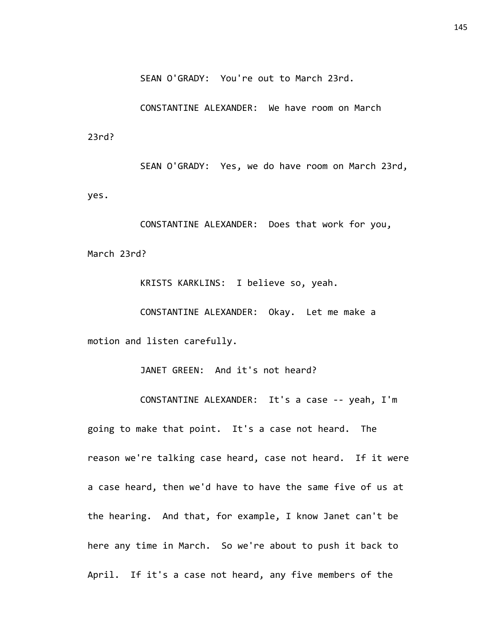SEAN O'GRADY: You're out to March 23rd.

CONSTANTINE ALEXANDER: We have room on March 23rd?

SEAN O'GRADY: Yes, we do have room on March 23rd, yes.

CONSTANTINE ALEXANDER: Does that work for you, March 23rd?

KRISTS KARKLINS: I believe so, yeah.

CONSTANTINE ALEXANDER: Okay. Let me make a motion and listen carefully.

JANET GREEN: And it's not heard?

CONSTANTINE ALEXANDER: It's a case -- yeah, I'm going to make that point. It's a case not heard. The reason we're talking case heard, case not heard. If it were a case heard, then we'd have to have the same five of us at the hearing. And that, for example, I know Janet can't be here any time in March. So we're about to push it back to April. If it's a case not heard, any five members of the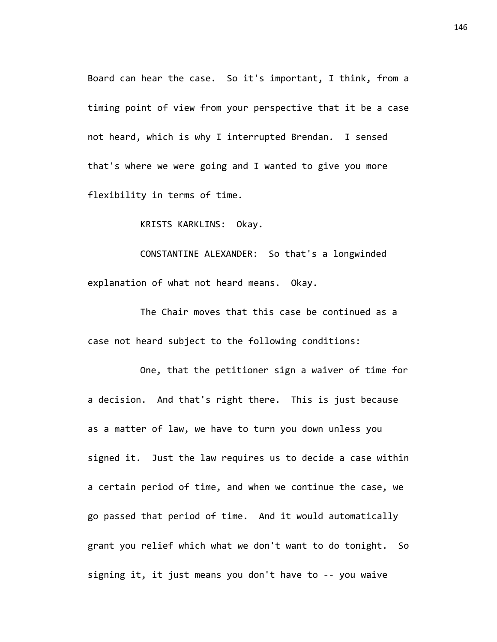Board can hear the case. So it's important, I think, from a timing point of view from your perspective that it be a case not heard, which is why I interrupted Brendan. I sensed that's where we were going and I wanted to give you more flexibility in terms of time.

KRISTS KARKLINS: Okay.

CONSTANTINE ALEXANDER: So that's a longwinded explanation of what not heard means. Okay.

The Chair moves that this case be continued as a case not heard subject to the following conditions:

One, that the petitioner sign a waiver of time for a decision. And that's right there. This is just because as a matter of law, we have to turn you down unless you signed it. Just the law requires us to decide a case within a certain period of time, and when we continue the case, we go passed that period of time. And it would automatically grant you relief which what we don't want to do tonight. So signing it, it just means you don't have to -- you waive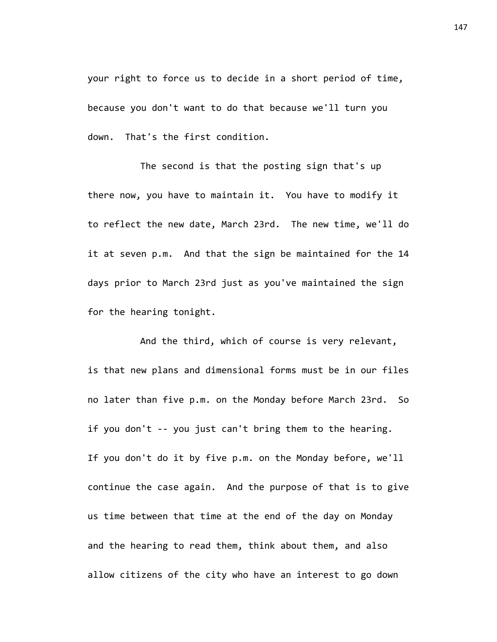your right to force us to decide in a short period of time, because you don't want to do that because we'll turn you down. That's the first condition.

The second is that the posting sign that's up there now, you have to maintain it. You have to modify it to reflect the new date, March 23rd. The new time, we'll do it at seven p.m. And that the sign be maintained for the 14 days prior to March 23rd just as you've maintained the sign for the hearing tonight.

And the third, which of course is very relevant, is that new plans and dimensional forms must be in our files no later than five p.m. on the Monday before March 23rd. So if you don't -- you just can't bring them to the hearing. If you don't do it by five p.m. on the Monday before, we'll continue the case again. And the purpose of that is to give us time between that time at the end of the day on Monday and the hearing to read them, think about them, and also allow citizens of the city who have an interest to go down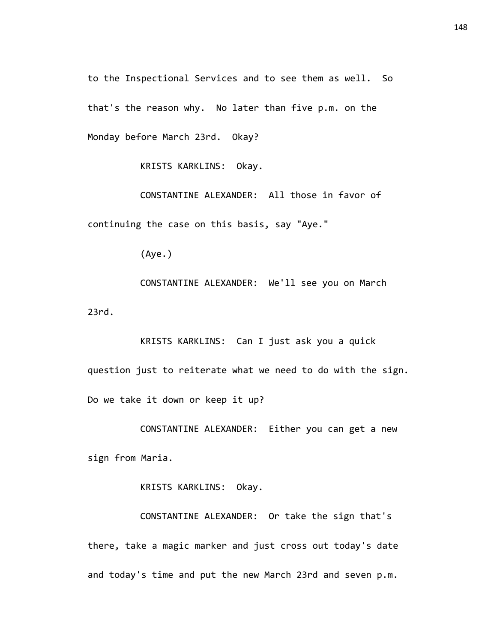to the Inspectional Services and to see them as well. So that's the reason why. No later than five p.m. on the Monday before March 23rd. Okay?

KRISTS KARKLINS: Okay.

CONSTANTINE ALEXANDER: All those in favor of continuing the case on this basis, say "Aye."

(Aye.)

CONSTANTINE ALEXANDER: We'll see you on March 23rd.

KRISTS KARKLINS: Can I just ask you a quick question just to reiterate what we need to do with the sign. Do we take it down or keep it up?

CONSTANTINE ALEXANDER: Either you can get a new sign from Maria.

KRISTS KARKLINS: Okay.

CONSTANTINE ALEXANDER: Or take the sign that's there, take a magic marker and just cross out today's date and today's time and put the new March 23rd and seven p.m.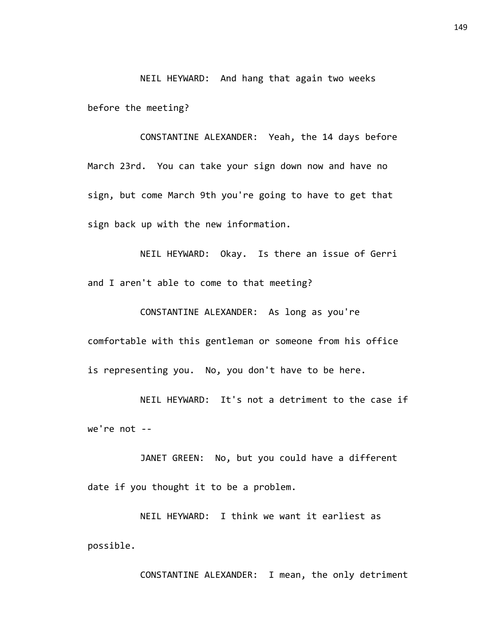NEIL HEYWARD: And hang that again two weeks before the meeting?

CONSTANTINE ALEXANDER: Yeah, the 14 days before March 23rd. You can take your sign down now and have no sign, but come March 9th you're going to have to get that sign back up with the new information.

NEIL HEYWARD: Okay. Is there an issue of Gerri and I aren't able to come to that meeting?

CONSTANTINE ALEXANDER: As long as you're comfortable with this gentleman or someone from his office is representing you. No, you don't have to be here.

NEIL HEYWARD: It's not a detriment to the case if we're not --

JANET GREEN: No, but you could have a different date if you thought it to be a problem.

NEIL HEYWARD: I think we want it earliest as possible.

CONSTANTINE ALEXANDER: I mean, the only detriment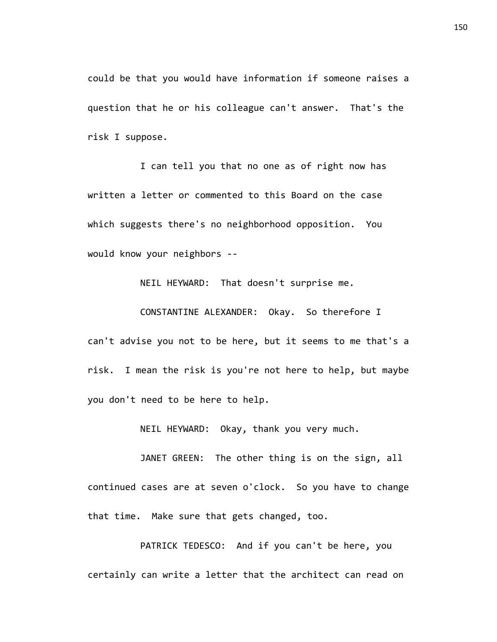could be that you would have information if someone raises a question that he or his colleague can't answer. That's the risk I suppose.

I can tell you that no one as of right now has written a letter or commented to this Board on the case which suggests there's no neighborhood opposition. You would know your neighbors --

NEIL HEYWARD: That doesn't surprise me.

CONSTANTINE ALEXANDER: Okay. So therefore I can't advise you not to be here, but it seems to me that's a risk. I mean the risk is you're not here to help, but maybe you don't need to be here to help.

NEIL HEYWARD: Okay, thank you very much.

JANET GREEN: The other thing is on the sign, all continued cases are at seven o'clock. So you have to change that time. Make sure that gets changed, too.

PATRICK TEDESCO: And if you can't be here, you certainly can write a letter that the architect can read on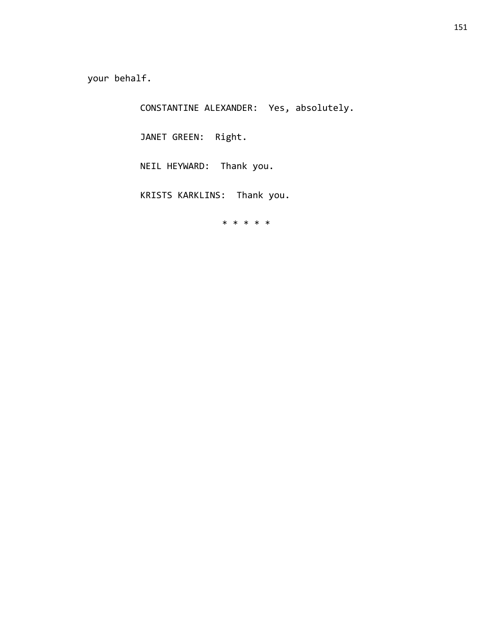your behalf.

CONSTANTINE ALEXANDER: Yes, absolutely.

JANET GREEN: Right.

NEIL HEYWARD: Thank you.

KRISTS KARKLINS: Thank you.

\* \* \* \* \*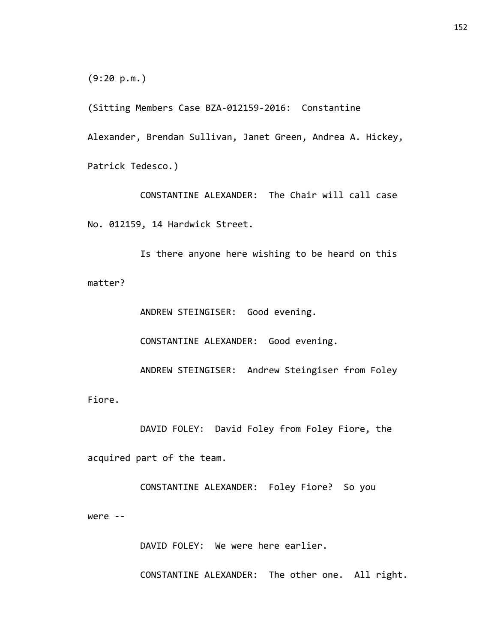(9:20 p.m.)

(Sitting Members Case BZA-012159-2016: Constantine

Alexander, Brendan Sullivan, Janet Green, Andrea A. Hickey,

Patrick Tedesco.)

CONSTANTINE ALEXANDER: The Chair will call case No. 012159, 14 Hardwick Street.

Is there anyone here wishing to be heard on this matter?

ANDREW STEINGISER: Good evening. CONSTANTINE ALEXANDER: Good evening. ANDREW STEINGISER: Andrew Steingiser from Foley Fiore.

DAVID FOLEY: David Foley from Foley Fiore, the acquired part of the team.

CONSTANTINE ALEXANDER: Foley Fiore? So you were --

DAVID FOLEY: We were here earlier.

CONSTANTINE ALEXANDER: The other one. All right.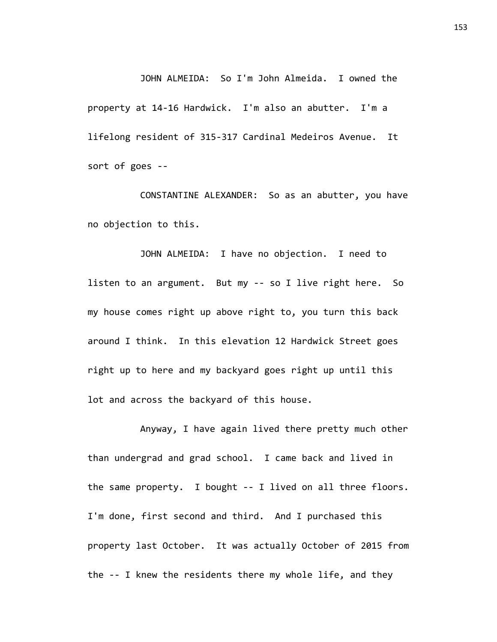JOHN ALMEIDA: So I'm John Almeida. I owned the property at 14-16 Hardwick. I'm also an abutter. I'm a lifelong resident of 315-317 Cardinal Medeiros Avenue. It sort of goes --

CONSTANTINE ALEXANDER: So as an abutter, you have no objection to this.

JOHN ALMEIDA: I have no objection. I need to listen to an argument. But my -- so I live right here. So my house comes right up above right to, you turn this back around I think. In this elevation 12 Hardwick Street goes right up to here and my backyard goes right up until this lot and across the backyard of this house.

Anyway, I have again lived there pretty much other than undergrad and grad school. I came back and lived in the same property. I bought -- I lived on all three floors. I'm done, first second and third. And I purchased this property last October. It was actually October of 2015 from the -- I knew the residents there my whole life, and they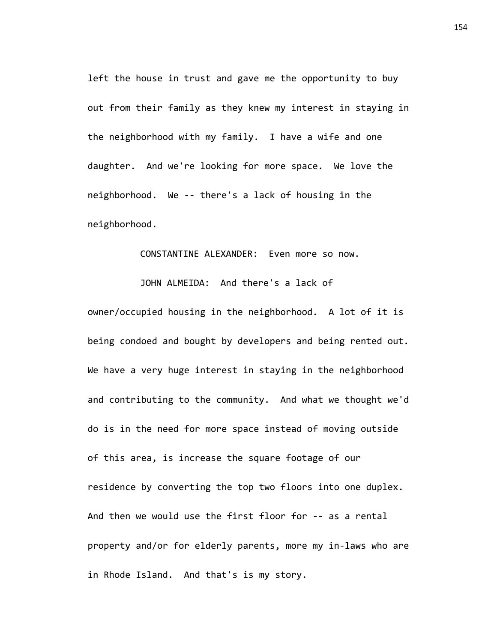left the house in trust and gave me the opportunity to buy out from their family as they knew my interest in staying in the neighborhood with my family. I have a wife and one daughter. And we're looking for more space. We love the neighborhood. We -- there's a lack of housing in the neighborhood.

## CONSTANTINE ALEXANDER: Even more so now.

JOHN ALMEIDA: And there's a lack of owner/occupied housing in the neighborhood. A lot of it is being condoed and bought by developers and being rented out. We have a very huge interest in staying in the neighborhood and contributing to the community. And what we thought we'd do is in the need for more space instead of moving outside of this area, is increase the square footage of our residence by converting the top two floors into one duplex. And then we would use the first floor for -- as a rental property and/or for elderly parents, more my in-laws who are in Rhode Island. And that's is my story.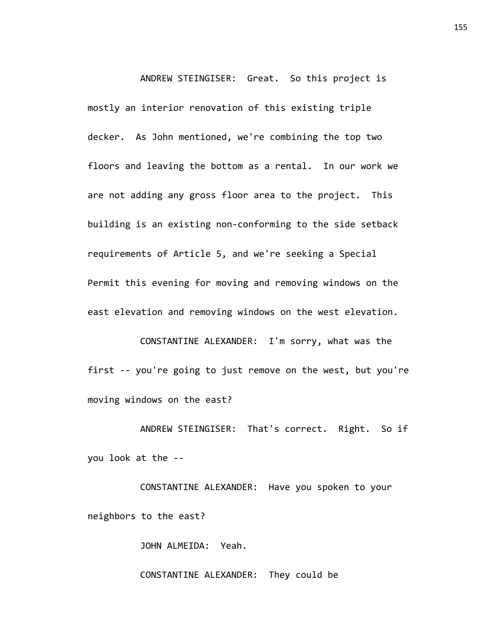ANDREW STEINGISER: Great. So this project is mostly an interior renovation of this existing triple decker. As John mentioned, we're combining the top two floors and leaving the bottom as a rental. In our work we are not adding any gross floor area to the project. This building is an existing non-conforming to the side setback requirements of Article 5, and we're seeking a Special Permit this evening for moving and removing windows on the east elevation and removing windows on the west elevation.

CONSTANTINE ALEXANDER: I'm sorry, what was the first -- you're going to just remove on the west, but you're moving windows on the east?

ANDREW STEINGISER: That's correct. Right. So if you look at the --

CONSTANTINE ALEXANDER: Have you spoken to your neighbors to the east?

JOHN ALMEIDA: Yeah.

CONSTANTINE ALEXANDER: They could be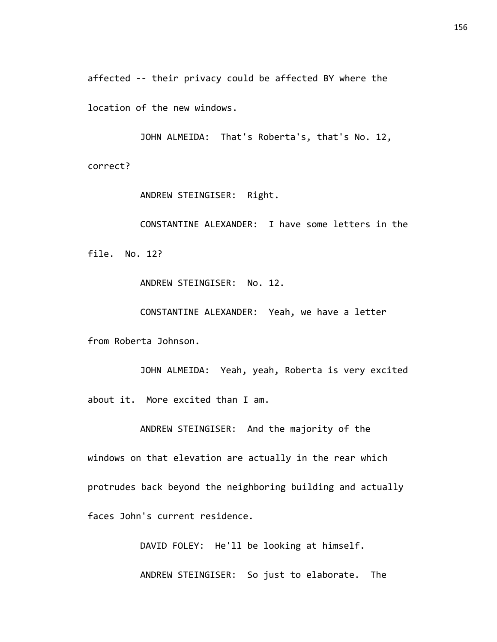affected -- their privacy could be affected BY where the

location of the new windows.

JOHN ALMEIDA: That's Roberta's, that's No. 12, correct?

ANDREW STEINGISER: Right.

CONSTANTINE ALEXANDER: I have some letters in the file. No. 12?

ANDREW STEINGISER: No. 12.

CONSTANTINE ALEXANDER: Yeah, we have a letter

from Roberta Johnson.

JOHN ALMEIDA: Yeah, yeah, Roberta is very excited about it. More excited than I am.

ANDREW STEINGISER: And the majority of the

windows on that elevation are actually in the rear which protrudes back beyond the neighboring building and actually faces John's current residence.

DAVID FOLEY: He'll be looking at himself.

ANDREW STEINGISER: So just to elaborate. The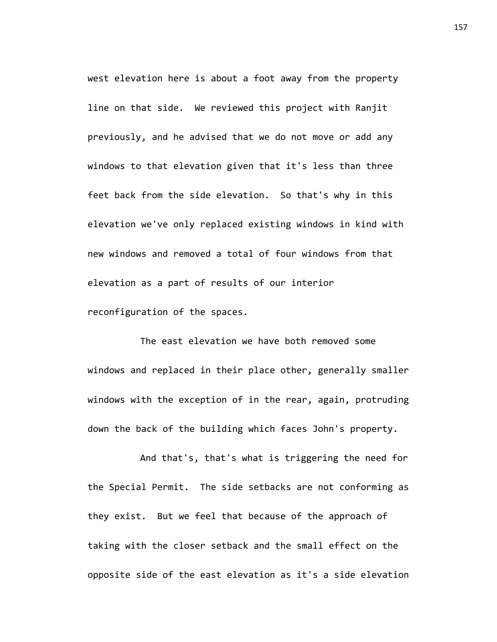west elevation here is about a foot away from the property line on that side. We reviewed this project with Ranjit previously, and he advised that we do not move or add any windows to that elevation given that it's less than three feet back from the side elevation. So that's why in this elevation we've only replaced existing windows in kind with new windows and removed a total of four windows from that elevation as a part of results of our interior reconfiguration of the spaces.

The east elevation we have both removed some windows and replaced in their place other, generally smaller windows with the exception of in the rear, again, protruding down the back of the building which faces John's property.

And that's, that's what is triggering the need for the Special Permit. The side setbacks are not conforming as they exist. But we feel that because of the approach of taking with the closer setback and the small effect on the opposite side of the east elevation as it's a side elevation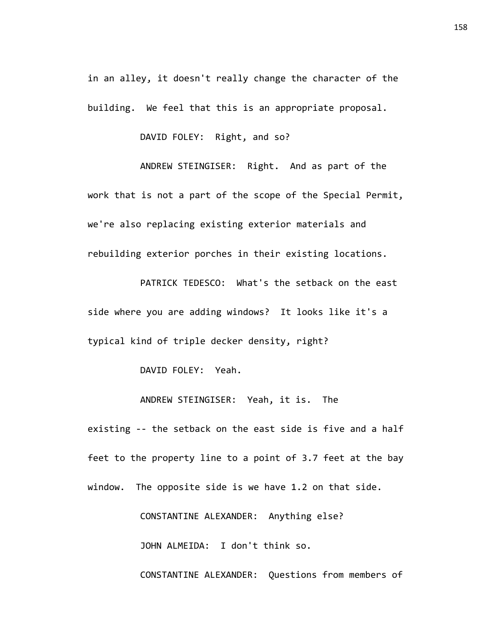in an alley, it doesn't really change the character of the building. We feel that this is an appropriate proposal.

DAVID FOLEY: Right, and so?

ANDREW STEINGISER: Right. And as part of the work that is not a part of the scope of the Special Permit, we're also replacing existing exterior materials and rebuilding exterior porches in their existing locations.

PATRICK TEDESCO: What's the setback on the east side where you are adding windows? It looks like it's a typical kind of triple decker density, right?

DAVID FOLEY: Yeah.

ANDREW STEINGISER: Yeah, it is. The

existing -- the setback on the east side is five and a half feet to the property line to a point of 3.7 feet at the bay window. The opposite side is we have 1.2 on that side.

CONSTANTINE ALEXANDER: Anything else?

JOHN ALMEIDA: I don't think so.

CONSTANTINE ALEXANDER: Questions from members of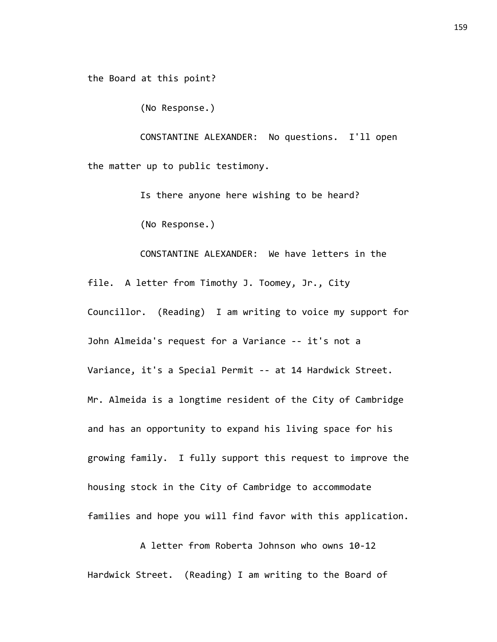the Board at this point?

(No Response.)

CONSTANTINE ALEXANDER: No questions. I'll open the matter up to public testimony.

> Is there anyone here wishing to be heard? (No Response.)

CONSTANTINE ALEXANDER: We have letters in the file. A letter from Timothy J. Toomey, Jr., City Councillor. (Reading) I am writing to voice my support for John Almeida's request for a Variance -- it's not a Variance, it's a Special Permit -- at 14 Hardwick Street. Mr. Almeida is a longtime resident of the City of Cambridge and has an opportunity to expand his living space for his growing family. I fully support this request to improve the housing stock in the City of Cambridge to accommodate families and hope you will find favor with this application.

A letter from Roberta Johnson who owns 10-12 Hardwick Street. (Reading) I am writing to the Board of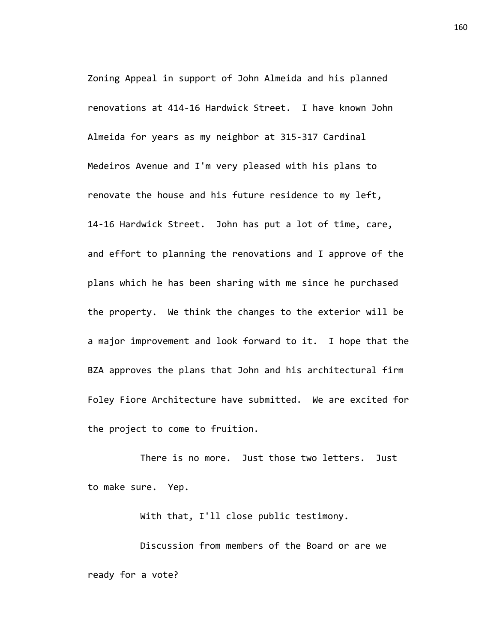Zoning Appeal in support of John Almeida and his planned renovations at 414-16 Hardwick Street. I have known John Almeida for years as my neighbor at 315-317 Cardinal Medeiros Avenue and I'm very pleased with his plans to renovate the house and his future residence to my left, 14-16 Hardwick Street. John has put a lot of time, care, and effort to planning the renovations and I approve of the plans which he has been sharing with me since he purchased the property. We think the changes to the exterior will be a major improvement and look forward to it. I hope that the BZA approves the plans that John and his architectural firm Foley Fiore Architecture have submitted. We are excited for the project to come to fruition.

There is no more. Just those two letters. Just to make sure. Yep.

With that, I'll close public testimony.

Discussion from members of the Board or are we ready for a vote?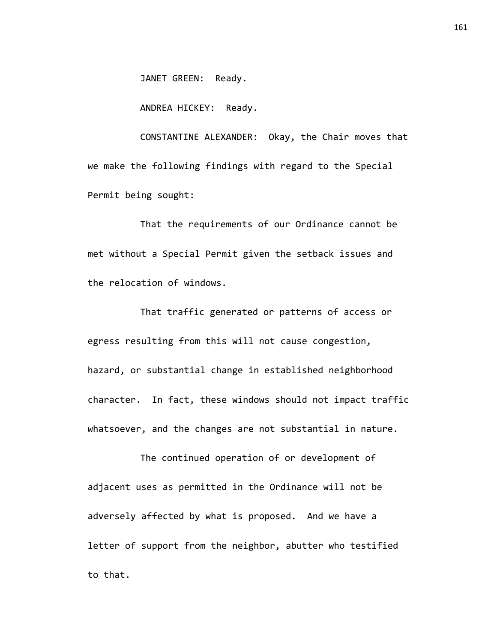JANET GREEN: Ready.

ANDREA HICKEY: Ready.

CONSTANTINE ALEXANDER: Okay, the Chair moves that we make the following findings with regard to the Special Permit being sought:

That the requirements of our Ordinance cannot be met without a Special Permit given the setback issues and the relocation of windows.

That traffic generated or patterns of access or egress resulting from this will not cause congestion, hazard, or substantial change in established neighborhood character. In fact, these windows should not impact traffic whatsoever, and the changes are not substantial in nature.

The continued operation of or development of adjacent uses as permitted in the Ordinance will not be adversely affected by what is proposed. And we have a letter of support from the neighbor, abutter who testified to that.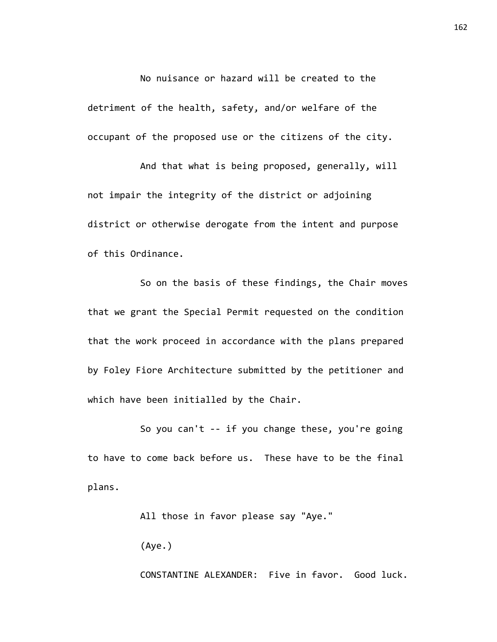No nuisance or hazard will be created to the detriment of the health, safety, and/or welfare of the occupant of the proposed use or the citizens of the city.

And that what is being proposed, generally, will not impair the integrity of the district or adjoining district or otherwise derogate from the intent and purpose of this Ordinance.

So on the basis of these findings, the Chair moves that we grant the Special Permit requested on the condition that the work proceed in accordance with the plans prepared by Foley Fiore Architecture submitted by the petitioner and which have been initialled by the Chair.

So you can't -- if you change these, you're going to have to come back before us. These have to be the final plans.

All those in favor please say "Aye."

(Aye.)

CONSTANTINE ALEXANDER: Five in favor. Good luck.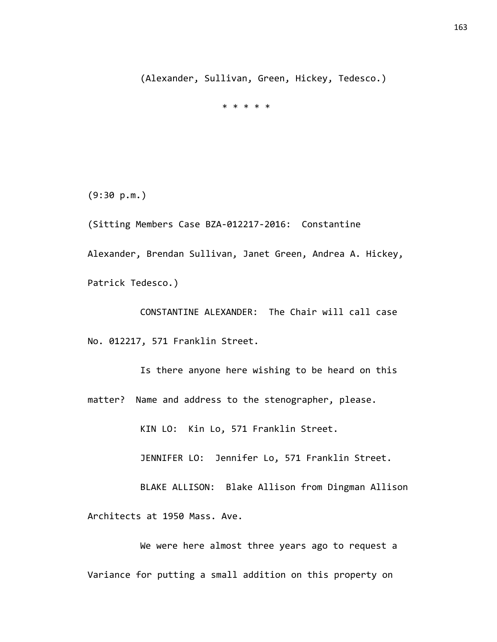(Alexander, Sullivan, Green, Hickey, Tedesco.)

\* \* \* \* \*

(9:30 p.m.)

(Sitting Members Case BZA-012217-2016: Constantine Alexander, Brendan Sullivan, Janet Green, Andrea A. Hickey, Patrick Tedesco.)

CONSTANTINE ALEXANDER: The Chair will call case No. 012217, 571 Franklin Street.

Is there anyone here wishing to be heard on this matter? Name and address to the stenographer, please.

KIN LO: Kin Lo, 571 Franklin Street.

JENNIFER LO: Jennifer Lo, 571 Franklin Street.

BLAKE ALLISON: Blake Allison from Dingman Allison Architects at 1950 Mass. Ave.

We were here almost three years ago to request a Variance for putting a small addition on this property on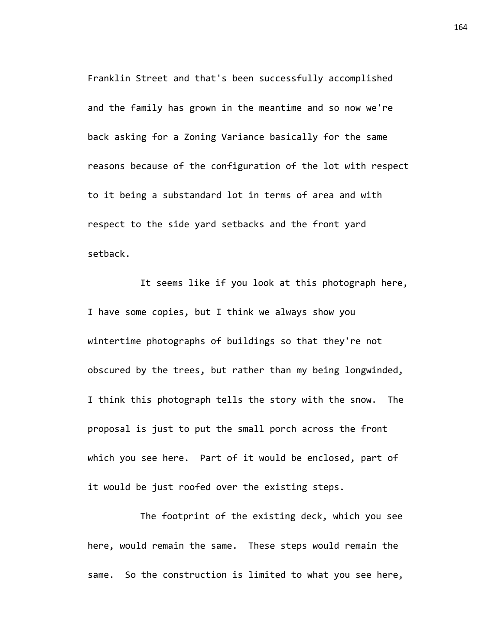Franklin Street and that's been successfully accomplished and the family has grown in the meantime and so now we're back asking for a Zoning Variance basically for the same reasons because of the configuration of the lot with respect to it being a substandard lot in terms of area and with respect to the side yard setbacks and the front yard setback.

It seems like if you look at this photograph here, I have some copies, but I think we always show you wintertime photographs of buildings so that they're not obscured by the trees, but rather than my being longwinded, I think this photograph tells the story with the snow. The proposal is just to put the small porch across the front which you see here. Part of it would be enclosed, part of it would be just roofed over the existing steps.

The footprint of the existing deck, which you see here, would remain the same. These steps would remain the same. So the construction is limited to what you see here, 164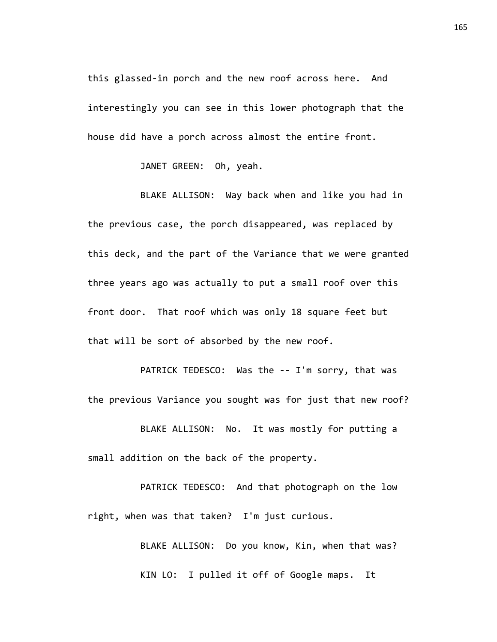this glassed-in porch and the new roof across here. And interestingly you can see in this lower photograph that the house did have a porch across almost the entire front.

JANET GREEN: Oh, yeah.

BLAKE ALLISON: Way back when and like you had in the previous case, the porch disappeared, was replaced by this deck, and the part of the Variance that we were granted three years ago was actually to put a small roof over this front door. That roof which was only 18 square feet but that will be sort of absorbed by the new roof.

PATRICK TEDESCO: Was the -- I'm sorry, that was the previous Variance you sought was for just that new roof?

BLAKE ALLISON: No. It was mostly for putting a small addition on the back of the property.

PATRICK TEDESCO: And that photograph on the low right, when was that taken? I'm just curious.

> BLAKE ALLISON: Do you know, Kin, when that was? KIN LO: I pulled it off of Google maps. It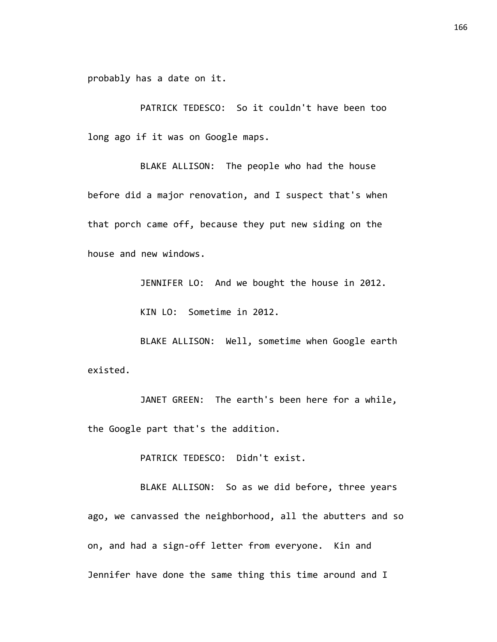probably has a date on it.

PATRICK TEDESCO: So it couldn't have been too long ago if it was on Google maps.

BLAKE ALLISON: The people who had the house before did a major renovation, and I suspect that's when that porch came off, because they put new siding on the house and new windows.

JENNIFER LO: And we bought the house in 2012.

KIN LO: Sometime in 2012.

BLAKE ALLISON: Well, sometime when Google earth existed.

JANET GREEN: The earth's been here for a while, the Google part that's the addition.

PATRICK TEDESCO: Didn't exist.

BLAKE ALLISON: So as we did before, three years ago, we canvassed the neighborhood, all the abutters and so on, and had a sign-off letter from everyone. Kin and Jennifer have done the same thing this time around and I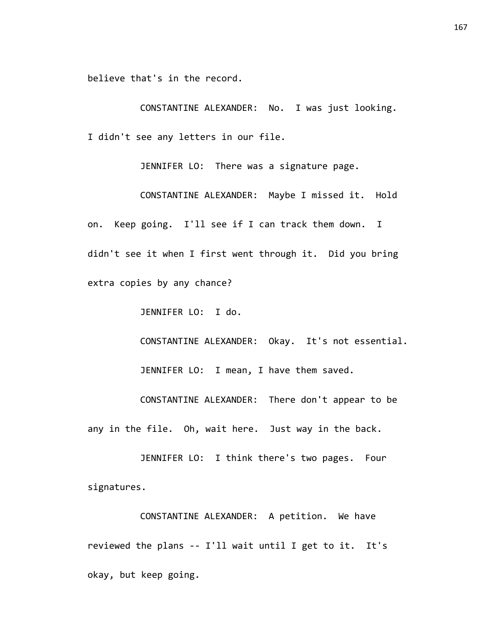believe that's in the record.

CONSTANTINE ALEXANDER: No. I was just looking. I didn't see any letters in our file.

JENNIFER LO: There was a signature page.

CONSTANTINE ALEXANDER: Maybe I missed it. Hold on. Keep going. I'll see if I can track them down. I didn't see it when I first went through it. Did you bring extra copies by any chance?

JENNIFER LO: I do.

CONSTANTINE ALEXANDER: Okay. It's not essential.

JENNIFER LO: I mean, I have them saved.

CONSTANTINE ALEXANDER: There don't appear to be any in the file. Oh, wait here. Just way in the back.

JENNIFER LO: I think there's two pages. Four signatures.

CONSTANTINE ALEXANDER: A petition. We have reviewed the plans -- I'll wait until I get to it. It's okay, but keep going.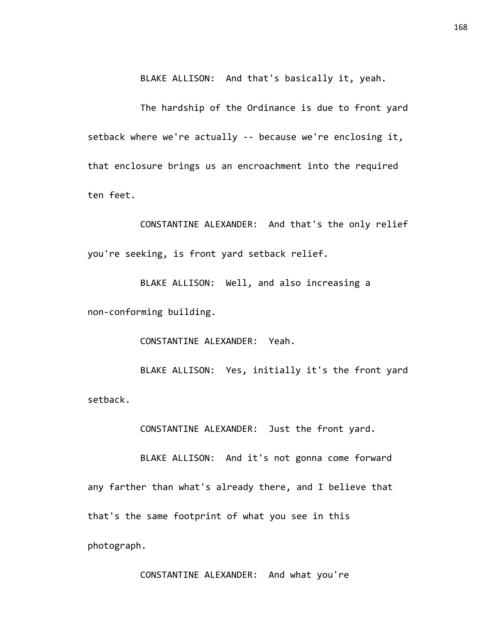BLAKE ALLISON: And that's basically it, yeah.

The hardship of the Ordinance is due to front yard setback where we're actually -- because we're enclosing it, that enclosure brings us an encroachment into the required ten feet.

CONSTANTINE ALEXANDER: And that's the only relief you're seeking, is front yard setback relief.

BLAKE ALLISON: Well, and also increasing a non-conforming building.

CONSTANTINE ALEXANDER: Yeah.

BLAKE ALLISON: Yes, initially it's the front yard setback.

CONSTANTINE ALEXANDER: Just the front yard.

BLAKE ALLISON: And it's not gonna come forward any farther than what's already there, and I believe that that's the same footprint of what you see in this photograph.

CONSTANTINE ALEXANDER: And what you're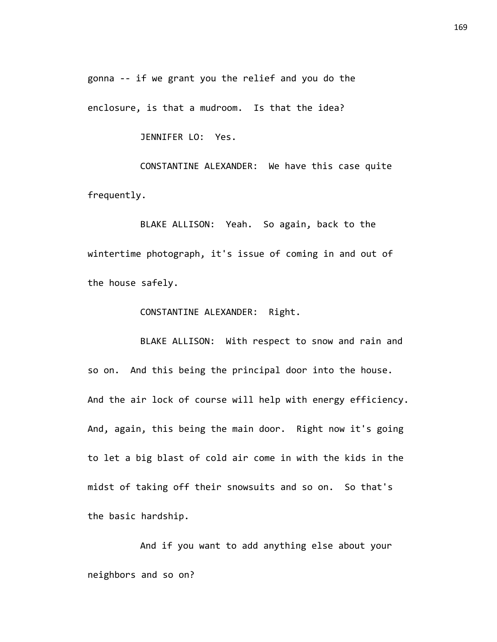gonna -- if we grant you the relief and you do the

enclosure, is that a mudroom. Is that the idea?

JENNIFER LO: Yes.

CONSTANTINE ALEXANDER: We have this case quite frequently.

BLAKE ALLISON: Yeah. So again, back to the wintertime photograph, it's issue of coming in and out of the house safely.

CONSTANTINE ALEXANDER: Right.

BLAKE ALLISON: With respect to snow and rain and so on. And this being the principal door into the house. And the air lock of course will help with energy efficiency. And, again, this being the main door. Right now it's going to let a big blast of cold air come in with the kids in the midst of taking off their snowsuits and so on. So that's the basic hardship.

And if you want to add anything else about your neighbors and so on?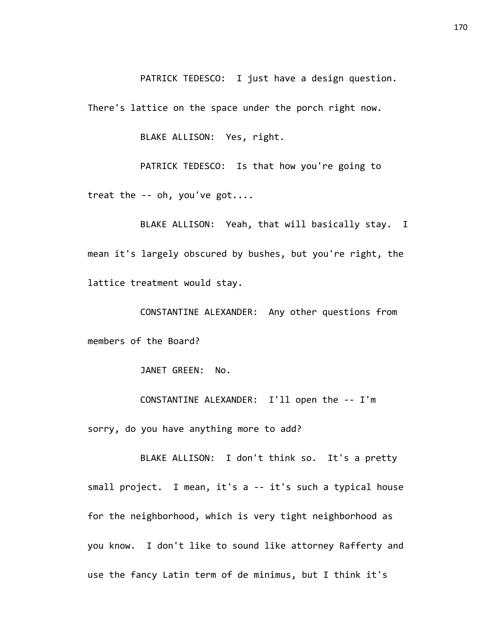PATRICK TEDESCO: I just have a design question.

There's lattice on the space under the porch right now.

BLAKE ALLISON: Yes, right.

PATRICK TEDESCO: Is that how you're going to treat the -- oh, you've got....

BLAKE ALLISON: Yeah, that will basically stay. I mean it's largely obscured by bushes, but you're right, the lattice treatment would stay.

CONSTANTINE ALEXANDER: Any other questions from members of the Board?

JANET GREEN: No.

CONSTANTINE ALEXANDER: I'll open the -- I'm sorry, do you have anything more to add?

BLAKE ALLISON: I don't think so. It's a pretty small project. I mean, it's a -- it's such a typical house for the neighborhood, which is very tight neighborhood as you know. I don't like to sound like attorney Rafferty and use the fancy Latin term of de minimus, but I think it's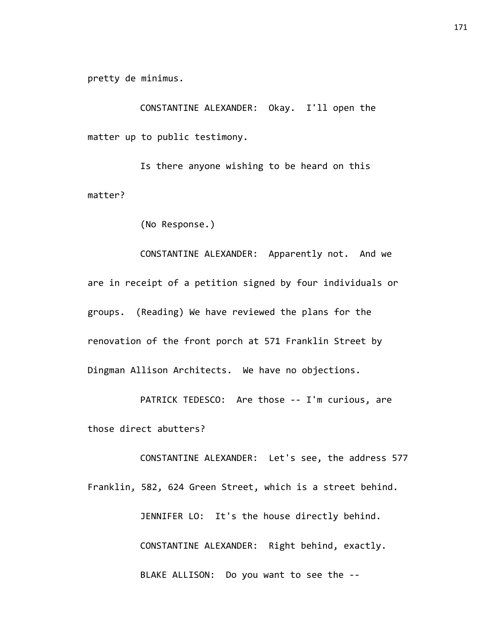pretty de minimus.

CONSTANTINE ALEXANDER: Okay. I'll open the matter up to public testimony.

Is there anyone wishing to be heard on this matter?

(No Response.)

CONSTANTINE ALEXANDER: Apparently not. And we are in receipt of a petition signed by four individuals or groups. (Reading) We have reviewed the plans for the renovation of the front porch at 571 Franklin Street by Dingman Allison Architects. We have no objections.

PATRICK TEDESCO: Are those -- I'm curious, are those direct abutters?

CONSTANTINE ALEXANDER: Let's see, the address 577 Franklin, 582, 624 Green Street, which is a street behind. JENNIFER LO: It's the house directly behind. CONSTANTINE ALEXANDER: Right behind, exactly. BLAKE ALLISON: Do you want to see the --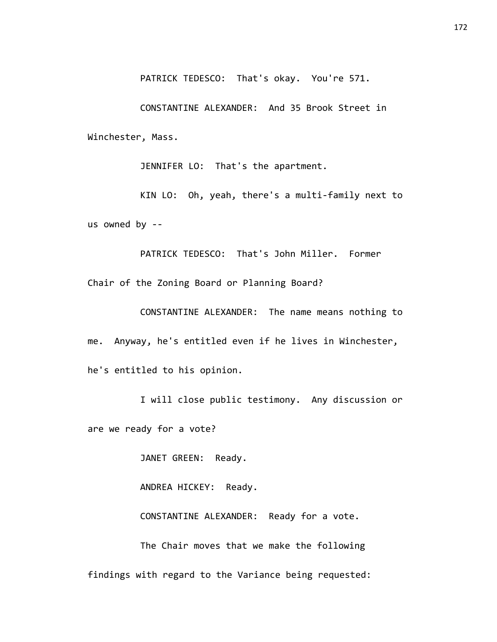PATRICK TEDESCO: That's okay. You're 571.

CONSTANTINE ALEXANDER: And 35 Brook Street in Winchester, Mass.

JENNIFER LO: That's the apartment.

KIN LO: Oh, yeah, there's a multi-family next to us owned by --

PATRICK TEDESCO: That's John Miller. Former Chair of the Zoning Board or Planning Board?

CONSTANTINE ALEXANDER: The name means nothing to me. Anyway, he's entitled even if he lives in Winchester, he's entitled to his opinion.

I will close public testimony. Any discussion or are we ready for a vote?

JANET GREEN: Ready.

ANDREA HICKEY: Ready.

CONSTANTINE ALEXANDER: Ready for a vote.

The Chair moves that we make the following findings with regard to the Variance being requested: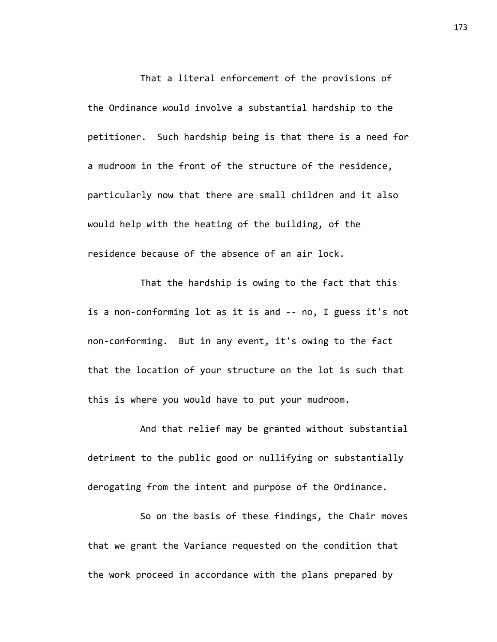That a literal enforcement of the provisions of the Ordinance would involve a substantial hardship to the petitioner. Such hardship being is that there is a need for a mudroom in the front of the structure of the residence, particularly now that there are small children and it also would help with the heating of the building, of the residence because of the absence of an air lock.

That the hardship is owing to the fact that this is a non-conforming lot as it is and -- no, I guess it's not non-conforming. But in any event, it's owing to the fact that the location of your structure on the lot is such that this is where you would have to put your mudroom.

And that relief may be granted without substantial detriment to the public good or nullifying or substantially derogating from the intent and purpose of the Ordinance.

So on the basis of these findings, the Chair moves that we grant the Variance requested on the condition that the work proceed in accordance with the plans prepared by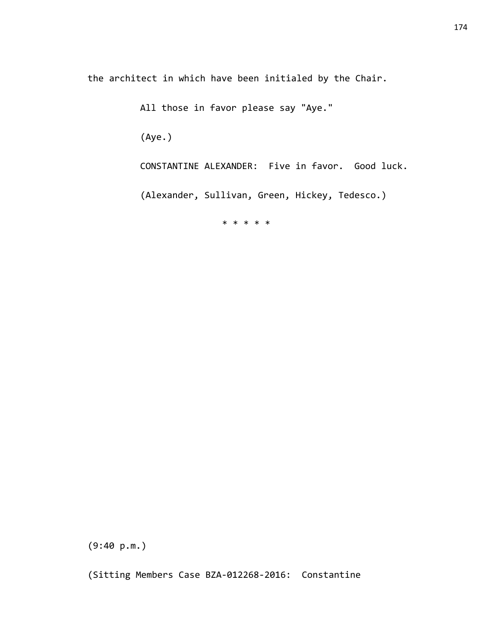the architect in which have been initialed by the Chair.

All those in favor please say "Aye."

(Aye.)

CONSTANTINE ALEXANDER: Five in favor. Good luck.

(Alexander, Sullivan, Green, Hickey, Tedesco.)

\* \* \* \* \*

(9:40 p.m.)

(Sitting Members Case BZA-012268-2016: Constantine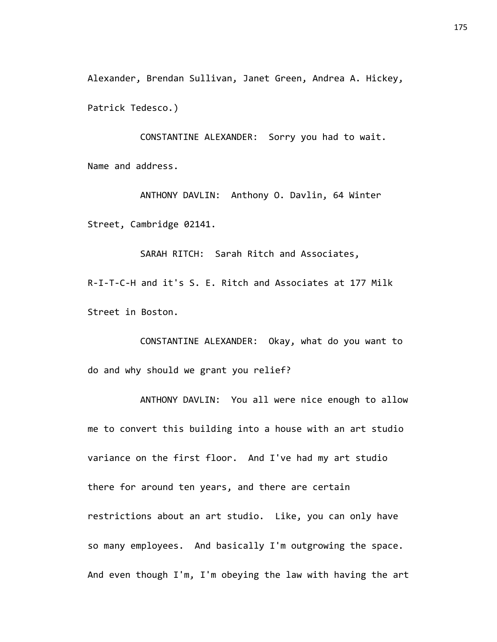Alexander, Brendan Sullivan, Janet Green, Andrea A. Hickey, Patrick Tedesco.)

CONSTANTINE ALEXANDER: Sorry you had to wait. Name and address.

ANTHONY DAVLIN: Anthony O. Davlin, 64 Winter Street, Cambridge 02141.

SARAH RITCH: Sarah Ritch and Associates, R-I-T-C-H and it's S. E. Ritch and Associates at 177 Milk Street in Boston.

CONSTANTINE ALEXANDER: Okay, what do you want to do and why should we grant you relief?

ANTHONY DAVLIN: You all were nice enough to allow me to convert this building into a house with an art studio variance on the first floor. And I've had my art studio there for around ten years, and there are certain restrictions about an art studio. Like, you can only have so many employees. And basically I'm outgrowing the space. And even though I'm, I'm obeying the law with having the art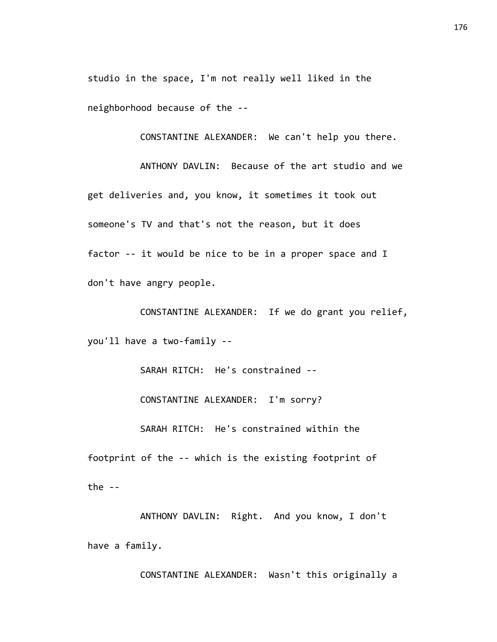studio in the space, I'm not really well liked in the neighborhood because of the --

CONSTANTINE ALEXANDER: We can't help you there.

ANTHONY DAVLIN: Because of the art studio and we get deliveries and, you know, it sometimes it took out someone's TV and that's not the reason, but it does factor -- it would be nice to be in a proper space and I don't have angry people.

CONSTANTINE ALEXANDER: If we do grant you relief, you'll have a two-family --

SARAH RITCH: He's constrained --

CONSTANTINE ALEXANDER: I'm sorry?

SARAH RITCH: He's constrained within the

footprint of the -- which is the existing footprint of the  $-$ 

ANTHONY DAVLIN: Right. And you know, I don't have a family.

CONSTANTINE ALEXANDER: Wasn't this originally a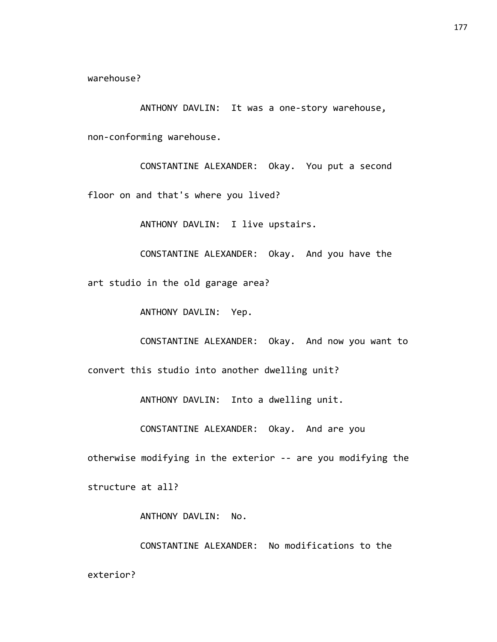warehouse?

ANTHONY DAVLIN: It was a one-story warehouse, non-conforming warehouse.

CONSTANTINE ALEXANDER: Okay. You put a second floor on and that's where you lived?

ANTHONY DAVLIN: I live upstairs.

CONSTANTINE ALEXANDER: Okay. And you have the art studio in the old garage area?

ANTHONY DAVLIN: Yep.

CONSTANTINE ALEXANDER: Okay. And now you want to

convert this studio into another dwelling unit?

ANTHONY DAVLIN: Into a dwelling unit.

CONSTANTINE ALEXANDER: Okay. And are you

otherwise modifying in the exterior -- are you modifying the

structure at all?

ANTHONY DAVLIN: No.

CONSTANTINE ALEXANDER: No modifications to the exterior?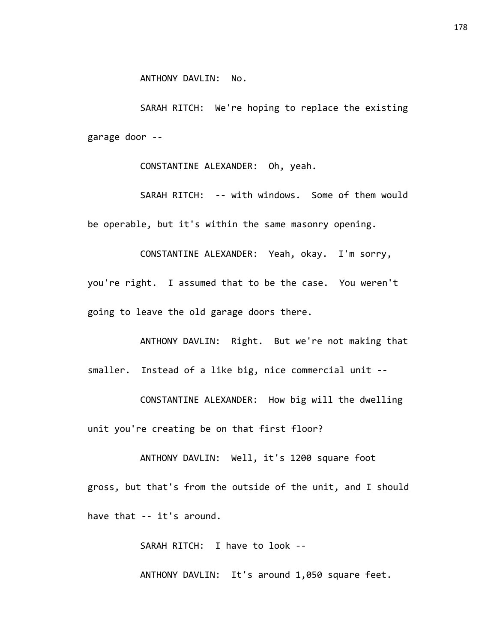SARAH RITCH: We're hoping to replace the existing garage door --

CONSTANTINE ALEXANDER: Oh, yeah.

SARAH RITCH: -- with windows. Some of them would be operable, but it's within the same masonry opening.

CONSTANTINE ALEXANDER: Yeah, okay. I'm sorry, you're right. I assumed that to be the case. You weren't going to leave the old garage doors there.

ANTHONY DAVLIN: Right. But we're not making that smaller. Instead of a like big, nice commercial unit --

CONSTANTINE ALEXANDER: How big will the dwelling unit you're creating be on that first floor?

ANTHONY DAVLIN: Well, it's 1200 square foot gross, but that's from the outside of the unit, and I should have that -- it's around.

SARAH RITCH: I have to look --

ANTHONY DAVLIN: It's around 1,050 square feet.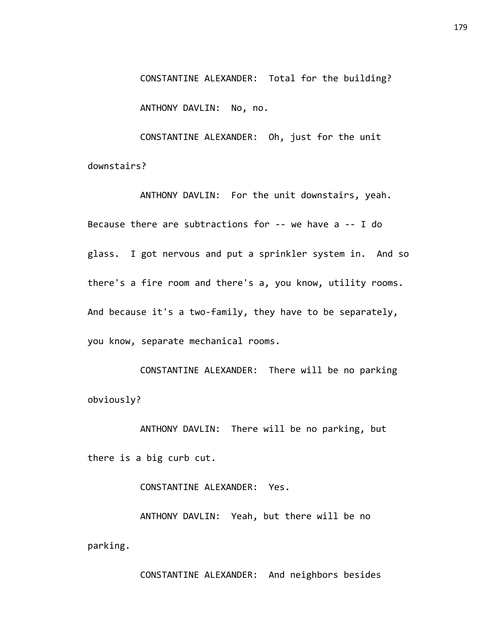CONSTANTINE ALEXANDER: Total for the building? ANTHONY DAVLIN: No, no.

CONSTANTINE ALEXANDER: Oh, just for the unit downstairs?

ANTHONY DAVLIN: For the unit downstairs, yeah. Because there are subtractions for -- we have a -- I do glass. I got nervous and put a sprinkler system in. And so there's a fire room and there's a, you know, utility rooms. And because it's a two-family, they have to be separately, you know, separate mechanical rooms.

CONSTANTINE ALEXANDER: There will be no parking obviously?

ANTHONY DAVLIN: There will be no parking, but there is a big curb cut.

CONSTANTINE ALEXANDER: Yes.

ANTHONY DAVLIN: Yeah, but there will be no parking.

CONSTANTINE ALEXANDER: And neighbors besides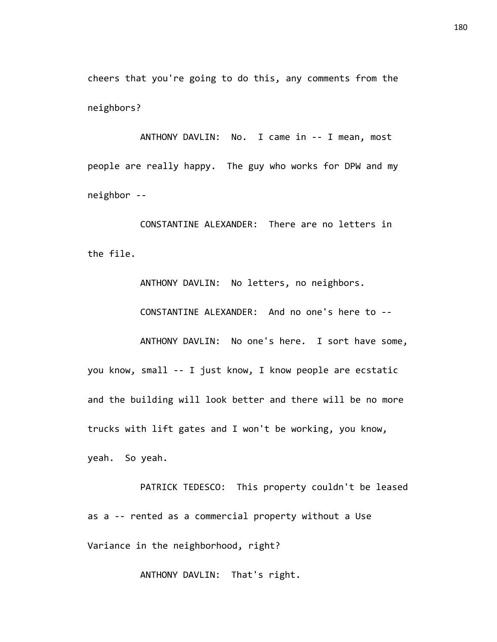cheers that you're going to do this, any comments from the neighbors?

ANTHONY DAVLIN: No. I came in -- I mean, most people are really happy. The guy who works for DPW and my neighbor --

CONSTANTINE ALEXANDER: There are no letters in the file.

ANTHONY DAVLIN: No letters, no neighbors. CONSTANTINE ALEXANDER: And no one's here to -- ANTHONY DAVLIN: No one's here. I sort have some, you know, small -- I just know, I know people are ecstatic and the building will look better and there will be no more trucks with lift gates and I won't be working, you know, yeah. So yeah.

PATRICK TEDESCO: This property couldn't be leased as a -- rented as a commercial property without a Use Variance in the neighborhood, right?

ANTHONY DAVLIN: That's right.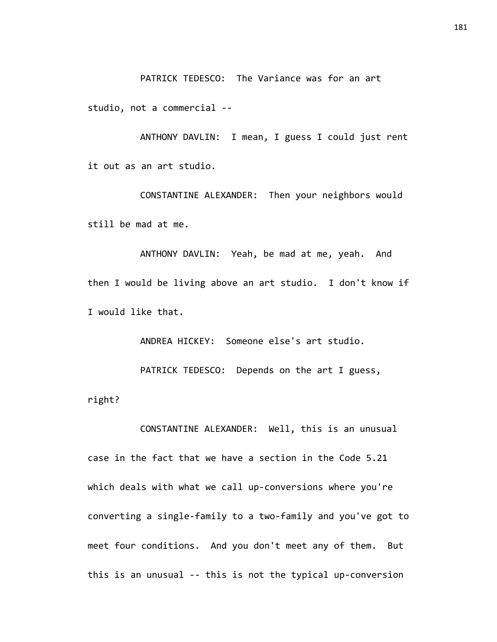PATRICK TEDESCO: The Variance was for an art

studio, not a commercial --

right?

ANTHONY DAVLIN: I mean, I guess I could just rent it out as an art studio.

CONSTANTINE ALEXANDER: Then your neighbors would still be mad at me.

ANTHONY DAVLIN: Yeah, be mad at me, yeah. And then I would be living above an art studio. I don't know if I would like that.

ANDREA HICKEY: Someone else's art studio. PATRICK TEDESCO: Depends on the art I guess,

CONSTANTINE ALEXANDER: Well, this is an unusual case in the fact that we have a section in the Code 5.21 which deals with what we call up-conversions where you're converting a single-family to a two-family and you've got to meet four conditions. And you don't meet any of them. But this is an unusual -- this is not the typical up-conversion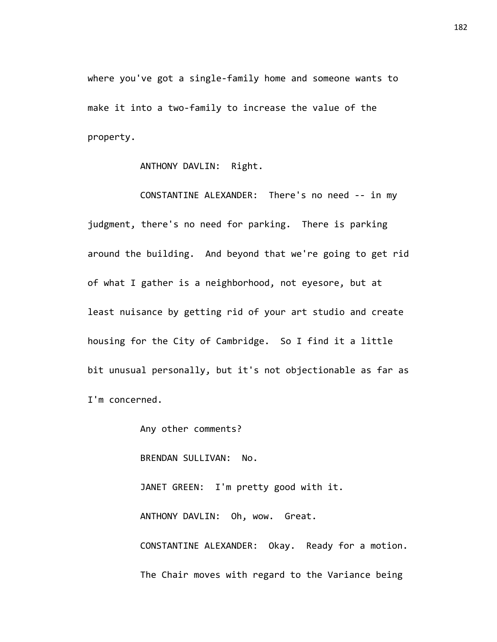where you've got a single-family home and someone wants to make it into a two-family to increase the value of the property.

ANTHONY DAVLIN: Right.

CONSTANTINE ALEXANDER: There's no need -- in my judgment, there's no need for parking. There is parking around the building. And beyond that we're going to get rid of what I gather is a neighborhood, not eyesore, but at least nuisance by getting rid of your art studio and create housing for the City of Cambridge. So I find it a little bit unusual personally, but it's not objectionable as far as I'm concerned.

Any other comments?

BRENDAN SULLIVAN: No.

JANET GREEN: I'm pretty good with it. ANTHONY DAVLIN: Oh, wow. Great. CONSTANTINE ALEXANDER: Okay. Ready for a motion. The Chair moves with regard to the Variance being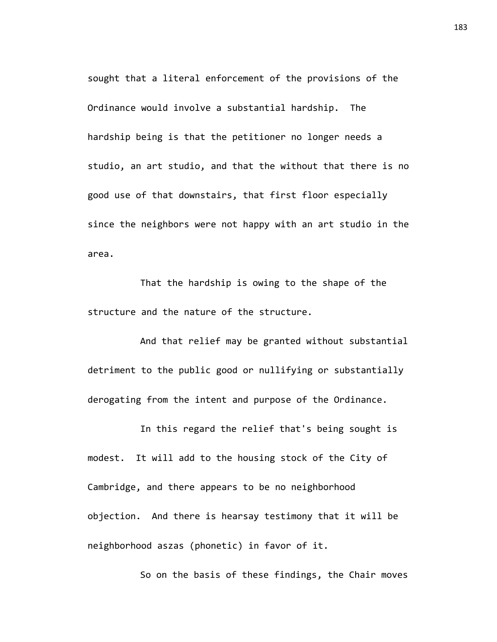sought that a literal enforcement of the provisions of the Ordinance would involve a substantial hardship. The hardship being is that the petitioner no longer needs a studio, an art studio, and that the without that there is no good use of that downstairs, that first floor especially since the neighbors were not happy with an art studio in the area.

That the hardship is owing to the shape of the structure and the nature of the structure.

And that relief may be granted without substantial detriment to the public good or nullifying or substantially derogating from the intent and purpose of the Ordinance.

In this regard the relief that's being sought is modest. It will add to the housing stock of the City of Cambridge, and there appears to be no neighborhood objection. And there is hearsay testimony that it will be neighborhood aszas (phonetic) in favor of it.

So on the basis of these findings, the Chair moves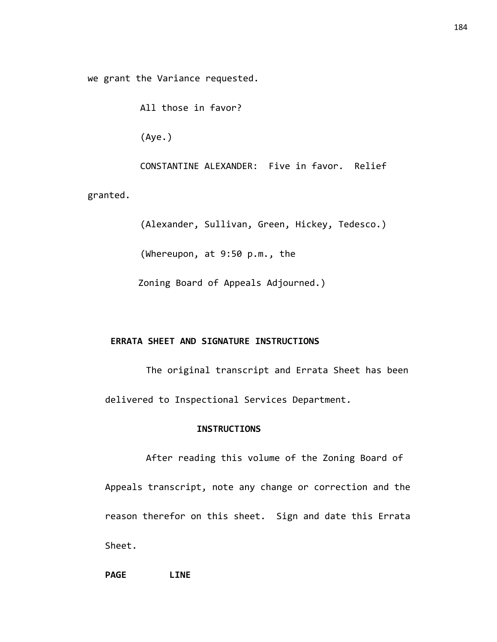we grant the Variance requested.

All those in favor?

(Aye.)

CONSTANTINE ALEXANDER: Five in favor. Relief

granted.

(Alexander, Sullivan, Green, Hickey, Tedesco.)

(Whereupon, at 9:50 p.m., the

Zoning Board of Appeals Adjourned.)

#### **ERRATA SHEET AND SIGNATURE INSTRUCTIONS**

The original transcript and Errata Sheet has been delivered to Inspectional Services Department.

#### **INSTRUCTIONS**

After reading this volume of the Zoning Board of Appeals transcript, note any change or correction and the reason therefor on this sheet. Sign and date this Errata Sheet.

**PAGE LINE**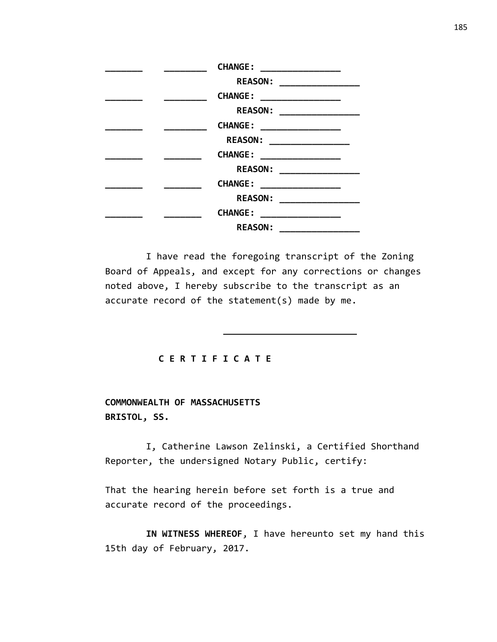| CHANGE : ____________________ |
|-------------------------------|
| REASON: __________________    |
| <b>CHANGE:</b>                |
| REASON: __________________    |
| CHANGE : ____________________ |
| REASON: __________________    |
| CHANGE : __________________   |
| REASON: __________________    |
| CHANGE : ___________________  |
| REASON: __________________    |
| CHANGE : ___________________  |
| <b>REASON:</b>                |

I have read the foregoing transcript of the Zoning Board of Appeals, and except for any corrections or changes noted above, I hereby subscribe to the transcript as an accurate record of the statement(s) made by me.

#### **C E R T I F I C A T E**

## **COMMONWEALTH OF MASSACHUSETTS BRISTOL, SS.**

I, Catherine Lawson Zelinski, a Certified Shorthand Reporter, the undersigned Notary Public, certify:

That the hearing herein before set forth is a true and accurate record of the proceedings.

**IN WITNESS WHEREOF**, I have hereunto set my hand this 15th day of February, 2017.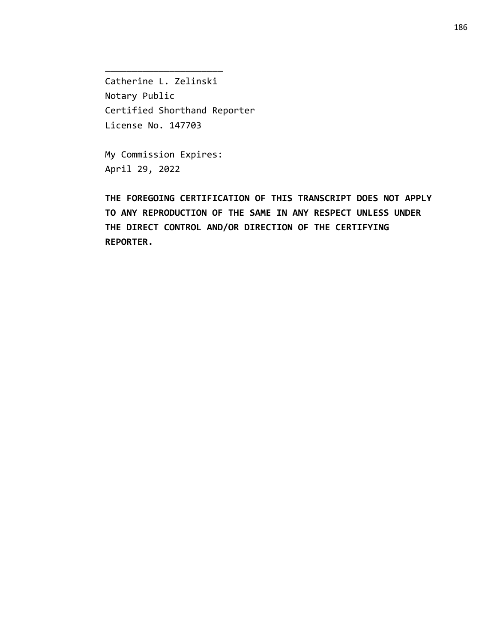Catherine L. Zelinski Notary Public Certified Shorthand Reporter License No. 147703

My Commission Expires: April 29, 2022

\_\_\_\_\_\_\_\_\_\_\_\_\_\_\_\_\_\_\_\_\_\_

**THE FOREGOING CERTIFICATION OF THIS TRANSCRIPT DOES NOT APPLY TO ANY REPRODUCTION OF THE SAME IN ANY RESPECT UNLESS UNDER THE DIRECT CONTROL AND/OR DIRECTION OF THE CERTIFYING REPORTER.**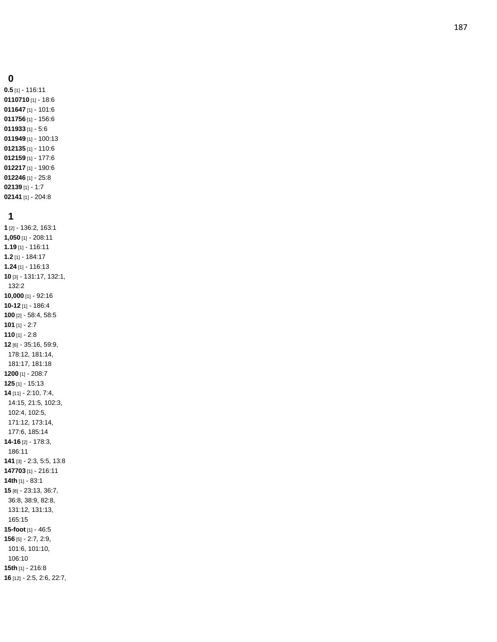### **0**

**0.5** [1] - 116:11 [1] - 18:6 [1] - 101:6 [1] - 156:6 [1] - 5:6 [1] - 100:13 [1] - 110:6 [1] - 177:6 [1] - 190:6 [1] - 25:8 [1] - 1:7 [1] - 204:8

## **1**

**1** [2] - 136:2, 163:1 **1,050** [1] - 208:11 **1.19** [1] - 116:11 **1.2** [1] - 184:17 **1.24** [1] - 116:13 **10** [3] - 131:17, 132:1, 132:2 **10,000** [1] - 92:16 **10 -12** [1] - 186:4 **100** [2] - 58:4, 58:5 **101** [1] - 2:7 **110** [1] - 2:8 **12** [6] - 35:16, 59:9, 178:12, 181:14, 181:17, 181:18 **1200** [1] - 208:7 **125** [1] - 15:13 **14** [11] - 2:10, 7:4, 14:15, 21:5, 102:3, 102:4, 102:5, 171:12, 173:14, 177:6, 185:14 **14 -16** [2] - 178:3, 186:11 **141** [3] - 2:3, 5:5, 13:8 **147703** [1] - 216:11 **14th** [1] - 83:1 **15** [8] - 23:13, 36:7, 36:8, 38:9, 82:8, 131:12, 131:13, 165:15 **15 -foot** [1] - 46:5 **156** [5] - 2:7, 2:9, 101:6, 101:10, 106:10 **15th** [1] - 216:8 **16** [12] - 2:5, 2:6, 22:7,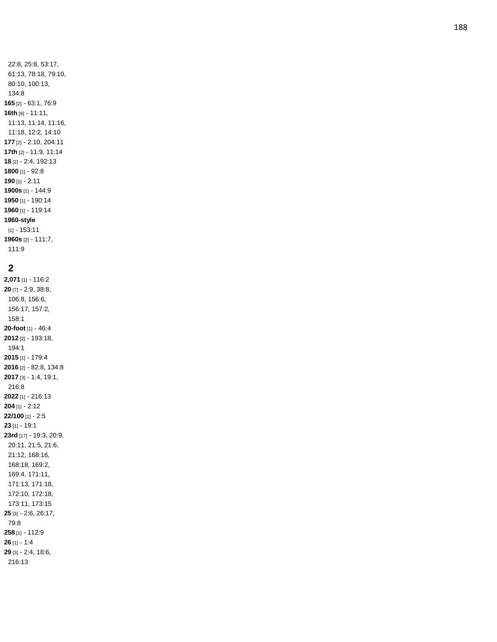### **2**

111:9

**2,071** [1] - 116:2 **20** [7] - 2:9, 38:8, 106:8, 156:6, 156:17, 157:2, 158:1 **20 -foot** [1] - 46:4 **2012** [2] - 193:18, 194:1 **2015** [1] - 179:4 **2016** [2] - 82:8, 134:8 **2017** [3] - 1:4, 19:1, 216:8 **2022** [1] - 216:13 **204** [1] - 2:12 **22/100** [1] - 2:5 **23** [1] - 19:1 **23rd** [17] - 19:3, 20:9, 20:11, 21:5, 21:6, 21:12, 168:16, 168:18, 169:2, 169:4, 171:11, 171:13, 171:18, 172:10, 172:18, 173:11, 173:15 **25** [3] - 2:6, 26:17, 79:8 **258** [1] - 112:9 **26** [1] - 1:4 **29** [3] - 2:4, 18:6, 216:13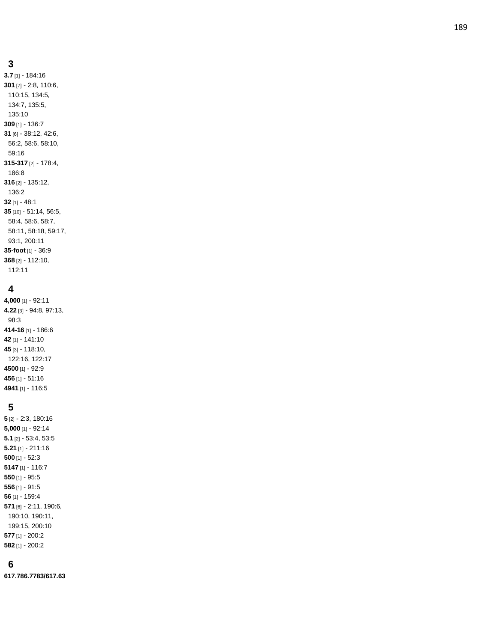**3.7** [1] - 184:16 **301** [7] - 2:8, 110:6, 110:15, 134:5, 134:7, 135:5, 135:10 **309** [1] - 136:7 **31** [6] - 38:12, 42:6, 56:2, 58:6, 58:10, 59:16 **315 -317** [2] - 178:4, 186:8 **316** [2] - 135:12, 136:2 **32** [1] - 48:1 **35** [10] - 51:14, 56:5, 58:4, 58:6, 58:7, 58:11, 58:18, 59:17, 93:1, 200:11 **35 -foot** [1] - 36:9 **368** [2] - 112:10, 112:11

### **4**

**4,000** [1] - 92:11 **4.22** [3] - 94:8, 97:13, 98:3 **414 -16** [1] - 186:6 **42** [1] - 141:10 **45** [3] - 118:10, 122:16, 122:17 **4500** [1] - 92:9 **456** [1] - 51:16 **4941** [1] - 116:5

#### **5**

 [2] - 2:3, 180:16 **5,000** [1] - 92:14 **5.1** [2] - 53:4, 53:5 **5.21** [1] - 211:16 [1] - 52:3 [1] - 116:7 [1] - 95:5 [1] - 91:5 [1] - 159:4 [6] - 2:11, 190:6, 190:10, 190:11, 199:15, 200:10 [1] - 200:2 [1] - 200:2

## **6**

**617.786.7783/617.63**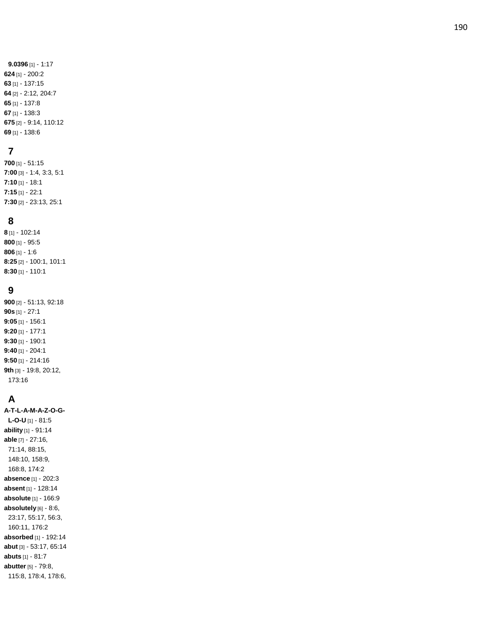**9.0396** [1] - 1:17 [1] - 200:2 [1] - 137:15 [2] - 2:12, 204:7 [1] - 137:8 [1] - 138:3 [2] - 9:14, 110:12 [1] - 138:6

## **7**

**700** [1] - 51:15 **7:00** [3] - 1:4, 3:3, 5:1 **7:10** [1] - 18:1 **7:15** [1] - 22:1 **7:30** [2] - 23:13, 25:1

### **8**

**8** [1] - 102:14 **800** [1] - 95:5 **806** [1] - 1:6 **8:25** [2] - 100:1, 101:1 **8:30** [1] - 110:1

## **9**

**900** [2] - 51:13, 92:18 **90s** [1] - 27:1 **9:05** [1] - 156:1 **9:20** [1] - 177:1 **9:30** [1] - 190:1 **9:40** [1] - 204:1 **9:50** [1] - 214:16 **9th** [3] - 19:8, 20:12, 173:16

# **A**

**A-T-L-A - M - A - Z - O - G - L - O - U** [1] - 81:5 **ability** [1] - 91:14 **able** [7] - 27:16, 71:14, 88:15, 148:10, 158:9, 168:8, 174:2 **absence** [1] - 202:3 **absent** [1] - 128:14 **absolute** [1] - 166:9 **absolutely** [6] - 8:6, 23:17, 55:17, 56:3, 160:11, 176:2 **absorbed** [1] - 192:14 **abut** [3] - 53:17, 65:14 **abuts** [1] - 81:7 **abutter** [5] - 79:8, 115:8, 178:4, 178:6,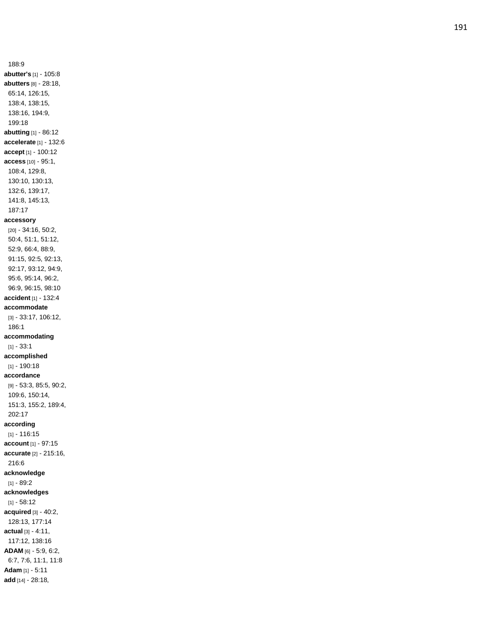**abutter's** [1] - 105:8 **abutters** [8] - 28:18, 65:14, 126:15, 138:4, 138:15, 138:16, 194:9, 199:18 **abutting** [1] - 86:12 **accelerate** [1] - 132:6 **accept** [1] - 100:12 **access** [10] - 95:1, 108:4, 129:8, 130:10, 130:13, 132:6, 139:17, 141:8, 145:13, 187:17 **accessory** [20] - 34:16, 50:2, 50:4, 51:1, 51:12, 52:9, 66:4, 88:9, 91:15, 92:5, 92:13, 92:17, 93:12, 94:9, 95:6, 95:14, 96:2, 96:9, 96:15, 98:10 **accident** [1] - 132:4 **accommodate** [3] - 33:17, 106:12, 186:1 **accommodating** [1] - 33:1 **accomplished** [1] - 190:18 **accordance** [9] - 53:3, 85:5, 90:2, 109:6, 150:14, 151:3, 155:2, 189:4, 202:17 **according** [1] - 116:15 **account** [1] - 97:15 **accurate** [2] - 215:16, 216:6 **acknowledge** [1] - 89:2 **acknowledges** [1] - 58:12 **acquired** [3] - 40:2, 128:13, 177:14 **actual** [3] - 4:11, 117:12, 138:16 **ADAM** [6] - 5:9, 6:2, 6:7, 7:6, 11:1, 11:8 **Adam** [1] - 5:11 **add** [14] - 28:18,

188:9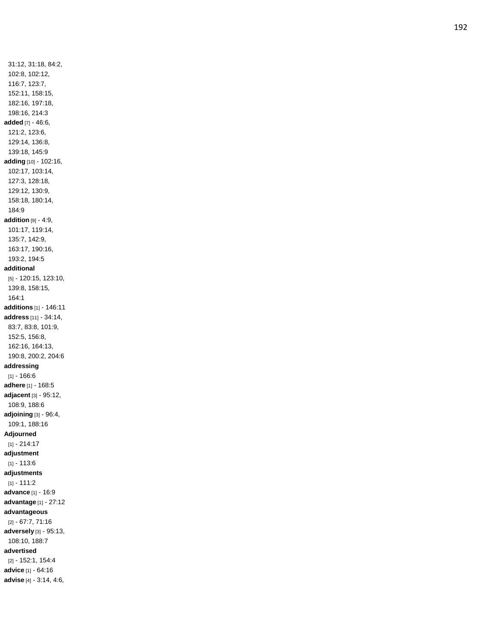31:12, 31:18, 84:2, 102:8, 102:12, 116:7, 123:7, 152:11, 158:15, 182:16, 197:18, 198:16, 214:3 **added** [7] - 46:6, 121:2, 123:6, 129:14, 136:8, 139:18, 145:9 **adding** [10] - 102:16, 102:17, 103:14, 127:3, 128:18, 129:12, 130:9, 158:18, 180:14, 184:9 **addition** [9] - 4:9, 101:17, 119:14, 135:7, 142:9, 163:17, 190:16, 193:2, 194:5 **additional** [5] - 120:15, 123:10, 139:8, 158:15, 164:1 **additions** [1] - 146:11 **address** [11] - 34:14, 83:7, 83:8, 101:9, 152:5, 156:8, 162:16, 164:13, 190:8, 200:2, 204:6 **addressing** [1] - 166:6 **adhere** [1] - 168:5 **adjacent** [3] - 95:12, 108:9, 188:6 **adjoining** [3] - 96:4, 109:1, 188:16 **Adjourned** [1] - 214:17 **adjustment** [1] - 113:6 **adjustments** [1] - 111:2 **advance** [1] - 16:9 **advantage** [1] - 27:12 **advantageous** [2] - 67:7, 71:16 **adversely** [3] - 95:13, 108:10, 188:7 **advertised** [2] - 152:1, 154:4 **advice** [1] - 64:16

**advise** [4] - 3:14, 4:6,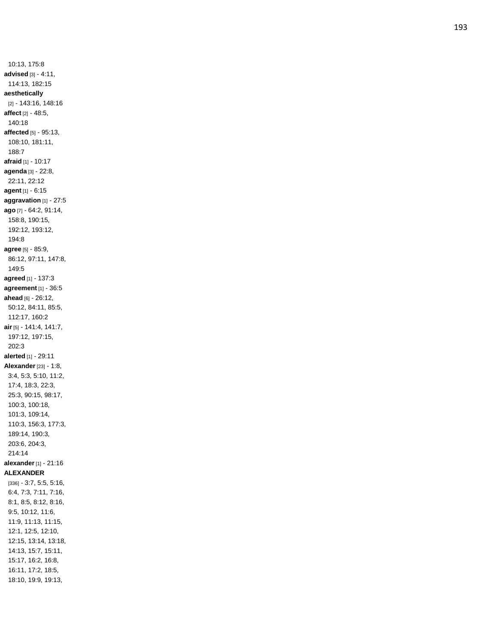10:13, 175:8 **advised** [3] - 4:11, 114:13, 182:15 **aesthetically** [2] - 143:16, 148:16 **affect** [2] - 48:5, 140:18 **affected** [5] - 95:13, 108:10, 181:11, 188:7 **afraid** [1] - 10:17 **agenda** [3] - 22:8, 22:11, 22:12 **agent** [1] - 6:15 **aggravation** [1] - 27:5 **ago** [7] - 64:2, 91:14, 158:8, 190:15, 192:12, 193:12, 194:8 **agree** [5] - 85:9, 86:12, 97:11, 147:8, 149:5 **agreed** [1] - 137:3 **agreement** [1] - 36:5 **ahead** [6] - 26:12, 50:12, 84:11, 85:5, 112:17, 160:2 **air** [5] - 141:4, 141:7, 197:12, 197:15, 202:3 **alerted** [1] - 29:11 **Alexander** [23] - 1:8, 3:4, 5:3, 5:10, 11:2, 17:4, 18:3, 22:3, 25:3, 90:15, 98:17, 100:3, 100:18, 101:3, 109:14, 110:3, 156:3, 177:3, 189:14, 190:3, 203:6, 204:3, 214:14 **alexander** [1] - 21:16 **ALEXANDER** [336] - 3:7, 5:5, 5:16, 6:4, 7:3, 7:11, 7:16, 8:1, 8:5, 8:12, 8:16, 9:5, 10:12, 11:6, 11:9, 11:13, 11:15, 12:1, 12:5, 12:10, 12:15, 13:14, 13:18, 14:13, 15:7, 15:11, 15:17, 16:2, 16:8, 16:11, 17:2, 18:5, 18:10, 19:9, 19:13,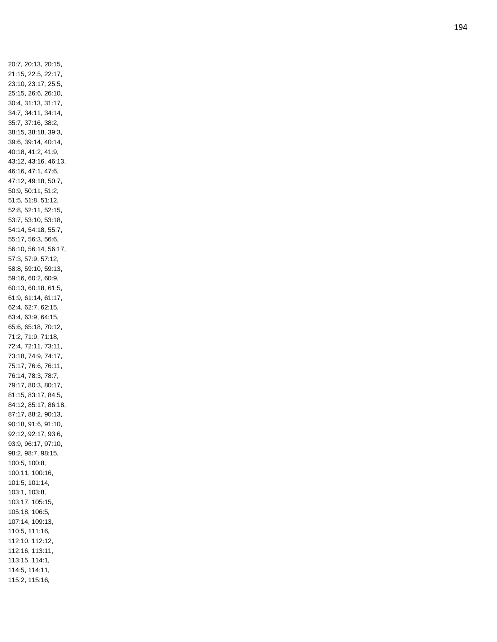20:7, 20:13, 20:15, 21:15, 22:5, 22:17, 23:10, 23:17, 25:5, 25:15, 26:6, 26:10, 30:4, 31:13, 31:17, 34:7, 34:11, 34:14, 35:7, 37:16, 38:2, 38:15, 38:18, 39:3, 39:6, 39:14, 40:14, 40:18, 41:2, 41:9, 43:12, 43:16, 46:13, 46:16, 47:1, 47:6, 47:12, 49:18, 50:7, 50:9, 50:11, 51:2, 51:5, 51:8, 51:12, 52:8, 52:11, 52:15, 53:7, 53:10, 53:18, 54:14, 54:18, 55:7, 55:17, 56:3, 56:6, 56:10, 56:14, 56:17, 57:3, 57:9, 57:12, 58:8, 59:10, 59:13, 59:16, 60:2, 60:9, 60:13, 60:18, 61:5, 61:9, 61:14, 61:17, 62:4, 62:7, 62:15, 63:4, 63:9, 64:15, 65:6, 65:18, 70:12, 71:2, 71:9, 71:18, 72:4, 72:11, 73:11, 73:18, 74:9, 74:17, 75:17, 76:6, 76:11, 76:14, 78:3, 78:7, 79:17, 80:3, 80:17, 81:15, 83:17, 84:5, 84:12, 85:17, 86:18, 87:17, 88:2, 90:13, 90:18, 91:6, 91:10, 92:12, 92:17, 93:6, 93:9, 96:17, 97:10, 98:2, 98:7, 98:15, 100:5, 100:8, 100:11, 100:16, 101:5, 101:14, 103:1, 103:8, 103:17, 105:15, 105:18, 106:5, 107:14, 109:13, 110:5, 111:16, 112:10, 112:12, 112:16, 113:11, 113:15, 114:1, 114:5, 114:11, 115:2, 115:16,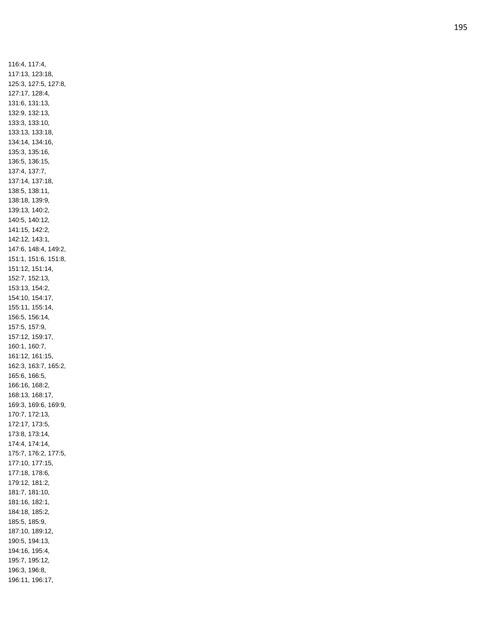116:4, 117:4, 117:13, 123:18, 125:3, 127:5, 127:8, 127:17, 128:4, 131:6, 131:13, 132:9, 132:13, 133:3, 133:10, 133:13, 133:18, 134:14, 134:16, 135:3, 135:16, 136:5, 136:15, 137:4, 137:7, 137:14, 137:18, 138:5, 138:11, 138:18, 139:9, 139:13, 140:2, 140:5, 140:12, 141:15, 142:2, 142:12, 143:1, 147:6, 148:4, 149:2, 151:1, 151:6, 151:8, 151:12, 151:14, 152:7, 152:13, 153:13, 154:2, 154:10, 154:17, 155:11, 155:14, 156:5, 156:14, 157:5, 157:9, 157:12, 159:17, 160:1, 160:7, 161:12, 161:15, 162:3, 163:7, 165:2, 165:6, 166:5, 166:16, 168:2, 168:13, 168:17, 169:3, 169:6, 169:9, 170:7, 172:13, 172:17, 173:5, 173:8, 173:14, 174:4, 174:14, 175:7, 176:2, 177:5, 177:10, 177:15, 177:18, 178:6, 179:12, 181:2, 181:7, 181:10, 181:16, 182:1, 184:18, 185:2, 185:5, 185:9, 187:10, 189:12, 190:5, 194:13, 194:16, 195:4, 195:7, 195:12, 196:3, 196:8, 196:11, 196:17,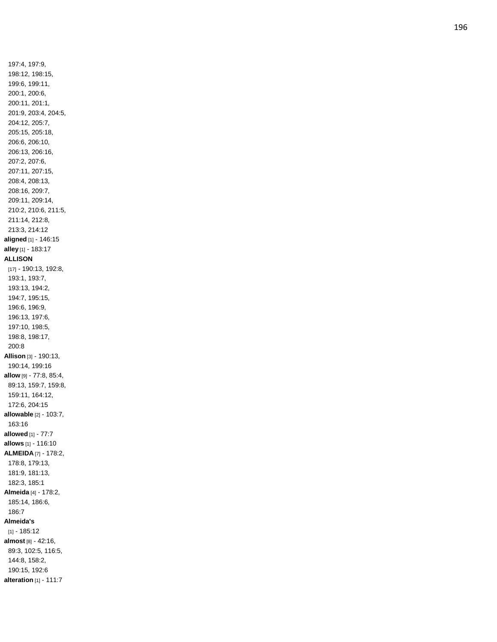197:4, 197:9, 198:12, 198:15, 199:6, 199:11, 200:1, 200:6, 200:11, 201:1, 201:9, 203:4, 204:5, 204:12, 205:7, 205:15, 205:18, 206:6, 206:10, 206:13, 206:16, 207:2, 207:6, 207:11, 207:15, 208:4, 208:13, 208:16, 209:7, 209:11, 209:14, 210:2, 210:6, 211:5, 211:14, 212:8, 213:3, 214:12 **aligned** [1] - 146:15 **alley** [1] - 183:17 **ALLISON** [17] - 190:13, 192:8, 193:1, 193:7, 193:13, 194:2, 194:7, 195:15, 196:6, 196:9, 196:13, 197:6, 197:10, 198:5, 198:8, 198:17, 200:8 **Allison** [3] - 190:13, 190:14, 199:16 **allow** [9] - 77:8, 85:4, 89:13, 159:7, 159:8, 159:11, 164:12, 172:6, 204:15 **allowable** [2] - 103:7, 163:16 **allowed** [1] - 77:7 **allows** [1] - 116:10 **ALMEIDA** [7] - 178:2, 178:8, 179:13, 181:9, 181:13, 182:3, 185:1 **Almeida** [4] - 178:2, 185:14, 186:6, 186:7 **Almeida's** [1] - 185:12 **almost** [8] - 42:16, 89:3, 102:5, 116:5, 144:8, 158:2, 190:15, 192:6 **alteration** [1] - 111:7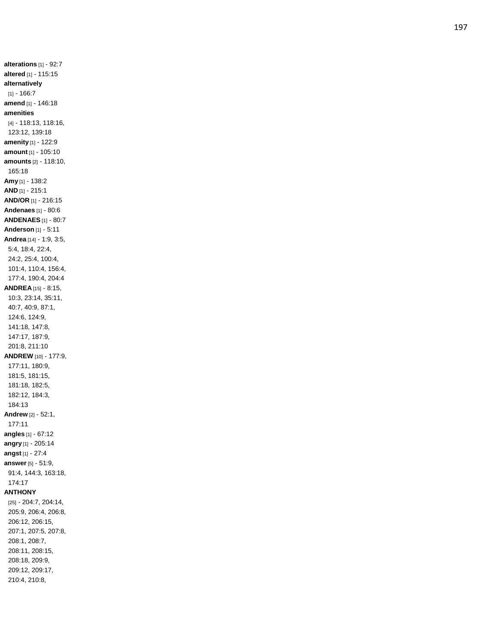**alterations** [1] - 92:7 **altered** [1] - 115:15 **alternatively** [1] - 166:7 **amend** [1] - 146:18 **amenities** [4] - 118:13, 118:16, 123:12, 139:18 **amenity** [1] - 122:9 **amount** [1] - 105:10 **amounts** [2] - 118:10, 165:18 **Amy** [1] - 138:2 **AND** [1] - 215:1 **AND/OR** [1] - 216:15 **Andenaes** [1] - 80:6 **ANDENAES** [1] - 80:7 **Anderson** [1] - 5:11 **Andrea** [14] - 1:9, 3:5, 5:4, 18:4, 22:4, 24:2, 25:4, 100:4, 101:4, 110:4, 156:4, 177:4, 190:4, 204:4 **ANDREA** [15] - 8:15, 10:3, 23:14, 35:11, 40:7, 40:9, 87:1, 124:6, 124:9, 141:18, 147:8, 147:17, 187:9, 201:8, 211:10 **ANDREW** [10] - 177:9, 177:11, 180:9, 181:5, 181:15, 181:18, 182:5, 182:12, 184:3, 184:13 **Andrew** [2] - 52:1, 177:11 **angles** [1] - 67:12 **angry** [1] - 205:14 **angst** [1] - 27:4 **answer** [5] - 51:9, 91:4, 144:3, 163:18, 174:17 **ANTHONY** [25] - 204:7, 204:14, 205:9, 206:4, 206:8, 206:12, 206:15, 207:1, 207:5, 207:8, 208:1, 208:7, 208:11, 208:15, 208:18, 209:9, 209:12, 209:17, 210:4, 210:8,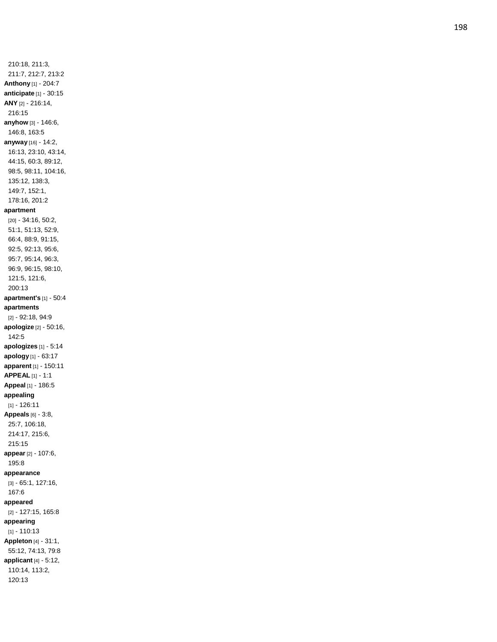210:18, 211:3, 211:7, 212:7, 213:2 **Anthony** [1] - 204:7 **anticipate** [1] - 30:15 **ANY** [2] - 216:14, 216:15 **anyhow** [3] - 146:6, 146:8, 163:5 **anyway** [16] - 14:2, 16:13, 23:10, 43:14, 44:15, 60:3, 89:12, 98:5, 98:11, 104:16, 135:12, 138:3, 149:7, 152:1, 178:16, 201:2 **apartment** [20] - 34:16, 50:2, 51:1, 51:13, 52:9, 66:4, 88:9, 91:15, 92:5, 92:13, 95:6, 95:7, 95:14, 96:3, 96:9, 96:15, 98:10, 121:5, 121:6, 200:13 **apartment's** [1] - 50:4 **apartments** [2] - 92:18, 94:9 **apologize** [2] - 50:16, 142:5 **apologizes** [1] - 5:14 **apology** [1] - 63:17 **apparent** [1] - 150:11 **APPEAL** [1] - 1:1 **Appeal** [1] - 186:5 **appealing** [1] - 126:11 **Appeals** [6] - 3:8, 25:7, 106:18, 214:17, 215:6, 215:15 **appear** [2] - 107:6, 195:8 **appearance** [3] - 65:1, 127:16, 167:6 **appeared** [2] - 127:15, 165:8 **appearing** [1] - 110:13 **Appleton** [4] - 31:1, 55:12, 74:13, 79:8 **applicant** [4] - 5:12, 110:14, 113:2, 120:13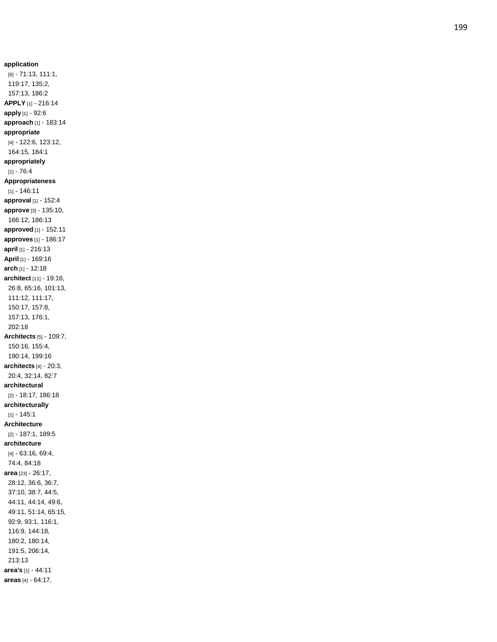**application** [6] - 71:13, 111:1, 119:17, 135:2, 157:13, 186:2 **APPLY** [1] - 216:14 **apply** [1] - 92:6 **approach** [1] - 183:14 **appropriate** [4] - 122:6, 123:12, 164:15, 184:1 **appropriately** [1] - 76:4 **Appropriateness** [1] - 146:11 **approval** [1] - 152:4 **approve** [3] - 135:10, 166:12, 186:13 **approved** [1] - 152:11 **approves** [1] - 186:17 **april** [1] - 216:13 **April** [1] - 169:16 **arch** [1] - 12:18 **architect** [11] - 19:16, 26:8, 65:16, 101:13, 111:12, 111:17, 150:17, 157:8, 157:13, 176:1, 202:18 **Architects** [5] - 109:7, 150:16, 155:4, 190:14, 199:16 **architects** [4] - 20:3, 20:4, 32:14, 82:7 **architectural** [2] - 18:17, 186:18 **architecturally** [1] - 145:1 **Architecture** [2] - 187:1, 189:5 **architecture** [4] - 63:16, 69:4, 74:4, 84:18 **area** [23] - 26:17, 28:12, 36:6, 36:7, 37:10, 38:7, 44:5, 44:11, 44:14, 49:6, 49:11, 51:14, 65:15, 92:9, 93:1, 116:1, 116:9, 144:18, 180:2, 180:14, 191:5, 206:14, 213:13 **area's** [1] - 44:11 **areas** [4] - 64:17,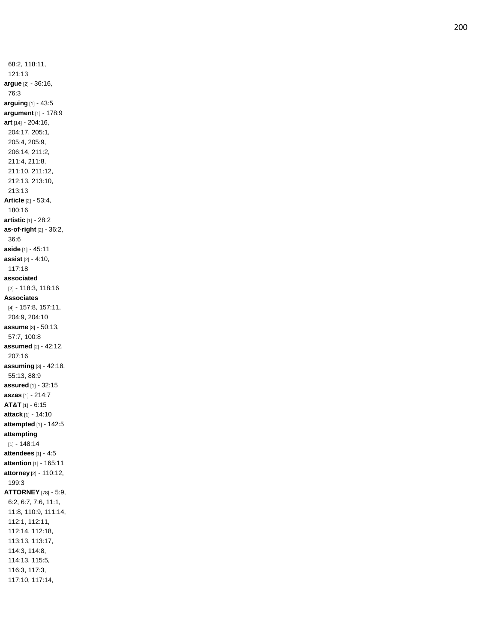68:2, 118:11, 121:13 **argue** [2] - 36:16, 76:3 **arguing** [1] - 43:5 **argument** [1] - 178:9 **art** [14] - 204:16, 204:17, 205:1, 205:4, 205:9, 206:14, 211:2, 211:4, 211:8, 211:10, 211:12, 212:13, 213:10, 213:13 **Article** [2] - 53:4, 180:16 **artistic** [1] - 28:2 **as -of -right** [2] - 36:2, 36:6 **aside** [1] - 45:11 **assist** [2] - 4:10, 117:18 **associated** [2] - 118:3, 118:16 **Associates** [4] - 157:8, 157:11, 204:9, 204:10 **assume** [3] - 50:13, 57:7, 100:8 **assumed** [2] - 42:12, 207:16 **assuming** [3] - 42:18, 55:13, 88:9 **assured** [1] - 32:15 **aszas** [1] - 214:7 **AT&T** [1] - 6:15 **attack** [1] - 14:10 **attempted** [1] - 142:5 **attempting** [1] - 148:14 **attendees** [1] - 4:5 **attention** [1] - 165:11 **attorney** [2] - 110:12, 199:3 **ATTORNEY** [78] - 5:9, 6:2, 6:7, 7:6, 11:1, 11:8, 110:9, 111:14, 112:1, 112:11, 112:14, 112:18, 113:13, 113:17, 114:3, 114:8, 114:13, 115:5, 116:3, 117:3, 117:10, 117:14,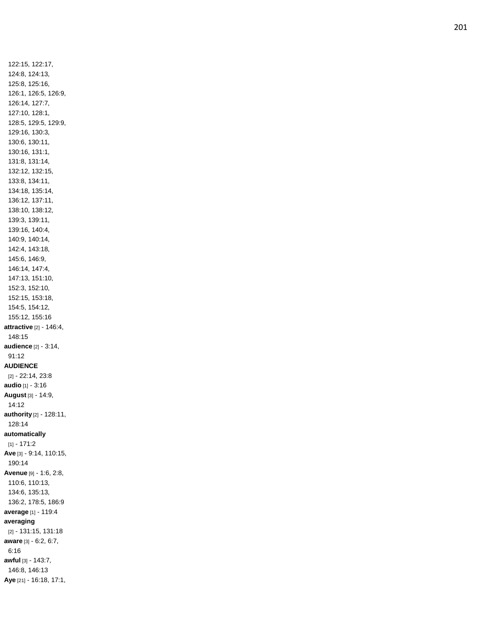122:15, 122:17, 124:8, 124:13, 125:8, 125:16, 126:1, 126:5, 126:9, 126:14, 127:7, 127:10, 128:1, 128:5, 129:5, 129:9, 129:16, 130:3, 130:6, 130:11, 130:16, 131:1, 131:8, 131:14, 132:12, 132:15, 133:8, 134:11, 134:18, 135:14, 136:12, 137:11, 138:10, 138:12, 139:3, 139:11, 139:16, 140:4, 140:9, 140:14, 142:4, 143:18, 145:6, 146:9, 146:14, 147:4, 147:13, 151:10, 152:3, 152:10, 152:15, 153:18, 154:5, 154:12, 155:12, 155:16 **attractive** [2] - 146:4, 148:15 **audience** [2] - 3:14, 91:12 **AUDIENCE** [2] - 22:14, 23:8 **audio** [1] - 3:16 **August** [3] - 14:9, 14:12 **authority** [2] - 128:11, 128:14 **automatically** [1] - 171:2 **Ave** [3] - 9:14, 110:15, 190:14 **Avenue** [9] - 1:6, 2:8, 110:6, 110:13, 134:6, 135:13, 136:2, 178:5, 186:9 **average** [1] - 119:4 **averaging** [2] - 131:15, 131:18 **aware** [3] - 6:2, 6:7, 6:16 **awful** [3] - 143:7, 146:8, 146:13 **Aye** [21] - 16:18, 17:1,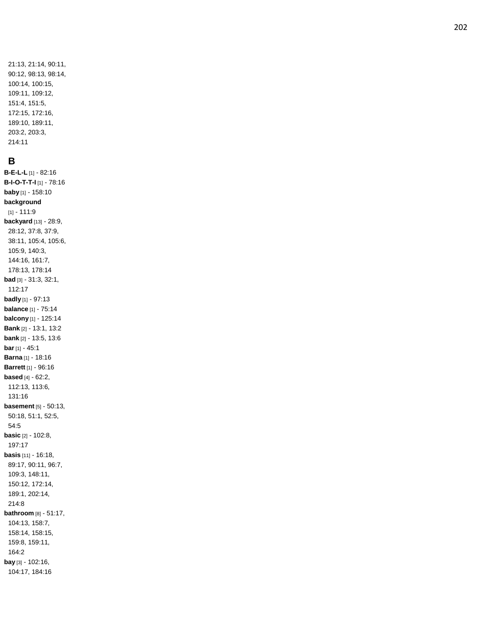## **B**

**B-E-L-L** [1] - 82:16 **B - I - O - T - T - I** [1] - 78:16 **baby** [1] - 158:10 **background** [1] - 111:9 **backyard** [13] - 28:9, 28:12, 37:8, 37:9, 38:11, 105:4, 105:6, 105:9, 140:3, 144:16, 161:7, 178:13, 178:14 **bad** [3] - 31:3, 32:1, 112:17 **badly** [1] - 97:13 **balance** [1] - 75:14 **balcony** [1 ] - 125:14 **Bank** [2] - 13:1, 13:2 **bank** [2] - 13:5, 13:6 **bar** [1] - 45:1 **Barna** [1] - 18:16 **Barrett** [1] - 96:16 **based** [4] - 62:2, 112:13, 113:6, 131:16 **basement** [5] - 50:13, 50:18, 51:1, 52:5, 54:5 **basic** [2] - 102:8, 197:17 **basis** [11] - 16:18, 89:17, 90:11, 96:7, 109:3, 148:11, 150:12, 172:14, 189:1, 202:14, 214:8 **bathroom** [8] - 51:17, 104:13, 158:7, 158:14, 158:15, 159:8, 159:11, 164:2 **bay** [3] - 102:16, 104:17, 184:16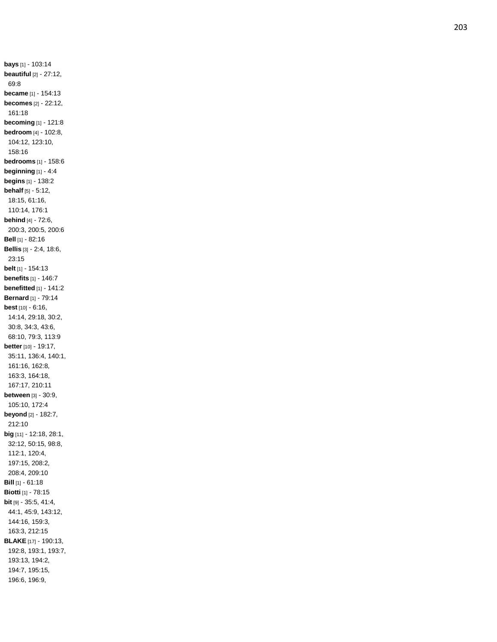**bays** [1] - 103:14 **beautiful** [2] - 27:12, 69:8 **became** [1] - 154:13 **becomes** [2] - 22:12, 161:18 **becoming** [1] - 121:8 **bedroom** [4] - 102:8, 104:12, 123:10, 158:16 **bedrooms** [1] - 158:6 **beginning** [1] - 4:4 **begins** [1] - 138:2 **behalf** [5] - 5:12, 18:15, 61:16, 110:14, 176:1 **behind** [4] - 72:6, 200:3, 200:5, 200:6 **Bell** [1] - 82:16 **Bellis** [3] - 2:4, 18:6, 23:15 **belt** [1] - 154:13 **benefits** [1] - 146:7 **benefitted** [1] - 141:2 **Bernard** [1] - 79:14 **best** [10] - 6:16, 14:14, 29:18, 30:2, 30:8, 34:3, 43:6, 68:10, 79:3, 113:9 **better** [10] - 19:17, 35:11, 136:4, 140:1, 161:16, 162:8, 163:3, 164:18, 167:17, 210:11 **between** [3] - 30:9, 105:10, 172:4 **beyond** [2] - 182:7, 212:10 **big** [11] - 12:18, 28:1, 32:12, 50:15, 98:8, 112:1, 120:4, 197:15, 208:2, 208:4, 209:10 **Bill** [1] - 61:18 **Biotti** [1] - 78:15 **bit** [9] - 35:5, 41:4, 44:1, 45:9, 143:12, 144:16, 159:3, 163:3, 212:15 **BLAKE** [17] - 190:13, 192:8, 193:1, 193:7, 193:13, 194:2, 194:7, 195:15, 196:6, 196:9,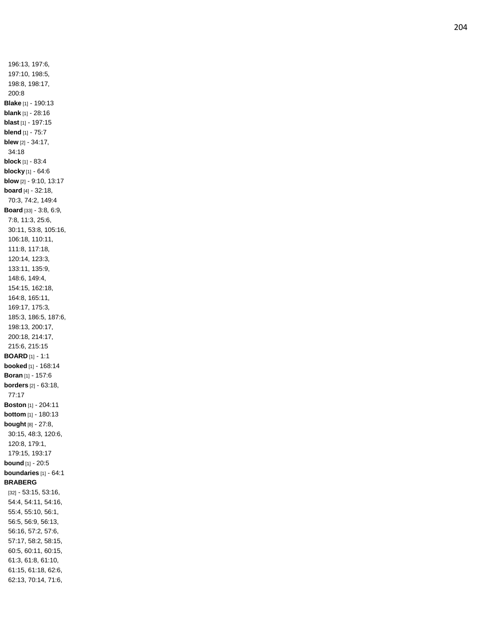196:13, 197:6, 197:10, 198:5, 198:8, 198:17, 200:8 **Blake** [1] - 190:13 **blank** [1] - 28:16 **blast** [1] - 197:15 **blend** [1] - 75:7 **blew** [2] - 34:17, 34:18 **block** [1] - 83:4 **blocky** [1] - 64:6 **blow** [2] - 9:10, 13:17 **board** [4] - 32:18, 70:3, 74:2, 149:4 **Board** [33] - 3:8, 6:9, 7:8, 11:3, 25:6, 30:11, 53:8, 105:16, 106:18, 110:11, 111:8, 117:18, 120:14, 123:3, 133:11, 135:9, 148:6, 149:4, 154:15, 162:18, 164:8, 165:11, 169:17, 175:3, 185:3, 186:5, 187:6, 198:13, 200:17, 200:18, 214:17, 215:6, 215:15 **BOARD** [1] - 1:1 **booked** [1] - 168:14 **Boran** [1] - 157:6 **borders** [2] - 63:18, 77:17 **Boston** [1] - 204:11 **bottom** [1] - 180:13 **bought** [8] - 27:8, 30:15, 48:3, 120:6, 120:8, 179:1, 179:15, 193:17 **bound** [1] - 20:5 **boundaries** [1] - 64:1 **BRABERG** [32] - 53:15, 53:16, 54:4, 54:11, 54:16, 55:4, 55:10, 56:1, 56:5, 56:9, 56:13, 56:16, 57:2, 57:6, 57:17, 58:2, 58:15, 60:5, 60:11, 60:15, 61:3, 61:8, 61:10, 61:15, 61:18, 62:6, 62:13, 70:14, 71:6,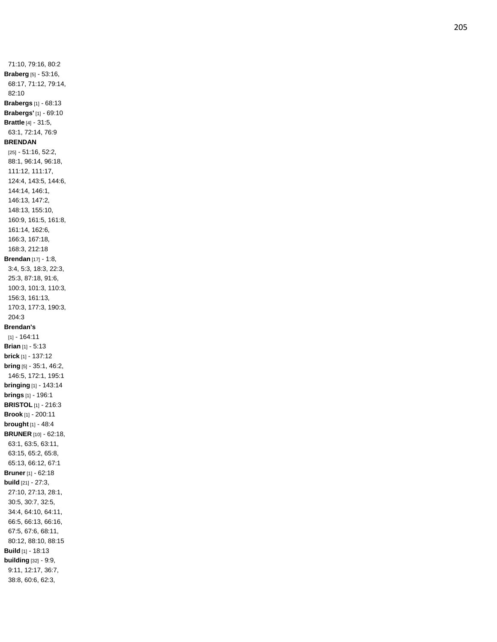71:10, 79:16, 80:2 **Braberg** [5] - 53:16, 68:17, 71:12, 79:14, 82:10 **Brabergs** [1] - 68:13 **Brabergs'** [1] - 69:10 **Brattle** [4] - 31:5, 63:1, 72:14, 76:9 **BRENDAN** [25] - 51:16, 52:2, 88:1, 96:14, 96:18, 111:12, 111:17, 124:4, 143:5, 144:6, 144:14, 146:1, 146:13, 147:2, 148:13, 155:10, 160:9, 161:5, 161:8, 161:14, 162:6, 166:3, 167:18, 168:3, 212:18 **Brendan** [17] - 1:8, 3:4, 5:3, 18:3, 22:3, 25:3, 87:18, 91:6, 100:3, 101:3, 110:3, 156:3, 161:13, 170:3, 177:3, 190:3, 204:3 **Brendan's** [1] - 164:11 **Brian** [1] - 5:13 **brick** [1] - 137:12 **bring** [5] - 35:1, 46:2, 146:5, 172:1, 195:1 **bringing** [1] - 143:14 **brings** [1] - 196:1 **BRISTOL** [1] - 216:3 **Brook** [1] - 200:11 **brought** [1] - 48:4 **BRUNER** [10] - 62:18, 63:1, 63:5, 63:11, 63:15, 65:2, 65:8, 65:13, 66:12, 67:1 **Bruner** [1] - 62:18 **build** [21] - 27:3, 27:10, 27:13, 28:1, 30:5, 30:7, 32:5, 34:4, 64:10, 64:11, 66:5, 66:13, 66:16, 67:5, 67:6, 68:11, 80:12, 88:10, 88:15 **Build** [1] - 18:13 **building** [32] - 9:9, 9:11, 12:17, 36:7, 38:8, 60:6, 62:3,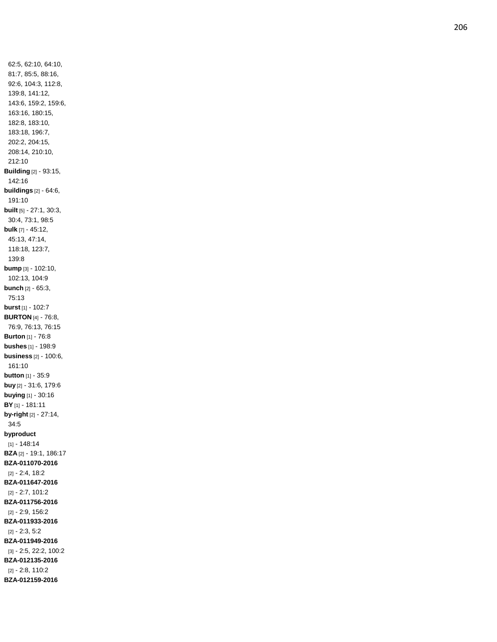62:5, 62:10, 64:10, 81:7, 85:5, 88:16, 92:6, 104:3, 112:8, 139:8, 141:12, 143:6, 159:2, 159:6, 163:16, 180:15, 182:8, 183:10, 183:18, 196:7, 202:2, 204:15, 208:14, 210:10, 212:10 **Building** [2] - 93:15, 142:16 **buildings** [2] - 64:6, 191:10 **built** [5] - 27:1, 30:3, 30:4, 73:1, 98:5 **bulk** [7] - 45:12, 45:13, 47:14, 118:18, 123:7, 139:8 **bump** [3] - 102:10, 102:13, 104:9 **bunch** [2] - 65:3, 75:13 **burst** [1] - 102:7 **BURTON** [4] - 76:8, 76:9, 76:13, 76:15 **Burton** [1] - 76:8 **bushes** [1] - 198:9 **business** [2] - 100:6, 161:10 **button** [1] - 35:9 **buy** [2] - 31:6, 179:6 **buying** [1] - 30:16 **BY** [1] - 181:11 **by -right** [2] - 27:14, 34:5 **byproduct** [1] - 148:14 **BZA** [2] - 19:1, 186:17 **BZA -011070 -2016** [2] - 2:4, 18:2 **BZA -011647 -2016** [2] - 2:7, 101:2 **BZA -011756 -2016** [2] - 2:9, 156:2 **BZA -011933 -2016** [2] - 2:3, 5:2 **BZA -011949 -2016** [3] - 2:5, 22:2, 100:2 **BZA -012135 -2016** [2] - 2:8, 110:2 **BZA -012159 -2016**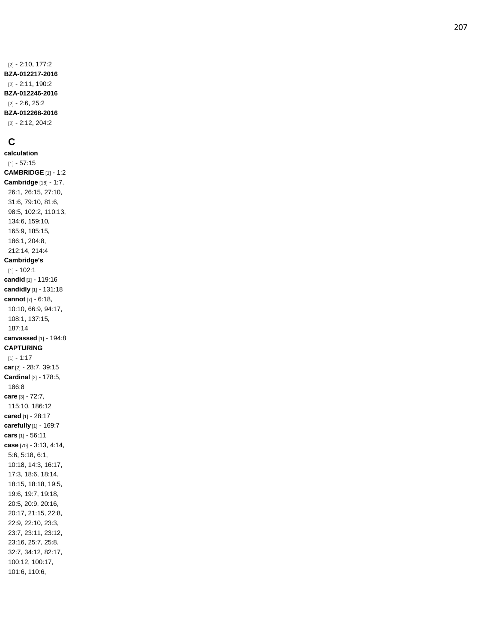## **C**

**calculation** [1] - 57:15 **CAMBRIDGE** [1] - 1:2 **Cambridge** [18] - 1:7, 26:1, 26:15, 27:10, 31:6, 79:10, 81:6, 98:5, 102:2, 110:13, 134:6, 159:10, 165:9, 185:15, 186:1, 204:8, 212:14, 214:4 **Cambridge's** [1] - 102:1 **candid** [1] - 119:16 **candidly** [1] - 131:18 **cannot** [7] - 6:18, 10:10, 66:9, 94:17, 108:1, 137:15, 187:14 **canvassed** [1] - 194:8 **CAPTURING** [1] - 1:17 **car** [2] - 28:7, 39:15 **Cardinal** [2] - 178:5, 186:8 **care** [3] - 72:7, 115:10, 186:12 **cared** [1] - 28:17 **carefully** [1] - 169:7 **cars** [1] - 56:11 **case** [70] - 3:13, 4:14, 5:6, 5:18, 6:1, 10:18, 14:3, 16:17, 17:3, 18:6, 18:14, 18:15, 18:18, 19:5, 19:6, 19:7, 19:18, 20:5, 20:9, 20:16, 20:17, 21:15, 22:8, 22:9, 22:10, 23:3, 23:7, 23:11, 23:12, 23:16, 25:7, 25:8, 32:7, 34:12, 82:17, 100:12, 100:17, 101:6, 110:6,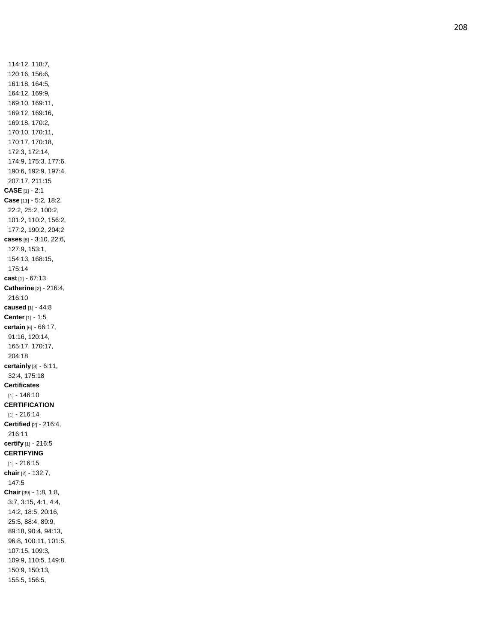114:12, 118:7, 120:16, 156:6, 161:18, 164:5, 164:12, 169:9, 169:10, 169:11, 169:12, 169:16, 169:18, 170:2, 170:10, 170:11, 170:17, 170:18, 172:3, 172:14, 174:9, 175:3, 177:6, 190:6, 192:9, 197:4, 207:17, 211:15 **CASE** [1] - 2:1 **Case** [11 ] - 5:2, 18:2, 22:2, 25:2, 100:2, 101:2, 110:2, 156:2, 177:2, 190:2, 204:2 **cases** [8] - 3:10, 22:6, 127:9, 153:1, 154:13, 168:15, 175:14 **cast** [1] - 67:13 **Catherine** [2] - 216:4, 216:10 **caused** [1] - 44:8 **Center** [1] - 1:5 **certain** [6] - 66:17, 91:16, 120:14, 165:17, 170:17, 204:18 **certainly** [3] - 6:11, 32:4, 175:18 **Certificates** [1] - 146:10 **CERTIFICATION** [1] - 216:14 **Certified** [2] - 216:4, 216:11 **certify** [1] - 216:5 **CERTIFYING** [1] - 216:15 **chair** [2] - 132:7, 147:5 **Chair** [39] - 1:8, 1:8, 3:7, 3:15, 4:1, 4:4, 14:2, 18:5, 20:16, 25:5, 88:4, 89:9, 89:18, 90:4, 94:13, 96:8, 100:11, 101:5, 107:15, 109:3, 109:9, 110:5, 149:8, 150:9, 150:13, 155:5, 156:5,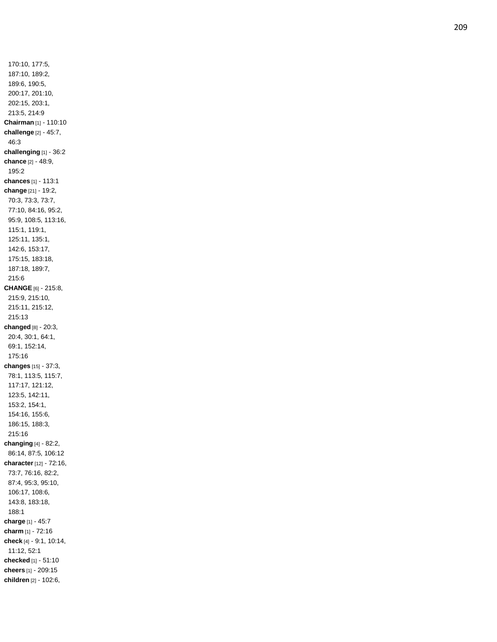170:10, 177:5, 187:10, 189:2, 189:6, 190:5, 200:17, 201:10, 202:15, 203:1, 213:5, 214:9 **Chairman** [1] - 110:10 **challenge** [2] - 45:7, 46:3 **challenging** [1] - 36:2 **chance** [2] - 48:9, 195:2 **chances** [1] - 113:1 **change** [21] - 19:2, 70:3, 73:3, 73:7, 77:10, 84:16, 95:2, 95:9, 108:5, 113:16, 115:1, 119:1, 125:11, 135:1, 142:6, 153:17, 175:15, 183:18, 187:18, 189:7, 215:6 **CHANGE** [6] - 215:8, 215:9, 215:10, 215:11, 215:12, 215:13 **changed** [8] - 20:3, 20:4, 30:1, 64:1, 69:1, 152:14, 175:16 **changes** [15] - 37:3, 78:1, 113:5, 115:7, 117:17, 121:12, 123:5, 142:11, 153:2, 154:1, 154:16, 155:6, 186:15, 188:3, 215:16 **changing** [4] - 82:2, 86:14, 87:5, 106:12 **character** [12] - 72:16, 73:7, 76:16, 82:2, 87:4, 95:3, 95:10, 106:17, 108:6, 143:8, 183:18, 188:1 **charge** [1] - 45:7 **charm** [1] - 72:16 **check** [4] - 9:1, 10:14, 11:12, 52:1 **checked** [1] - 51:10 **cheers** [1] - 209:15 **children** [2] - 102:6,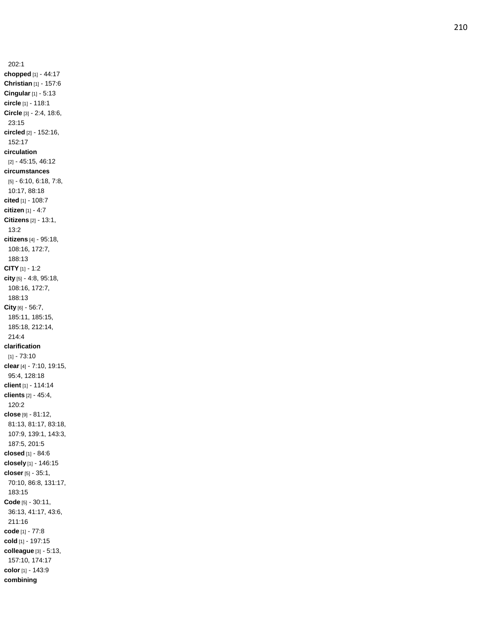202:1 **chopped** [1] - 44:17 **Christian** [1] - 157:6 **Cingular** [1] - 5:13 **circle** [1] - 118:1 **Circle** [3] - 2:4, 18:6, 23:15 **circled** [2] - 152:16, 152:17 **circulation** [2] - 45:15, 46:12 **circumstances** [5] - 6:10, 6:18, 7:8, 10:17, 88:18 **cited** [1] - 108:7 **citizen** [1] - 4:7 **Citizens** [2] - 13:1, 13:2 **citizens** [4] - 95:18, 108:16, 172:7, 188:13 **CITY** [1] - 1:2 **city** [5 ] - 4:8, 95:18, 108:16, 172:7, 188:13 **City** [6] - 56:7, 185:11, 185:15, 185:18, 212:14, 214:4 **clarification** [1] - 73:10 **clear** [4] - 7:10, 19:15, 95:4, 128:18 **client** [1] - 114:14 **clients** [2] - 45:4, 120:2 **close** [9] - 81:12, 81:13, 81:17, 83:18, 107:9, 139:1, 143:3, 187:5, 201:5 **closed** [1] - 84:6 **closely** [1] - 146:15 **closer** [5] - 35:1, 70:10, 86:8, 131:17, 183:15 **Code** [5] - 30:11, 36:13, 41:17, 43:6, 211:16 **code** [1] - 77:8 **cold** [1] - 197:15 **colleague** [3] - 5:13, 157:10, 174:17 **color** [1] - 143:9 **combining**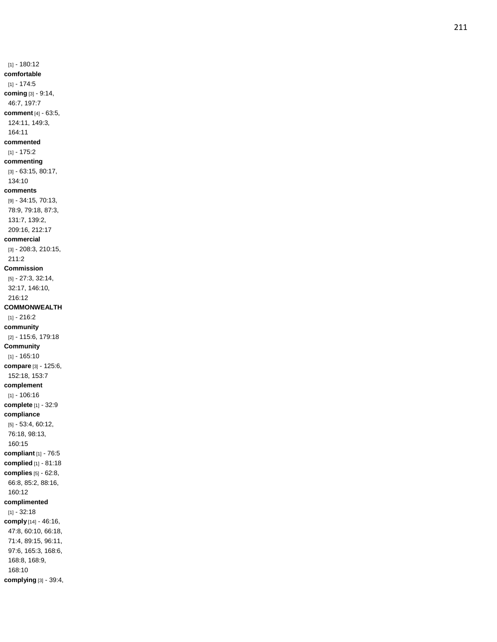[1] - 180:12 **comfortable** [1] - 174:5 **coming** [3] - 9:14, 46:7, 197:7 **comment** [4] - 63:5, 124:11, 149:3, 164:11 **commented** [1] - 175:2 **commenting** [3] - 63:15, 80:17, 134:10 **comments** [9] - 34:15, 70:13, 78:9, 79:18, 87:3, 131:7, 139:2, 209:16, 212:17 **commercial** [3] - 208:3, 210:15, 211:2 **Commission** [5] - 27:3, 32:14, 32:17, 146:10, 216:12 **COMMONWEALTH** [1] - 216:2 **community** [2] - 115:6, 179:18 **Community** [1] - 165:10 **compare** [3] - 125:6, 152:18, 153:7 **complement** [1] - 106:16 **complete** [1] - 32:9 **compliance** [5] - 53:4, 60:12, 76:18, 98:13, 160:15 **compliant** [1] - 76:5 **complied** [1] - 81:18 **complies** [5] - 62:8, 66:8, 85:2, 88:16, 160:12 **complimented** [1] - 32:18 **comply** [14] - 46:16, 47:8, 60:10, 66:18, 71:4, 89:15, 96:11, 97:6, 165:3, 168:6, 168:8, 168:9, 168:10 **complying** [3] - 39:4,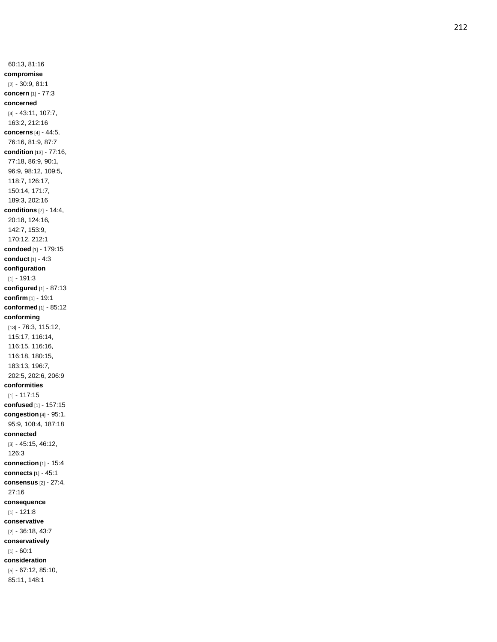60:13, 81:16 **compromise** [2] - 30:9, 81:1 **concern** [1] - 77:3 **concerned** [4] - 43:11, 107:7, 163:2, 212:16 **concerns** [4] - 44:5, 76:16, 81:9, 87:7 **condition** [13] - 77:16, 77:18, 86:9, 90:1, 96:9, 98:12, 109:5, 118:7, 126:17, 150:14, 171:7, 189:3, 202:16 **conditions** [7] - 14:4, 20:18, 124:16, 142:7, 153:9, 170:12, 212:1 **condoed** [1] - 179:15 **conduct** [1] - 4:3 **configuration** [1] - 191:3 **configured** [1] - 87:13 **confirm** [1] - 19:1 **conformed** [1] - 85:12 **conforming** [13] - 76:3, 115:12, 115:17, 116:14, 116:15, 116:16, 116:18, 180:15, 183:13, 196:7, 202:5, 202:6, 206:9 **conformities** [1] - 117:15 **confused** [1] - 157:15 **congestion** [4] - 95:1, 95:9, 108:4, 187:18 **connected** [3] - 45:15, 46:12, 126:3 **connection** [1] - 15:4 **connects** [1] - 45:1 **consensus** [2] - 27:4, 27:16 **consequence** [1] - 121:8 **conservative** [2] - 36:18, 43:7 **conservatively** [1] - 60:1 **consideration** [5] - 67:12, 85:10, 85:11, 148:1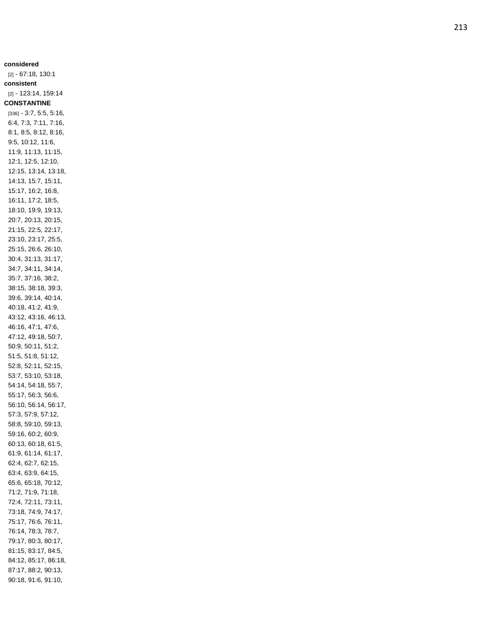**considered** [2] - 67:18, 130:1 **consistent** [2] - 123:14, 159:14 **CONSTANTINE** [336] - 3:7, 5:5, 5:16, 6:4, 7:3, 7:11, 7:16, 8:1, 8:5, 8:12, 8:16, 9:5, 10:12, 11:6, 11:9, 11:13, 11:15, 12:1, 12:5, 12:10, 12:15, 13:14, 13:18, 14:13, 15:7, 15:11, 15:17, 16:2, 16:8, 16:11, 17:2, 18:5, 18:10, 19:9, 19:13, 20:7, 20:13, 20:15, 21:15, 22:5, 22:17, 23:10, 23:17, 25:5, 25:15, 26:6, 26:10, 30:4, 31:13, 31:17, 34:7, 34:11, 34:14, 35:7, 37:16, 38:2, 38:15, 38:18, 39:3, 39:6, 39:14, 40:14, 40:18, 41:2, 41:9, 43:12, 43:16, 46:13, 46:16, 47:1, 47:6, 47:12, 49:18, 50:7, 50:9, 50:11, 51:2, 51:5, 51:8, 51:12, 52:8, 52:11, 52:15, 53:7, 53:10, 53:18, 54:14, 54:18, 55:7, 55:17, 56:3, 56:6, 56:10, 56:14, 56:17, 57:3, 57:9, 57:12, 58:8, 59:10, 59:13, 59:16, 60:2, 60:9, 60:13, 60:18, 61:5, 61:9, 61:14, 61:17, 62:4, 62:7, 62:15, 63:4, 63:9, 64:15, 65:6, 65:18, 70:12, 71:2, 71:9, 71:18, 72:4, 72:11, 73:11, 73:18, 74:9, 74:17, 75:17, 76:6, 76:11, 76:14, 78:3, 78:7, 79:17, 80:3, 80:17, 81:15, 83:17, 84:5, 84:12, 85:17, 86:18, 87:17, 88:2, 90:13, 90:18, 91:6, 91:10,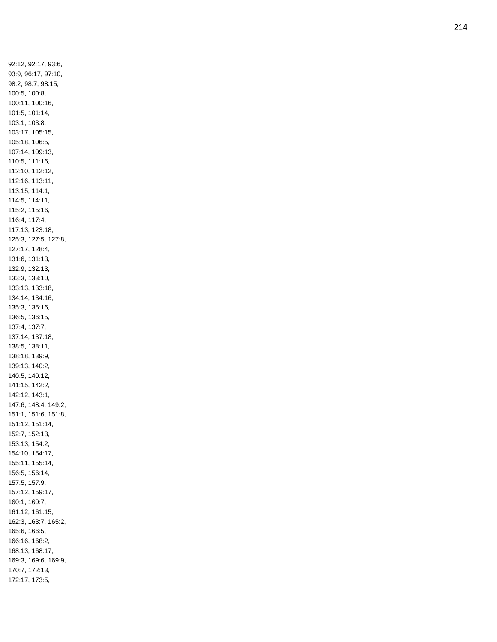92:12, 92:17, 93:6, 93:9, 96:17, 97:10, 98:2, 98:7, 98:15, 100:5, 100:8, 100:11, 100:16, 101:5, 101:14, 103:1, 103:8, 103:17, 105:15, 105:18, 106:5, 107:14, 109:13, 110:5, 111:16, 112:10, 112:12, 112:16, 113:11, 113:15, 114:1, 114:5, 114:11, 115:2, 115:16, 116:4, 117:4, 117:13, 123:18, 125:3, 127:5, 127:8, 127:17, 128:4, 131:6, 131:13, 132:9, 132:13, 133:3, 133:10, 133:13, 133:18, 134:14, 134:16, 135:3, 135:16, 136:5, 136:15, 137:4, 137:7, 137:14, 137:18, 138:5, 138:11, 138:18, 139:9, 139:13, 140:2, 140:5, 140:12, 141:15, 142:2, 142:12, 143:1, 147:6, 148:4, 149:2, 151:1, 151:6, 151:8, 151:12, 151:14, 152:7, 152:13, 153:13, 154:2, 154:10, 154:17, 155:11, 155:14, 156:5, 156:14, 157:5, 157:9, 157:12, 159:17, 160:1, 160:7, 161:12, 161:15, 162:3, 163:7, 165:2, 165:6, 166:5, 166:16, 168:2, 168:13, 168:17, 169:3, 169:6, 169:9, 170:7, 172:13, 172:17, 173:5,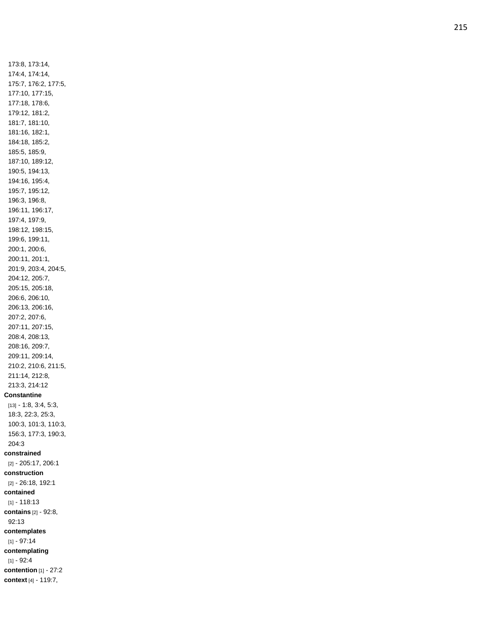173:8, 173:14, 174:4, 174:14, 175:7, 176:2, 177:5, 177:10, 177:15, 177:18, 178:6, 179:12, 181:2, 181:7, 181:10, 181:16, 182:1, 184:18, 185:2, 185:5, 185:9, 187:10, 189:12, 190:5, 194:13, 194:16, 195:4, 195:7, 195:12, 196:3, 196:8, 196:11, 196:17, 197:4, 197:9, 198:12, 198:15, 199:6, 199:11, 200:1, 200:6, 200:11, 201:1, 201:9, 203:4, 204:5, 204:12, 205:7, 205:15, 205:18, 206:6, 206:10, 206:13, 206:16, 207:2, 207:6, 207:11, 207:15, 208:4, 208:13, 208:16, 209:7, 209:11, 209:14, 210:2, 210:6, 211:5, 211:14, 212:8, 213:3, 214:12 **Constantine** [13] - 1:8, 3:4, 5:3, 18:3, 22:3, 25:3, 100:3, 101:3, 110:3, 156:3, 177:3, 190:3, 204:3 **constrained** [2] - 205:17, 206:1 **construction** [2] - 26:18, 192:1 **contained** [1] - 118:13 **contains** [2] - 92:8, 92:13 **contemplates** [1] - 97:14 **contemplating** [1] - 92:4 **contention** [1] - 27:2 **context** [4] - 119:7,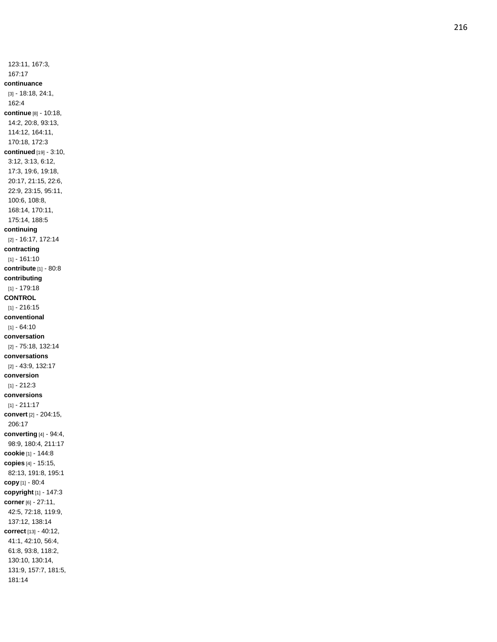123:11, 167:3, 167:17 **continuance** [3] - 18:18, 24:1, 162:4 **continue** [8] - 10:18, 14:2, 20:8, 93:13, 114:12, 164:11, 170:18, 172:3 **continued** [19] - 3:10, 3:12, 3:13, 6:12, 17:3, 19:6, 19:18, 20:17, 21:15, 22:6, 22:9, 23:15, 95:11, 100:6, 108:8, 168:14, 170:11, 175:14, 188:5 **continuing** [2] - 16:17, 172:14 **contracting** [1] - 161:10 **contribute** [1] - 80:8 **contributing** [1] - 179:18 **CONTROL** [1] - 216:15 **conventional** [1] - 64:10 **conversation** [2] - 75:18, 132:14 **conversations** [2] - 43:9, 132:17 **conversion** [1] - 212:3 **conversions** [1] - 211:17 **convert** [2] - 204:15, 206:17 **converting** [4] - 94:4, 98:9, 180:4, 211:17 **cookie** [1] - 144:8 **copies** [4] - 15:15, 82:13, 191:8, 195:1 **copy** [1] - 80:4 **copyright** [1] - 147:3 **corner** [6] - 27:11, 42:5, 72:18, 119:9, 137:12, 138:14 **correct** [13] - 40:12, 41:1, 42:10, 56:4, 61:8, 93:8, 118:2, 130:10, 130:14, 131:9, 157:7, 181:5, 181:14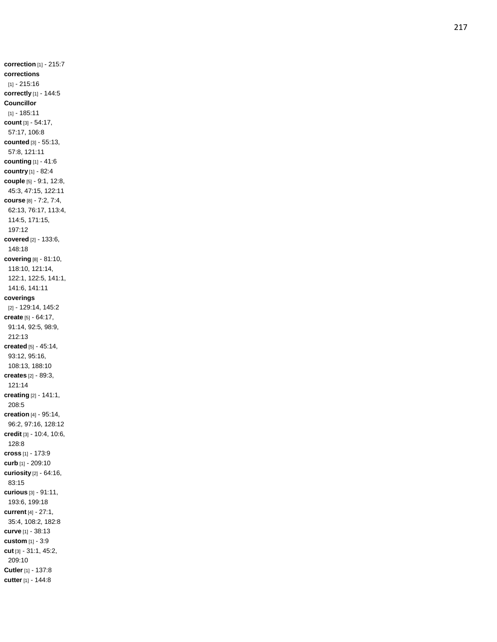**correction** [1] - 215:7 **corrections** [1] - 215:16 **correctly** [1] - 144:5 **Councillor** [1] - 185:11 **count** [3] - 54:17, 57:17, 106:8 **counted** [3] - 55:13, 57:8, 121:11 **counting** [1] - 41:6 **country** [1] - 82:4 **couple** [5] - 9:1, 12:8, 45:3, 47:15, 122:11 **course** [8] - 7:2, 7:4, 62:13, 76:17, 113:4, 114:5, 171:15, 197:12 **covered** [2] - 133:6, 148:18 **covering** [8] - 81:10, 118:10, 121:14, 122:1, 122:5, 141:1, 141:6, 141:11 **coverings** [2] - 129:14, 145:2 **create** [5] - 64:17, 91:14, 92:5, 98:9, 212:13 **created** [5] - 45:14, 93:12, 95:16, 108:13, 188:10 **creates** [2] - 89:3, 121:14 **creating** [2] - 141:1, 208:5 **creation** [4] - 95:14, 96:2, 97:16, 128:12 **credit** [3] - 10:4, 10:6, 128:8 **cross** [1] - 173:9 **curb** [1] - 209:10 **curiosity** [2] - 64:16, 83:15 **curious** [3] - 91:11, 193:6, 199:18 **current** [4] - 27:1, 35:4, 108:2, 182:8 **curve** [1] - 38:13 **custom** [1] - 3:9 **cut** [3] - 31:1, 45:2, 209:10 **Cutler** [1] - 137:8 **cutter** [1] - 144:8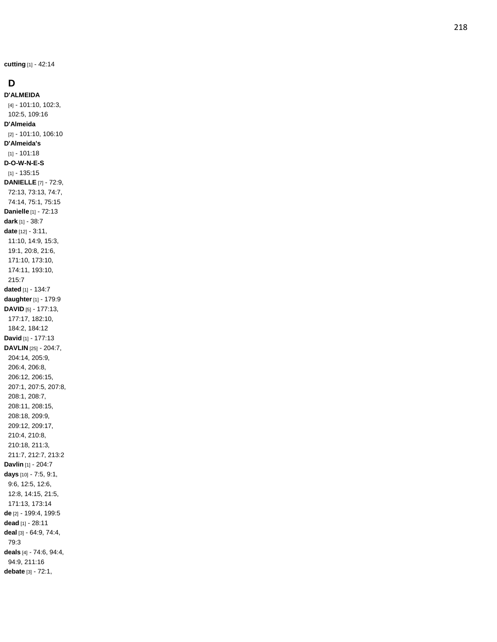**cutting** [1] - 42:14

# **D**

**D'ALMEIDA** [4] - 101:10, 102:3, 102:5, 109:16 **D'Almeida** [2] - 101:10, 106:10 **D'Almeida's** [1] - 101:18 **D - O - W - N - E - S** [1] - 135:15 **DANIELLE** [7] - 72:9, 72:13, 73:13, 74:7, 74:14, 75:1, 75:15 **Danielle** [1] - 72:13 **dark** [1] - 38:7 **date** [12] - 3:11, 11:10, 14:9, 15:3, 19:1, 20:8, 21:6, 171:10, 173:10, 174:11, 193:10, 215:7 **dated** [1] - 134:7 **daughter** [1] - 179:9 **DAVID** [5] - 177:13, 177:17, 182:10, 184:2, 184:12 **David** [1] - 177:13 **DAVLIN** [25] - 204:7, 204:14, 205:9, 206:4, 206:8, 206:12, 206:15, 207:1, 207:5, 207:8, 208:1, 208:7, 208:11, 208:15, 208:18, 209:9, 209:12, 209:17, 210:4, 210:8, 210:18, 211:3, 211:7, 212:7, 213:2 **Davlin** [1] - 204:7 **days** [10] - 7:5, 9:1, 9:6, 12:5, 12:6, 12:8, 14:15, 21:5, 171:13, 173:14 **de** [2] - 199:4, 199:5 **dead** [1] - 28:11 **deal** [3] - 64:9, 74:4, 79:3 **deals** [4] - 74:6, 94:4, 94:9, 211:16 **debate** [3] - 72:1,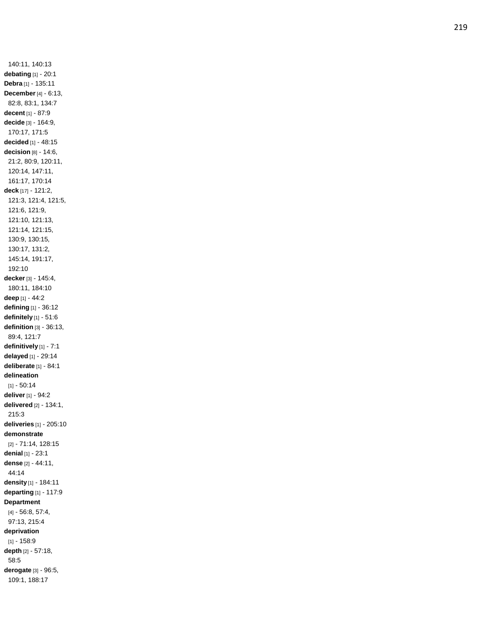140:11, 140:13 **debating** [1] - 20:1 **Debra** [1] - 135:11 **December** [4] - 6:13, 82:8, 83:1, 134:7 **decent** [1] - 87:9 **decide** [3] - 164:9, 170:17, 171:5 **decided** [1] - 48:15 **decision** [8] - 14:6, 21:2, 80:9, 120:11, 120:14, 147:11, 161:17, 170:14 **deck** [17] - 121:2, 121:3, 121:4, 121:5, 121:6, 121:9, 121:10, 121:13, 121:14, 121:15, 130:9, 130:15, 130:17, 131:2, 145:14, 191:17, 192:10 **decker** [3] - 145:4, 180:11, 184:10 **deep** [1] - 44:2 **defining** [1] - 36:12 **definitely** [1] - 51:6 **definition** [3] - 36:13, 89:4, 121:7 **definitively** [1] - 7:1 **delayed** [1] - 29:14 **deliberate** [1] - 84:1 **delineation** [1] - 50:14 **deliver** [1] - 94:2 **delivered** [2] - 134:1, 215:3 **deliveries** [1] - 205:10 **demonstrate** [2] - 71:14, 128:15 **denial** [1] - 23:1 **dense** [2] - 44:11, 44:14 **density** [1] - 184:11 **departing** [1] - 117:9 **Department** [4] - 56:8, 57:4, 97:13, 215:4 **deprivation** [1] - 158:9 **depth** [2] - 57:18, 58:5 **derogate** [3] - 96:5, 109:1, 188:17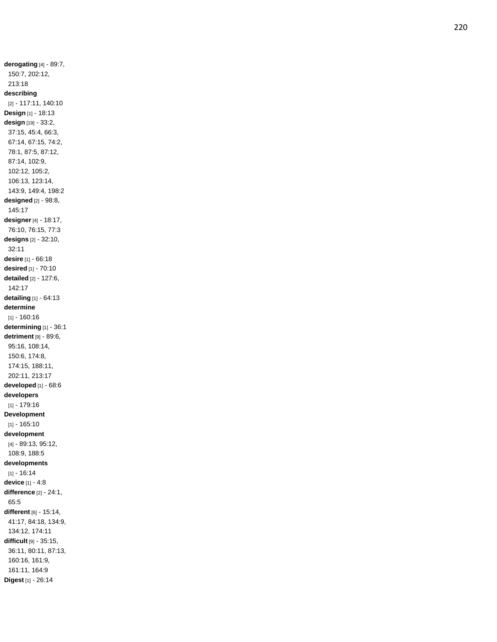150:7, 202:12, 213:18 **describing** [2] - 117:11, 140:10 **Design** [1] - 18:13 **design** [19] - 33:2, 37:15, 45:4, 66:3, 67:14, 67:15, 74:2, 78:1, 87:5, 87:12, 87:14, 102:9, 102:12, 105:2, 106:13, 123:14, 143:9, 149:4, 198:2 **designed** [2] - 98:8, 145:17 **designer** [4] - 18:17, 76:10, 76:15, 77:3 **designs** [2] - 32:10, 32:11 **desire** [1] - 66:18 **desired** [1] - 70:10 **detailed** [2] - 127:6, 142:17 **detailing** [1] - 64:13 **determine** [1] - 160:16 **determining** [1] - 36:1 **detriment** [9] - 89:6, 95:16, 108:14, 150:6, 174:8, 174:15, 188:11, 202:11, 213:17 **developed** [1] - 68:6 **developers** [1] - 179:16 **Development** [1] - 165:10 **development** [4] - 89:13, 95:12, 108:9, 188:5 **developments** [1] - 16:14 **device** [1] - 4:8 **difference** [2] - 24:1, 65:5 **different** [6] - 15:14, 41:17, 84:18, 134:9, 134:12, 174:11 **difficult** [9] - 35:15, 36:11, 80:11, 87:13, 160:16, 161:9, 161:11, 164:9 **Digest** [1] - 26:14

**derogating** [4] - 89:7,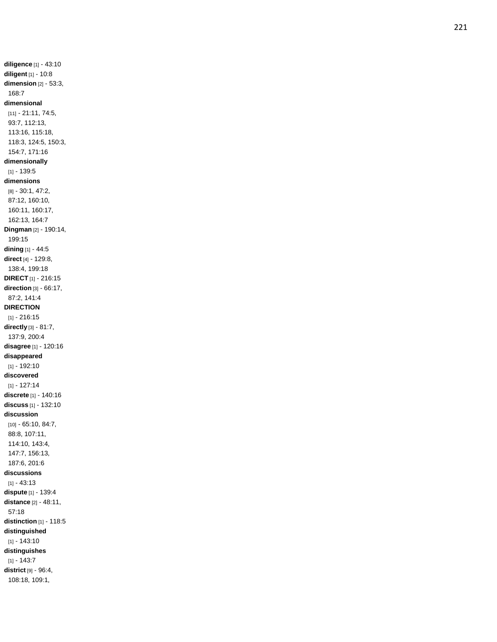**diligence** [1] - 43:10 **diligent** [1] - 10:8 **dimension** [2] - 53:3, 168:7 **dimensional** [11] - 21:11, 74:5, 93:7, 112:13, 113:16, 115:18, 118:3, 124:5, 150:3, 154:7, 171:16 **dimensionally** [1] - 139:5 **dimensions** [8] - 30:1, 47:2, 87:12, 160:10, 160:11, 160:17, 162:13, 164: 7 **Dingman** [2] - 190:14, 199:15 **dining** [1] - 44:5 **direct** [4] - 129:8, 138:4, 199:18 **DIRECT** [1] - 216:15 **direction** [3] - 66:17, 87:2, 141:4 **DIRECTION** [1] - 216:15 **directly** [3] - 81:7, 137:9, 200:4 **disagree** [1] - 120:16 **disappeared** [1] - 192:10 **discovered** [1] - 127:14 **discrete** [1] - 140:16 **discuss** [1] - 132:10 **discussion** [10] - 65:10, 84:7, 88:8, 107:11, 114:10, 143:4, 147:7, 156:13, 187:6, 201:6 **discussions** [1] - 43:13 **dispute** [1] - 139:4 **distance** [2] - 48:11, 57:18 **distinction** [1] - 118:5 **distinguished** [1] - 143:10 **distinguishes** [1] - 143:7 **district** [9] - 96:4, 108:18, 109:1,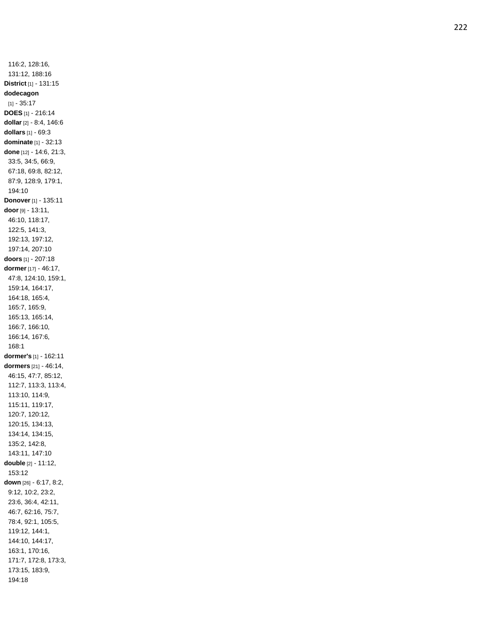116:2, 128:16, 131:12, 188:16 **District** [1] - 131:15 **dodecagon** [1] - 35:17 **DOES** [1] - 216:14 **dollar** [2] - 8:4, 146:6 **dollars** [1] - 69:3 **dominate** [1] - 32:13 **done** [12] - 14:6, 21:3, 33:5, 34:5, 66:9, 67:18, 69:8, 82:12, 87:9, 128:9, 179:1, 194:10 **Donover** [1] - 135:11 **door** [9] - 13:11, 46:10, 118:17, 122:5, 141:3, 192:13, 197:12, 197:14, 207:10 **doors** [1] - 207:18 **dormer** [17] - 46:17, 47:8, 124:10, 159:1, 159:14, 164:17, 164:18, 165:4, 165:7, 165:9, 165:13, 165:14, 166:7, 166:10, 166:14, 167:6, 168:1 **dormer's** [1] - 162:11 **dormers** [21] - 46:14, 46:15, 47:7, 85:12, 112:7, 113:3, 113:4, 113:10, 114:9, 115:11, 119:17, 120:7, 120:12, 120:15, 134:13, 134:14, 134:15, 135:2, 142:8, 143:11, 147:10 **double** [2] - 11:12, 153:12 **down** [26] - 6:17, 8:2, 9:12, 10:2, 23:2, 23:6, 36:4, 42:11, 46:7, 62:16, 75:7, 78:4, 92:1, 105:5, 119:12, 144:1, 144:10, 144:17, 163:1, 170:16, 171:7, 172:8, 173:3, 173:15, 183:9, 194:18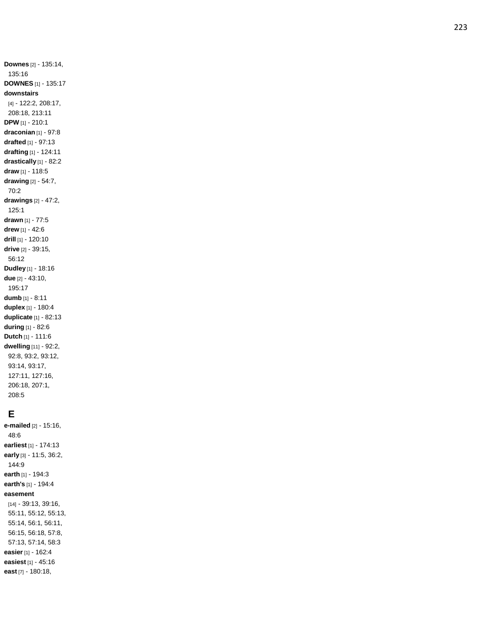**Downes** [2] - 135:14, 135:16 **DOWNES** [1] - 135:17 **downstairs** [4] - 122:2, 208:17, 208:18, 213:11 **DPW** [1] - 210:1 **draconian** [1] - 97:8 **drafted** [1] - 97:13 **drafting** [1] - 124:11 **drastically** [1] - 82:2 **draw** [1] - 118:5 **drawing** [2] - 54:7, 70:2 **drawings** [2] - 47:2, 125:1 **drawn** [1] - 77:5 **drew** [1] - 42:6 **drill** [1] - 120:10 **drive** [2] - 39:15, 56:12 **Dudley** [1] - 18:16 **due** [2] - 43:10, 195:17 **dumb** [1] - 8:11 **duplex** [1] - 180:4 **duplicate** [1] - 82:13 **during** [1] - 82:6 **Dutch** [1] - 111:6 **dwelling** [11] - 92:2, 92:8, 93:2, 93:12, 93:14, 93:17, 127:11, 127:16, 206:18, 207:1, 208:5

#### **E**

**e -mailed** [2] - 15:16, 48:6 **earliest** [1] - 174:13 **early** [3] - 11:5, 36:2, 144:9 **earth** [1] - 194:3 **earth's** [1] - 194:4 **easement** [14] - 39:13, 39:16, 55:11, 55:12, 55:13, 55:14, 56:1, 56:11, 56:15, 56:18, 57:8, 57:13, 57:14, 58:3 **easier** [1] - 162:4 **easiest** [1] - 45:16 **east** [7] - 180:18,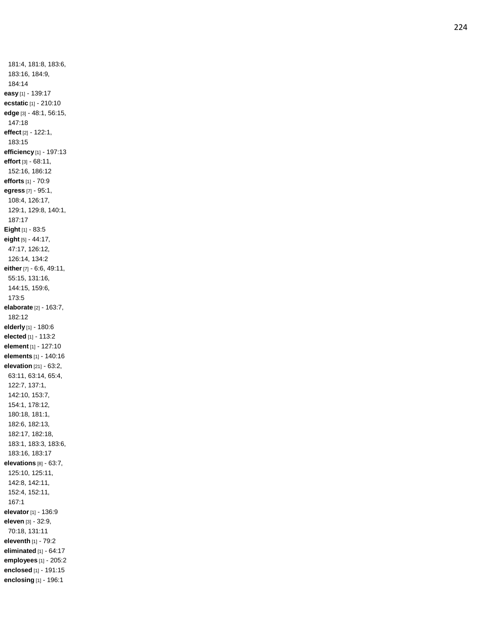181:4, 181:8, 183:6, 183:16, 184:9, 184:14 **easy** [1] - 139:17 **ecstatic** [1] - 210:10 **edge** [3] - 48:1, 56:15, 147:18 **effect** [2] - 122:1, 183:15 **efficiency** [1] - 197:13 **effort** [3] - 68:11, 152:16, 186:12 **efforts** [1] - 70:9 **egress** [7] - 95:1, 108:4, 126:17, 129:1, 129:8, 140:1, 187:17 **Eight** [1] - 83:5 **eight** [5] - 44:17, 47:17, 126:12, 126:14, 134:2 **either** [7] - 6:6, 49:11, 55:15, 131:16, 144:15, 159:6, 173:5 **elaborate** [2] - 163:7, 182:12 **elderly** [1] - 180:6 **elected** [1] - 113:2 **element** [1] - 127:10 **elements** [1] - 140:16 **elevation** [21] - 63:2, 63:11, 63:14, 65:4, 122:7, 137:1, 142:10, 153:7, 154:1, 178:12, 180:18, 181:1, 182:6, 182:13, 182:17, 182:18, 183:1, 183:3, 183:6, 183:16, 183:17 **elevations** [8] - 63:7, 125:10, 125:11, 142:8, 142:11, 152:4, 152:11, 167:1 **elevator** [1] - 136:9 **eleven** [3] - 32:9, 70:18, 131:11 **eleventh** [1] - 79:2 **eliminated** [1] - 64:17 **employees** [1] - 205:2 **enclosed** [1] - 191:15 **enclosing** [1] - 196:1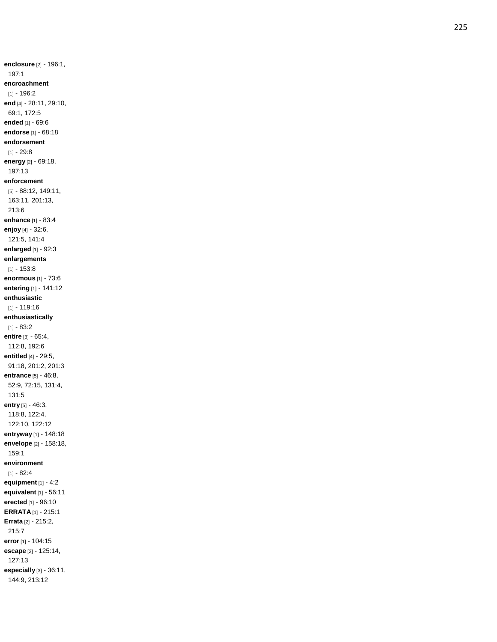**enclosure** [2] - 196:1, 197:1 **encroachment** [1] - 196:2 **end** [4] - 28:11, 29:10, 69:1, 172:5 **ended** [1] - 69:6 **endorse** [1] - 68:18 **endorsement** [1] - 29:8 **energy** [2] - 69:18, 197:13 **enforcement** [5] - 88:12, 149:11, 163:11, 201:13, 213:6 **enhance** [1] - 83:4 **enjoy** [4] - 32:6, 121:5, 141:4 **enlarged** [1] - 92:3 **enlargements** [1] - 153:8 **enormous** [1] - 73:6 **entering** [1] - 141:12 **enthusiastic** [1] - 119:16 **enthusiastically** [1] - 83:2 **entire** [3] - 65:4, 112:8, 192:6 **entitled** [4] - 29:5, 91:18, 201:2, 201:3 **entrance** [5] - 46:8, 52:9, 72:15, 131:4, 131:5 **entry** [5] - 46:3, 118:8, 122:4, 122:10, 122:12 **entryway** [1] - 148:18 **envelope** [2] - 158:18, 159:1 **environment** [1] - 82:4 **equipment** [1] - 4:2 **equivalent** [1] - 56:11 **erected** [1] - 96:10 **ERRATA** [1] - 215:1 **Errata** [2] - 215:2, 215:7 **error** [1] - 104:15 **escape** [2] - 125:14, 127:13 **especially** [3] - 36:11, 144:9, 213:12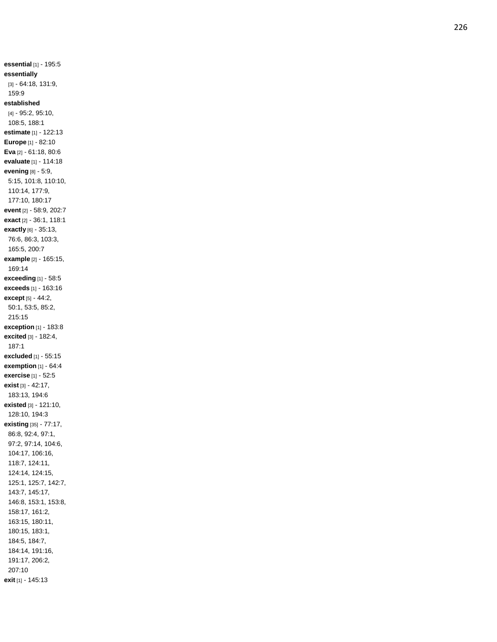**essential** [1] - 195:5 **essentially** [3] - 64:18, 131:9, 159:9 **established** [4] - 95:2, 95:10, 108:5, 188:1 **estimate** [1] - 122:13 **Europe** [1] - 82:10 **Eva** [2] - 61:18, 80:6 **evaluate** [1] - 114:18 **evening** [8] - 5:9, 5:15, 101:8, 110:10, 110:14, 177:9, 177:10, 180:17 **event** [2] - 58:9, 202:7 **exact** [2] - 36:1, 118:1 **exactly** [6] - 35:13, 76:6, 86:3, 103:3, 165:5, 200:7 **example** [2] - 165:15, 169:14 **exceeding** [1] - 58:5 **exceeds** [1] - 163:16 **except** [5] - 44:2, 50:1, 53:5, 85:2, 215:15 **exception** [1] - 183:8 **excited** [3] - 182:4, 187:1 **excluded** [1] - 55:15 **exemption** [1] - 64:4 **exercise** [1] - 52:5 **exist** [3] - 42:17, 183:13, 194:6 **existed** [3] - 121:10, 128:10, 194:3 **existing** [35] - 77:17, 86:8, 92:4, 97:1, 97:2, 97:14, 104:6, 104:17, 106:16, 118:7, 124:11, 124:14, 124:15, 125:1, 125:7, 142:7, 143:7, 145:17, 146:8, 153:1, 153:8, 158:17, 161:2, 163:15, 180:11, 180:15, 183:1, 184:5, 184:7, 184:14, 191:16, 191:17, 206:2, 207:10 **exit** [1] - 145:13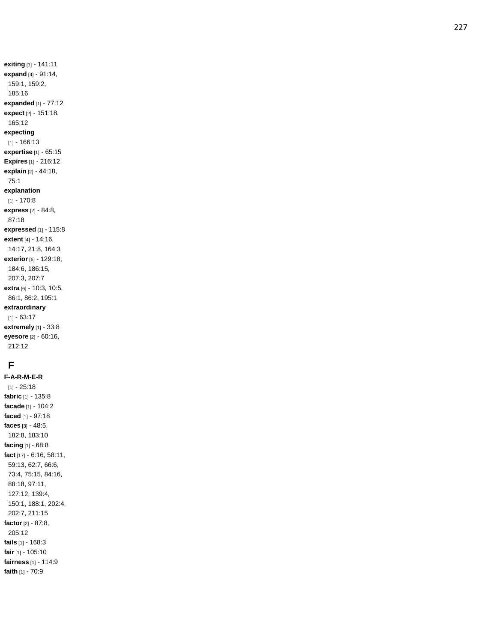**exiting** [1] - 141:11 **expand** [4] - 91:14, 159:1, 159:2, 185:16 **expanded** [1] - 77:12 **expect** [2] - 151:18, 165:12 **expecting** [1] - 166:13 **expertise** [1] - 65:15 **Expires** [1] - 216:12 **explain** [2] - 44:18, 75:1 **explanation** [1] - 170:8 **express** [2] - 84:8, 87:18 **expressed** [1] - 115:8 **extent** [4] - 14:16, 14:17, 21:8, 164:3 **exterior** [6] - 129:18, 184:6, 186:15, 207:3, 207:7 **extra** [6] - 10:3, 10:5, 86:1, 86:2, 195:1 **extraordinary** [1] - 63:17 **extremely** [1] - 33:8 **eyesore** [2] - 60:16, 212:12

# **F**

**F - A - R - M - E - R** [1] - 25:18 **fabric** [1] - 135:8 **facade** [1] - 104:2 **faced** [1] - 97:18 **faces** [3] - 48:5, 182:8, 183:10 **facing** [1] - 68:8 **fact** [17] - 6:16, 58:11, 59:13, 62:7, 66:6, 73:4, 75:15, 84:16, 88:18, 97:11, 127:12, 139:4, 150:1, 188:1, 202:4, 202:7, 211:15 **factor** [2] - 87:8, 205:12 **fails** [1] - 168:3 **fair** [1] - 105:10 **fairness** [1] - 114:9 **faith** [1] - 70:9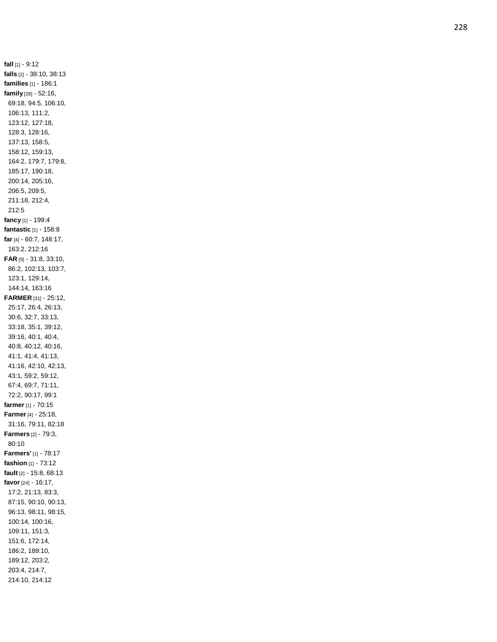**fall** [1] - 9:12 **falls** [2] - 38:10, 38:13 **families** [1] - 186:1 **family** [28] - 52:16, 69:18, 94:5, 106:10, 106:13, 111:2, 123:12, 127:18, 128:3, 128:16, 137:13, 158:5, 158:12, 159:13, 164:2, 179:7, 179:8, 185:17, 190:18, 200:14, 205:16, 206:5, 209:5, 211:18, 212:4, 212:5 **fancy** [1] - 199:4 **fantastic** [1] - 158:8 **far** [4] - 60:7, 148:17, 163:2, 212:16 **FAR** [9] - 31:8, 33:10, 86:2, 102:13, 103:7, 123:1, 129:14, 144:14, 163:16 **FARMER** [31] - 25:12, 25:17, 26:4, 26:13, 30:6, 32:7, 33:13, 33:18, 35:1, 39:12, 39:16, 40:1, 40:4, 40:8, 40:12, 40:16, 41:1, 41:4, 41:13, 41:16, 42:10, 42:13, 43:1, 59:2, 59:12, 67:4, 69:7, 71:11, 72:2, 90:17, 99:1 **farmer** [1] - 70:15 **Farmer** [4] - 25:18, 31:16, 79:11, 82:18 **Farmers** [2] - 79:3, 80:10 **Farmers'** [1] - 78:17 **fashion** [1] - 73:12 **fault** [2] - 15:8, 68:13 **favor** [24 ] - 16:17, 17:2, 21:13, 83:3, 87:15, 90:10, 90:13, 96:13, 98:11, 98:15, 100:14, 100:16, 109:11, 151:3, 151:6, 172:14, 186:2, 189:10, 189:12, 203:2, 203:4, 214:7, 214:10, 214:12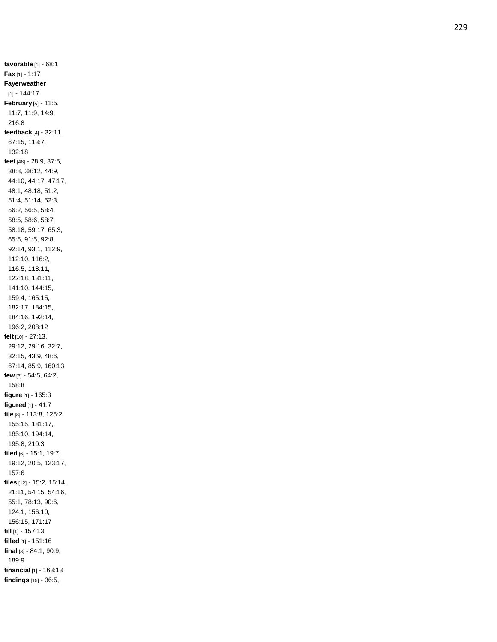**favorable** [1] - 68:1 **Fax** [1] - 1:17 **Fayerweather** [1] - 144:17 **February** [5] - 11:5, 11:7, 11:9, 14:9, 216:8 **feedback** [4] - 32:11, 67:15, 113:7, 132:18 **feet** [48] - 28:9, 37:5, 38:8, 38:12, 44:9, 44:10, 44:17, 47:17, 48:1, 48:18, 51:2, 51:4, 51:14, 52:3, 56:2, 56:5, 58:4, 58:5, 58:6, 58:7, 58:18, 59:17, 65:3, 65:5, 91:5, 92:8, 92:14, 93:1, 112:9, 112:10, 116:2, 116:5, 118:11, 122:18, 131:11, 141:10, 144:15, 159:4, 165:15, 182:17, 184:15, 184:16, 192:14, 196:2, 208:12 **felt** [10] - 27:13, 29:12, 29:16, 32:7, 32:15, 43:9, 48:6, 67:14, 85:9, 160:13 **few** [3] - 54:5, 64:2, 158:8 **figure** [1] - 165:3 **figured** [1] - 41:7 **file** [8] - 113:8, 125:2, 155:15, 181:17, 185:10, 194:14, 195:8, 210:3 **filed** [6] - 15:1, 19:7, 19:12, 20:5, 123:17, 157:6 **files** [12] - 15:2, 15:14, 21:11, 54:15, 54:16, 55:1, 78:13, 90:6, 124:1, 156:10, 156:15, 171:17 **fill** [1] - 157:13 **filled** [1] - 151:16 **final** [3] - 84:1, 90:9, 189:9 **financial** [1] - 163:13 **findings** [15] - 36:5,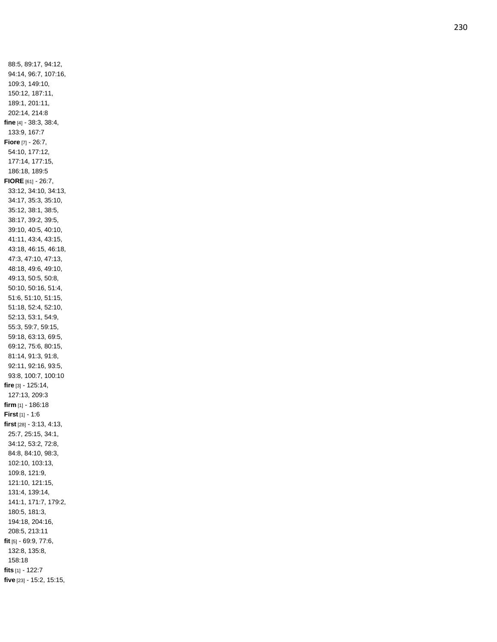88:5, 89:17, 94:12, 94:14, 96:7, 107:16, 109:3, 149:10, 150:12, 187:11, 189:1, 201:11, 202:14, 214:8 **fine** [4] - 38:3, 38:4, 133:9, 167:7 **Fiore** [7] - 26:7, 54:10, 177:12, 177:14, 177:15, 186:18, 189:5 **FIORE** [61] - 26:7, 33:12, 34:10, 34:13, 34:17, 35:3, 35:10, 35:12, 38:1, 38:5, 38:17, 39:2, 39:5, 39:10, 40:5, 40:10, 41:11, 43:4, 43:15, 43:18, 46:15, 46:18, 47:3, 47:10, 47:13, 48:18, 49:6, 49:10, 49:13, 50:5, 50:8, 50:10, 50:16, 51:4, 51:6, 51:10, 51:15, 51:18, 52:4, 52:10, 52:13, 53:1, 54:9, 55:3, 59:7, 59:15, 59:18, 63:13, 69:5, 69:12, 75:6, 80:15, 81:14, 91:3, 91:8, 92:11, 92:16, 93:5, 93:8, 100:7, 100:10 **fire** [3] - 125:14, 127:13, 209:3 **firm** [1] - 186:18 **First** [1] - 1:6 **first** [28] - 3:13, 4:13, 25:7, 25:15, 34:1, 34:12, 53:2, 72:8, 84:8, 84:10, 98:3, 102:10, 103:13, 109:8, 121:9, 121:10, 121:15, 131:4, 139:14, 141:1, 171:7, 179:2, 180:5, 181:3, 194:18, 204:16, 208:5, 213:11 **fit** [5] - 69:9, 77:6, 132:8, 135:8, 158:18 **fits** [1] - 122:7 **five** [23] - 15:2, 15:15,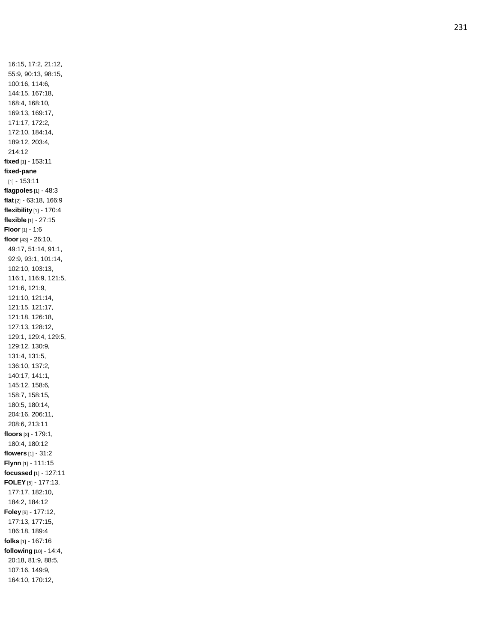16:15, 17:2, 21:12, 55:9, 90:13, 98:15, 100:16, 114:6, 144:15, 167:18, 168:4, 168:10, 169:13, 169:17, 171:17, 172:2, 172:10, 184:14, 189:12, 203:4, 214:12 **fixed** [1] - 153:11 **fixed -pane** [1] - 153:11 **flagpoles** [1] - 48:3 **flat** [2] - 63:18, 166:9 **flexibility** [1] - 170:4 **flexible** [1] - 27:15 **Floor** [1] - 1:6 **floor** [43] - 26:10, 49:17, 51:14, 91:1, 92:9, 93:1, 101:14, 102:10, 103:13, 116:1, 116:9, 121:5, 121:6, 121:9, 121:10, 121:14, 121:15, 121:17, 121:18, 126:18, 127:13, 128:12, 129:1, 129:4, 129:5, 129:12, 130:9, 131:4, 131:5, 136:10, 137:2, 140:17, 141:1, 145:12, 158:6, 158:7, 158:15, 180:5, 180:14, 204:16, 206:11, 208:6, 213:11 **floors** [3] - 179:1, 180:4, 180:12 **flowers** [1] - 31:2 **Flynn** [1] - 111:15 **focussed** [1] - 127:11 **FOLEY** [5] - 177:13, 177:17, 182:10, 184:2, 184:12 **Foley** [6] - 177:12, 177:13, 177:15, 186:18, 189:4 **folks** [1] - 167:16 **following** [10] - 14:4, 20:18, 81:9, 88:5, 107:16, 149:9, 164:10, 170:12,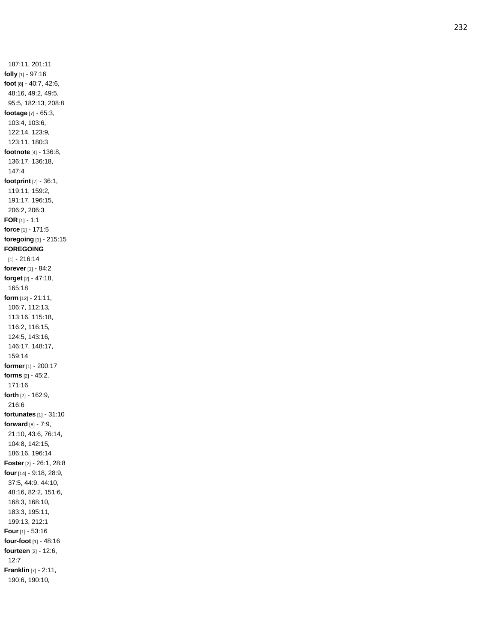187:11, 201:11 **folly** [1] - 97:16 **foot** [8] - 40:7, 42:6, 48:16, 49:2, 49:5, 95:5, 182:13, 208:8 **footage** [7] - 65:3, 103:4, 103:6, 122:14, 123:9, 123:11, 180:3 **footnote** [4] - 136:8, 136:17, 136:18, 147:4 **footprint** [7] - 36:1, 119:11, 159:2, 191:17, 196:15, 206:2, 206:3 **FOR** [1] - 1:1 **force** [1] - 171:5 **foregoing** [1] - 215:15 **FOREGOING** [1] - 216:14 **forever** [1] - 84:2 **forget** [2] - 47:18, 165:18 **form** [12] - 21:11, 106:7, 112:13, 113:16, 115:18, 116:2, 116:15, 124:5, 143:16, 146:17, 148:17, 159:14 **former** [1] - 200:17 **forms** [2] - 45:2, 171:1 6 **forth** [2] - 162:9, 216:6 **fortunates** [1] - 31:10 **forward** [8] - 7:9, 21:10, 43:6, 76:14, 104:8, 142:15, 186:16, 196:14 **Foster** [2] - 26:1, 28:8 **four** [14] - 9:18, 28:9, 37:5, 44:9, 44:10, 48:16, 82:2, 151:6, 168:3, 168:10, 183:3, 195:11, 199:13, 212:1 **Four** [1] - 53:16 **four -foot** [1] - 48:16 **fourteen** [2] - 12:6, 12:7 **Franklin** [7] - 2:11, 190:6, 190:10,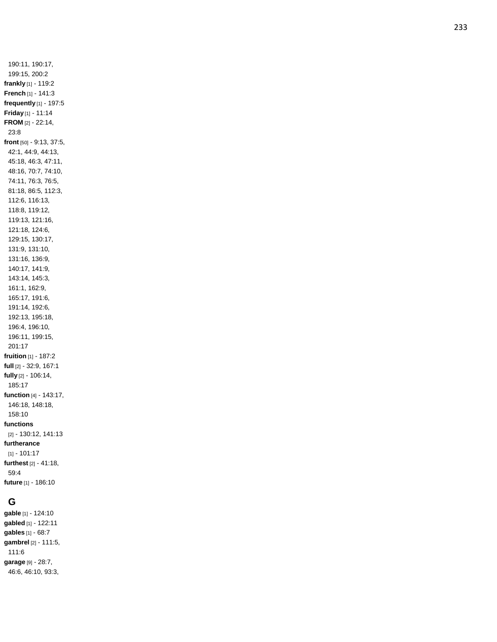190:11, 190:17, 199:15, 200:2 **frankly** [1] - 119:2 **French** [1] - 141:3 **frequently** [1] - 197:5 **Friday** [1] - 11:14 **FROM** [2] - 22:14, 23:8 **front** [50] - 9:13, 37:5, 42:1, 44:9, 44:13, 45:18, 46:3, 47:11, 48:16, 70:7, 74:10, 74:11, 76:3, 76:5, 81:18, 86:5, 112:3, 112:6, 116:13, 118:8, 119:12, 119:13, 121:16, 121:18, 124:6, 129:15, 130:17, 131:9, 131:10, 131:16, 136:9, 140:17, 141:9, 143:14, 145:3, 161:1, 162:9, 165:17, 191:6, 191:14, 192:6, 192:13, 195:18, 196:4, 196:10, 196:11, 199:15, 201:17 **fruition** [1] - 187:2 **full** [2] - 32:9, 167:1 **fully** [2] - 106:14, 185:17 **function** [4] - 143:17, 146:18, 148:18, 158:10 **functions** [2] - 130:12, 141:13 **furtherance** [1] - 101:17 **furthest** [2] - 41:18, 59:4 **future** [1] - 186:10

#### **G**

**gable** [1] - 124:10 **gabled** [1] - 122:11 **gables** [1] - 68:7 **gambrel** [2] - 111:5, 111:6 **garage** [9] - 28:7, 46:6, 46:10, 93:3,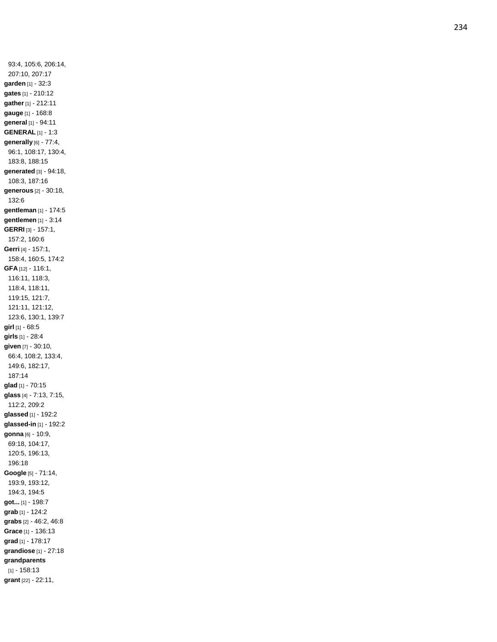93:4, 105:6, 206:14, 207:10, 207:17 **garden** [1] - 32:3 **gates** [1] - 210:12 **gather** [1] - 212:11 **gauge** [1] - 168:8 **general** [1] - 94:11 **GENERAL** [1] - 1:3 **generally** [6] - 77:4, 96:1, 108:17, 130:4, 183:8, 188:15 **generated** [3] - 94:18, 108:3, 187:16 **generous** [2] - 30:18, 132:6 **gentleman** [1] - 174:5 **gentlemen** [1] - 3:14 **GERRI** [3] - 157:1, 157:2, 160:6 **Gerri** [4] - 157:1, 158:4, 160:5, 174:2 **GFA** [12] - 116:1, 116:11, 118:3, 118:4, 118:11, 119:15, 121:7, 121:11, 121:12, 123:6, 130:1, 139:7 **girl** [1] - 68:5 **girls** [1] - 28:4 **given** [7] - 30:10, 66:4, 108:2, 133:4, 149:6, 182:17, 187:14 **gla d** [1] - 70:15 **glass** [4] - 7:13, 7:15, 112:2, 209:2 **glassed** [1] - 192:2 **glassed -in** [1] - 192:2 **gonna** [6] - 10:9, 69:18, 104:17, 120:5, 196:13, 196:18 **Google** [5] - 71:14, 193:9, 193:12, 194:3, 194:5 **got...** [1] - 198:7 **grab** [1] - 124:2 **grabs** [2] - 46:2, 46:8 **Grace** [1] - 136:13 **grad** [1] - 178:17 **grandiose** [1] - 27:18 **grandparents** [1] - 158:13 **grant** [22] - 22:11,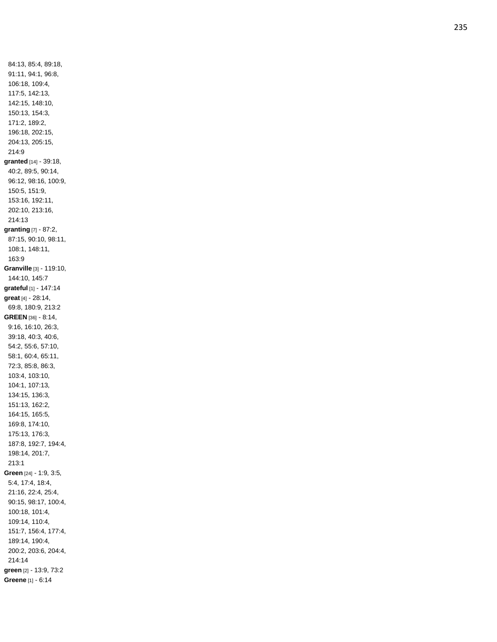84:13, 85:4, 89:18, 91:11, 94:1, 96:8, 106:18, 109:4, 117:5, 142:13, 142:15, 148:10, 150:13, 154:3, 171:2, 189:2, 196:18, 202:15, 204:13, 205:15, 214:9 **granted** [14] - 39:18, 40:2, 89:5, 90:14, 96:12, 98:16, 100:9, 150:5, 151:9, 153:16, 192:11, 202:10, 213:16, 214:13 **granting** [7] - 87:2, 87:15, 90:10, 98:11, 108:1, 148:11, 163:9 **Granville** [3] - 119:10, 144:10, 145:7 **grateful** [1] - 147:14 **great** [4] - 28:14, 69:8, 180:9, 213:2 **GREEN** [36] - 8:14, 9:16, 16:10, 26:3, 39:18, 40:3, 40:6, 54:2, 55:6, 57:10, 58:1, 60:4, 65:11, 72:3, 85:8, 86:3, 103:4, 103:10, 104:1, 107:13, 134:15, 136:3, 151:13, 162:2, 164:15, 165:5, 169:8, 174:10, 175:13, 176:3, 187:8, 192:7, 194:4, 198:14, 201:7, 213:1 **Green** [24] - 1:9, 3:5, 5:4, 17:4, 18:4, 21:16, 22:4, 25:4, 90:15, 98:17, 100:4, 100:18, 101:4, 109:14, 110:4, 151:7, 156:4, 177:4, 189:14, 190:4, 200:2, 203:6, 204:4, 214:14 **green** [2] - 13:9, 73:2 **Greene** [1] - 6:14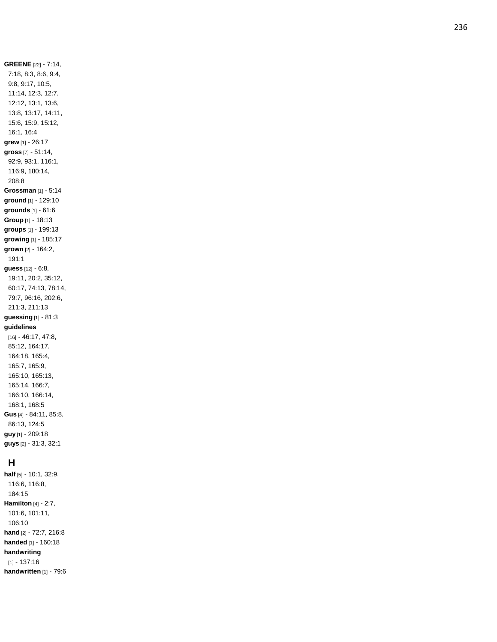**GREENE** [22 ] - 7:14, 7:18, 8:3, 8:6, 9:4, 9:8, 9:17, 10:5, 11:14, 12:3, 12:7, 12:12, 13:1, 13:6, 13:8, 13:17, 14:11, 15:6, 15:9, 15:12, 16:1, 16:4 **grew** [1] - 26:17 **gross** [7] - 51:14, 92:9, 93:1, 116:1, 116:9, 180:14, 208:8 **Grossman** [1] - 5:14 **ground** [1] - 129:10 **grounds** [1] - 61:6 **Group** [1] - 18:13 **groups** [1] - 199:13 **growing** [1] - 185:17 **grown** [2] - 164:2, 191:1 **guess** [12] - 6:8, 19:11, 20:2, 35:12, 60:17, 74:13, 78:14, 79:7, 96:16, 202:6, 211:3, 211:13 **guessing** [1] - 81:3 **guidelines** [16] - 46:17, 47:8, 85:12, 164:17, 164:18, 165:4, 165:7, 165:9, 165:10, 165:13, 165:14, 166:7, 166:10, 166:14, 168:1, 168:5 **Gus** [4] - 84:11, 85:8, 86:13, 124:5 **guy** [1] - 209:18 **guys** [2] - 31:3, 32:1

# **H**

**half** [5] - 10:1, 32:9, 116:6, 116:8, 184:15 **Hamilton** [4] - 2:7, 101:6, 101:11, 106:10 **hand** [2] - 72:7, 216:8 **handed** [1] - 160:18 **handwriting** [1] - 137:16 **handwritten** [1] - 79:6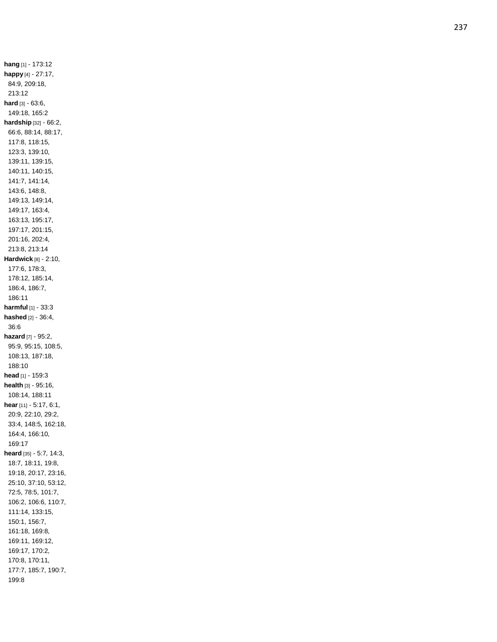**hang** [1] - 173:12 **happy** [4] - 27:17, 84:9, 209:18, 213:12 **hard** [3] - 63:6, 149:18, 165:2 **hardship** [32] - 66:2, 66:6, 88:14, 88:17, 117:8, 118:15, 123:3, 139:10, 139:11, 139:15, 140:11, 140:15, 141:7, 141:14, 143:6, 148:8, 149:13, 149:14, 149:17, 163:4, 163:13, 195:17, 197:17, 201:15, 201:16, 202:4, 213:8, 213:14 **Hardwick** [8] - 2:10, 177:6, 178:3, 178:12, 185:14, 186:4, 186:7, 186:11 **harmful** [1] - 33:3 **hashed** [2] - 36:4, 36:6 **hazard** [7] - 95:2, 95:9, 95:15, 108:5, 108:13, 187:18, 188:10 **head** [1] - 159:3 **health** [3] - 95:16, 108:14, 188:11 **hear** [11] - 5:17, 6:1, 20:9, 22:10, 29:2, 33:4, 148:5, 162:18, 164:4, 166:10, 169:17 **heard** [35] - 5:7, 14:3, 18:7, 18:11, 19:8, 19:18, 20:17, 23:16, 25:10, 37:10, 53:12, 72:5, 78:5, 101:7, 106:2, 106:6, 110:7, 111:14, 133:15, 150:1, 156:7, 161:18, 169:8, 169:11, 169:12, 169:17, 170:2, 170:8, 170:11, 177:7, 185:7, 190:7, 199:8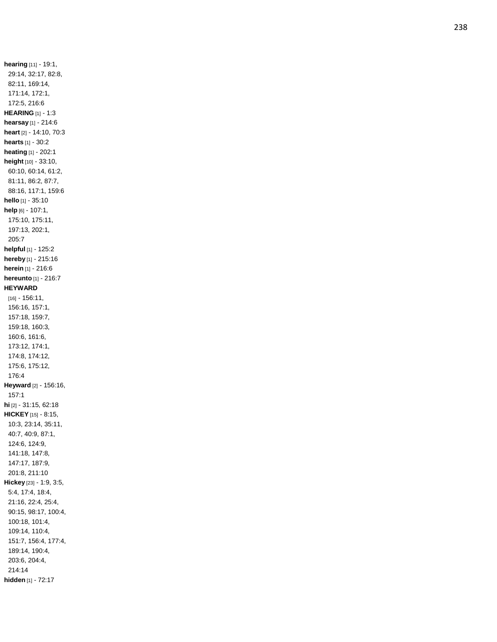**hearing** [11] - 19:1, 29:14, 32:17, 82:8, 82:11, 169:14, 171:14, 172:1, 172:5, 216:6 **HEARING** [1] - 1:3 **hearsay** [1] - 214:6 **heart** [2] - 14:10, 70:3 **hearts** [1] - 30:2 **heating** [1] - 202:1 **height** [10] - 33:10, 60:10, 60:14, 61:2, 81:11, 86:2, 87:7, 88:16, 117:1, 159:6 **hello** [1] - 35:10 **help** [6] - 107:1, 175:10, 175:11, 197:13, 202:1, 205:7 **helpful** [1] - 125:2 **hereby** [1] - 215:16 **herein** [1] - 216:6 **hereunto** [1] - 216:7 **HEYWARD** [16] - 156:11, 156:16, 157:1, 157:18, 159:7, 159:18, 160:3, 160:6, 161:6, 173:12, 174:1, 174:8, 174:12, 175:6, 175:12, 176: 4 **Heyward** [2] - 156:16, 157:1 **hi** [2] - 31:15, 62:18 **HICKEY** [15] - 8:15, 10:3, 23:14, 35:11, 40:7, 40:9, 87:1, 124:6, 124:9, 141:18, 147:8, 147:17, 187:9, 201:8, 211:10 **Hickey** [23] - 1:9, 3:5, 5:4, 17:4, 18:4, 21:16, 22:4, 25:4, 90:15, 98:17, 100:4, 100:18, 101:4, 109:14, 110:4, 151:7, 156:4, 177:4, 189:14, 190:4, 203:6, 204:4, 214:14 **hidden** [1] - 72:17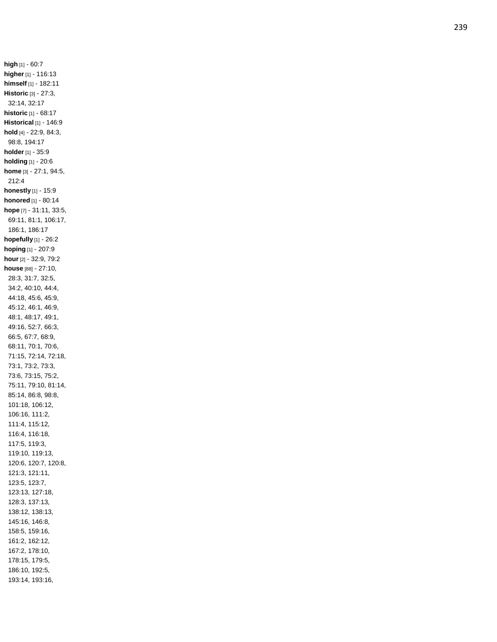**high** [1] - 60:7 **higher** [1] - 116:13 **himself** [1] - 182:11 **Historic** [3] - 27:3, 32:14, 32:17 **historic** [1] - 68:17 **Historical** [1] - 146:9 **hold** [4] - 22:9, 84:3, 98:8, 194:17 **holder** [1] - 35:9 **holding** [1] - 20:6 **home** [3] - 27:1, 94:5, 212:4 **honestly** [1] - 15:9 **honored** [1] - 80:14 **hope** [7] - 31:11, 33:5, 69:11, 81:1, 106:17, 186:1, 186:17 **hopefully** [1] - 26:2 **hoping** [1] - 207:9 **hour** [2] - 32:9, 79:2 **house** [88] - 27:10, 28:3, 31:7, 32:5, 34:2, 40:10, 44:4, 44:18, 45:6, 45:9, 45:12, 46:1, 46:9, 48:1, 48:17, 49:1, 49:16, 52:7, 66:3, 66:5, 67:7, 68:9, 68:11, 70:1, 70:6, 71:15, 72:14, 72:18, 73:1, 73:2, 73:3, 73:6, 73:15, 75:2, 75:11, 79:10, 81:14, 85:14, 86:8, 98:8, 101:18, 106:12, 106:16, 111:2, 111:4, 115:12, 116:4, 116:18, 117:5, 119:3, 119:10, 119:13, 120:6, 120:7, 120:8, 121:3, 121:11, 123:5, 123:7, 123:13, 127:18, 128:3, 137:13, 138:12, 138:13, 145:16, 146:8, 158:5, 159:16, 161:2, 162:12, 167:2, 178:10, 178:15, 179:5, 186:10, 192:5, 193:14, 193:16,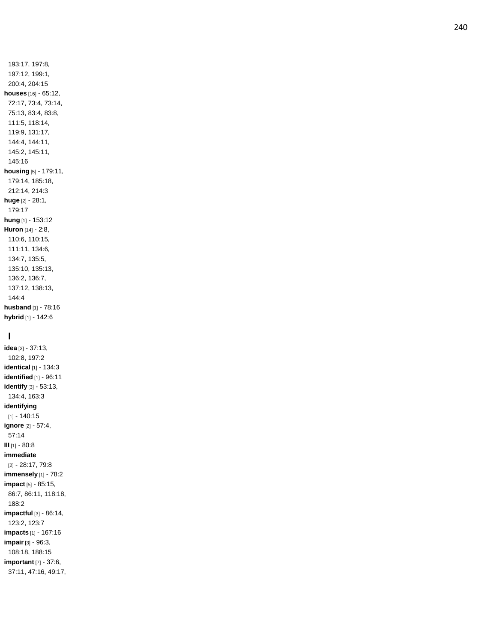193:17, 197:8, 197:12, 199:1, 200:4, 204:15 **houses** [16] - 65:12, 72:17, 73:4, 73:14, 75:13, 83:4, 83:8, 111:5, 118:14, 119:9, 131:17, 144:4, 144:11, 145:2, 145:11, 145:16 **housing** [5] - 179:11, 179:14, 185:18, 212:14, 214:3 **huge** [2] - 28:1, 179:17 **hung** [1] - 153:12 **Huron** [14] - 2:8, 110:6, 110:15, 111:11, 134:6, 134:7, 135:5, 135:10, 135:13, 136:2, 136:7, 137:12, 138:13, 144:4 **husband** [1] - 78:16 **hybrid** [1] - 142:6

# **I**

**idea** [3] - 37:13, 102:8, 197:2 **identical** [1] - 134:3 **identified** [1] - 96:11 **identify** [3] - 53:13, 134:4, 163:3 **identifying** [1] - 140:15 **ignore** [2] - 57:4, 57:14 **III** [1] - 80:8 **immediate** [2] - 28:17, 79:8 **immensely** [1] - 78:2 **impact** [5] - 85:15, 86:7, 86:11, 118:18, 188:2 **impactful** [3] - 86:14, 123:2, 123:7 **impacts** [1] - 167:16 **impair** [3] - 96:3, 108:18, 188:15 **important** [7] - 37:6, 37:11, 47:16, 49:17,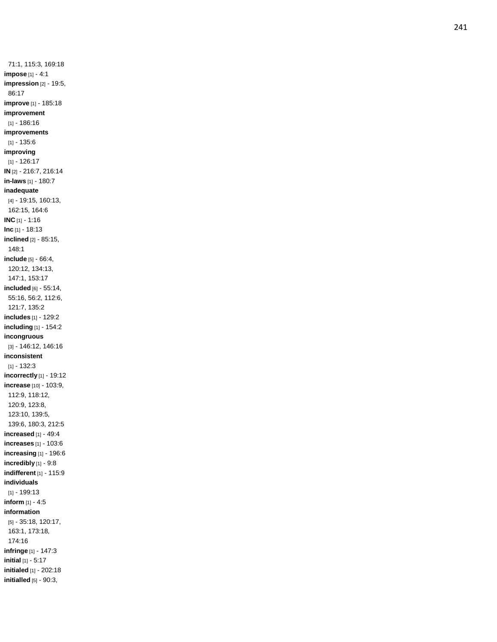71:1, 115:3, 169:18 **impose** [1] - 4:1 **impression** [2] - 19:5, 86:17 **improve** [1] - 185:18 **improvement** [1] - 186:16 **improvements** [1] - 135:6 **improving** [1] - 126:17 **IN** [2] - 216:7, 216:14 **in -laws** [1] - 180:7 **inadequate** [4] - 19:15, 160:13, 162:15, 164:6 **INC** [1] - 1:16 **Inc** [1] - 18:13 **inclined** [2] - 85:15, 148:1 **include** [5] - 66:4, 120:12, 134:13, 147:1, 153:17 **included** [6] - 55:14, 55:16, 56:2, 112:6, 121:7, 135:2 **includes** [1] - 129:2 **including** [1] - 154:2 **incongruous** [3] - 146:12, 146:16 **inconsistent** [1] - 132:3 **incorrectly** [1] - 19:12 **increase** [10] - 103:9, 112:9, 118:12, 120:9, 123:8, 123:10, 139:5, 139:6, 180:3, 212:5 **increased** [1] - 49:4 **increases** [1] - 103:6 **increasing** [1] - 196:6 **incredibly** [1] - 9:8 **indifferent** [1] - 115:9 **individuals** [1] - 199:13 **inform** [1] - 4:5 **information** [5] - 35:18, 120:17, 163:1, 173:18, 174:16 **infringe** [1] - 147:3 **initial** [1] - 5:17 **initialed** [1] - 202:18 **initialled** [5] - 90:3,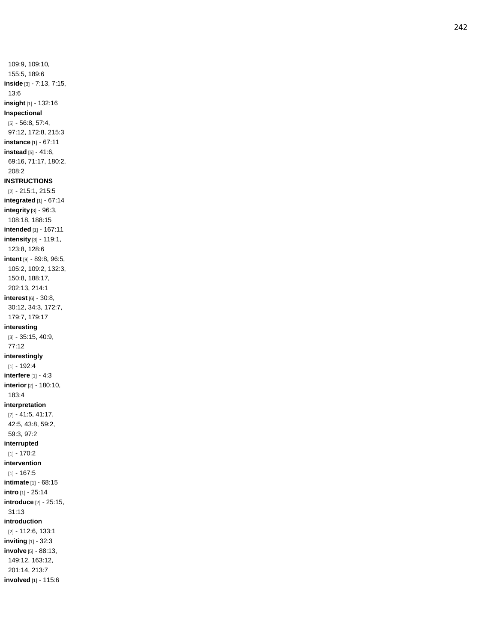109:9, 109:10, 155:5, 189:6 **inside** [3] - 7:13, 7:15, 13:6 **insight** [1] - 132:16 **Inspectional** [5] - 56:8, 57:4, 97:12, 172:8, 215:3 **instance** [1] - 67:11 **instead** [5] - 41:6, 69:16, 71:17, 180:2, 208:2 **INSTRUCTIONS** [2] - 215:1, 215:5 **integrated** [1] - 67:14 **integrity** [3] - 96:3, 108:18, 188:15 **intended** [1] - 167:11 **intensity** [3] - 119:1, 123:8, 128:6 **intent** [9] - 89:8, 96:5, 105:2, 109:2, 132:3, 150:8, 188:17, 202:13, 214:1 **interest** [6] - 30:8, 30:12, 34:3, 172:7, 179:7, 179:17 **interesting** [3] - 35:15, 40:9, 77:12 **interestingly** [1] - 192:4 **interfere** [1] - 4:3 **interior** [2] - 180:10, 183:4 **interpretation** [7] - 41:5, 41:17, 42:5, 43:8, 59:2, 59:3, 97:2 **interrupted** [1] - 170:2 **intervention** [1] - 167:5 **intimate** [1] - 68:15 **intro** [1] - 25:14 **introduce** [2] - 25:15, 31:13 **introduction** [2] - 112:6, 133:1 **inviting** [1] - 32:3 **involve** [5] - 88:13, 149:12, 163:12, 201:14, 213:7 **involved** [1] - 115:6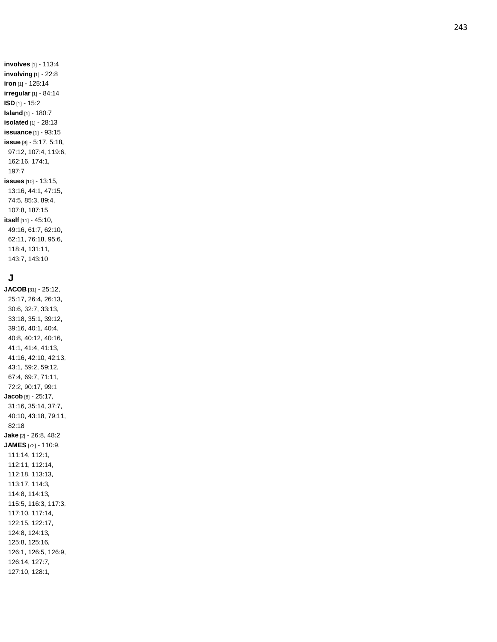# **J**

**JACOB** [31] - 25:12, 25:17, 26:4, 26:13, 30:6, 32:7, 33:13, 33:18, 35:1, 39:12, 39:16, 40:1, 40:4, 40:8, 40:12, 40:16, 41:1, 41:4, 41:13, 41:16, 42:10, 42:13, 43:1, 59:2, 59:12, 67:4, 69:7, 71:11, 72:2, 90:17, 99:1 **Jacob** [8] - 25:17, 31:16, 35:14, 37:7, 40:10, 43:18, 79:11, 82:18 **Jake** [2] - 26:8, 48:2 **JAMES** [72] - 110:9, 111:14, 112:1, 112:11, 112:14, 112:18, 113:13, 113:17, 114:3, 114:8, 114:13, 115:5, 116:3, 117:3, 117:10, 117:14, 122:15, 122:17, 124:8, 124:13, 125:8, 125:16, 126:1, 126:5, 126:9, 126:14, 127:7, 127:10, 128:1,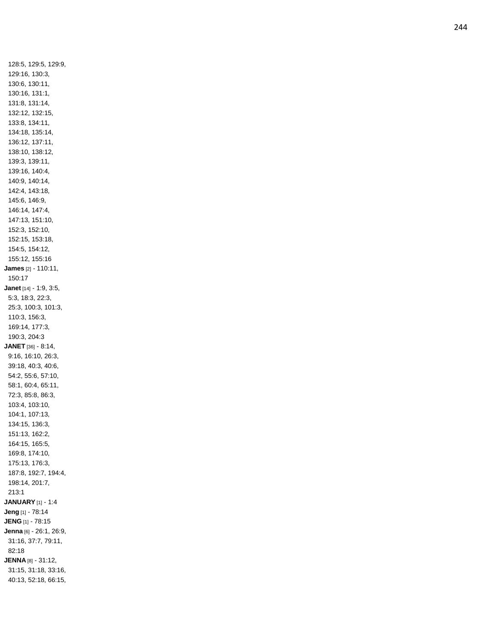128:5, 129:5, 129:9, 129:16, 130:3, 130:6, 130:11, 130:16, 131:1, 131:8, 131:14, 132:12, 132:15, 133:8, 134:11, 134:18, 135:14, 136:12, 137:11, 138:10, 138:12, 139:3, 139:11, 139:16, 140:4, 140:9, 140:14, 142:4, 143:18, 145:6, 146:9, 146:14, 147:4, 147:13, 151:10, 152:3, 152:10, 152:15, 153:18, 154:5, 154:12, 155:12, 155:16 **James** [2] - 110:11, 150:17 **Janet** [14] - 1:9, 3:5, 5:3, 18:3, 22:3, 25:3, 100:3, 101:3, 110:3, 156:3, 169:14, 177:3, 190:3, 204:3 **JANET** [36] - 8:14, 9:16, 16:10, 26:3, 39:18, 40:3, 40:6, 54:2, 55:6, 57:10, 58:1, 60:4, 65:11, 72:3, 85:8, 86:3, 103:4, 103:10, 104:1, 107:13, 134:15, 136:3, 151:13, 162:2, 164:15, 165:5, 169:8, 174:10, 175:13, 176:3, 187:8, 192:7, 194:4, 198:14, 201:7, 213:1 **JANUARY** [1] - 1:4 **Jeng** [1] - 78:14 **JENG** [1] - 78:15 **Jenna** [6] - 26:1, 26:9, 31:16, 37:7, 79:11, 82:18 **JENNA** [8] - 31:12, 31:15, 31:18, 33:16, 40:13, 52:18, 66:15,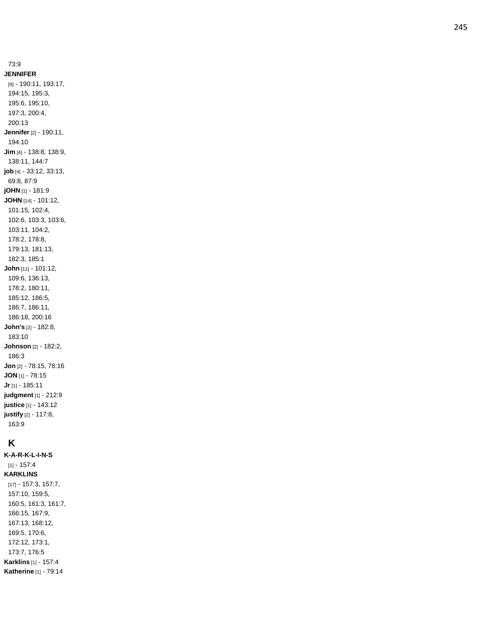73:9 **JENNIFER** [9] - 190:11, 193:17, 194:15, 195:3, 195:6, 195:10, 197:3, 200:4, 200:13 **Jennifer** [2] - 190:11, 194:10 **Jim** [4] - 138:8, 138:9, 138:11, 144:7 **job** [4] - 33:12, 33:13, 69:8, 87:9 **jOHN** [1] - 181:9 **JOHN** [14] - 101:12, 101:15, 102:4, 102:6, 103:3, 103:6, 103:11, 104:2, 178:2, 178:8, 179:13, 181:13, 182:3, 185:1 **John** [11] - 101:12, 109:6, 136:13, 178:2, 180:11, 185:12, 186:5, 186:7, 186:11, 186:18, 200:16 **John's** [2] - 182:8, 183:10 **Johnson** [2] - 182:2, 186:3 **Jon** [2] - 78:15, 78:16 **JON** [1] - 78:15 **Jr** [1] - 185:11 **judgment** [1] - 212:9 **justice** [1] - 143:12 **justify** [2] - 117:8, 163:9

# **K**

**K - A - R - K - L - I - N - S** [1] - 157:4 **KARKLINS** [17] - 157:3, 157:7, 157:10, 159:5, 160:5, 161:3, 161:7, 166:15, 167:9, 167:13, 168:12, 169:5, 170:6, 172:12, 173:1, 173:7, 176:5 **Karklins** [1] - 157:4 **Katherine** [1] - 79:14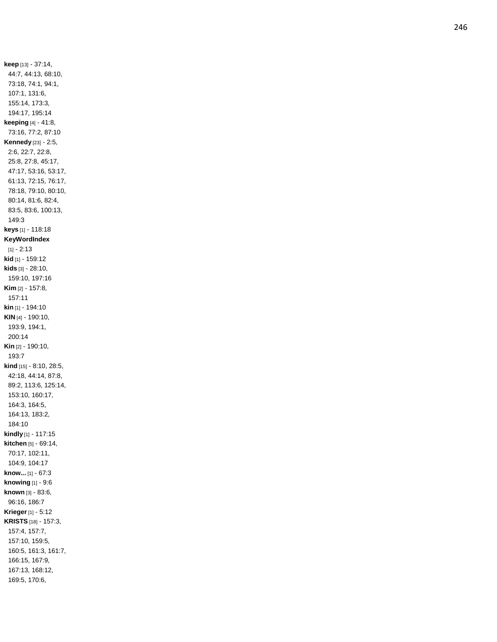**keep** [13] - 37:14, 44:7, 44:13, 68:10, 73:18, 74:1, 94:1, 107:1, 131:6, 155:14, 173:3, 194:17, 195:14 **keeping** [4] - 41:8, 73:16, 77:2, 87:10 **Kennedy** [23] - 2:5, 2:6, 22:7, 22:8, 25:8, 27:8, 45:17, 47:17, 53:16, 53:17, 61:13, 72:15, 76:17, 78:18, 79:10, 80:10, 80:14, 81:6, 82:4, 83:5, 83:6, 100:13, 149:3 **keys** [1] - 118:18 **KeyWordIndex** [1] - 2:13 **kid** [1] - 159:12 **kids** [3] - 28:10, 159:10, 197:16 **Kim** [2] - 157:8, 157:11 **kin** [1] - 194:10 **KIN** [4] - 190:10, 193:9, 194:1, 200:14 **Kin** [2] - 190:10, 193:7 **kind** [15] - 8:10, 28:5, 42:18, 44:14, 87:8, 89:2, 113:6, 125:14, 153:10, 160:17, 164:3, 164:5, 164:13, 183:2, 184:10 **kindly** [1] - 117:15 **kitchen** [5] - 69:14, 70:17, 102:11, 104:9, 104:17 **know...** [1] - 67:3 **knowing** [1] - 9:6 **known** [3] - 83:6, 96:16, 186:7 **Krieger** [1] - 5:12 **KRISTS** [18] - 157:3, 157:4, 157:7, 157:10, 159:5, 160:5, 161:3, 161:7, 166:15, 167:9, 167:13, 168:12, 169:5, 170:6,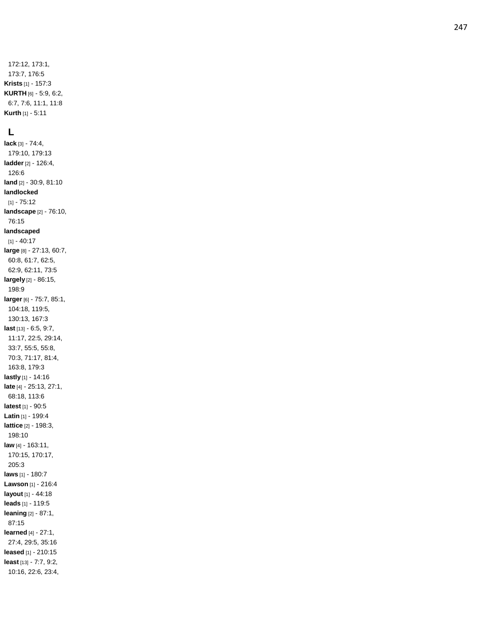172:12, 173:1, 173:7, 176:5 **Krists** [1] - 157:3 **KURTH** [6] - 5:9, 6:2, 6:7, 7:6, 11:1, 11:8 **Kurth** [1] - 5:11

#### **L**

**lack** [3] - 74:4, 179:10, 179:13 **ladder** [2] - 126:4, 126:6 **land** [2] - 30:9, 81:10 **landlocked** [1] - 75:12 **landscape** [2] - 76:10, 76:15 **landscaped** [1] - 40:17 **large** [8] - 27:13, 60:7, 60:8, 61:7, 62:5, 62:9, 62:11, 73:5 **largely** [2] - 86:15, 198:9 **larger** [6] - 75:7, 85:1, 104:18, 119:5, 130:13, 167:3 **last** [13] - 6:5, 9:7, 11:17, 22:5, 29:14, 33:7, 55:5, 55:8, 70:3, 71:17, 81:4, 163:8, 179:3 **lastly** [1] - 14:16 **late** [4] - 25:13, 27:1, 68:18, 113:6 **latest** [1] - 90:5 **Latin** [1] - 199:4 **lattice** [2] - 198:3, 198:10 **law** [4] - 163:11, 170:15, 170:17, 205:3 **laws** [1] - 180:7 **Lawson** [1] - 216:4 **layout** [1] - 44:18 **leads** [1] - 119:5 **leaning** [2] - 87:1, 87:15 **learned** [4] - 27:1, 27:4, 29:5, 35:16 **leased** [1] - 210:15 **least** [13] - 7:7, 9:2, 10:16, 22:6, 23:4,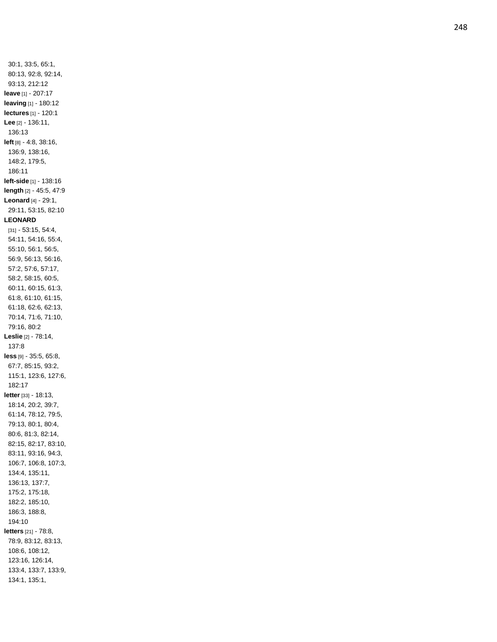30:1, 33:5, 65:1, 80:13, 92:8, 92:14, 93:13, 212:12 **leave** [1] - 207:17 **leaving** [1] - 180:12 **lectures** [1] - 120:1 **Lee** [2] - 136:11, 136:13 **left** [8] - 4:8, 38:16, 136:9, 138:16, 148:2, 179:5, 186:11 **left -side** [1] - 138:16 **length** [2] - 45:5, 47:9 **Leonard** [4] - 29:1, 29:11, 53:15, 82:10 **LEONARD** [31] - 53:15, 54:4, 54:11, 54:16, 55:4, 55:10, 56:1, 56:5, 56:9, 56:13, 56:16, 57:2, 57:6, 57:17, 58:2, 58:15, 60:5, 60:11, 60:15, 61:3, 61:8, 61:10, 61:15, 61:18, 62:6, 62:13, 70:14, 71:6, 71:10, 79:16, 80:2 **Leslie** [2] - 78:14, 137:8 **less** [9] - 35:5, 65:8, 67:7, 85:15, 93:2, 115:1, 123:6, 127:6, 182:17 **letter** [33] - 18:13, 18:14, 20:2, 39:7, 61:14, 78:12, 79:5, 79:13, 80:1, 80:4, 80:6, 81:3, 82:14, 82:15, 82:17, 83:10, 83:11, 93:16, 94:3, 106:7, 106:8, 107:3, 134:4, 135:11, 136:13, 137:7, 175:2, 175:18, 182:2, 185:10, 186:3, 188:8, 194:10 **letters** [21] - 78:8, 78:9, 83:12, 83:13, 108:6, 108:12, 123:16, 126:14, 133:4, 133:7, 133:9, 134:1, 135:1,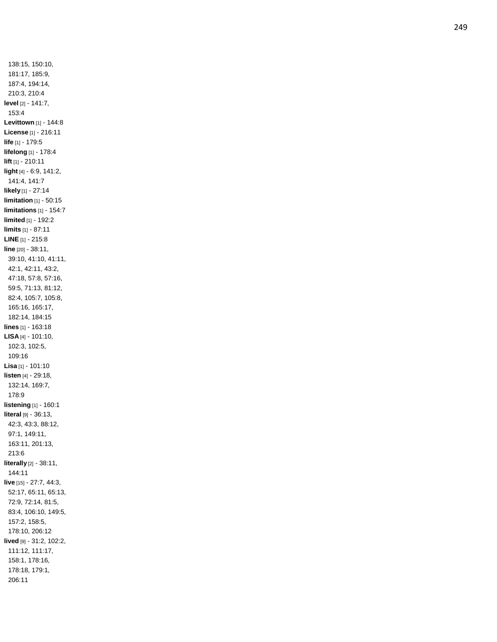138:15, 150:10, 181:17, 185:9, 187:4, 194:14, 210:3, 210:4 **level** [2] - 141:7, 153:4 **Levittown** [1] - 144:8 **License** [1] - 216:11 **life** [1] - 179:5 **lifelong** [1] - 178:4 **lift** [1] - 210:11 **light** [4] - 6:9, 141:2, 141:4, 141:7 **likely** [1] - 27:14 **limitation** [1] - 50:15 **limitations** [1] - 154:7 **limited** [1] - 192:2 **limits** [1] - 87:11 **LINE** [1] - 215:8 **line** [20] - 38:11, 39:10, 41:10, 41:11, 42:1, 42:11, 43:2, 47:18, 57:8, 57:16, 59:5, 71:13, 81:12, 82:4, 105:7, 105:8, 165:16, 165:17, 182:14, 184:15 **lines** [1] - 163:18 **LISA** [4] - 101:10, 102:3, 102:5, 109:16 **Lisa** [1] - 101:10 **listen** [4] - 29:18, 132:14, 169:7, 178:9 **listening** [1] - 160:1 **literal** [9] - 36:13, 42:3, 43:3, 88:12, 97:1, 149:11, 163:11, 201:13, 213:6 **literally** [2] - 38:11, 144:11 **live** [15] - 27:7, 44:3, 52:17, 65:11, 65:13, 72:9, 72:14, 81:5, 83:4, 106:10, 149:5, 157:2, 158:5, 178:10, 206:12 **lived** [9] - 31:2, 102:2, 111:12, 111:17, 158:1, 178:16, 178:18, 179:1, 206:11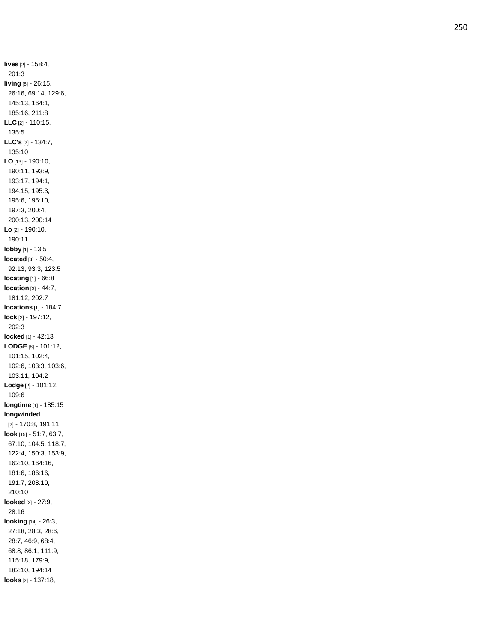**lives** [2] - 158:4, 201:3 **living** [8] - 26:15, 26:16, 69:14, 129:6, 145:13, 164:1, 185:16, 211:8 **LLC** [2] - 110:15, 135:5 **LLC's** [2] - 134:7, 135:10 **LO** [13] - 190:10, 190:11, 193:9, 193:17, 194:1, 194:15, 195:3, 195:6, 195:10, 197:3, 200:4, 200:13, 200:14 **Lo** [2] - 190:10, 190:11 **lobby** [1] - 13:5 **located** [4] - 50:4, 92:13, 93:3, 123:5 **locating** [1] - 66:8 **location** [3] - 44:7, 181:12, 202:7 **locations** [1] - 184:7 **lock** [2] - 197:12, 202:3 **locked** [1] - 42:13 **LODGE** [8] - 101:12, 101:15, 102:4, 102:6, 103:3, 103:6, 103:11, 104:2 **Lodge** [2] - 101:12, 109:6 **longtime** [1] - 185:15 **longwinded** [2] - 170:8, 191:11 **look** [15] - 51:7, 63:7, 67:10, 104:5, 118:7, 122:4, 150:3, 153:9, 162:10, 164:16, 181:6, 186:16, 191:7, 208:10, 210:10 **looked** [2] - 27:9, 28:16 **looking** [14] - 26:3, 27:18, 28:3, 28:6, 28:7, 46:9, 68:4, 68:8, 86:1, 111:9, 115:18, 179:9, 182:10, 194:14 **looks** [2] - 137:18,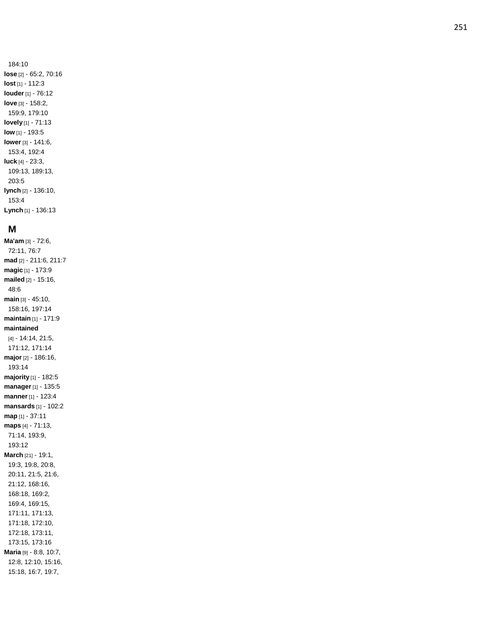251

184:10 **lose** [2] - 65:2, 70:16 **lost** [1] - 112:3 **louder** [1] - 76:12 **love** [3] - 158:2, 159:9, 179:10 **lovely** [1] - 71:13 **low** [1] - 193:5 **lower** [3] - 141:6, 153:4, 192:4 **luck** [4] - 23:3, 109:13, 189:13, 203:5 **lynch** [2] - 136:10, 153:4 **Lynch** [1] - 136:13

#### **M**

**Ma'am** [3] - 72:6, 72:11, 76:7 **mad** [2] - 211:6, 211:7 **magic** [1] - 173:9 **mailed** [2] - 15:16, 48:6 **main** [3] - 45:10, 158:16, 197:14 **maintain** [1] - 171:9 **maintained** [4] - 14:14, 21:5, 171:12, 171:14 **major** [2] - 186:16, 193:14 **majority** [1] - 182:5 **manager** [1] - 135:5 **manner** [1] - 123:4 **mansards** [1] - 102:2 **map** [1] - 37:11 **maps** [4] - 71:13, 71:14, 193:9, 193:12 **March** [21] - 19:1, 19:3, 19:8, 20:8, 20:11, 21:5, 21:6, 21:12, 168:16, 168:18, 169:2, 169:4, 169:15, 171:11, 171:13, 171:18, 172:10, 172:18, 173:11, 173:15, 173:16 **Maria** [9] - 8:8, 10:7, 12:8, 12:10, 15:16, 15:18, 16:7, 19:7,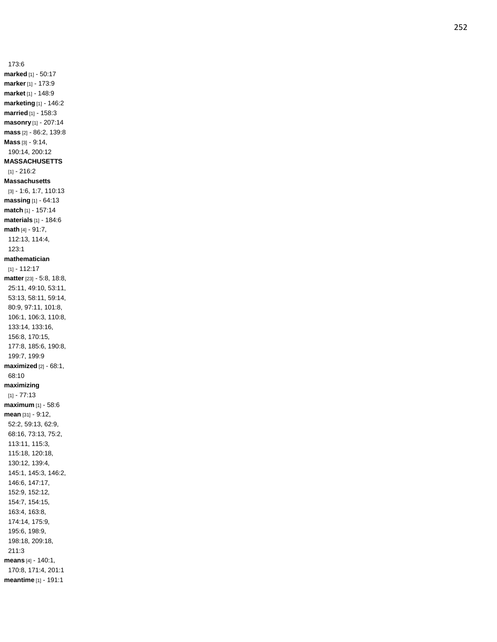173:6 **marked** [1] - 50:17 **marker** [1] - 173:9 **market** [1] - 148:9 **marketing** [1] - 146:2 **married** [1] - 158:3 **masonry** [1] - 207:14 **mass** [2] - 86:2, 139:8 **Mass** [3] - 9:14, 190:14, 200:12 **MASSACHUSETTS** [1] - 216:2 **Massachusetts** [3] - 1:6, 1:7, 110:13 **massing** [1] - 64:13 **match** [1] - 157:14 **materials** [1] - 184:6 **math** [4] - 91:7, 112:13, 114:4, 123:1 **mathematician** [1] - 112:17 **matter** [23] - 5:8, 18:8, 25:11, 49:10, 53:11, 53:13, 58:11, 59:14, 80:9, 97:11, 101:8, 106:1, 106:3, 110:8, 133:14, 133:16, 156:8, 170:15, 177:8, 185:6, 190:8, 199:7, 199:9 **maximized** [2] - 68:1, 68:10 **maximizing** [1] - 77:13 **maximum** [1] - 58:6 **mean** [31] - 9:12, 52:2, 59:13, 62:9, 68:16, 73:13, 75:2, 113:11, 115:3, 115:18, 120:18, 130:12, 139:4, 145:1, 145:3, 146:2, 146:6, 147:17, 152:9, 152:12, 154:7, 154:15, 163:4, 163:8, 174:14, 175:9, 195:6, 198:9, 198:18, 209:18, 211:3 **means** [4] - 140:1, 170:8, 171:4, 201:1 **meantime** [1] - 191:1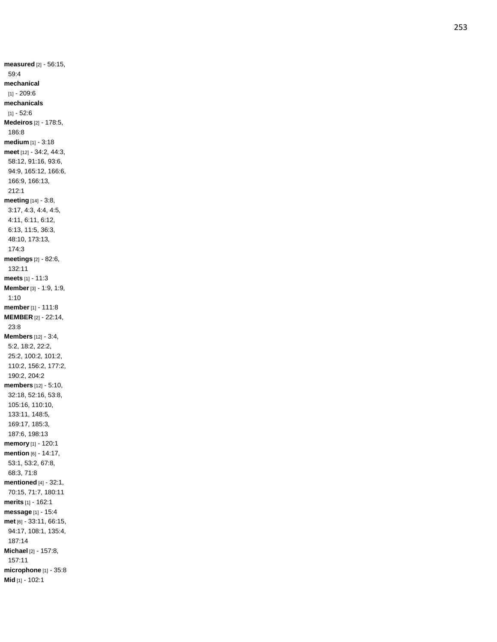**measured** [2] - 56:15, 59:4 **mechanical** [1] - 209:6 **mechanicals** [1] - 52:6 **Medeiros** [2] - 178:5, 186:8 **medium** [1] - 3:18 **meet** [12] - 34:2, 44:3, 58:12, 91:16, 93:6, 94:9, 165:12, 166:6, 166:9, 166:13, 212:1 **meeting** [14] - 3:8, 3:17, 4:3, 4:4, 4:5, 4:11, 6:11, 6:12, 6:13, 11:5, 36:3, 48:10, 173:13, 174:3 **meetings** [2] - 82:6, 132:11 **meets** [1] - 11:3 **Member** [3] - 1:9, 1:9, 1:10 **member** [1] - 111:8 **MEMBER** [2] - 22:14, 23:8 **Members** [12] - 3:4, 5:2, 18:2, 22:2, 25:2, 100:2, 101:2, 110:2, 156:2, 177:2, 190:2, 204:2 **members** [12] - 5:10, 32:18, 52:16, 53:8, 105:16, 110:10, 133:11, 148:5, 169:17, 185:3, 187:6, 198:13 **memory** [1] - 120:1 **mention** [6] - 14:17, 53:1, 53:2, 67:8, 68:3, 71:8 **mentioned** [4] - 32:1, 70:15, 71:7, 180:11 **merits** [1] - 162:1 **message** [1] - 15:4 **met** [6] - 33:11, 66:15, 94:17, 108:1, 135:4, 187:14 **Michael** [2] - 157:8, 157:11 **microphone** [1] - 35:8 **Mid** [1] - 102:1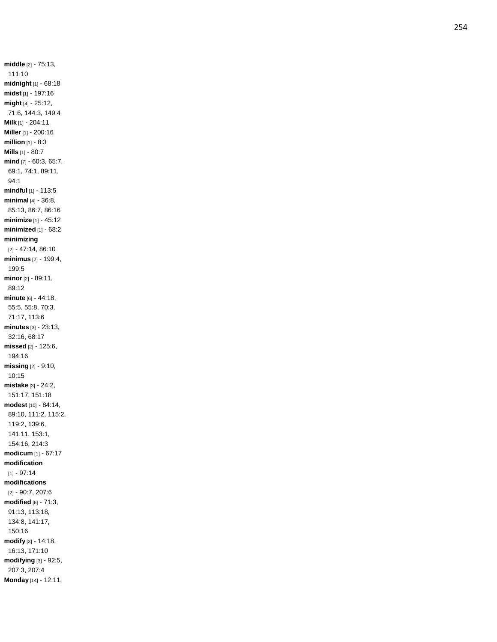**middle** [2] - 75:13, 111:10 **midnight** [1] - 68:18 **midst** [1] - 197:16 **might** [4] - 25:12, 71:6, 144:3, 149:4 **Milk** [1] - 204:11 **Miller** [1] - 200:16 **million** [1] - 8:3 **Mills** [1] - 80:7 **mind** [7] - 60:3, 65:7, 69:1, 74:1, 89:11, 94:1 **mindful** [1] - 113:5 **minimal** [4] - 36:8, 85:13, 86:7, 86:16 **minimize** [1] - 45:12 **minimized** [1] - 68:2 **minimizing** [2] - 47:14, 86:10 **minimus** [2] - 199:4, 199:5 **minor** [2] - 89:11, 89:12 **minute** [6] - 44:18, 55:5, 55:8, 70:3, 71:17, 113:6 **minutes** [3] - 23:13, 32:16, 68:17 **missed** [2] - 125:6, 194:16 **missing** [2] - 9:10, 10:15 **mistake** [3] - 24:2, 151:17, 151:18 **modest** [10] - 84:14, 89:10, 111:2, 115:2, 119:2, 139:6, 141:11, 153:1, 154:16, 214:3 **modicum** [1] - 67:17 **modification** [1] - 97:14 **modifications** [2] - 90:7, 207:6 **modified** [6] - 71:3, 91:13, 113:18, 134:8, 141:17, 150:16 **modify** [3] - 14:18, 16:13, 171:10 **modifying** [3] - 92:5, 207:3, 207:4 **Monday** [14] - 12:11,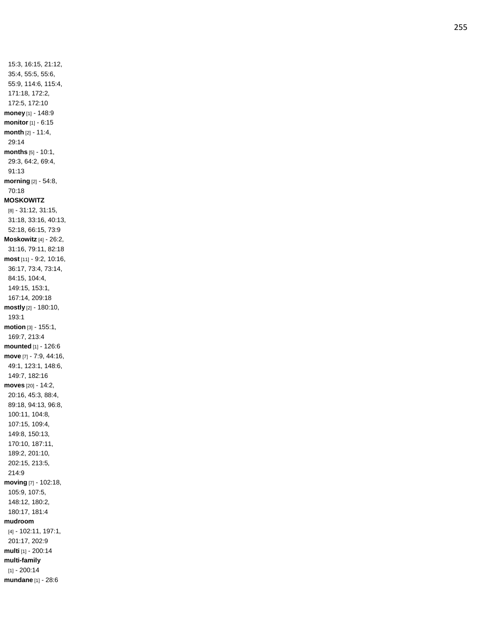15:3, 16:15, 21:12, 35:4, 55:5, 55:6, 55:9, 114:6, 115:4, 171:18, 172:2, 172:5, 172:10 **money** [1] - 148:9 **monitor** [1] - 6:15 **month** [2] - 11:4, 29:14 **months** [5] - 10:1, 29:3, 64:2, 69:4, 91:13 **morning** [2] - 54:8, 70:18 **MOSKOWITZ** [8] - 31:12, 31:15, 31:18, 33:16, 40:13, 52:18, 66:15, 73:9 **Moskowitz** [4] - 26:2, 31:16, 79:11, 82:18 **most** [11] - 9:2, 10:16, 36:17, 73:4, 73:14, 84:15, 104:4, 149:15, 153:1, 167:14, 209:18 **mostly** [2] - 180:10, 193:1 **motion** [3] - 155:1, 169:7, 213:4 **mounted** [1] - 126:6 **move** [7] - 7:9, 44:16, 49:1, 123:1, 148:6, 149:7, 182:16 **moves** [20] - 14:2, 20:16, 45:3, 88:4, 89:18, 94:13, 96:8, 100:11, 104:8, 107:15, 109:4, 149:8, 150:13, 170:10, 187:11, 189:2, 201:10, 202:15, 213:5, 214:9 **moving** [7] - 102:18, 105:9, 107:5, 148:12, 180:2, 180:17, 181:4 **mudroom** [4] - 102:11, 197:1, 201:17, 202:9 **multi** [1] - 200:14 **multi -family** [1] - 200:14 **mundane** [1] - 28:6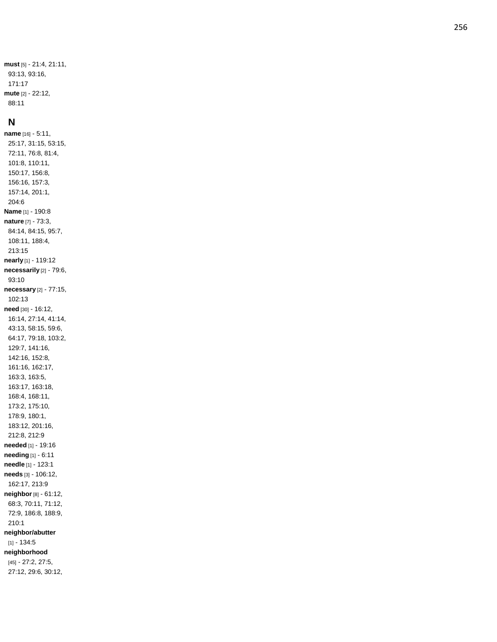**must** [5] - 21:4, 21:11, 93:13, 93:16, 171:17 **mute** [2] - 22:12, 88:11

#### **N**

**name** [16] - 5:11, 25:17, 31:15, 53:15, 72:11, 76:8, 81:4, 101:8, 110:11, 150:17, 156:8, 156:16, 157:3, 157:14, 201:1, 204:6 **Name** [1] - 190:8 **nature** [7] - 73:3, 84:14, 84:15, 95:7, 108:11, 188:4, 213:15 **nearly** [1] - 119:12 **necessarily** [2] - 79:6, 93:10 **necessary** [2] - 77:15, 102:13 **need** [30] - 16:12, 16:14, 27:14, 41:14, 43:13, 58:15, 59:6, 64:17, 79:18, 103:2, 129:7, 141:16, 142:16, 152:8, 161:16, 162:17, 163:3, 163:5, 163:17, 163:18, 168:4, 168:11, 173:2, 175:10, 178:9, 180:1, 183:12, 201:16, 212:8, 212:9 **needed** [1] - 19:16 **needing** [1] - 6:11 **needle** [1] - 123:1 **needs** [3] - 106:12, 162:17, 213:9 **neighbor** [8] - 61:12, 68:3, 70:11, 71:12, 72:9, 186:8, 188:9, 210:1 **neighbor/abutter** [1] - 134:5 **neighborhood** [45] - 27:2, 27:5, 27:12, 29:6, 30:12,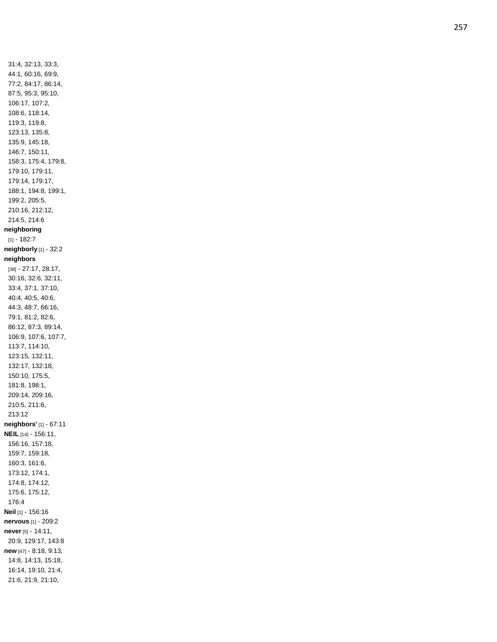31:4, 32:13, 33:3, 44:1, 60:16, 69:9, 77:2, 84:17, 86:14, 87:5, 95:3, 95:10, 106:17, 107:2, 108:6, 118:14, 119:3, 119:8, 123:13, 135:8, 135:9, 145:18, 146:7, 150:11, 158:3, 175:4, 179:8, 179:10, 179:11, 179:14, 179:17, 188:1, 194:8, 199:1, 199:2, 205:5, 210:16, 212:12, 214:5, 214:6 **neighboring** [1] - 182:7 **neighborly** [1] - 32:2 **neighbors** [38] - 27:17, 28:17, 30:16, 32:6, 32:11, 33:4, 37:1, 37:10, 40:4, 40:5, 40:6, 44:3, 48:7, 66:16, 79:1, 81:2, 82:6, 86:12, 87:3, 89:14, 106:9, 107:6, 107:7, 113:7, 114:10, 123:15, 132:11, 132:17, 132:18, 150:10, 175:5, 181:8, 198:1, 209:14, 209:16, 210:5, 211:6, 213:12 **neighbors'** [1] - 67:11 **NEIL** [14] - 156:11, 156:16, 157:18, 159:7, 159:18, 160:3, 161:6, 173:12, 174:1, 174:8, 174:12, 175:6, 175:12, 176:4 **Neil** [1] - 156:16 **nervous** [1] - 209:2 **never** [5] - 14:11, 20:9, 129:17, 143:8 **new** [47] - 8:18, 9:13, 14:8, 14:13, 15:18, 16:14, 19:10, 21:4, 21:6, 21:9, 21:10,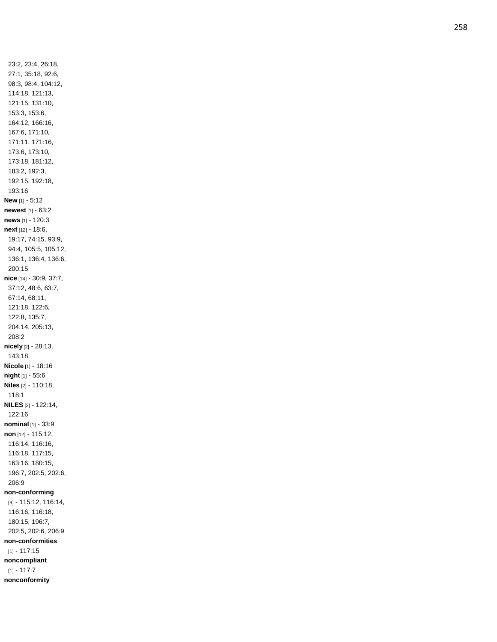23:2, 23:4, 26:18, 27:1, 35:18, 92:6, 98:3, 98:4, 104:12, 114:18, 121:13, 121:15, 131:10, 153:3, 153:6, 164:12, 166:16, 167:6, 171:10, 171:11, 171:16, 173:6, 173:10, 173:18, 181:12, 183:2, 192:3, 192:15, 192:18, 193:16 **New** [1] - 5:12 **newest** [1] - 63:2 **news** [1] - 120:3 **next** [12] - 18:6, 19:17, 74:15, 93:9, 94:4, 105:5, 105:12, 136:1, 136:4, 136:6, 200:15 **nice** [14] - 30:9, 37:7, 37:12, 48:6, 63:7, 67:14, 68:11, 121:18, 122:6, 122:8, 135:7, 204:14, 205:13, 208:2 **nicely** [2] - 28:13, 143:18 **Nicole** [1] - 18:16 **night** [1] - 55:6 **Niles** [2] - 110:18, 118:1 **NILES** [2] - 122:14, 122:16 **nominal** [1] - 33:9 **non** [12] - 115:12, 116:14, 116:16, 116:18, 117:15, 163:16, 180:15, 196:7, 202:5, 202:6, 206:9 **non -conforming** [9] - 115:12, 116:14, 116:16, 116:18, 180:15, 196:7, 202:5, 202:6, 206:9 **non -conformities** [1] - 117:15 **noncompliant** [1] - 117:7 **nonconformity**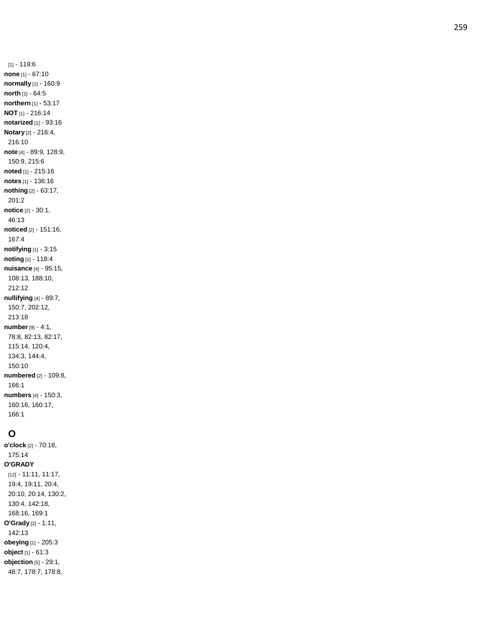[1] - 119:6 **non e** [1] - 67:10 **normally** [1] - 160:9 **north** [1] - 64:5 **northern** [1] - 53:17 **NOT** [1] - 216:14 **notarized** [1] - 93:16 **Notary** [2] - 216:4, 216:10 **note** [4] - 89:9, 128:9, 150:9, 215:6 **noted** [1] - 215:16 **notes** [1] - 136:16 **nothing** [2] - 63:17, 201:2 **notice** [2] - 30:1, 46:13 **noticed** [2] - 151:16, 167:4 **notifying** [1] - 3:15 **noting** [1] - 118:4 **nuisance** [4] - 95:15, 108:13, 188:10, 212:12 **nullifying** [4] - 89:7, 150:7, 202:12, 213:18 **number** [9] - 4:1, 78:8, 82:13, 82:17, 115:14, 120:4, 134:3, 144:4, 150:10 **numbered** [2] - 109:8, 166:1 **numbers** [4] - 150:3, 160:16, 160:17, 166:1

# **O**

**o'clock** [2] - 70:18, 175:14 **O'GRADY** [12] - 11:11, 11:17, 19:4, 19:11, 20:4, 20:10, 20:14, 130:2, 130:4, 142:18, 168:16, 169:1 **O'Grady** [2] - 1:11, 142:13 **obeying** [1] - 205:3 **object** [1] - 61:3 **objection** [5] - 29:1, 48:7, 178:7, 178:8,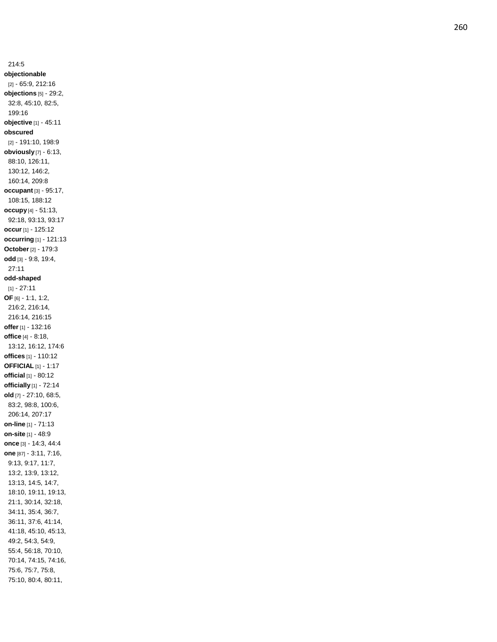214:5 **objectionable** [2] - 65:9, 212:16 **objections** [5] - 29:2, 32:8, 45:10, 82:5, 199:16 **objective** [1] - 45:11 **obscured** [2] - 191:10, 198:9 **obviously** [7] - 6:13, 88:10, 126:11, 130:12, 146:2, 160:14, 209:8 **occupant** [3] - 95:17, 108:15, 188:12 **occupy** [4] - 51:13, 92:18, 93:13, 93:17 **occur** [1] - 125:12 **occurring** [1] - 121:13 **October** [2] - 179:3 **odd** [3] - 9:8, 19:4, 27:11 **odd -shaped** [1] - 27:11 **OF** [6] - 1:1, 1:2, 216:2, 216:14, 216:14, 216:15 **offer** [1] - 132:16 **office** [4] - 8:18, 13:12, 16:12, 174:6 **offices** [1] - 110:12 **OFFICIAL** [1] - 1:17 **official** [1] - 80:12 **officially** [1] - 72:14 **old** [7] - 27:10, 68:5, 83:2, 98:8, 100:6, 206:14, 207:17 **on -line** [1] - 71:13 **on -site** [1] - 48:9 **once** [3] - 14:3, 44:4 **one** [87] - 3:11, 7:16, 9:13, 9:17, 11:7, 13:2, 13:9, 13:12, 13:13, 14:5, 14:7, 18:10, 19:11, 19:13, 21:1, 30:14, 32:18, 34:11, 35:4, 36:7, 36:11, 37:6, 41:14, 41:18, 45:10, 45:13, 49:2, 54:3, 54:9, 55:4, 56:18, 70:10, 70:14, 74:15, 74:16, 75:6, 75:7, 75:8, 75:10, 80:4, 80:11,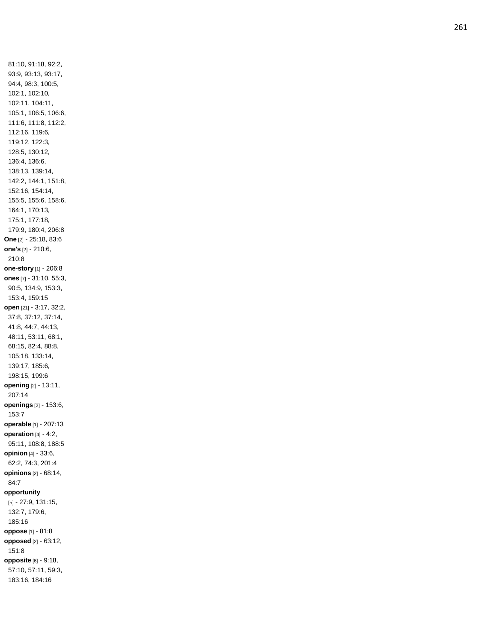81:10, 91:18, 92:2, 93:9, 93:13, 93:17, 94:4, 98:3, 100:5, 102:1, 102:10, 102:11, 104:11, 105:1, 106:5, 106:6, 111:6, 111:8, 112:2, 112:16, 119:6, 119:12, 122:3, 128:5, 130:12, 136:4, 136:6, 138:13, 139:14, 142:2, 144:1, 151:8, 152:16, 154:14, 155:5, 155:6, 158:6, 164:1, 170:13, 175:1, 177:18, 179:9, 180:4, 206:8 **One** [2] - 25:18, 83:6 **one's** [2] - 210:6, 210:8 **one -story** [1] - 206:8 **ones** [7] - 31:10, 55:3, 90:5, 134:9, 153:3, 153:4, 159:15 **open** [21] - 3:17, 32:2, 37:8, 37:12, 37:14, 41:8, 44:7, 44:13, 48:11, 53:11, 68:1, 68:15, 82:4, 88:8, 105:18, 133:14, 139:17, 185:6, 198:15, 199:6 **opening** [2] - 13:11, 207:14 **openings** [2] - 153:6, 153:7 **operable** [1] - 207:13 **operation** [4] - 4:2, 95:11, 108:8, 188:5 **opinion** [4] - 33:6, 62:2, 74:3, 201:4 **opinions** [2] - 68:14, 84:7 **opportunity** [5] - 27:9, 131:15, 132:7, 179:6, 185:16 **oppose** [1] - 81:8 **opposed** [2] - 63:12, 151:8 **opposite** [6] - 9:18, 57:10, 57:11, 59:3, 183:16, 184:16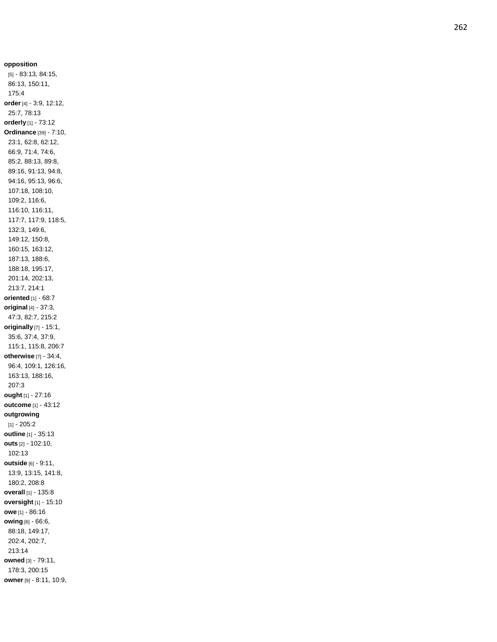**opposition** [5] - 83:13, 84:15, 86:13, 150:11, 175:4 **order** [4] - 3:9, 12:12, 25:7, 78:13 **orderly** [1] - 73:12 **Ordinance** [39] - 7:10, 23:1, 62:8, 62:12, 66:9, 71:4, 74:6, 85:2, 88:13, 89:8, 89:16, 91:13, 94:8, 94:16, 95:13, 96:6, 107:18, 108:10, 109:2, 116:6, 116:10, 116:11, 117:7, 117:9, 118:5, 132:3, 149:6, 149:12, 150:8, 160:15, 163:12, 187:13, 188:6, 188:18, 195:17, 201:14, 202:13, 213:7, 214:1 **oriented** [1] - 68:7 **original** [4] - 37:3, 47:3, 82:7, 215:2 **originally** [7] - 15:1, 35:6, 37:4, 37:9, 115:1, 115:8, 206:7 **otherwise** [7] - 34:4, 96:4, 109:1, 126:16, 163:13, 188:16, 207:3 **ought** [1] - 27:16 **outcome** [1] - 43:12 **outgrowing** [1] - 205:2 **outline** [1] - 35:13 **outs** [2] - 102:10, 102:13 **outside** [6] - 9:11, 13:9, 13:15, 141:8, 180:2, 208:8 **overall** [1] - 135:8 **oversight** [1] - 15:10 **owe** [1] - 86:16 **owing** [6] - 66:6, 88:18, 149:17, 202:4, 202:7, 213:14 **owned** [3] - 79:11, 178:3, 200:15 **owner** [9] - 8:11, 10:9,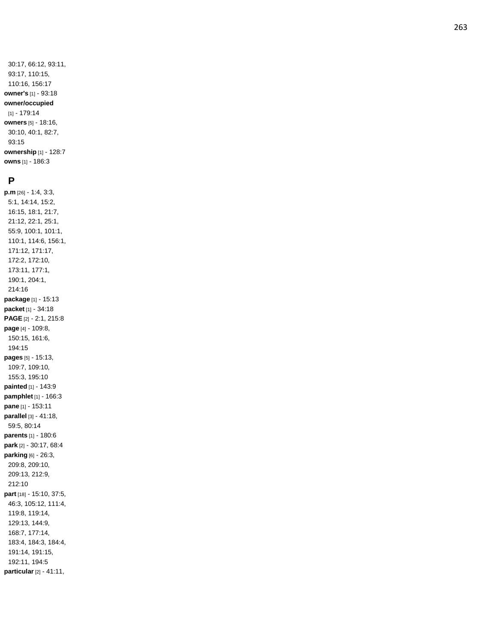30:17, 66:12, 93:11, 93:17, 110:15, 110:16, 156:17 **owner's** [1] - 93:18 **owner/occupied** [1] - 179:14 **owners** [5] - 18:16, 30:10, 40:1, 82:7, 93:15 **ownership** [1] - 128:7 **owns** [1] - 186:3

#### **P**

**p.m** [26] - 1:4, 3:3, 5:1, 14:14, 15:2, 16:15, 18:1, 21:7, 21:12, 22:1, 25:1, 55:9, 100:1, 101:1, 110:1, 114:6, 156:1, 171:12, 171:17, 172:2, 172:10, 173:11, 177:1, 190:1, 204:1, 214:16 **package** [1] - 15:13 **packet** [1] - 34:18 **PAGE** [2] - 2:1, 215:8 **page** [4] - 109:8, 150:15, 161:6, 194:15 **pages** [5] - 15:13, 109:7, 109:10, 155:3, 195:10 **painted** [1] - 143:9 **pamphlet** [1] - 166:3 **pane** [1] - 153:11 **parallel** [3] - 41:18, 59:5, 80:14 **parents** [1] - 180:6 **park** [2] - 30:17, 68:4 **parking** [6] - 26:3, 209:8, 209:10, 209:13, 212:9, 212:10 **part** [18] - 15:10, 37:5, 46:3, 105:12, 111:4, 119:8, 119:14, 129:13, 144:9, 168:7, 177:14, 183:4, 184:3, 184:4, 191:14, 191:15, 192:11, 194:5 **particular** [2] - 41:11,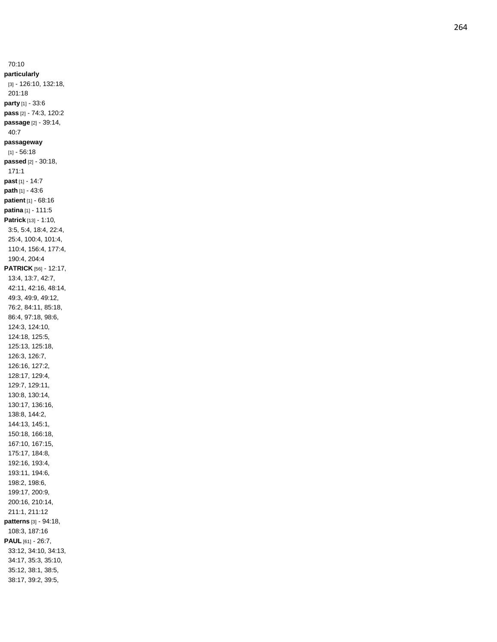70:10 **particularly** [3] - 126:10, 132:18, 201:18 **party** [1] - 33:6 **pass** [2] - 74:3, 120:2 **passage** [2] - 39:14, 40:7 **passageway** [1] - 56:18 **passed** [2] - 30:18, 171:1 **past** [1] - 14:7 **path** [1] - 43:6 **patient** [1] - 68:16 **patina** [1] - 111:5 **Patrick** [13] - 1:10, 3:5, 5:4, 18:4, 22:4, 25:4, 100:4, 101:4, 110:4, 156:4, 177:4, 190:4, 204:4 **PATRICK** [56] - 12:17, 13:4, 13:7, 42:7, 42:11, 42:16, 48:14, 49:3, 49:9, 49:12, 76:2, 84:11, 85:18, 86:4, 97:18, 98:6, 124:3, 124:10, 124:18, 125:5, 125:13, 125:18, 126:3, 126:7, 126:16, 127:2, 128:17, 129:4, 129:7, 129:11, 130:8, 130:14, 130:17, 136:16, 138:8, 144:2, 144:13, 145:1, 150:18, 166:18, 167:10, 167:15, 175:17, 184:8, 192:16, 193:4, 193:11, 194:6, 198:2, 198:6, 199:17, 200:9, 200:16, 210:14, 211:1, 211:12 **patterns** [3] - 94:18, 108:3, 187:16 **PAUL** [61] - 26:7, 33:12, 34:10, 34:13, 34:17, 35:3, 35:10, 35:12, 38:1, 38:5, 38:17, 39:2, 39:5,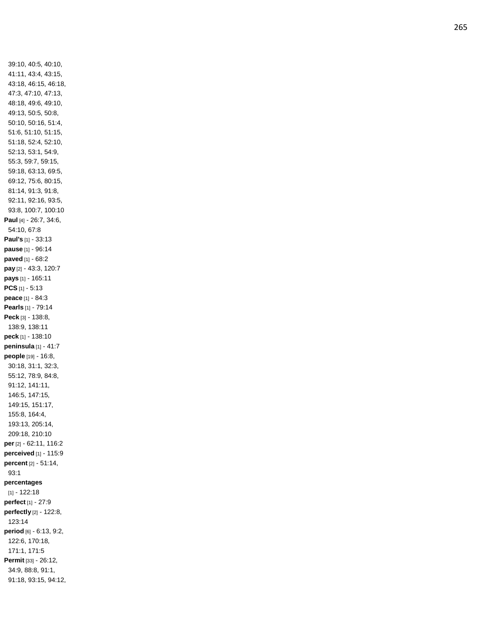39:10, 40:5, 40:10, 41:11, 43:4, 43:15, 43:18, 46:15, 46:18, 47:3, 47:10, 47:13, 48:18, 49:6, 49:10, 49:13, 50:5, 50:8, 50:10, 50:16, 51:4, 51:6, 51:10, 51:15, 51:18, 52:4, 52:10, 52:13, 53:1, 54:9, 55:3, 59:7, 59:15, 59:18, 63:13, 69:5, 69:12, 75:6, 80:15, 81:14, 91:3, 91:8, 92:11, 92:16, 93:5, 93:8, 100:7, 100:10 **Paul** [4] - 26:7, 34:6, 54:10, 67:8 **Paul's** [1] - 33:13 **pause** [1] - 96:14 **paved** [1] - 68:2 **pay** [2] - 43:3, 120:7 **pays** [1] - 165:11 **PCS** [1] - 5:13 **peace** [1] - 84:3 **Pearls** [1] - 79:14 **Peck** [3] - 138:8, 138:9, 138:11 **peck** [1] - 138:10 **peninsula** [1] - 41:7 **people** [19] - 16:8, 30:18, 31:1, 32:3, 55:12, 78:9, 84:8, 91:12, 141:11, 146:5, 147:15, 149:15, 151:17, 155:8, 164:4, 193:13, 205:14, 209:18, 210:10 **per** [2] - 62:11, 116:2 **perceived** [1] - 115:9 **percent** [2] - 51:14, 93:1 **percentages** [1] - 122:18 **perfect** [1] - 27:9 **perfectly** [2] - 122:8, 123:14 **period** [6] - 6:13, 9:2, 122:6, 170:18, 171:1, 171:5 **Permit** [33] - 26:12, 34:9, 88:8, 91:1, 91:18, 93:15, 94:12,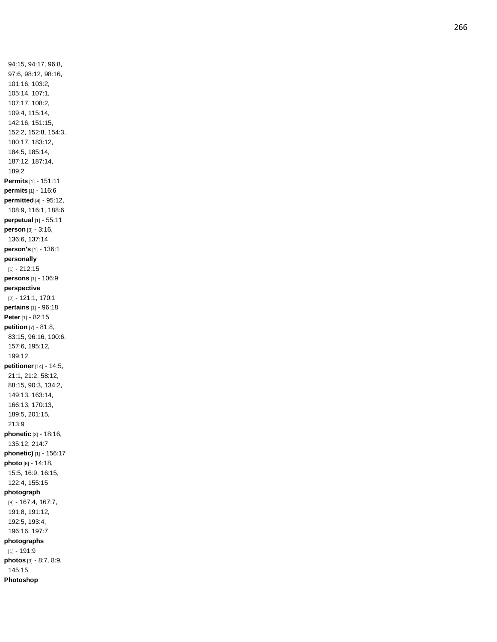94:15, 94:17, 96:8, 97:6, 98:12, 98:16, 101:16, 103:2, 105:14, 107:1, 107:17, 108:2, 109:4, 115:14, 142:16, 151:15, 152:2, 152:8, 154:3, 180:17, 183:12, 184:5, 185:14, 187:12, 187:14, 189:2 **Permits** [1] - 151:1 1 **permits** [1] - 116:6 **permitted** [4] - 95:12, 108:9, 116:1, 188:6 **perpetual** [1] - 55:11 **person** [3] - 3:16, 136:6, 137:14 **person's** [1] - 136:1 **personally** [1] - 212:15 **persons** [1] - 106:9 **perspective** [2] - 121:1, 170:1 **pertains** [1] - 96:18 **Peter** [1] - 82:15 **petition** [7] - 81:8, 83:15, 96:16, 100:6, 157:6, 195:12, 199:12 **petitioner** [14] - 14:5, 21:1, 21:2, 58:12, 88:15, 90:3, 134:2, 149:13, 163:14, 166:13, 170:13, 189:5, 201:15, 213:9 **phonetic** [3] - 18:16, 135:12, 214:7 **phonetic)** [1] - 156:17 **photo** [6] - 14:18, 15:5, 16:9, 16:15, 122:4, 155:15 **photograph** [8] - 167:4, 167:7, 191:8, 191:12, 192:5, 193:4, 196:16, 197:7 **photographs** [1] - 191:9 **photos** [3] - 8:7, 8:9, 145:15 **Photoshop**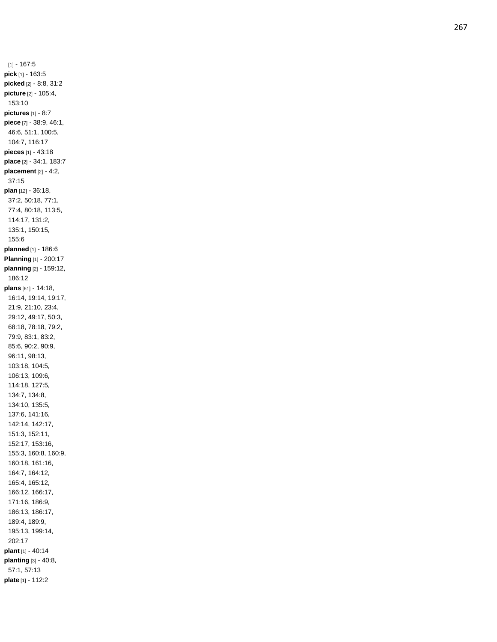[1] - 167:5 **pick** [1] - 163:5 **picked** [2] - 8:8, 31:2 **picture** [2] - 105:4, 153:10 **pictures** [1] - 8:7 **piece** [7] - 38:9, 46:1, 46:6, 51:1, 100:5, 104:7, 116:17 **pieces** [1] - 43:18 **place** [2] - 34:1, 183:7 **placement** [2] - 4:2, 37:15 **plan** [12] - 36:18, 37:2, 50:18, 77:1, 77:4, 80:18, 113:5, 114:17, 131:2, 135:1, 150:15, 155:6 **planned** [1] - 186:6 **Planning** [1] - 200:17 **planning** [2] - 159:12, 186:12 **plans** [61] - 14:18, 16:14, 19:14, 19:17, 21:9, 21:10, 23:4, 29:12, 49:17, 50:3, 68:18, 78:18, 79:2, 79:9, 83:1, 83:2, 85:6, 90:2, 90:9, 96:11, 98:13, 103:18, 104:5, 106:13, 109:6, 114:18, 127:5, 134:7, 134:8, 134:10, 135:5, 137:6, 141:16, 142:14, 142:17, 151:3, 152:11, 152:17, 153:16, 155:3, 160:8, 160:9, 160:18, 161:16, 164:7, 164:12, 165:4, 165:12, 166:12, 166:17, 171:16, 186:9, 186:13, 186:17, 189:4, 189:9, 195:13, 199:14, 202:17 **plant** [1] - 40:1 4 **planting** [3] - 40:8, 57:1, 57:13 **plate** [1] - 112:2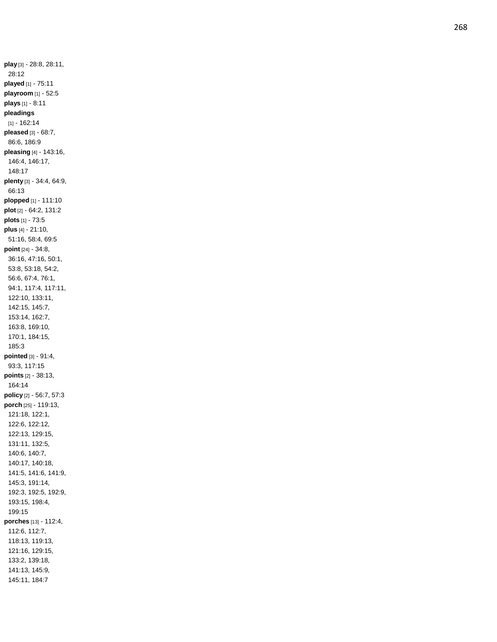**play** [3] - 28:8, 28:11, 28:12 **played** [1] - 75:11 **playroom** [1] - 52:5 **plays** [1] - 8:11 **pleadings** [1] - 162:14 **pleased** [3] - 68:7, 86:6, 186:9 **pleasing** [4] - 143:16, 146:4, 146:17, 148:17 **plenty** [3] - 34:4, 64:9, 66:13 **plopped** [1] - 111:10 **plot** [2] - 64:2, 131:2 **plots** [1] - 73:5 **plus** [4] - 21:10, 51:16, 58:4, 69:5 **point** [24] - 34:8, 36:16, 47:16, 50:1, 53:8, 53:18, 54:2, 56:6, 67:4, 76:1, 94:1, 117:4, 117:11, 122:10, 133:11, 142:15, 145:7, 153:14, 162:7, 163:8, 169:10, 170:1, 184:15, 185:3 **pointed** [3] - 91:4, 93:3, 117:15 **points** [2] - 38:13, 164:14 **policy** [2] - 56:7, 57:3 **porch** [25] - 119:13, 121:18, 122:1, 122:6, 122:12, 122:13, 129:15, 131:11, 132:5, 140:6, 140:7, 140:17, 140:18, 141:5, 141:6, 141:9, 145:3, 191:14, 192:3, 192:5, 192:9, 193:15, 198:4, 199:15 **porches** [13] - 112:4, 112:6, 112:7, 118:13, 119:13, 121:16, 129:15, 133:2, 139:18, 141:13, 145:9, 145:11, 184:7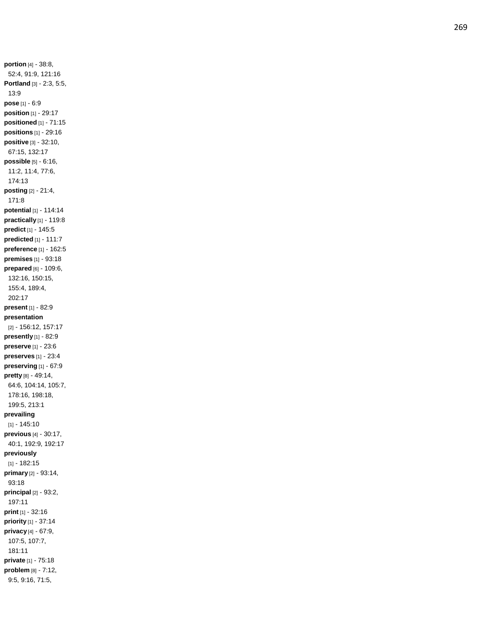**portion** [4] - 38:8, 52:4, 91:9, 121:16 **Portland** [3] - 2:3, 5:5, 13:9 **pose** [1] - 6:9 **position** [1] - 29:17 **positioned** [1] - 71:15 **positions** [1] - 29:16 **positive** [3] - 32:10, 67:15, 132:17 **possible** [5] - 6:16, 11:2, 11:4, 77:6, 174:13 **posting** [2] - 21:4, 171:8 **potential** [1] - 114:14 **practically** [1] - 119:8 **predict** [1] - 145:5 **predicted** [1] - 111:7 **preference** [1] - 162:5 **premises** [1] - 93:18 **prepared** [6] - 109:6, 132:16, 150:15, 155:4, 189:4, 202:17 **present** [1] - 82:9 **presentation** [2] - 156:12, 157:17 **presently** [1] - 82:9 **preserve** [1] - 23:6 **preserves** [1] - 23:4 **preserving** [1] - 67:9 **pretty** [8 ] - 49:14, 64:6, 104:14, 105:7, 178:16, 198:18, 199:5, 213:1 **prevailing** [1] - 145:10 **previous** [4] - 30:17, 40:1, 192:9, 192:17 **previously** [1] - 182:15 **primary** [2] - 93:14, 93:18 **principal** [2] - 93:2, 197:11 **print** [1] - 32:16 **priority** [1] - 37:14 **privacy** [4] - 67:9, 107:5, 107:7, 181:11 **private** [1] - 75:18 **problem** [8] - 7:12, 9:5, 9:16, 71:5,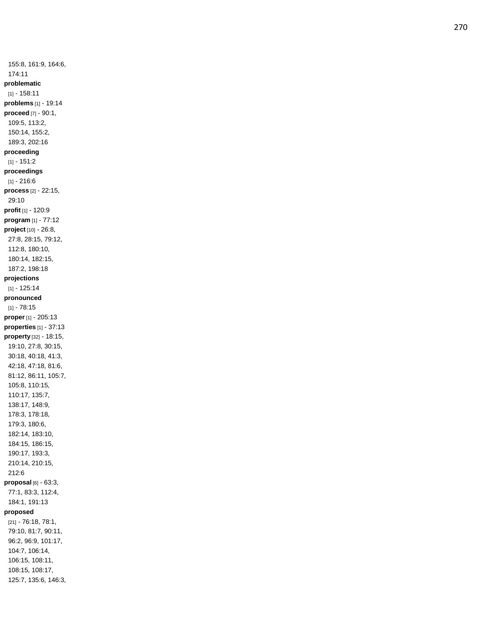155:8, 161:9, 164:6, 174:11 **problematic** [1] - 158:11 **problems** [1] - 19:14 **proceed** [7] - 90:1, 109:5, 113:2, 150:14, 155:2, 189:3, 202:16 **proceeding** [1] - 151:2 **proceedings** [1] - 216:6 **process** [2] - 22:15, 29:10 **profit** [1] - 120:9 **program** [1] - 77:12 **project** [10] - 26:8, 27:8, 28:15, 79:12, 112:8, 180:10, 180:14, 182:15, 187:2, 198:18 **projections** [1] - 125:14 **pronounced** [1] - 78:15 **proper** [1] - 205:13 **properties** [1] - 37:13 **property** [32] - 18:15, 19:10, 27:8, 30:15, 30:18, 40:18, 41:3, 42:18, 47:18, 81:6, 81:12, 86:11, 105:7, 105:8, 110:15, 110:17, 135:7, 138:17, 148:9, 178:3, 178:18, 179:3, 180:6, 182:14, 183:10, 184:15, 186:15, 190:17, 193:3, 210:14, 210:15, 212: 6 **proposal** [6] - 63:3, 77:1, 83:3, 112:4, 184:1, 191:13 **proposed** [21] - 76:18, 78:1, 79:10, 81:7, 90:11, 96:2, 96:9, 101:17, 104:7, 106:14, 106:15, 108:11, 108:15, 108:17,

125:7, 135:6, 146:3,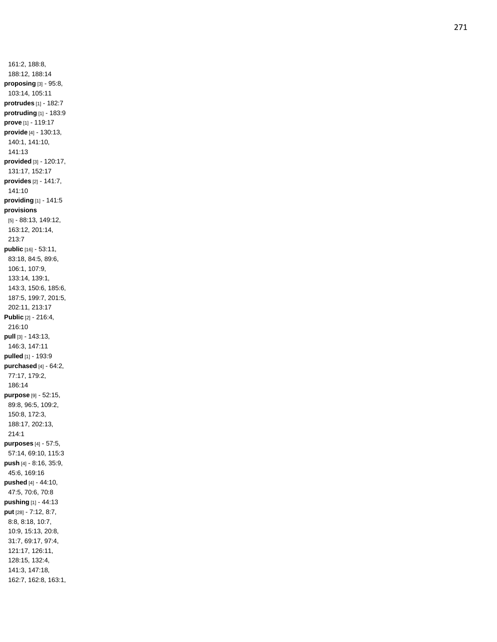161:2, 188:8, 188:12, 188:14 **proposing** [3] - 95:8, 103:14, 105:11 **protrudes** [1] - 182:7 **protruding** [1] - 183:9 **prove** [1] - 119:17 **provide** [4] - 130:13, 140:1, 141:10, 141:13 **provided** [3] - 120:17, 131:17, 152:17 **provides** [2] - 141:7, 141:10 **providing** [1] - 141:5 **provisions** [5] - 88:13, 149:12, 163:12, 201:14, 213:7 **public** [16] - 53:11, 83:18, 84:5, 89:6, 106:1, 107:9, 133:14, 139:1, 143:3, 150:6, 185:6, 187:5, 199:7, 201:5, 202:11, 213:17 **Public** [2] - 216:4, 216:10 **pull** [3] - 143:13, 146:3, 147:11 **pulled** [1] - 193:9 **purchased** [4] - 64:2, 77:17, 179:2, 186:14 **purpose** [9] - 52:15, 89:8, 96:5, 109:2, 150:8, 172:3, 188:17, 202:13, 214:1 **purposes** [4] - 57:5, 57:14, 69:10, 115:3 **push** [4] - 8:16, 35:9, 45:6, 169:16 **pushed** [4] - 44:10, 47:5, 70:6, 70:8 **pushing** [1] - 44:13 **put** [28] - 7:12, 8:7, 8:8, 8:18, 10:7, 10:9, 15:13, 20:8, 31:7, 69:17, 97:4, 121:17, 126:11, 128:15, 132:4, 141:3, 147:18, 162:7, 162:8, 163:1,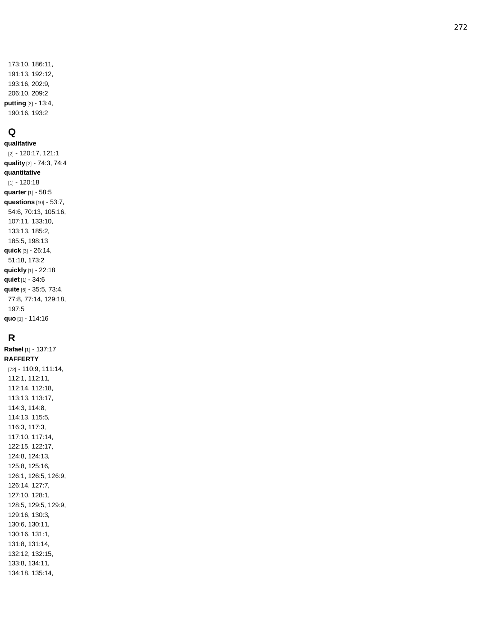## **Q**

**qualitative** [2] - 120:17, 121:1 **quality** [2] - 74:3, 74:4 **quantitative** [1] - 120:18 **quarter** [1] - 58:5 **questions** [10] - 53:7, 54:6, 70:13, 105:16, 107:11, 133:10, 133:13, 185:2, 185:5, 198:13 **quick** [3] - 26:14, 51:18, 173:2 **quickly** [1] - 22:18 **quiet** [1] - 34:6 **quite** [6] - 35:5, 73:4, 77:8, 77:14, 129:18, 197:5 **quo** [1] - 114:16

**R Rafael** [1] - 137:17 **RAFFERTY** [72] - 110:9, 111:14, 112:1, 112:11, 112:14, 112:18, 113:13, 113:17, 114:3, 114:8, 114:13, 115:5, 116:3, 117:3, 117:10, 117:14, 122:15, 122:17, 124:8, 124:13, 125:8, 125:16, 126:1, 126:5, 126:9, 126:14, 127:7, 127:10, 128:1, 128:5, 129:5, 129:9, 129:16, 130:3, 130:6, 130:11, 130:16, 131:1, 131:8, 131:14, 132:12, 132:15, 133:8, 134:11, 134:18, 135:14,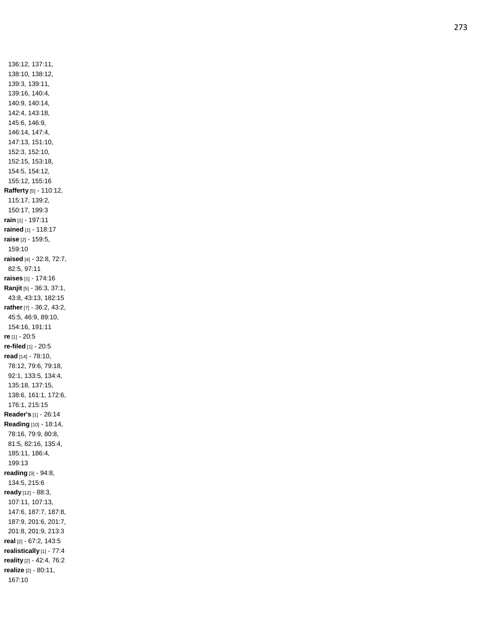136:12, 137:11, 138:10, 138:12, 139:3, 139:11, 139:16, 140:4, 140:9, 140:14, 142:4, 143:18, 145:6, 146:9, 146:14, 147:4, 147:13, 151:10, 152:3, 152:10, 152:15, 153:18, 154:5, 154:12, 155:12, 155:16 **Rafferty** [5] - 110:12, 115:17, 139:2, 150:17, 199:3 **rain** [1] - 197:11 **rained** [1] - 118:17 **raise** [2] - 159:5, 159:10 **raised** [4] - 32:8, 72:7, 82:5, 97:11 **raises** [1] - 174:16 **Ranjit** [5] - 36:3, 37:1, 43:8, 43:13, 182:15 **rather** [7] - 36:2, 43:2, 45:5, 46:9, 89:10, 154:16, 191:11 **re** [1] - 20:5 **re -filed** [1] - 20:5 **read** [14] - 78:10, 78:12, 79:6, 79:18, 92:1, 133:5, 134:4, 135:18, 137:15, 138:6, 161:1, 172:6, 176:1, 215:15 **Reader's** [1] - 26:14 **Reading** [10] - 18:14, 78:16, 79:9, 80:8, 81:5, 82:16, 135:4, 185:11, 186:4, 199:13 **reading** [3] - 94:8, 134:5, 215:6 **ready** [12] - 88:3, 107:11, 107:13, 147:6, 187:7, 187:8, 187:9, 201:6, 201:7, 201:8, 201:9, 213:3 **real** [2] - 67:2, 143:5 **realistically** [1] - 77:4 **reality** [2] - 42:4, 76:2 **realize** [2] - 80:11, 167:10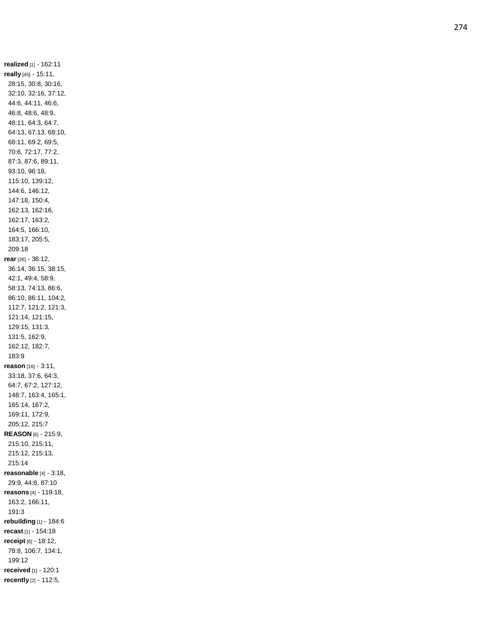**realized** [1] - 162:11 **really** [45] - 15:11, 28:15, 30:8, 30:16, 32:10, 32:16, 37:12, 44:6, 44:11, 46:6, 46:8, 48:6, 48:9, 48:11, 64:3, 64:7, 64:13, 67:13, 68:10, 68:11, 69:2, 69:5, 70:6, 72:17, 77:2, 87:3, 87:6, 89:11, 93:10, 96:18, 115:10, 139:12, 144:6, 146:12, 147:18, 150:4, 162:13, 162:16, 162:17, 163:2, 164:5, 166:10, 183:17, 205:5, 209:18 **rear** [26] - 36:12, 36:14, 36:15, 38:15, 42:1, 49:4, 58:9, 58:13, 74:13, 86:6, 86:10, 86:11, 104:2, 112:7, 121:2, 121:3, 121:14, 121:15, 129:15, 131:3, 131:5, 162:9, 162:12, 182:7, 183:9 **reason** [16] - 3:11, 33:18, 37:6, 64:3, 64:7, 67:2, 127:12, 148:7, 163:4, 165:1, 165:14, 167:2, 169:11, 172:9, 205:12, 215:7 **REASON** [6] - 215:9, 215:10, 215:11, 215:12, 215:13, 215:14 **reasonable** [4] - 3:18, 29:9, 44:8, 87:10 **reasons** [4] - 119:18, 163:2, 166:11, 191:3 **rebuilding** [1] - 184:6 **recast** [1] - 154:18 **receipt** [6] - 18:12, 78:8, 106:7, 134:1, 199:12 **received** [1] - 120:1 **recently** [2] - 112:5,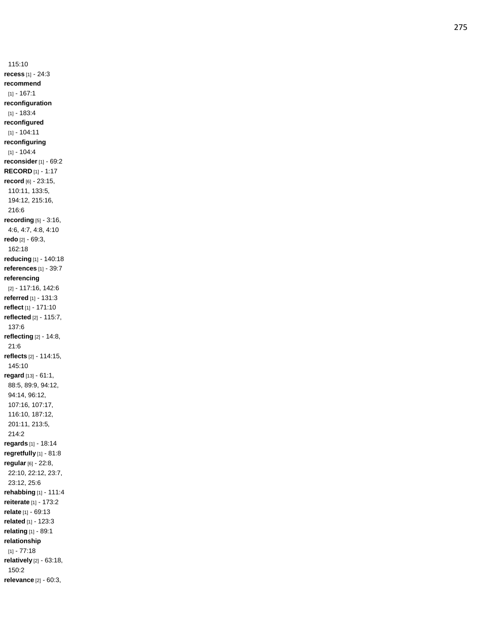115:10 **recess** [1] - 24:3 **recommend** [1] - 167:1 **reconfiguration** [1] - 183:4 **reconfigured** [1] - 104:11 **reconfiguring** [1] - 104:4 **reconsider** [1] - 69:2 **RECORD** [1] - 1:17 **record** [6] - 23:15, 110:11, 133:5, 194:12, 215:16, 216:6 **recording** [5] - 3:16, 4:6, 4:7, 4:8, 4:10 **redo** [2] - 69:3, 162:18 **reducing** [1] - 140:18 **references** [1] - 39:7 **referencing** [2] - 117:16, 142:6 **referred** [1] - 131:3 **reflect** [1] - 171:10 **reflected** [2] - 115:7, 137:6 **reflecting** [2] - 14:8, 21:6 **reflects** [2] - 114:15, 145:10 **regard** [13] - 61:1, 88:5, 89:9, 94:12, 94:14, 96:12, 107:16, 107:17, 116:10, 187:12, 201:11, 213:5, 214:2 **regards** [1] - 18:14 **regretfully** [1] - 81:8 **regular** [6] - 22:8, 22:10, 22:12, 23:7, 23:12, 25:6 **rehabbing** [1] - 111:4 **reiterate** [1] - 173:2 **relate** [1] - 69:13 **related** [1] - 123:3 **relating** [1] - 89:1 **relationship** [1] - 77:18 **relatively** [2] - 63:18, 150:2 **relevance** [2] - 60:3,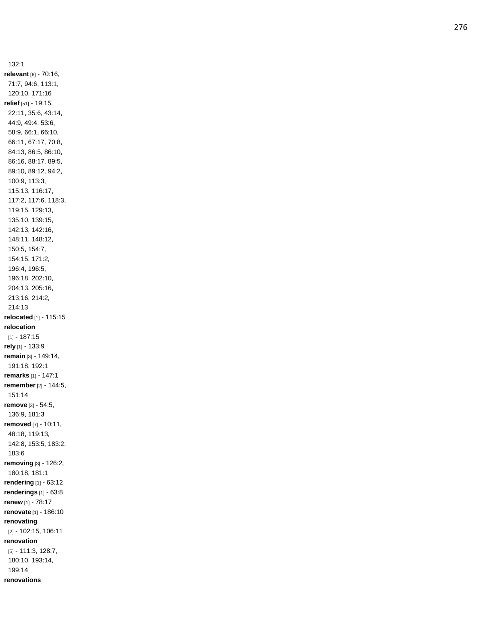132:1 **relevant** [6] - 70:16, 71:7, 94:6, 113:1, 120:10, 171:16 **relief** [51] - 19:15, 22:11, 35:6, 43:14, 44:9, 49:4, 53:6, 58:9, 66:1, 66:10, 66:11, 67:17, 70:8, 84:13, 86:5, 86:10, 86:16, 88:17, 89:5, 89:10, 89:12, 94:2, 100:9, 113:3, 115:13, 116:17, 117:2, 117:6, 118:3, 119:15, 129:13, 135:10, 139:15, 142:13, 142:16, 148:11, 148:12, 150:5, 154:7, 154:15, 171:2, 196:4, 196:5, 196:18, 202:10, 204:13, 205:16, 213:16, 214:2, 214:13 **relocated** [1] - 115:15 **relocation** [1] - 187:15 **rely** [1] - 133:9 **remain** [3] - 149:14, 191:18, 192:1 **remarks** [1] - 147:1 **remember** [2] - 144:5, 151:14 **remove** [3] - 54:5, 136:9, 181:3 **removed** [7] - 10:11, 48:18, 119:13, 142:8, 153:5, 183:2, 183:6 **removing** [3] - 126:2, 180:18, 181:1 **rendering** [1] - 63:12 **renderings** [1] - 63:8 **renew** [1] - 78:17 **renovate** [1] - 186:10 **renovating** [2] - 102:15, 106:11 **renovation** [5] - 111:3, 128:7, 180:10, 193:14, 199:14 **renovations**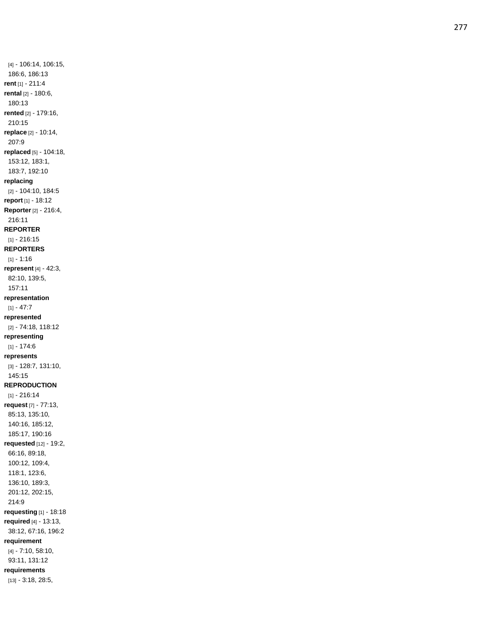[4] - 106:14, 106:15, 186:6, 186:13 **rent** [1] - 211:4 **rental** [2] - 180:6, 180:13 **rented** [2] - 179:16, 210:15 **replace** [2] - 10:14, 207:9 **replaced** [5] - 104:18, 153:12, 183:1, 183:7, 192:10 **replacing** [2] - 104:10, 184:5 **report** [1] - 18:12 **Reporter** [2] - 216:4, 216:11 **REPORTER** [1] - 216:15 **REPORTERS** [1] - 1:16 **represent** [4] - 42:3, 82:10, 139:5, 157:11 **representation** [1] - 47:7 **represented** [2] - 74:18, 118:12 **representing** [1] - 174:6 **represents** [3] - 128:7, 131:10, 145:15 **REPRODUCTION** [1] - 216:14 **request** [7] - 77:13, 85:13, 135:10, 140:16, 185:12, 185:17, 190:16 **requested** [12] - 19:2, 66:16, 89:18, 100:12, 109:4, 118:1, 123:6, 136:10, 189:3, 201:12, 202:15, 214:9 **requesting** [1] - 18:18 **required** [4] - 13:13, 38:12, 67:16, 196:2 **requirement** [4] - 7:10, 58:10, 93:11, 131:12 **requirements**

[13] - 3:18, 28:5,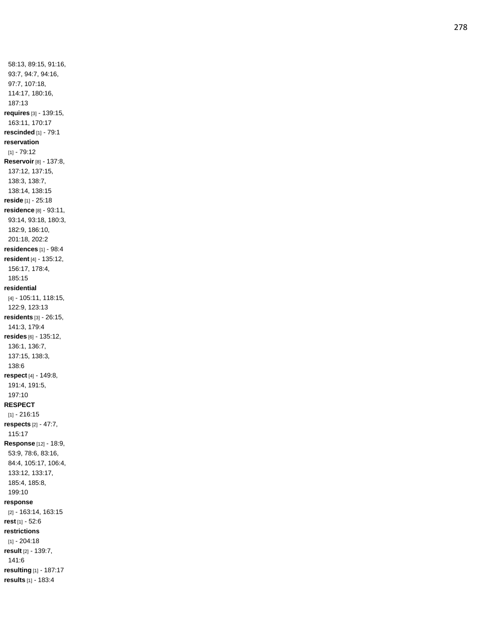58:13, 89:15, 91:16, 93:7, 94:7, 94:16, 97:7, 107:18, 114:17, 180:16, 187:13 **requires** [3] - 139:15, 163:11, 170:17 **rescinded** [1] - 79:1 **reservation** [1] - 79:12 **Reservoir** [8] - 137:8, 137:12, 137:15, 138:3, 138:7, 138:14, 138:15 **reside** [1] - 25:18 **residence** [8] - 93:11, 93:14, 93:18, 180:3, 182:9, 186:10, 201:18, 202:2 **residences** [1] - 98:4 **resident** [4] - 135:12, 156:17, 178:4, 185:15 **residential** [4] - 105:11, 118:15, 122:9, 123:13 **residents** [3] - 26:15, 141:3, 179:4 **resides** [6] - 135:12, 136:1, 136:7, 137:15, 138:3, 138:6 **respect** [4] - 149:8, 191:4, 191:5, 197:10 **RESPECT** [1] - 216:15 **respects** [2] - 47:7, 115:17 **Response** [12] - 18:9, 53:9, 78:6, 83:16, 84:4, 105:17, 106:4, 133:12, 133:17, 185:4, 185:8, 199:10 **response** [2] - 163:14, 163:15 **rest** [1] - 52:6 **restrictions** [1] - 204:18 **result** [2] - 139:7, 141:6 **resulting** [1] - 187:17 **results** [1] - 183:4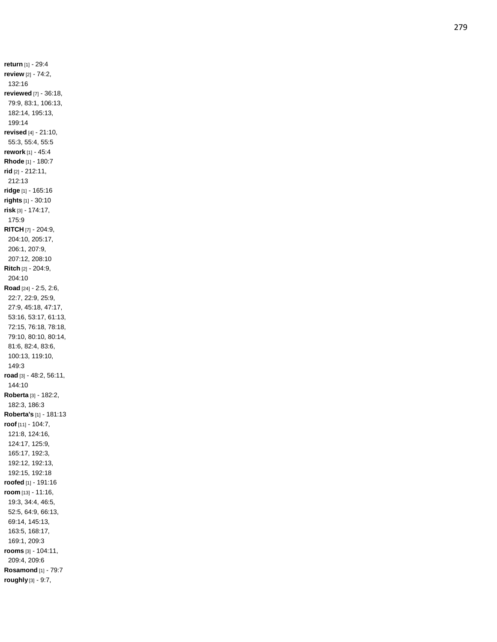**return** [1] - 29:4 **review** [2] - 74:2, 132:16 **reviewed** [7] - 36:18, 79:9, 83:1, 106:13, 182:14, 195:13, 199:14 **revised** [4] - 21:10, 55:3, 55:4, 55:5 **rework** [1] - 45:4 **Rhode** [1] - 180:7 **rid** [2] - 212:11, 212:13 **ridge** [1] - 165:16 **rights** [1] - 30:10 **risk** [3] - 174:17, 175:9 **RITCH** [7] - 204:9, 204:10, 205:17, 206:1, 207:9, 207:12, 208:10 **Ritch** [2] - 204:9, 204:10 **Road** [24] - 2:5, 2:6, 22:7, 22:9, 25:9, 27:9, 45:18, 47:17, 53:16, 53:17, 61:13, 72:15, 76:18, 78:18, 79:10, 80:10, 80:14, 81:6, 82:4, 83:6, 100:13, 119:10, 149:3 **road** [3] - 48:2, 56:11, 144:10 **Roberta** [3] - 182:2, 182:3, 186:3 **Roberta's** [1] - 181:13 **roof** [11] - 104:7, 121:8, 124:16, 124:17, 125:9, 165:17, 192:3, 192:12, 192:13, 192:15, 192:18 **roofed** [1] - 191:16 **room** [13] - 11:16, 19:3, 34:4, 46:5, 52:5, 64:9, 66:13, 69:14, 145:13, 163:5, 168:17, 169:1, 209:3 **rooms** [3] - 104:11, 209:4, 209:6 **Rosamond** [1] - 79:7 **roughly** [3] - 9:7,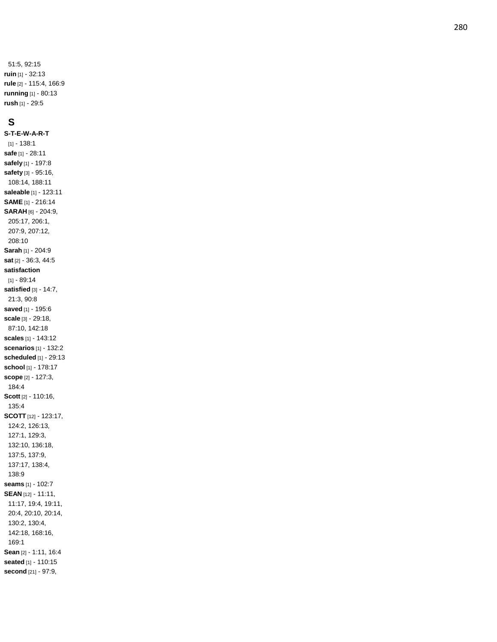51:5, 92:15 **ruin** [1] - 32:13 **rule** [2] - 115:4, 166:9 **running** [1] - 80:13 **rush** [1] - 29:5

## **S**

**S - T - E - W - A - R - T** [1] - 138:1 **safe** [1] - 28:11 **safely** [1] - 197:8 **safety** [3] - 95:16, 108:14, 188:11 **saleable** [1] - 123:11 **SAME** [1] - 216:14 **SARAH** [6] - 204:9, 205:17, 206:1, 207:9, 207:12, 208:10 **Sarah** [1] - 204:9 **sat** [2] - 36:3, 44:5 **satisfaction** [1] - 89:14 **satisfied** [3] - 14:7, 21:3, 90:8 **saved** [1] - 195:6 **scale** [3] - 29:18, 87:10, 142:18 **scales** [1] - 143:12 **scenarios** [1] - 132:2 **scheduled** [1] - 29:13 **school** [1] - 178:17 **scope** [2] - 127:3, 184:4 **Scott** [2] - 110:16, 135:4 **SCOTT** [12] - 123:17, 124:2, 126:13, 127:1, 129:3, 132:10, 136:18, 137:5, 137:9, 137:17, 138:4, 138:9 **seams** [1] - 102:7 **SEAN** [12] - 11:11, 11:17, 19:4, 19:11, 20:4, 20:10, 20:14, 130:2, 130:4, 142:18, 168:16, 169:1 **Sean** [2] - 1:11, 16:4 **seated** [1] - 110:15 **second** [21] - 97:9,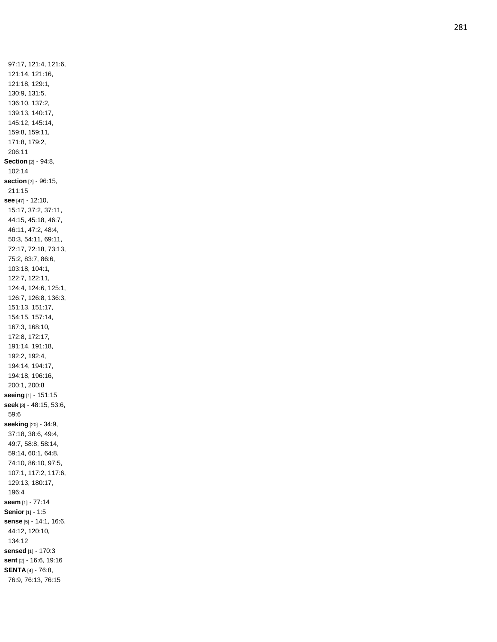97:17, 121:4, 121:6, 121:14, 121:16, 121:18, 129:1, 130:9, 131:5, 136:10, 137:2, 139:13, 140:17, 145:12, 145:14, 159:8, 159:11, 171:8, 179:2, 206:11 **Section** [2] - 94:8, 102:14 **section** [2] - 96:15, 211:15 **see** [47] - 12:10, 15:17, 37:2, 37:11, 44:15, 45:18, 46:7, 46:11, 47:2, 48:4, 50:3, 54:11, 69:11, 72:17, 72:18, 73:13, 75:2, 83:7, 86:6, 103:18, 104:1, 122:7, 122:11, 124:4, 124:6, 125:1, 126:7, 126:8, 136:3, 151:13, 151:17, 154:15, 157:14, 167:3, 168:10, 172:8, 172:17, 191:14, 191:18, 192:2, 192:4, 194:14, 194:17, 194:18, 196:16, 200:1, 200:8 **seeing** [1] - 151:15 **seek** [3] - 48:15, 53:6, 59:6 **seeking** [20] - 34:9, 37:18, 38:6, 49:4, 49:7, 58:8, 58:14, 59:14, 60:1, 64:8, 74:10, 86:10, 97:5, 107:1, 117:2, 117:6, 129:13, 180:17, 196:4 **seem** [1] - 77:14 **Senior** [1] - 1:5 **sense** [5] - 14:1, 16:6, 44:12, 120:10, 134:12 **sensed** [1] - 170:3 **sent** [2] - 16:6, 19:16 **SENTA** [4] - 76:8, 76:9, 76:13, 76:15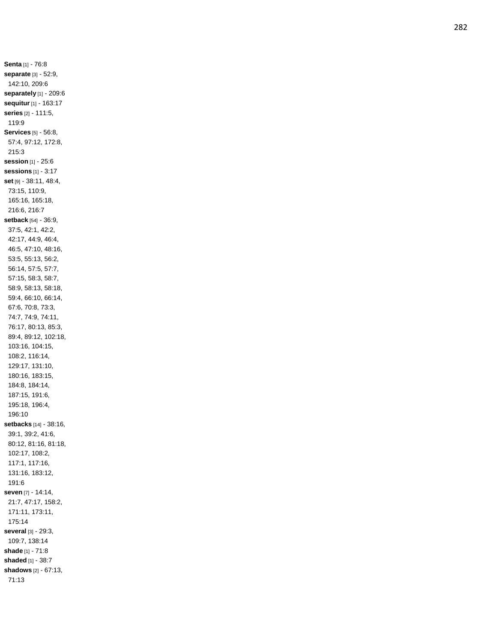**Senta** [1] - 76:8 **separate** [3] - 52:9, 142:10, 209:6 **separately** [1] - 209:6 **sequitur** [1] - 163:17 **series** [2] - 111:5, 119:9 **Services** [5] - 56:8, 57:4, 97:12, 172:8, 215:3 **session** [1] - 25:6 **sessions** [1] - 3:17 **set** [9] - 38:11, 48:4, 73:15, 110:9, 165:16, 165:18, 216:6, 216:7 **setback** [54] - 36:9, 37:5, 42:1, 42:2, 42:17, 44:9, 46:4, 46:5, 47:10, 48:16, 53:5, 55:13, 56:2, 56:14, 57:5, 57:7, 57:15, 58:3, 58:7, 58:9, 58:13, 58:18, 59:4, 66:10, 66:14, 67:6, 70:8, 73:3, 74:7, 74:9, 74:11, 76:17, 80:13, 85:3, 89:4, 89:12, 102:18, 103:16, 104:15, 108:2, 116:14, 129:17, 131:10, 180:16, 183:15, 184:8, 184:14, 187:15, 191:6, 195:18, 196:4, 196:10 **setbacks** [14] - 38:16, 39:1, 39:2, 41:6, 80:12, 81:16, 81:18, 102:17, 108:2, 117:1, 117:16, 131:16, 183:12, 191:6 **seven** [7] - 14:14, 21:7, 47:17, 158:2, 171:11, 173:11, 175:14 **several** [3] - 29:3, 109:7, 138:14 **shade** [1] - 71:8 **shaded** [1] - 38:7 **shadows** [2] - 67:13, 71:13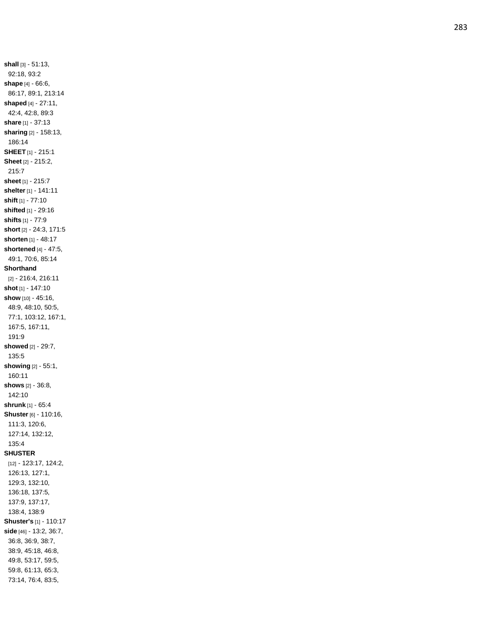**shall** [3] - 51:13, 92:18, 93:2 **shape** [4] - 66:6, 86:17, 89:1, 213:14 **shaped** [4] - 27:11, 42:4, 42:8, 89:3 **share** [1] - 37:13 **sharing** [2] - 158:13, 186:14 **SHEET** [1] - 215:1 **Sheet** [2] - 215:2, 215:7 **sheet** [1] - 215:7 **shelter** [1] - 141:11 **shift** [1] - 77:10 **shifted** [1] - 29:16 **shifts** [1] - 77:9 **short** [2] - 24:3, 171:5 **shorten** [1] - 48:17 **shortened** [4] - 47:5, 49:1, 70:6, 85:14 **Shorthand** [2] - 216:4, 216:11 **shot** [1] - 147:10 **show** [10] - 45:16, 48:9, 48:10, 50:5, 77:1, 103:12, 167:1, 167:5, 167:11, 191:9 **showed** [2] - 29:7, 135:5 **showing** [2] - 55:1, 160:11 **shows** [2] - 36:8, 142:10 **shrunk** [1] - 65:4 **Shuster** [6] - 110:16, 111:3, 120:6, 127:14, 132:12, 135:4 **SHUSTER** [12] - 123:17, 124:2, 126:13, 127:1, 129:3, 132:10, 136:18, 137:5, 137:9, 137:17, 138:4, 138:9 **Shuster's** [1] - 110:17 **side** [46] - 13:2, 36:7, 36:8, 36:9, 38:7, 38:9, 45:18, 46:8, 49:8, 53:17, 59:5, 59:8, 61:13, 65:3, 73:14, 76:4, 83:5,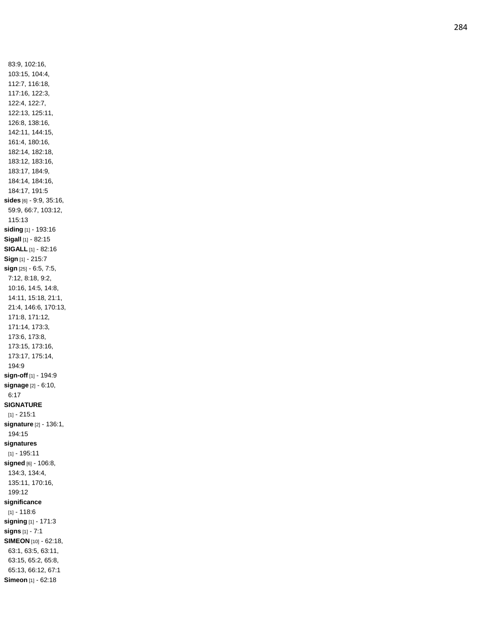83:9, 102:16, 103:15, 104:4, 112:7, 116:18, 117:16, 122:3, 122:4, 122:7, 122:13, 125:11, 126:8, 138:16, 142:11, 144:15, 161:4, 180:16, 182:14, 182:18, 183:12, 183:16, 183:17, 184:9, 184:14, 184:16, 184:17, 191:5 **sides** [6] - 9:9, 35:16, 59:9, 66:7, 103:12, 115:13 **siding** [1] - 193:16 **Sigall** [1] - 82:15 **SIGALL** [1] - 82:16 **Sign** [1] - 215:7 **sign** [25] - 6:5, 7:5, 7:12, 8:18, 9:2, 10:16, 14:5, 14:8, 14:11, 15:18, 21:1, 21:4, 146:6, 170:13, 171:8, 171:12, 171:14, 173:3, 173:6, 173:8, 173:15, 173:16, 173:17, 175:14, 194:9 **sign -off** [1] - 194:9 **signage** [2] - 6:10, 6:17 **SIGNATURE** [1] - 215:1 **signature** [2] - 136:1, 194:15 **signatures** [1] - 195:11 **signed** [6] - 106:8, 134:3, 134:4, 135:11, 170:16, 199:12 **significance** [1] - 118:6 **signing** [1] - 171:3 **signs** [1] - 7:1 **SIMEON** [10] - 62:18, 63:1, 63:5, 63:11, 63:15, 65:2, 65:8, 65:13, 66:12, 67:1 **Simeon** [1] - 62:18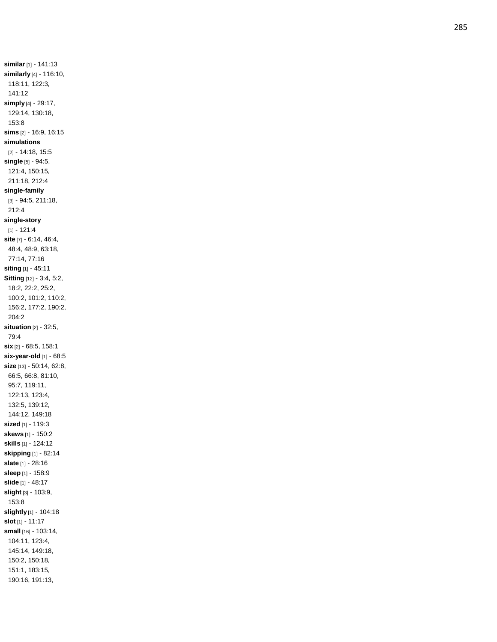**similar** [1] - 141:13 **similarly** [4] - 116:10, 118:11, 122:3, 141:12 **simply** [4] - 29:17, 129:14, 130:18, 153:8 **sims** [2] - 16:9, 16:15 **simulations** [2] - 14:18, 15:5 **single** [5] - 94:5, 121:4, 150:15, 211:18, 212:4 **single -family** [3] - 94:5, 211:18, 212:4 **single -story** [1] - 121:4 **site** [7] - 6:14, 46:4, 48:4, 48:9, 63:18, 77:14, 77:16 **siting** [1] - 45:11 **Sitting** [12] - 3:4, 5:2, 18:2, 22:2, 25:2, 100:2, 101:2, 110:2, 156:2, 177:2, 190:2, 204:2 **situation** [2] - 32:5, 79:4 **six** [2] - 68:5, 158:1 **six -year -old** [1] - 68:5 **size** [13] - 50:14, 62:8, 66:5, 66:8, 81:10, 95:7, 119:11, 122:13, 123:4, 132:5, 139:12, 144:12, 149:18 **sized** [1] - 119:3 **skews** [1] - 150:2 **skills** [1] - 124:12 **skipping** [1] - 82:14 **slate** [1] - 28:16 **sleep** [1] - 158:9 **slide** [1] - 48:17 **slight** [3] - 103:9, 153:8 **slightly** [1] - 104:18 **slot** [1] - 11:17 **small** [16] - 103:14, 104:11, 123:4, 145:14, 149:18, 150:2, 150:18, 151:1, 183:15, 190:16, 191:13,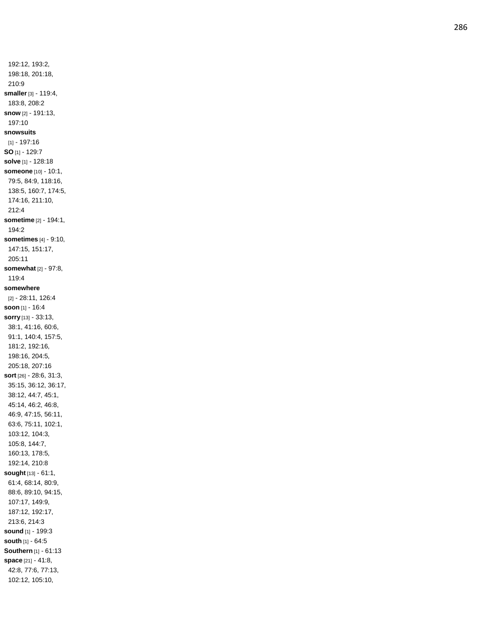192:12, 193:2, 198:18, 201:18, 210:9 **smaller** [3] - 119:4, 183:8, 208:2 **snow** [2] - 191:13, 197:10 **snowsuits** [1] - 197:16 **SO** [1] - 129:7 **solve** [1] - 128:18 **someone** [10] - 10:1, 79:5, 84:9, 118:16, 138:5, 160:7, 174:5, 174:16, 211:10, 212:4 **sometime** [2] - 194:1, 194:2 **sometimes** [4] - 9:10, 147:15, 151:17, 205:11 **somewhat** [2] - 97:8, 119:4 **somewhere** [2] - 28:11, 126:4 **soon** [1] - 16:4 **sorry** [13] - 33:13, 38:1, 41:16, 60:6, 91:1, 140:4, 157:5, 181:2, 192:16, 198:16, 204:5, 205:18, 207:16 **sort** [26] - 28:6, 31:3, 35:15, 36:12, 36:17, 38:12, 44:7, 45:1, 45:14, 46:2, 46:8, 46:9, 47:15, 56:11, 63:6, 75:11, 102:1, 103:12, 104:3, 105:8, 144:7, 160:13, 178:5, 192:14, 210:8 **sought** [13] - 61:1, 61:4, 68:14, 80:9, 88:6, 89:10, 94:15, 107:17, 149:9, 187:12, 192:17, 213:6, 214:3 **sound** [1] - 199:3 **south** [1] - 64:5 **Southern** [1] - 61:13 **space** [21] - 41:8, 42:8, 77:6, 77:13, 102:12, 105:10,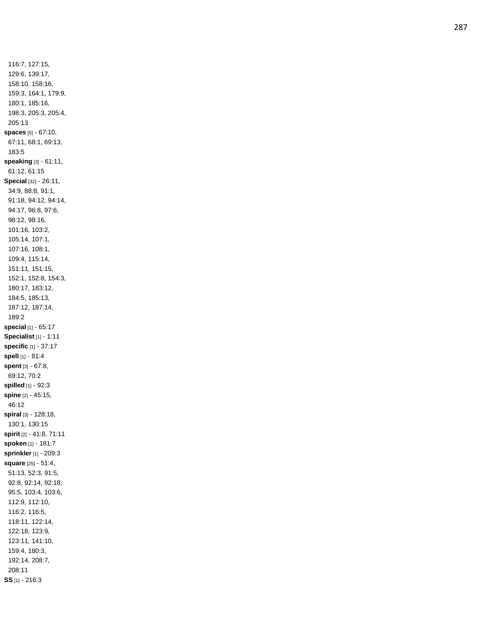116:7, 127:15, 129:6, 139:17, 158:10, 158:16, 159:3, 164:1, 179:9, 180:1, 185:16, 198:3, 205:3, 205:4, 205:13 **spaces** [5] - 67:10, 67:11, 68:1, 69:13, 183:5 **speaking** [3] - 61:11, 61:12, 61:15 **Special** [32] - 26:11, 34:9, 88:8, 91:1, 91:18, 94:12, 94:14, 94:17, 96:8, 97:6, 98:12, 98:16, 101:16, 103:2, 105:14, 107:1, 107:16, 108:1, 109:4, 115:14, 151:11, 151:15, 152:1, 152:8, 154:3, 180:17, 183:12, 184:5, 185:13, 187:12, 187:14, 189:2 **special** [1] - 65:17 **Specialist** [1] - 1:11 **specific** [1] - 37:17 **spell** [1] - 81:4 **spent** [3] - 67:8, 69:12, 70:2 **spilled** [1] - 92:3 **spine** [2] - 45:15, 46:12 **spiral** [3] - 128:18, 130:1, 130:15 **spirit** [2] - 41:8, 71:11 **spoken** [1] - 181:7 **sprinkler**[1] - 209:3 **square** [25] - 51:4, 51:13, 52:3, 91:5, 92:8, 92:14, 92:18, 95:5, 103:4, 103:6, 112:9, 112:10, 116:2, 116:5, 118:11, 122:14, 122:18, 123:9, 123:11, 141:10, 159:4, 180:3, 192:14, 208:7, 208:11 **SS** [1] - 216:3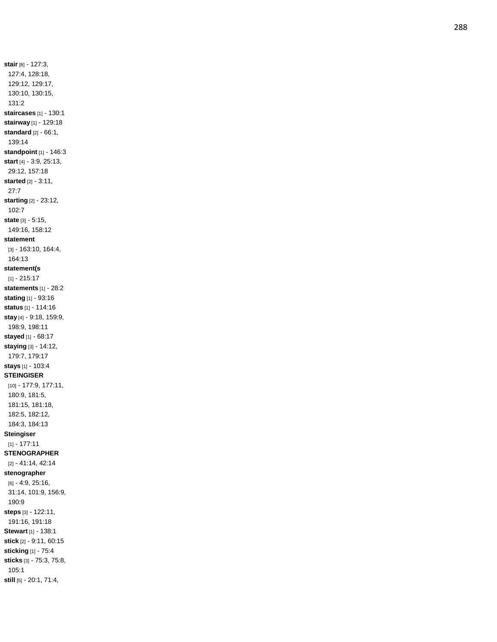**stair** [8] - 127:3, 127:4, 128:18, 129:12, 129:17, 130:10, 130:15, 131:2 **staircases** [1] - 130:1 **stairway** [1] - 129:18 **standard** [2] - 66:1, 139:14 **standpoint** [1] - 146:3 **start** [4] - 3:9, 25:13, 29:12, 157:18 **started** [2] - 3:11, 27:7 **starting** [2] - 23:12, 102:7 **state** [3] - 5:15, 149:16, 158:12 **statement** [3] - 163:10, 164:4, 164:13 **statement(s** [1] - 215:17 **statements** [1] - 28:2 **stating** [1] - 93:16 **status** [1] - 114:16 **stay** [4] - 9:18, 159:9, 198:9, 198:11 **stayed** [1] - 68:17 **staying** [3] - 14:12, 179:7, 179:17 **stays** [1] - 103:4 **STEINGISER** [10] - 177:9, 177:11, 180:9, 181:5, 181:15, 181:18, 182:5, 182:12, 184:3, 184:13 **Steingiser** [1] - 177:11 **STENOGRAPHER** [2] - 41:14, 42:14 **stenographer** [6] - 4:9, 25:16, 31:14, 101:9, 156:9, 190:9 **steps** [3] - 122:11, 191:16, 191:18 **Stewart** [1] - 138:1 **stick** [2] - 9:11, 60:15 **sticking** [1] - 75:4 **sticks** [3] - 75:3, 75:8, 105:1 **still** [5] - 20:1, 71:4,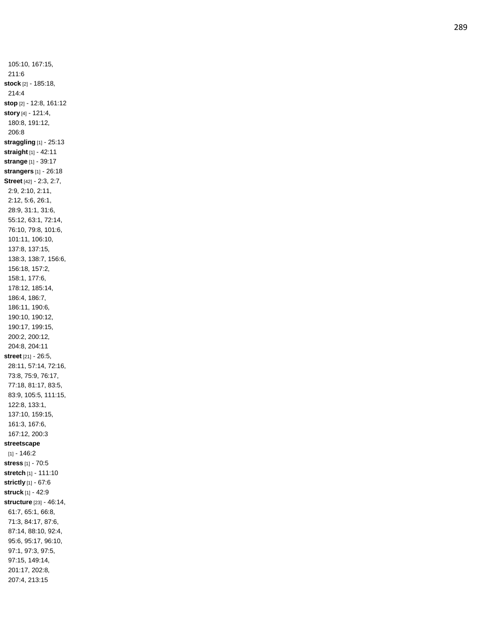105:10, 167:15, 211:6 **stock** [2] - 185:18, 214:4 **stop** [2] - 12:8, 161:12 **story** [4] - 121:4, 180:8, 191:12, 206:8 **straggling** [1] - 25:13 **straight** [1] - 42:11 **strange** [1] - 39:17 **strangers** [1] - 26:18 **Street** [42] - 2:3, 2:7, 2:9, 2:10, 2:11, 2:12, 5:6, 26:1, 28:9, 31:1, 31:6, 55:12, 63:1, 72:14, 76:10, 79:8, 101:6, 101:11, 106:10, 137:8, 137:15, 138:3, 138:7, 156:6, 156:18, 157:2, 158:1, 177:6, 178:12, 185:14, 186:4, 186:7, 186:11, 190:6, 190:10, 190:12, 190:17, 199:15, 200:2, 200:12, 204:8, 204:11 **street** [21] - 26:5, 28:11, 57:14, 72:16, 73:8, 75:9, 76:17, 77:18, 81:17, 83:5, 83:9, 105:5, 111:15, 122:8, 133:1, 137:10, 159:15, 161:3, 167:6, 167:12, 200:3 **streetscape** [1] - 146:2 **stress** [1] - 70:5 **stretch** [1] - 111:10 **strictly** [1] - 67:6 **struck** [1] - 42:9 **structure** [23] - 46:14, 61:7, 65:1, 66:8, 71:3, 84:17, 87:6, 87:14, 88:10, 92:4, 95:6, 95:17, 96:10, 97:1, 97:3, 97:5, 97:15, 149:14, 201:17, 202:8, 207:4, 213:15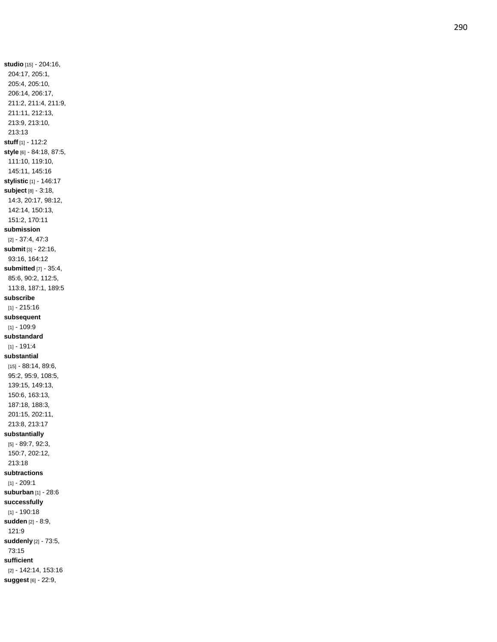**studio** [15] - 204:16, 204:17, 205:1, 205:4, 205:10, 206:14, 206:17, 211:2, 211:4, 211:9, 211:11, 212:13, 213:9, 213:10, 213:13 **stuff** [1] - 112:2 **style** [6] - 84:18, 87:5, 111:10, 119:10, 145:11, 145:16 **stylistic** [1] - 146:17 **subject** [8] - 3:18, 14:3, 20:17, 98:12, 142:14, 150:13, 151:2, 170:11 **submission** [2] - 37:4, 47:3 **submit** [3] - 22:16, 93:16, 164:12 **submitted** [7] - 35:4, 85:6, 90:2, 112:5, 113:8, 187:1, 189:5 **subscribe** [1] - 215:16 **subsequent** [1] - 109:9 **substandard** [1] - 191:4 **substantial** [15] - 88:14, 89:6, 95:2, 95:9, 108:5, 139:15, 149:13, 150:6, 163:13, 187:18, 188:3, 201:15, 202:11, 213:8, 213:17 **substantially** [5] - 89:7, 92:3, 150:7, 202:12, 213:18 **subtractions** [1] - 209:1 **suburban** [1] - 28:6 **successfully** [1] - 190:18 **sudden** [2] - 8:9, 121:9 **suddenly** [2] - 73:5, 73:15 **sufficient** [2] - 142:14, 153:16 **suggest** [6] - 22:9,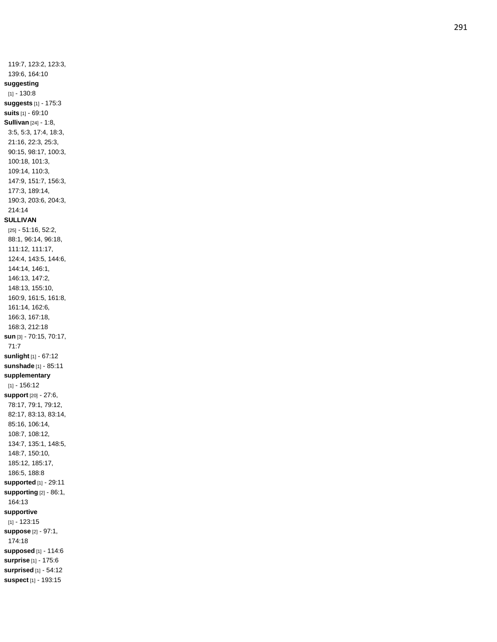119:7, 123:2, 123:3, 139:6, 164:10 **suggesting** [1] - 130:8 **suggests** [1] - 175:3 **suits** [1] - 69:10 **Sullivan** [24] - 1:8, 3:5, 5:3, 17:4, 18:3, 21:16, 22:3, 25:3, 90:15, 98:17, 100:3, 100:18, 101:3, 109:14, 110:3, 147:9, 151:7, 156:3, 177:3, 189:14, 190:3, 203:6, 204:3, 214:14 **SULLIVAN** [25] - 51:16, 52:2, 88:1, 96:14, 96:18, 111:12, 111:17, 124:4, 143:5, 144:6, 144:14, 146:1, 146:13, 147:2, 148:13, 155:10, 160:9, 161:5, 161:8, 161:14, 162:6, 166:3, 167:18, 168:3, 212:18 **sun** [3] - 70:15, 70:17, 71:7 **sunlight** [1] - 67:12 **sunshade** [1] - 85:11 **supplementary** [1] - 156:12 **support** [20] - 27:6, 78:17, 79:1, 79:12, 82:17, 83:13, 83:14, 85:16, 106:14, 108:7, 108:12, 134:7, 135:1, 148:5, 148:7, 150:10, 185:12, 185:17, 186:5, 188:8 **supported** [1] - 29:11 **supporting** [2] - 86:1, 164:13 **supportive** [1] - 123:15 **suppose** [2] - 97:1, 174:18 **supposed** [1] - 114:6 **surprise** [1] - 175:6 **surprised** [1] - 54:12 **suspect** [1] - 193:15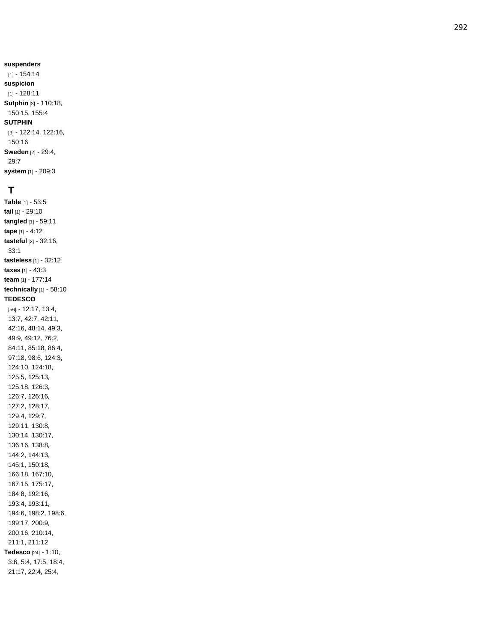**suspenders** [1] - 154:14 **suspicion** [1] - 128:11 **Sutphin** [3] - 110:18, 150:15, 155:4 **SUTPHIN**

### [3] - 122:14, 122:16, 150:16 **Sweden** [2] - 29:4, 29:7

**system** [1] - 209:3

# **T**

**Table** [1] - 53:5 **tail** [1] - 29:10 **tangled** [1] - 59:11 **tape** [1] - 4:12 **tasteful** [2] - 32:16, 33:1 **tasteless** [1] - 32:12 **taxes** [1] - 43:3 **team** [1] - 177:14 **technically** [1] - 58:10 **TEDESCO** [56] - 12:17, 13:4, 13:7, 42:7, 42:11, 42:16, 48:14, 49:3, 49:9, 49:12, 76:2, 84:11, 85:18, 86:4, 97:18, 98:6, 124:3, 124:10, 124:18, 125:5, 125:13, 125:18, 126:3, 126:7, 126:16, 127:2, 128:17, 129:4, 129:7, 129:11, 130:8, 130:14, 130:17, 136:16, 138:8, 144:2, 144:13, 145:1, 150:18, 166:18, 167:10, 167:15, 175:17, 184:8, 192:16, 193:4, 193:11, 194:6, 198:2, 198:6, 199:17, 200:9, 200:16, 210:14, 211:1, 211:12 **Tedesco** [24] - 1:10, 3:6, 5:4, 17:5, 18:4, 21:17, 22:4, 25:4,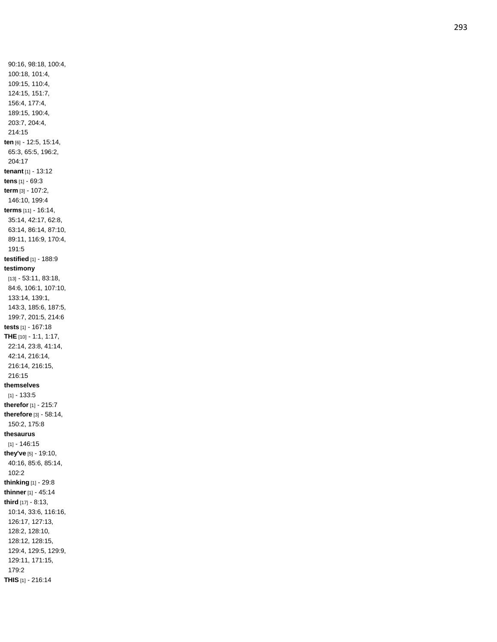90:16, 98:18, 100:4, 100:18, 101:4, 109:15, 110:4, 124:15, 151:7, 156:4, 177:4, 189:15, 190:4, 203:7, 204:4, 214:15 **ten** [6] - 12:5, 15:14, 65:3, 65:5, 196:2, 204:17 **tenant** [1] - 13:12 **tens** [1] - 69:3 **term** [3] - 107:2, 146:10, 199:4 **terms** [11] - 16:14, 35:14, 42:17, 62:8, 63:14, 86:14, 87:10, 89:11, 116:9, 170:4, 191:5 **testified** [1] - 188:9 **testimony** [13] - 53:11, 83:18, 84:6, 106:1, 107:10, 133:14, 139:1, 143:3, 185:6, 187:5, 199:7, 201:5, 214:6 **tests** [1] - 167:18 **THE** [10] - 1:1, 1:17, 22:14, 23:8, 41:14, 42:14, 216:14, 216:14, 216:15, 216:15 **themselves** [1] - 133:5 **therefor** [1] - 215:7 **therefore** [3] - 58:14, 150:2, 175:8 **thesaurus** [1] - 146:15 **they've** [5] - 19:10, 40:16, 85:6, 85:14, 102:2 **thinking** [1] - 29:8 **thinner** [1] - 45:14 **third** [17] - 8:13, 10:14, 33:6, 116:16, 126:17, 127:13, 128:2, 128:10, 128:12, 128:15, 129:4, 129:5, 129:9, 129:11, 171:15, 179:2 **THIS** [1] - 216:14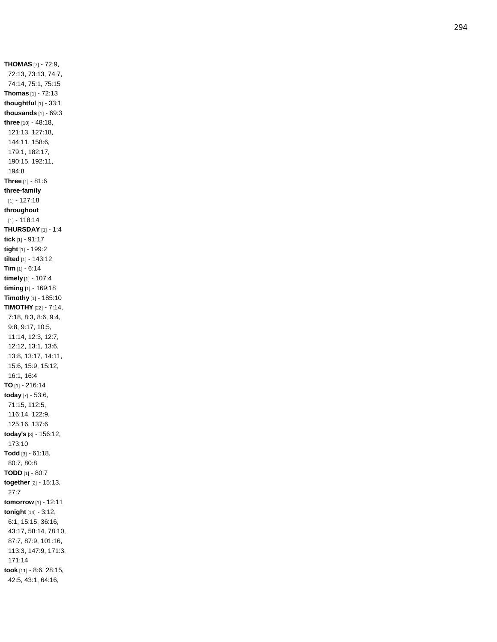**THOMAS** [7] - 72:9, 72:13, 73:13, 74:7, 74:14, 75:1, 75:15 **Thomas** [1] - 72:13 **thoughtful** [1] - 33:1 **thousands** [1] - 69:3 **three** [10] - 48:18, 121:13, 127:18, 144:11, 158:6, 179:1, 182:17, 190:15, 192:11, 194:8 **Three** [1] - 81:6 **three -family** [1] - 127:18 **throughout** [1] - 118:14 **THURSDAY** [1] - 1:4 **tick** [1] - 91:17 **tight** [1] - 199:2 **tilted** [1] - 143:12 **Tim** [1] - 6:14 **timely** [1] - 107:4 **timing** [1] - 169:18 **Timothy** [1] - 185:10 **TIMOTHY** [22] - 7:14, 7:18, 8:3, 8:6, 9:4, 9:8, 9:17, 10:5, 11:14, 12:3, 12:7, 12:12, 13:1, 13:6, 13:8, 13:17, 14:11, 15:6, 15:9, 15:12, 16:1, 16:4 **TO** [1] - 216:14 **today** [7] - 53:6, 71:15, 112:5, 116:14, 122:9, 125:16, 137:6 **today's** [3] - 156:12, 173:10 **Todd** [3] - 61:18, 80:7, 80:8 **TODD** [1] - 80:7 **together** [2] - 15:13, 27:7 **tomorrow** [1] - 12:11 **tonight** [14] - 3:12, 6:1, 15:15, 36:16, 43:17, 58:14, 78:10, 87:7, 87:9, 101:16, 113:3, 147:9, 171:3, 171:14 **took** [11] - 8:6, 28:15, 42:5, 43:1, 64:16,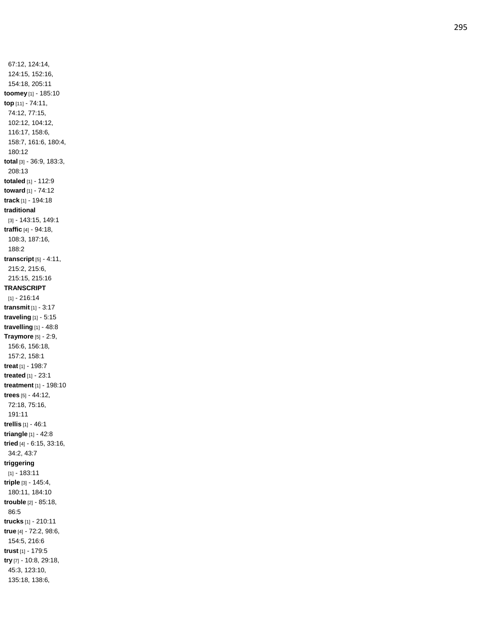67:12, 124:14, 124:15, 152:16, 154:18, 205:11 **toomey** [1] - 185:10 **top** [11] - 74:11, 74:12, 77:15, 102:12, 104:12, 116:17, 158:6, 158:7, 161:6, 180:4, 180:12 **total** [3] - 36:9, 183:3, 208:13 **totaled** [1] - 112:9 **toward** [1] - 74:12 **track** [1] - 194:18 **traditional** [3] - 143:15, 149:1 **traffic** [4] - 94:18, 108:3, 187:16, 188:2 **transcript** [5] - 4:11, 215:2, 215:6, 215:15, 215:16 **TRANSCRIPT** [1] - 216:14 **transmit** [1] - 3:17 **traveling** [1] - 5:15 **travelling** [1] - 48:8 **Traymore** [5] - 2:9, 156:6, 156:18, 157:2, 158:1 **treat** [1] - 198:7 **treated** [1] - 23:1 **treatment** [1] - 198:10 **trees** [5] - 44:12, 72:18, 75:16, 191:11 **trellis** [1] - 46:1 **triangle** [1] - 42:8 **tried** [4] - 6:15, 33:16, 34:2, 43:7 **triggering** [1] - 183:11 **triple** [3] - 145:4, 180:11, 184:10 **trouble** [2] - 85:18, 86:5 **trucks** [1] - 210:11 **true** [4] - 72:2, 98:6, 154:5, 216:6 **trust** [1] - 179:5 **try** [7] - 10:8, 29:18, 45:3, 123:10, 135:18, 138:6,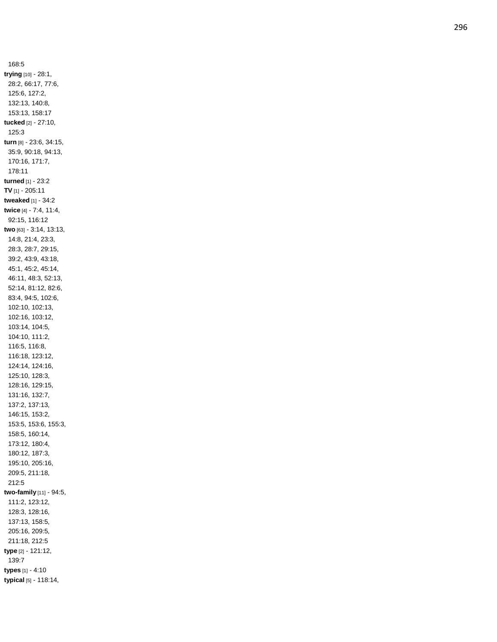168:5 **trying** [10] - 28:1, 28:2, 66:17, 77:6, 125:6, 127:2, 132:13, 140:8, 153:13, 158:17 **tucked** [2] - 27:10, 125:3 **turn** [8] - 23:6, 34:15, 35:9, 90:18, 94:13, 170:16, 171:7, 178:11 **turned** [1] - 23:2 **TV** [1] - 205:11 **tweaked** [1] - 34:2 **twice** [4] - 7:4, 11:4, 92:15, 116:12 **two** [63] - 3:14, 13:13, 14:8, 21:4, 23:3, 28:3, 28:7, 29:15, 39:2, 43:9, 43:18, 45:1, 45:2, 45:14, 46:11, 48:3, 52:13, 52:14, 81:12, 82:6, 83:4, 94:5, 102:6, 102:10, 102:13, 102:16, 103:12, 103:14, 104:5, 104:10, 111:2, 116:5, 116:8, 116:18, 123:12, 124:14, 124:16, 125:10, 128:3, 128:16, 129:15, 131:16, 132:7, 137:2, 137:13, 146:15, 153:2, 153:5, 153:6, 155:3, 158:5, 160:14, 173:12, 180:4, 180:12, 187:3, 195:10, 205:16, 209:5, 211:18, 212:5 **two -family** [11] - 94:5, 111:2, 123:12, 128:3, 128:16, 137:13, 158:5, 205:16, 209:5, 211:18, 212:5 **type** [2] - 121:12, 139:7 **types** [1] - 4:10 **typical** [5] - 118:14,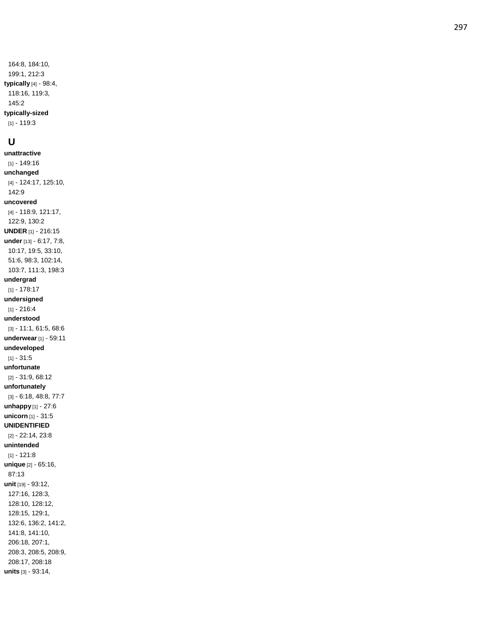164:8, 184:10, 199:1, 212:3 **typically** [4] - 98:4, 118:16, 119:3, 145:2 **typically -sized**

[1] - 119:3

#### **U**

**unattractive** [1] - 149:16 **unchanged** [4] - 124:17, 125:10, 142:9 **uncovered** [4] - 118:9, 121:17, 122:9, 130:2 **UNDER** [1] - 216:15 **under** [13] - 6:17, 7:8, 10:17, 19:5, 33:10, 51:6, 98:3, 102:14, 103:7, 111:3, 198:3 **undergrad** [1] - 178:17 **undersigned** [1] - 216:4 **understood** [3] - 11:1, 61:5, 68:6 **underwear** [1] - 59:11 **undeveloped** [1] - 31:5 **unfortunate** [2] - 31:9, 68:12 **unfortunately** [3] - 6:18, 48:8, 77:7 **unhappy** [1] - 27:6 **unicorn** [1] - 31:5 **UNIDENTIFIED** [2] - 22:14, 23:8 **unintended** [1] - 121:8 **unique** [2] - 65:16, 87:13 **unit** [19] - 93:12, 127:16, 128:3, 128:10, 128:12, 128:15, 129:1, 132:6, 136:2, 141:2, 141:8, 141:10, 206:18, 207:1, 208:3, 208:5, 208:9, 208:17, 208:18 **units** [3] - 93:14,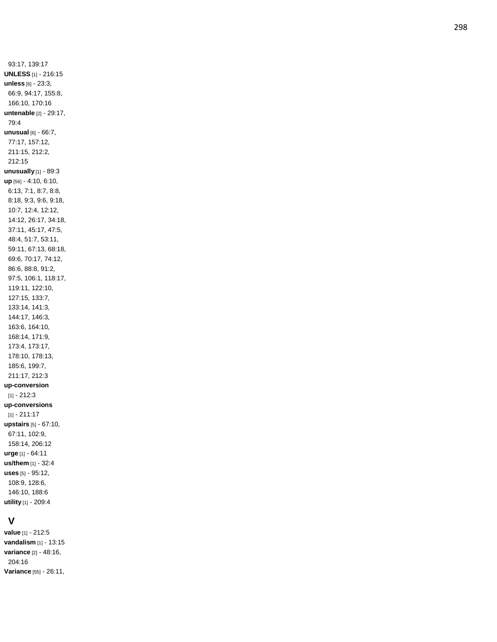93:17, 139:17 **UNLESS** [1] - 216:15 **unless** [6] - 23:3, 66:9, 94:17, 155:8, 166:10, 170:16 **untenable** [2] - 29:17, 79:4 **unusual** [6] - 66:7, 77:17, 157:12, 211:15, 212:2, 212:15 **unusually** [1] - 89:3 **up** [56] - 4:10, 6:10, 6:13, 7:1, 8:7, 8:8, 8:18, 9:3, 9:6, 9:18, 10:7, 12:4, 12:12, 14:12, 26:17, 34:18, 37:11, 45:17, 47:5, 48:4, 51:7, 53:11, 59:11, 67:13, 68:18, 69:6, 70:17, 74:12, 86:6, 88:8, 91:2, 97:5, 106:1, 118:17, 119:11, 122:10, 127:15, 133:7, 133:14, 141:3, 144:17, 146:3, 163:6, 164:10, 168:14, 171:9, 173:4, 173:17, 178:10, 178:13, 185:6, 199:7, 211:17, 212:3 **up -conversion** [1] - 212:3 **up -conversions** [1] - 211:17 **upstairs** [5] - 67:10, 67:11, 102:9, 158:14, 206:12 **urge** [1] - 64:11 **us/them** [1] - 32:4 **uses** [5] - 95:12, 108:9, 128:6, 146:10, 188:6 **utility** [1] - 209:4

# **V**

**value** [1] - 212:5 **vandalism** [1] - 13:15 **variance** [2] - 48:16, 204:16 **Variance** [55] - 26:11,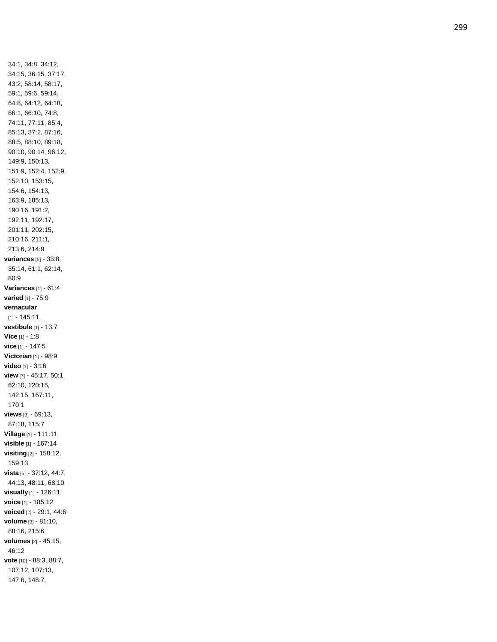34:1, 34:8, 34:12, 34:15, 36:15, 37:17, 43:2, 58:14, 58:17, 59:1, 59:6, 59:14, 64:8, 64:12, 64:18, 66:1, 66:10, 74:8, 74:11, 77:11, 85:4, 85:13, 87:2, 87:16, 88:5, 88:10, 89:18, 90:10, 90:14, 96:12, 149:9, 150:13, 151:9, 152:4, 152:9, 152:10, 153:15, 154:6, 154:13, 163:9, 185:13, 190:16, 191:2, 192:11, 192:17, 201:11, 202:15, 210:16, 211:1, 213:6, 214:9 **variances** [5] - 33:8, 35:14, 61:1, 62:14, 80:9 **Variances** [1] - 61:4 **varied** [1] - 75:9 **vernacular** [1] - 145:11 **vestibule** [1] - 13:7 **Vice** [1] - 1:8 **vice** [1] - 147:5 **Victorian** [1] - 98:9 **video** [1] - 3:16 **view** [7] - 45:17, 50:1, 62:10, 120:15, 142:15, 167:11, 170:1 **views** [3] - 69:13, 87:18, 115:7 **Village** [1] - 111:11 **visible** [1] - 167:14 **visiting** [2] - 158:12, 159:13 **vista** [5] - 37:12, 44:7, 44:13, 48:11, 68:10 **visually** [1] - 126:11 **voice** [1] - 185:12 **voiced** [2] - 29:1, 44:6 **volume** [3] - 81:10, 88:16, 215:6 **volumes** [2] - 45:15, 46:12 **vote** [10] - 88:3, 88:7, 107:12, 107:13, 147:6, 148:7,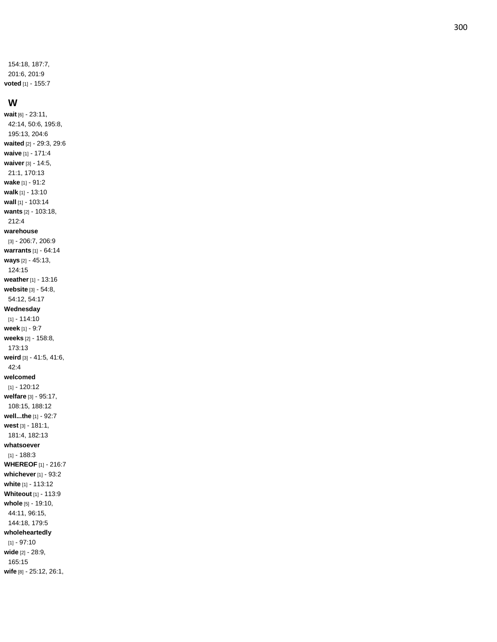154:18, 187:7, 201:6, 201:9 **voted** [1] - 155:7

#### **W**

**wait** [6] - 23:11, 42:14, 50:6, 195:8, 195:13, 204:6 **waited** [2] - 29:3, 29:6 **waive** [1] - 171:4 **waiver** [3] - 14:5, 21:1, 170:13 **wake** [1] - 91:2 **walk** [1] - 13:10 **wall** [1] - 103:14 **wants** [2] - 103:18, 212:4 **warehouse** [3] - 206:7, 206:9 **warrants** [1] - 64:14 **ways** [2] - 45:13, 124:15 **weather** [1] - 13:16 **website** [3] - 54:8, 54:12, 54:17 **Wednesday** [1] - 114:10 **week** [1] - 9:7 **weeks** [2] - 158:8, 173:13 **weird** [3] - 41:5, 41:6, 42:4 **welcomed** [1] - 120:12 **welfare** [3] - 95:17, 108:15, 188:12 **well...the** [1] - 92:7 **west** [3] - 181:1, 181:4, 182:13 **whatsoever** [1] - 188:3 **WHEREOF** [1] - 216:7 **whichever** [1] - 93:2 **white** [1] - 113:12 **Whiteout** [1] - 113:9 **whole** [5] - 19:10, 44:11, 96:15, 144:18, 179:5 **wholeheartedly** [1] - 97:10 **wide** [2] - 28:9, 165:15

**wife** [8] - 25:12, 26:1,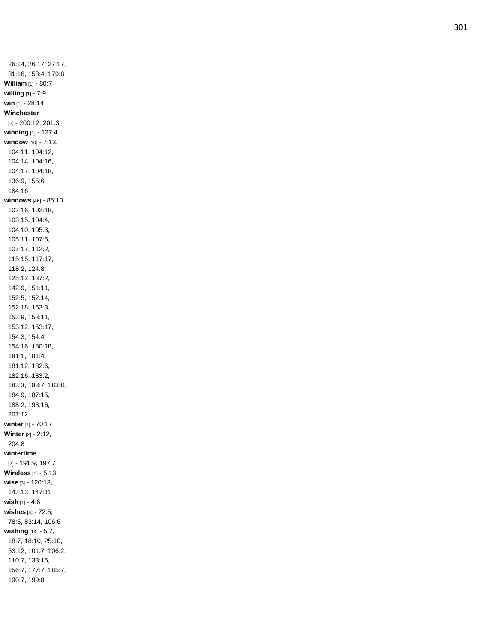26:14, 26:17, 27:17, 31:16, 158:4, 179:8 **William** [1] - 80:7 **willing** [1] - 7:9 **win** [1] - 28:14 **Winchester** [2] - 200:12, 201:3 **winding** [1] - 127:4 **window** [10] - 7:13, 104:11, 104:12, 104:14, 104:16, 104:17, 104:18, 136:9, 155:6, 184:16 **windows** [46] - 85:10, 102:16, 102:18, 103:15, 104:4, 104:10, 105:3, 105:11, 107:5, 107:17, 112:2, 115:15, 117:17, 118:2, 124:8, 125:12, 137:2, 142:9, 151:11, 152:5, 152:14, 152:18, 153:3, 153:9, 153:11, 153:12, 153:17, 154:3, 154:4, 154:16, 180:18, 181:1, 181:4, 181:12, 182:6, 182:16, 183:2, 183:3, 183:7, 183:8, 184:9, 187:15, 188:2, 193:16, 207:12 **winter** [1] - 70:17 **Winter** [2] - 2:12, 204:8 **wintertime** [2] - 191:9, 197:7 **Wireless** [1] - 5:13 **wise** [3] - 120:13, 143:13, 147:11 **wish** [1] - 4:6 **wishes** [4] - 72:5, 78:5, 83:14, 106:6 **wishing** [14] - 5:7, 18:7, 18:10, 25:10, 53:12, 101:7, 106:2, 110:7, 133:15, 156:7, 177:7, 185:7, 190:7, 199:8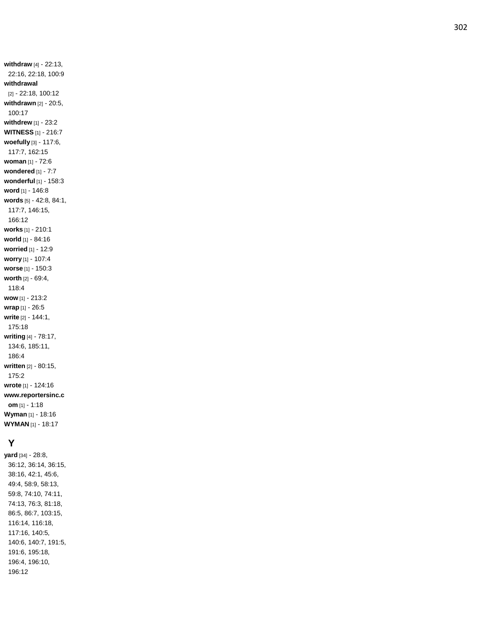**withdraw** [4] - 22:13, 22:16, 22:18, 100:9 **withdrawal** [2] - 22:18, 100:12 **withdrawn** [2] - 20:5, 100:17 **withdrew** [1] - 23:2 **WITNESS** [1] - 216:7 **woefully** [3] - 117:6, 117:7, 162:15 **woman** [1] - 72:6 **wondered** [1] - 7:7 **wonderful** [1] - 158:3 **word** [1] - 146:8 **words** [5] - 42:8, 84:1, 117:7, 146:15, 166:12 **work s** [1] - 210:1 **world** [1] - 84:16 **worried** [1] - 12:9 **worry** [1] - 107:4 **worse** [1] - 150:3 **worth** [2] - 69:4, 118:4 **wow** [1] - 213:2 **wrap** [1] - 26:5 **write** [2] - 144:1, 175:18 **writing** [4] - 78:17, 134:6, 185:11, 186:4 **written** [2] - 80:15, 175:2 **wrote** [1] - 124:16 **www.reportersinc.c om** [1] - 1:18 **Wyman** [1] - 18:16 **WYMAN** [1] - 18:17

### **Y**

**yard** [34] - 28:8, 36:12, 36:14, 36:15, 38:16, 42:1, 45:6, 49:4, 58:9, 58:13, 59:8, 74:10, 74:11, 74:13, 76:3, 81:18, 86:5, 86:7, 103:15, 116:14, 116:18, 117:16, 140:5, 140:6, 140:7, 191:5, 191:6, 195:18, 196:4, 196:10, 196:12